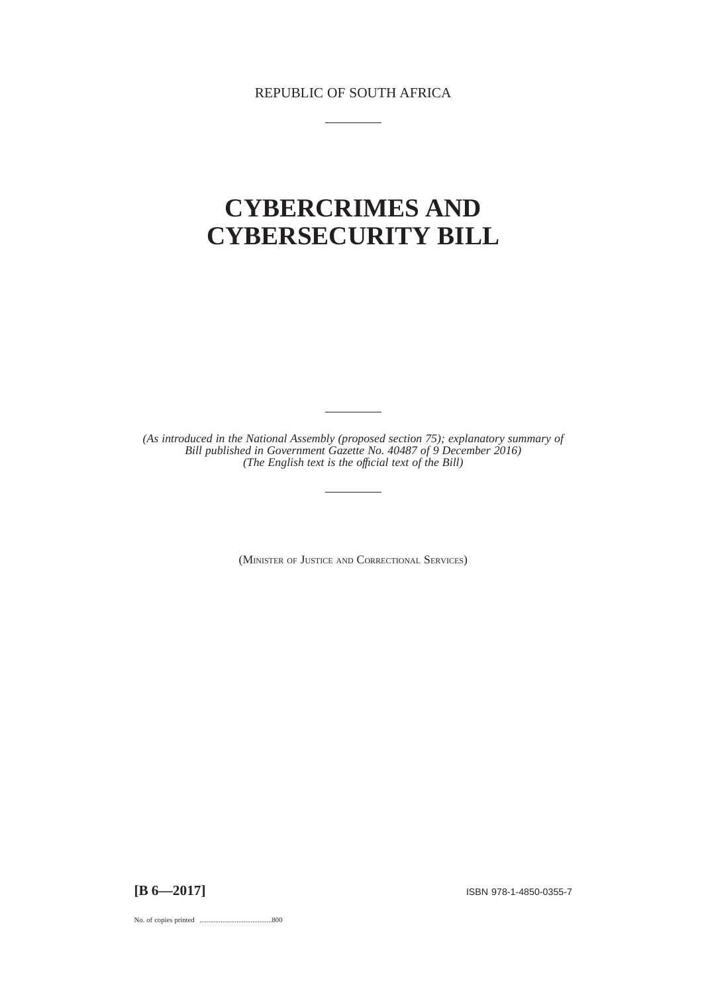REPUBLIC OF SOUTH AFRICA

# **CYBERCRIMES AND CYBERSECURITY BILL**

*(As introduced in the National Assembly (proposed section 75); explanatory summary of Bill published in Government Gazette No. 40487 of 9 December 2016) (The English text is the offıcial text of the Bill)*

(MINISTER OF JUSTICE AND CORRECTIONAL SERVICES)

No. of copies printed .........................................800

**[B 6—2017]** ISBN 978-1-4850-0355-7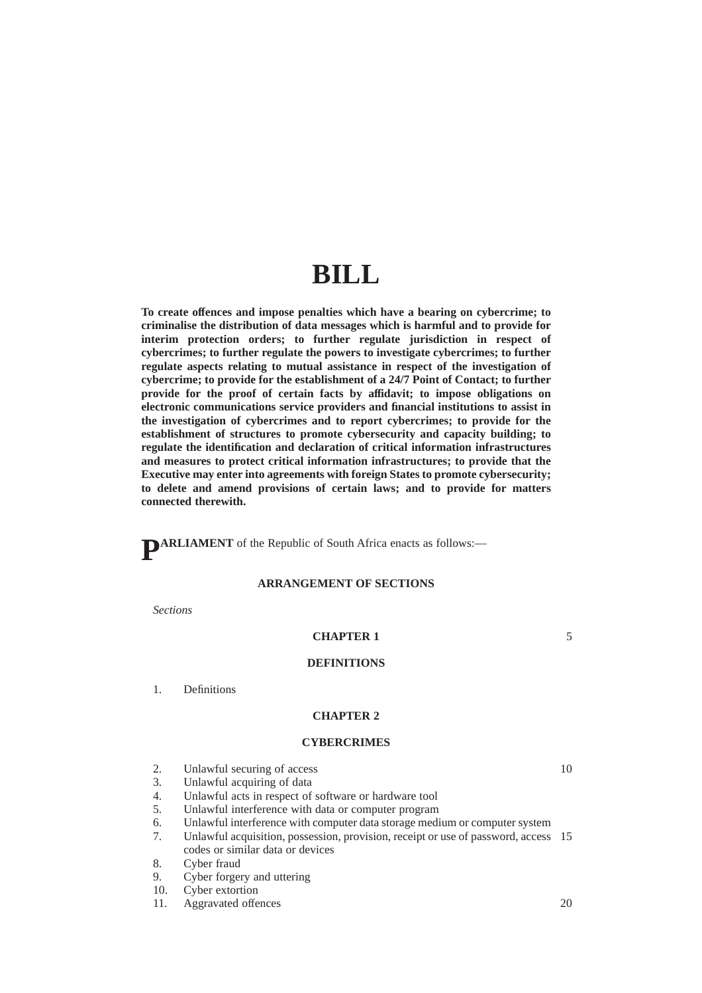# **BILL**

**To create offences and impose penalties which have a bearing on cybercrime; to criminalise the distribution of data messages which is harmful and to provide for interim protection orders; to further regulate jurisdiction in respect of cybercrimes; to further regulate the powers to investigate cybercrimes; to further regulate aspects relating to mutual assistance in respect of the investigation of cybercrime; to provide for the establishment of a 24/7 Point of Contact; to further provide for the proof of certain facts by affidavit; to impose obligations on electronic communications service providers and financial institutions to assist in the investigation of cybercrimes and to report cybercrimes; to provide for the establishment of structures to promote cybersecurity and capacity building; to regulate the identification and declaration of critical information infrastructures and measures to protect critical information infrastructures; to provide that the Executive may enter into agreements with foreign States to promote cybersecurity; to delete and amend provisions of certain laws; and to provide for matters connected therewith.**

**PARLIAMENT** of the Republic of South Africa enacts as follows:—

# **ARRANGEMENT OF SECTIONS**

*Sections*

# **CHAPTER 1**

# **DEFINITIONS**

1. Definitions

## **CHAPTER 2**

## **CYBERCRIMES**

- 2. Unlawful securing of access
- 3. Unlawful acquiring of data<br>4. Unlawful acts in respect of
- Unlawful acts in respect of software or hardware tool
- 5. Unlawful interference with data or computer program
- 6. Unlawful interference with computer data storage medium or computer system
- 7. Unlawful acquisition, possession, provision, receipt or use of password, access 15 codes or similar data or devices
- 8. Cyber fraud
- 9. Cyber forgery and uttering
- 10. Cyber extortion
- 11. Aggravated offences

20

10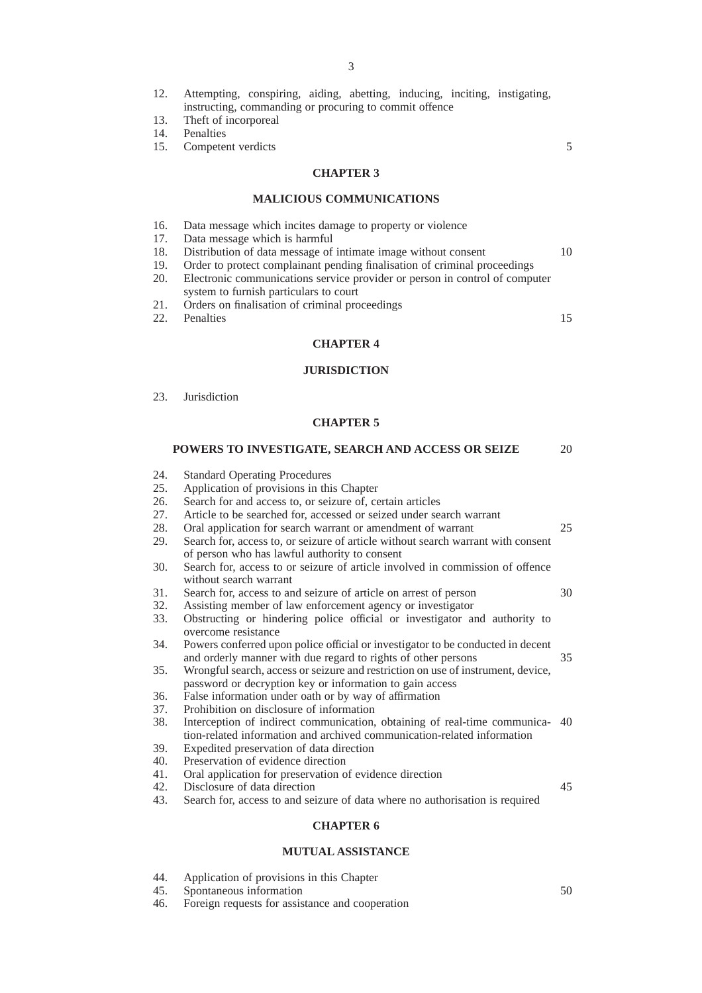- 12. Attempting, conspiring, aiding, abetting, inducing, inciting, instigating, instructing, commanding or procuring to commit offence
- 13. Theft of incorporeal
- 14. Penalties
- 15. Competent verdicts

# **MALICIOUS COMMUNICATIONS**

- 16. Data message which incites damage to property or violence 17. Data message which is harmful
- 17. Data message which is harmful<br>18. Distribution of data message of
- Distribution of data message of intimate image without consent 10
- 19. Order to protect complainant pending finalisation of criminal proceedings 20. Electronic communications service provider or person in control of compu
- Electronic communications service provider or person in control of computer system to furnish particulars to court
- 21. Orders on finalisation of criminal proceedings
- Penalties

## **CHAPTER 4**

## **JURISDICTION**

23. Jurisdiction

#### **CHAPTER 5**

## **POWERS TO INVESTIGATE, SEARCH AND ACCESS OR SEIZE**

- 24. Standard Operating Procedures
- 25. Application of provisions in this Chapter
- 26. Search for and access to, or seizure of, certain articles<br>27. Article to be searched for, accessed or seized under sea
- Article to be searched for, accessed or seized under search warrant
- 28. Oral application for search warrant or amendment of warrant 29. Search for access to or seizure of article without search warrant
- Search for, access to, or seizure of article without search warrant with consent of person who has lawful authority to consent
- 30. Search for, access to or seizure of article involved in commission of offence without search warrant
- 31. Search for, access to and seizure of article on arrest of person<br>32. Assisting member of law enforcement agency or investigator 30
- Assisting member of law enforcement agency or investigator
- 33. Obstructing or hindering police official or investigator and authority to overcome resistance
- 34. Powers conferred upon police official or investigator to be conducted in decent and orderly manner with due regard to rights of other persons 35
- 35. Wrongful search, access or seizure and restriction on use of instrument, device, password or decryption key or information to gain access
- 36. False information under oath or by way of affirmation
- 37. Prohibition on disclosure of information
- 38. Interception of indirect communication, obtaining of real-time communica-40 tion-related information and archived communication-related information
- 39. Expedited preservation of data direction
- 40. Preservation of evidence direction
- 41. Oral application for preservation of evidence direction
- 42. Disclosure of data direction
- 43. Search for, access to and seizure of data where no authorisation is required

# **CHAPTER 6**

# **MUTUAL ASSISTANCE**

- 44. Application of provisions in this Chapter
- 45. Spontaneous information
- 46. Foreign requests for assistance and cooperation

45

20

25

15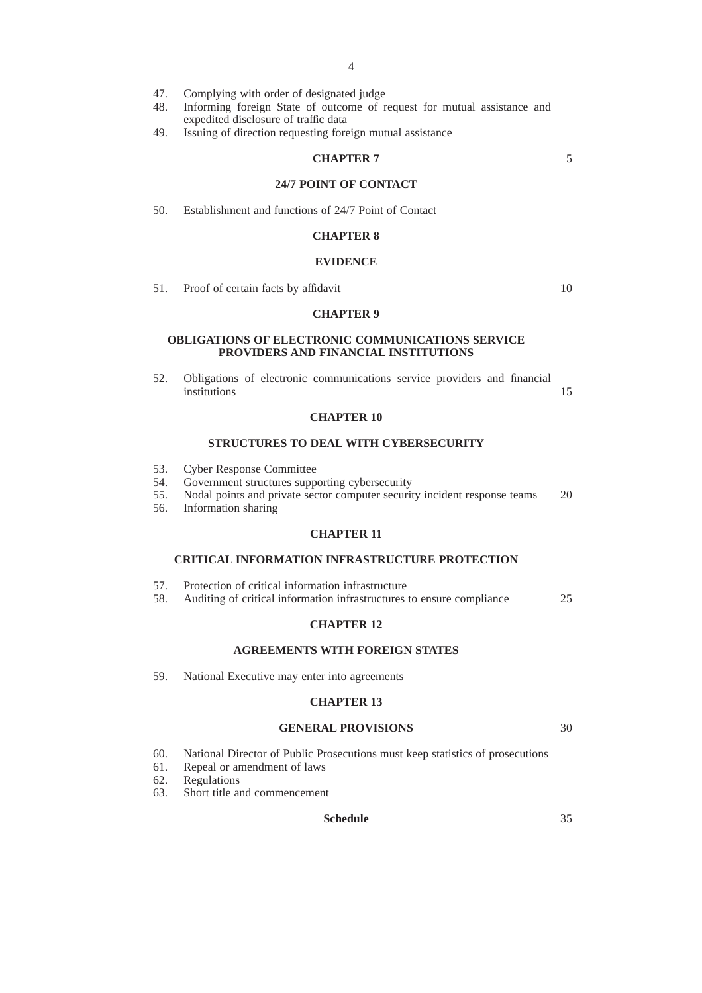- 47. Complying with order of designated judge
- 48. Informing foreign State of outcome of request for mutual assistance and expedited disclosure of traffic data
- 49. Issuing of direction requesting foreign mutual assistance

# **24/7 POINT OF CONTACT**

50. Establishment and functions of 24/7 Point of Contact

# **CHAPTER 8**

## **EVIDENCE**

51. Proof of certain facts by affidavit

#### **CHAPTER 9**

## **OBLIGATIONS OF ELECTRONIC COMMUNICATIONS SERVICE PROVIDERS AND FINANCIAL INSTITUTIONS**

52. Obligations of electronic communications service providers and financial institutions 15

## **CHAPTER 10**

# **STRUCTURES TO DEAL WITH CYBERSECURITY**

- 53. Cyber Response Committee
- 54. Government structures supporting cybersecurity
- 55. Nodal points and private sector computer security incident response teams<br>56. Information sharing 20
- Information sharing

## **CHAPTER 11**

## **CRITICAL INFORMATION INFRASTRUCTURE PROTECTION**

57. Protection of critical information infrastructure<br>58. Auditing of critical information infrastructures Auditing of critical information infrastructures to ensure compliance 25

## **CHAPTER 12**

# **AGREEMENTS WITH FOREIGN STATES**

59. National Executive may enter into agreements

# **CHAPTER 13**

# **GENERAL PROVISIONS**

30

- 60. National Director of Public Prosecutions must keep statistics of prosecutions
- 61. Repeal or amendment of laws
- 62. Regulations
- 63. Short title and commencement

# **Schedule**

# 35

5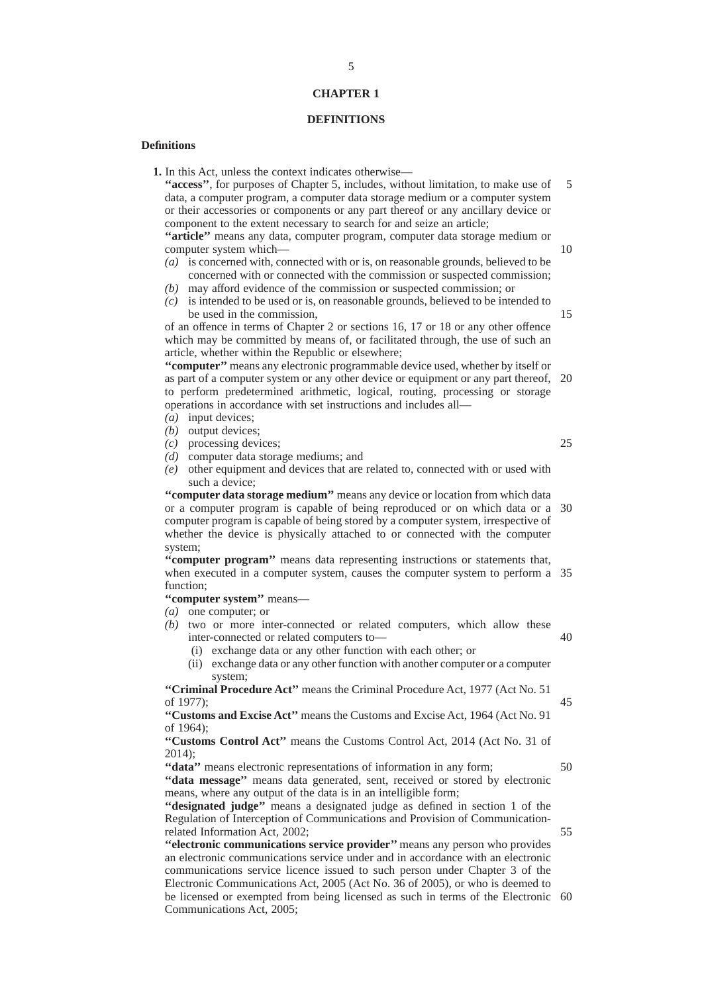# **DEFINITIONS**

## **Definitions**

**1.** In this Act, unless the context indicates otherwise—

**''access''**, for purposes of Chapter 5, includes, without limitation, to make use of data, a computer program, a computer data storage medium or a computer system or their accessories or components or any part thereof or any ancillary device or component to the extent necessary to search for and seize an article; 5

"article" means any data, computer program, computer data storage medium or computer system which—

- *(a)* is concerned with, connected with or is, on reasonable grounds, believed to be concerned with or connected with the commission or suspected commission;
- *(b)* may afford evidence of the commission or suspected commission; or
- *(c)* is intended to be used or is, on reasonable grounds, believed to be intended to be used in the commission,

of an offence in terms of Chapter 2 or sections 16, 17 or 18 or any other offence which may be committed by means of, or facilitated through, the use of such an article, whether within the Republic or elsewhere;

**''computer''** means any electronic programmable device used, whether by itself or as part of a computer system or any other device or equipment or any part thereof, 20 to perform predetermined arithmetic, logical, routing, processing or storage operations in accordance with set instructions and includes all—

- *(a)* input devices;
- *(b)* output devices;
- *(c)* processing devices;
- *(d)* computer data storage mediums; and
- *(e)* other equipment and devices that are related to, connected with or used with such a device;

**''computer data storage medium''** means any device or location from which data or a computer program is capable of being reproduced or on which data or a 30 computer program is capable of being stored by a computer system, irrespective of whether the device is physically attached to or connected with the computer system;

**''computer program''** means data representing instructions or statements that, when executed in a computer system, causes the computer system to perform a 35 function<sup>.</sup>

**''computer system''** means—

*(a)* one computer; or

- *(b)* two or more inter-connected or related computers, which allow these inter-connected or related computers to— 40
	- (i) exchange data or any other function with each other; or
	- (ii) exchange data or any other function with another computer or a computer system;

**''Criminal Procedure Act''** means the Criminal Procedure Act, 1977 (Act No. 51 of 1977); 45

**''Customs and Excise Act''** means the Customs and Excise Act, 1964 (Act No. 91 of 1964);

**''Customs Control Act''** means the Customs Control Act, 2014 (Act No. 31 of 2014);

**''data''** means electronic representations of information in any form; **''data message''** means data generated, sent, received or stored by electronic means, where any output of the data is in an intelligible form;

**''designated judge''** means a designated judge as defined in section 1 of the Regulation of Interception of Communications and Provision of Communicationrelated Information Act, 2002;

**''electronic communications service provider''** means any person who provides an electronic communications service under and in accordance with an electronic communications service licence issued to such person under Chapter 3 of the Electronic Communications Act, 2005 (Act No. 36 of 2005), or who is deemed to be licensed or exempted from being licensed as such in terms of the Electronic 60Communications Act, 2005;

25

10

15

50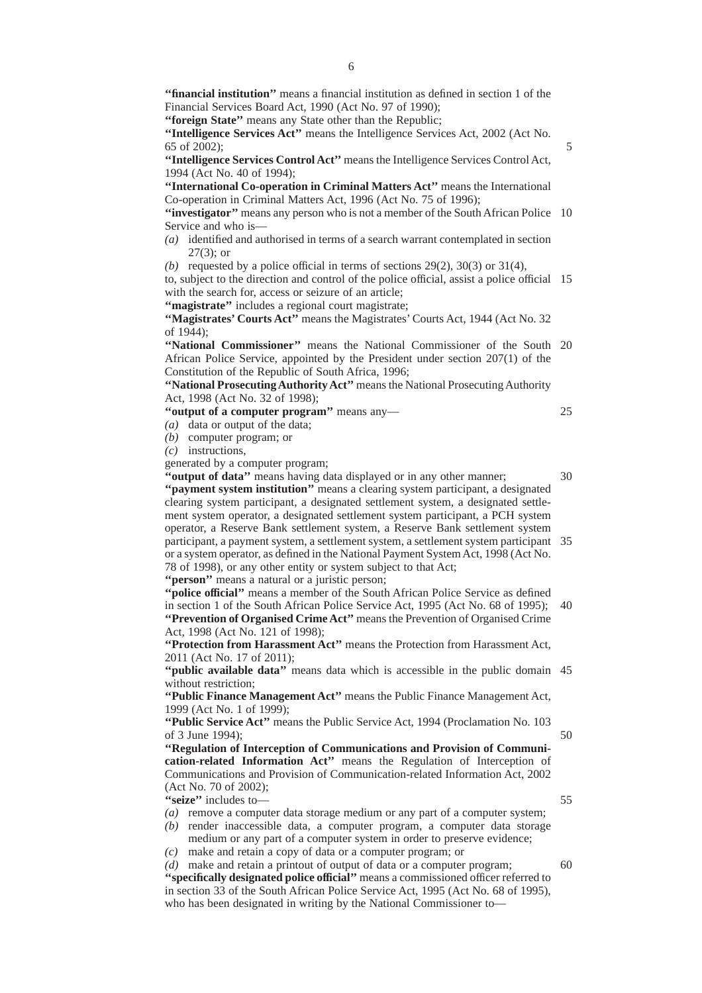**''financial institution''** means a financial institution as defined in section 1 of the Financial Services Board Act, 1990 (Act No. 97 of 1990);

**''foreign State''** means any State other than the Republic;

**''Intelligence Services Act''** means the Intelligence Services Act, 2002 (Act No. 65 of 2002);

**''Intelligence Services Control Act''** means the Intelligence Services Control Act, 1994 (Act No. 40 of 1994);

**''International Co-operation in Criminal Matters Act''** means the International Co-operation in Criminal Matters Act, 1996 (Act No. 75 of 1996);

"investigator" means any person who is not a member of the South African Police 10 Service and who is—

- *(a)* identified and authorised in terms of a search warrant contemplated in section 27(3); or
- *(b)* requested by a police official in terms of sections 29(2), 30(3) or 31(4),

to, subject to the direction and control of the police official, assist a police official 15 with the search for, access or seizure of an article;

**''magistrate''** includes a regional court magistrate;

**''Magistrates' Courts Act''** means the Magistrates' Courts Act, 1944 (Act No. 32 of 1944);

"National Commissioner" means the National Commissioner of the South 20 African Police Service, appointed by the President under section 207(1) of the Constitution of the Republic of South Africa, 1996;

**''National Prosecuting Authority Act''** means the National Prosecuting Authority Act, 1998 (Act No. 32 of 1998);

**''output of a computer program''** means any—

*(a)* data or output of the data;

*(b)* computer program; or

*(c)* instructions,

generated by a computer program;

30

25

5

**''output of data''** means having data displayed or in any other manner; **''payment system institution''** means a clearing system participant, a designated clearing system participant, a designated settlement system, a designated settlement system operator, a designated settlement system participant, a PCH system operator, a Reserve Bank settlement system, a Reserve Bank settlement system participant, a payment system, a settlement system, a settlement system participant 35 or a system operator, as defined in the National Payment System Act, 1998 (Act No. 78 of 1998), or any other entity or system subject to that Act;

**''person''** means a natural or a juristic person;

**''police official''** means a member of the South African Police Service as defined in section 1 of the South African Police Service Act, 1995 (Act No. 68 of 1995); **''Prevention of Organised Crime Act''** means the Prevention of Organised Crime 40

Act, 1998 (Act No. 121 of 1998); **''Protection from Harassment Act''** means the Protection from Harassment Act, 2011 (Act No. 17 of 2011);

"**public available data**" means data which is accessible in the public domain 45 without restriction;

**''Public Finance Management Act''** means the Public Finance Management Act, 1999 (Act No. 1 of 1999);

**''Public Service Act''** means the Public Service Act, 1994 (Proclamation No. 103 of 3 June 1994);

**''Regulation of Interception of Communications and Provision of Communication-related Information Act''** means the Regulation of Interception of Communications and Provision of Communication-related Information Act, 2002 (Act No. 70 of 2002);

**''seize''** includes to—

- *(a)* remove a computer data storage medium or any part of a computer system;
- *(b)* render inaccessible data, a computer program, a computer data storage medium or any part of a computer system in order to preserve evidence;

*(c)* make and retain a copy of data or a computer program; or

*(d)* make and retain a printout of output of data or a computer program;

**''specifically designated police official''** means a commissioned officer referred to in section 33 of the South African Police Service Act, 1995 (Act No. 68 of 1995), who has been designated in writing by the National Commissioner to—

55

60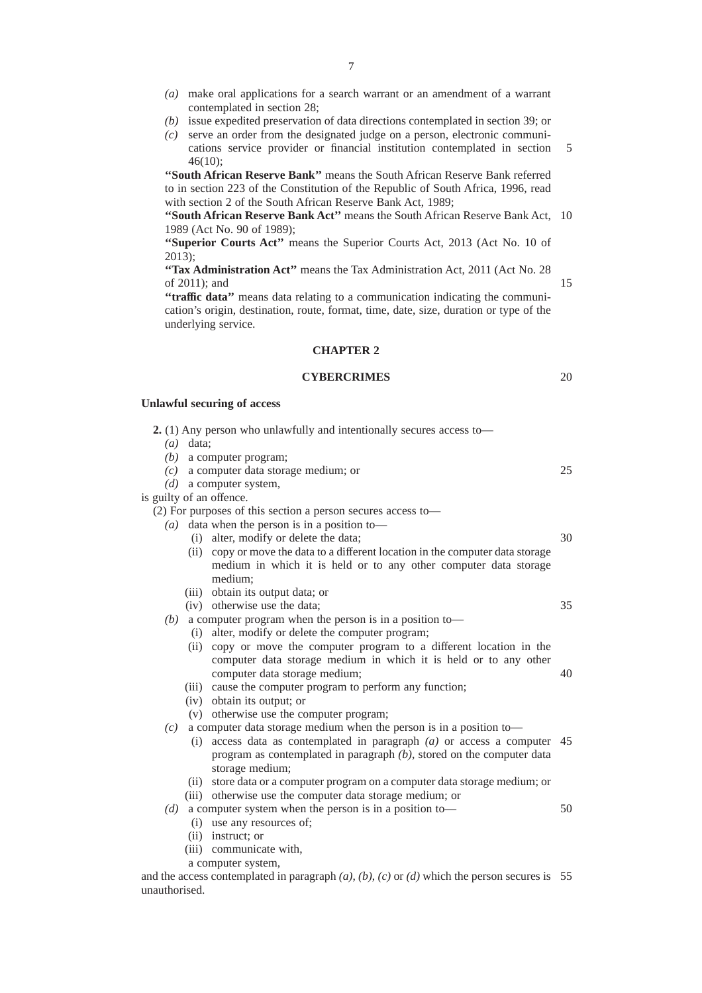- *(a)* make oral applications for a search warrant or an amendment of a warrant contemplated in section 28;
- *(b)* issue expedited preservation of data directions contemplated in section 39; or
- *(c)* serve an order from the designated judge on a person, electronic communications service provider or financial institution contemplated in section 46(10); 5

**''South African Reserve Bank''** means the South African Reserve Bank referred to in section 223 of the Constitution of the Republic of South Africa, 1996, read with section 2 of the South African Reserve Bank Act, 1989;

**''South African Reserve Bank Act''** means the South African Reserve Bank Act, 10 1989 (Act No. 90 of 1989);

**''Superior Courts Act''** means the Superior Courts Act, 2013 (Act No. 10 of  $201\overline{3}$ :

**''Tax Administration Act''** means the Tax Administration Act, 2011 (Act No. 28 of 2011); and

15

20

**''traffic data''** means data relating to a communication indicating the communication's origin, destination, route, format, time, date, size, duration or type of the underlying service.

# **CHAPTER 2**

# **CYBERCRIMES**

**Unlawful securing of access**

|               |             | <b>2.</b> (1) Any person who unlawfully and intentionally secures access to-                                                                                          |    |  |  |  |  |  |
|---------------|-------------|-----------------------------------------------------------------------------------------------------------------------------------------------------------------------|----|--|--|--|--|--|
|               | $(a)$ data; |                                                                                                                                                                       |    |  |  |  |  |  |
| (b)           |             | a computer program;                                                                                                                                                   |    |  |  |  |  |  |
| (c)           |             | a computer data storage medium; or                                                                                                                                    | 25 |  |  |  |  |  |
| (d)           |             | a computer system,                                                                                                                                                    |    |  |  |  |  |  |
|               |             | is guilty of an offence.                                                                                                                                              |    |  |  |  |  |  |
|               |             | $(2)$ For purposes of this section a person secures access to-                                                                                                        |    |  |  |  |  |  |
|               |             | (a) data when the person is in a position to-                                                                                                                         |    |  |  |  |  |  |
|               |             | (i) alter, modify or delete the data;                                                                                                                                 | 30 |  |  |  |  |  |
|               |             | (ii) copy or move the data to a different location in the computer data storage<br>medium in which it is held or to any other computer data storage<br>medium;        |    |  |  |  |  |  |
|               |             | (iii) obtain its output data; or                                                                                                                                      |    |  |  |  |  |  |
|               |             | (iv) otherwise use the data;                                                                                                                                          | 35 |  |  |  |  |  |
| (b)           |             | a computer program when the person is in a position to-                                                                                                               |    |  |  |  |  |  |
|               | (i)         | alter, modify or delete the computer program;                                                                                                                         |    |  |  |  |  |  |
|               | (ii)        | copy or move the computer program to a different location in the<br>computer data storage medium in which it is held or to any other<br>computer data storage medium; | 40 |  |  |  |  |  |
|               |             | (iii) cause the computer program to perform any function;                                                                                                             |    |  |  |  |  |  |
|               |             | (iv) obtain its output; or                                                                                                                                            |    |  |  |  |  |  |
|               |             | (v) otherwise use the computer program;                                                                                                                               |    |  |  |  |  |  |
| (c)           |             | a computer data storage medium when the person is in a position to-                                                                                                   |    |  |  |  |  |  |
|               | (i)         | access data as contemplated in paragraph $(a)$ or access a computer 45<br>program as contemplated in paragraph $(b)$ , stored on the computer data<br>storage medium; |    |  |  |  |  |  |
|               |             | (ii) store data or a computer program on a computer data storage medium; or                                                                                           |    |  |  |  |  |  |
|               |             | (iii) otherwise use the computer data storage medium; or                                                                                                              |    |  |  |  |  |  |
| (d)           |             | a computer system when the person is in a position to-                                                                                                                | 50 |  |  |  |  |  |
|               |             | (i) use any resources of;                                                                                                                                             |    |  |  |  |  |  |
|               |             | $(ii)$ instruct; or                                                                                                                                                   |    |  |  |  |  |  |
|               |             | (iii) communicate with,                                                                                                                                               |    |  |  |  |  |  |
|               |             | a computer system,                                                                                                                                                    |    |  |  |  |  |  |
|               |             | and the access contemplated in paragraph $(a)$ , $(b)$ , $(c)$ or $(d)$ which the person secures is 55                                                                |    |  |  |  |  |  |
| unauthorised. |             |                                                                                                                                                                       |    |  |  |  |  |  |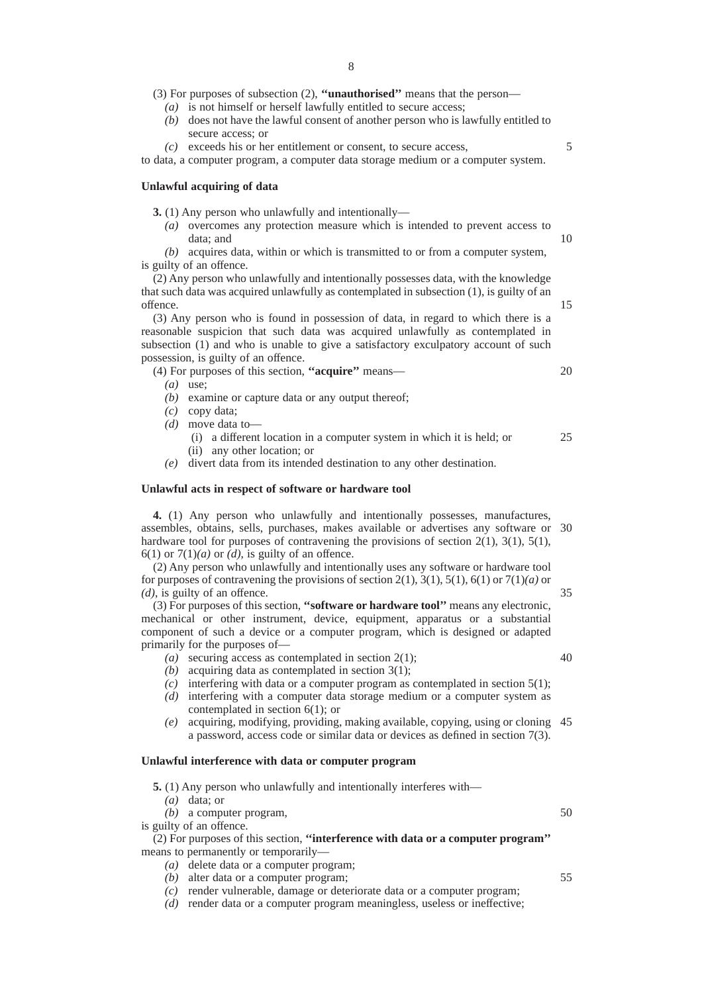(3) For purposes of subsection (2), **''unauthorised''** means that the person—

- *(a)* is not himself or herself lawfully entitled to secure access;
- *(b)* does not have the lawful consent of another person who is lawfully entitled to secure access; or

*(c)* exceeds his or her entitlement or consent, to secure access, to data, a computer program, a computer data storage medium or a computer system.

# **Unlawful acquiring of data**

**3.** (1) Any person who unlawfully and intentionally—

*(a)* overcomes any protection measure which is intended to prevent access to data; and

*(b)* acquires data, within or which is transmitted to or from a computer system, is guilty of an offence.

(2) Any person who unlawfully and intentionally possesses data, with the knowledge that such data was acquired unlawfully as contemplated in subsection (1), is guilty of an offence.

(3) Any person who is found in possession of data, in regard to which there is a reasonable suspicion that such data was acquired unlawfully as contemplated in subsection (1) and who is unable to give a satisfactory exculpatory account of such possession, is guilty of an offence.

(4) For purposes of this section, **''acquire''** means—

*(a)* use;

- *(b)* examine or capture data or any output thereof;
- *(c)* copy data;
- *(d)* move data to—
	- (i) a different location in a computer system in which it is held; or (ii) any other location; or 25
- *(e)* divert data from its intended destination to any other destination.

#### **Unlawful acts in respect of software or hardware tool**

**4.** (1) Any person who unlawfully and intentionally possesses, manufactures, assembles, obtains, sells, purchases, makes available or advertises any software or 30 hardware tool for purposes of contravening the provisions of section 2(1), 3(1), 5(1),  $6(1)$  or  $7(1)(a)$  or  $(d)$ , is guilty of an offence.

(2) Any person who unlawfully and intentionally uses any software or hardware tool for purposes of contravening the provisions of section 2(1), 3(1), 5(1), 6(1) or 7(1)*(a)* or *(d)*, is guilty of an offence.

(3) For purposes of this section, **''software or hardware tool''** means any electronic, mechanical or other instrument, device, equipment, apparatus or a substantial component of such a device or a computer program, which is designed or adapted primarily for the purposes of—

- *(a)* securing access as contemplated in section 2(1);
- *(b)* acquiring data as contemplated in section 3(1);
- *(c)* interfering with data or a computer program as contemplated in section 5(1);
- *(d)* interfering with a computer data storage medium or a computer system as contemplated in section 6(1); or
- *(e)* acquiring, modifying, providing, making available, copying, using or cloning 45 a password, access code or similar data or devices as defined in section 7(3).

## **Unlawful interference with data or computer program**

- **5.** (1) Any person who unlawfully and intentionally interferes with—
	- *(a)* data; or
	- *(b)* a computer program,
- is guilty of an offence.

(2) For purposes of this section, **''interference with data or a computer program''** means to permanently or temporarily—

- *(a)* delete data or a computer program;
- *(b)* alter data or a computer program;
- *(c)* render vulnerable, damage or deteriorate data or a computer program;
- *(d)* render data or a computer program meaningless, useless or ineffective;

5

10

15

20

35

50

- 
- 55
-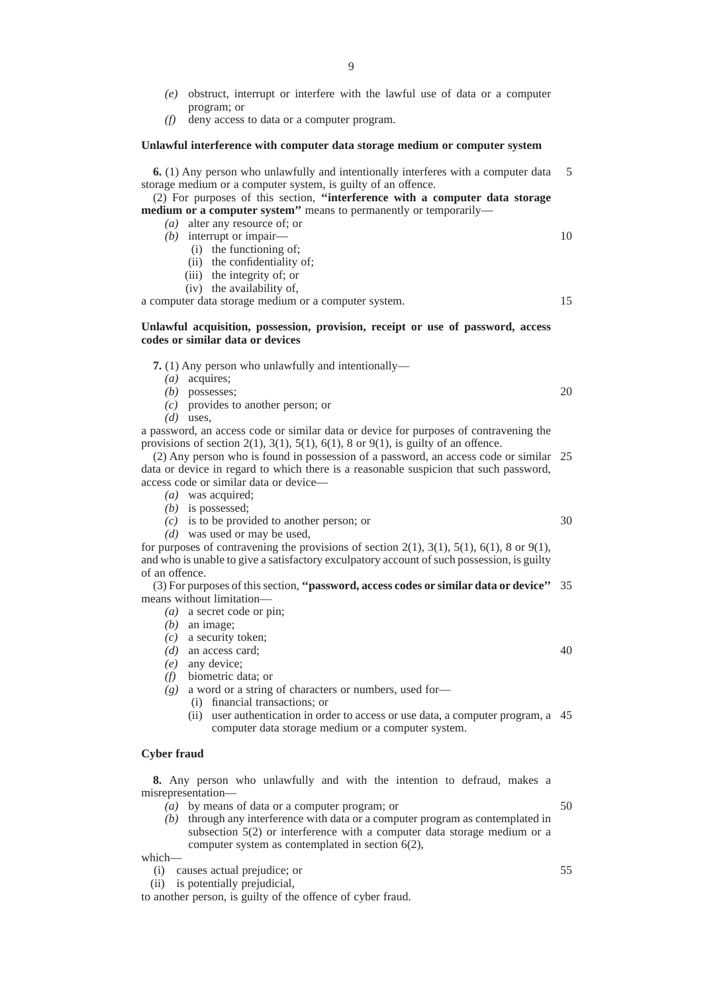- *(e)* obstruct, interrupt or interfere with the lawful use of data or a computer program; or
- *(f)* deny access to data or a computer program.

## **Unlawful interference with computer data storage medium or computer system**

**6.** (1) Any person who unlawfully and intentionally interferes with a computer data storage medium or a computer system, is guilty of an offence. 5

(2) For purposes of this section, **''interference with a computer data storage medium or a computer system''** means to permanently or temporarily—

- *(a)* alter any resource of; or
- *(b)* interrupt or impair—
	- (i) the functioning of;
	- (ii) the confidentiality of;
	- (iii) the integrity of; or
	- (iv) the availability of,

a computer data storage medium or a computer system.

# **Unlawful acquisition, possession, provision, receipt or use of password, access codes or similar data or devices**

**7.** (1) Any person who unlawfully and intentionally—

- *(a)* acquires;
- *(b)* possesses;
- *(c)* provides to another person; or
- *(d)* uses,

a password, an access code or similar data or device for purposes of contravening the provisions of section 2(1), 3(1), 5(1), 6(1), 8 or 9(1), is guilty of an offence.

(2) Any person who is found in possession of a password, an access code or similar 25 data or device in regard to which there is a reasonable suspicion that such password, access code or similar data or device—

- *(a)* was acquired;
- *(b)* is possessed;
- *(c)* is to be provided to another person; or
- *(d)* was used or may be used,

for purposes of contravening the provisions of section  $2(1)$ ,  $3(1)$ ,  $5(1)$ ,  $6(1)$ ,  $8$  or  $9(1)$ , and who is unable to give a satisfactory exculpatory account of such possession, is guilty of an offence.

(3) For purposes of this section, **''password, access codes or similar data or device''** 35 means without limitation—

- *(a)* a secret code or pin;
- *(b)* an image;
- *(c)* a security token;
- *(d)* an access card;
- *(e)* any device;
- *(f)* biometric data; or
- *(g)* a word or a string of characters or numbers, used for—
	- (i) financial transactions; or
	- (ii) user authentication in order to access or use data, a computer program, a 45 computer data storage medium or a computer system.

## **Cyber fraud**

**8.** Any person who unlawfully and with the intention to defraud, makes a misrepresentation—

- *(a)* by means of data or a computer program; or
- *(b)* through any interference with data or a computer program as contemplated in subsection 5(2) or interference with a computer data storage medium or a computer system as contemplated in section 6(2),

which—

(i) causes actual prejudice; or

(ii) is potentially prejudicial,

to another person, is guilty of the offence of cyber fraud.

55

50

30

10

15

20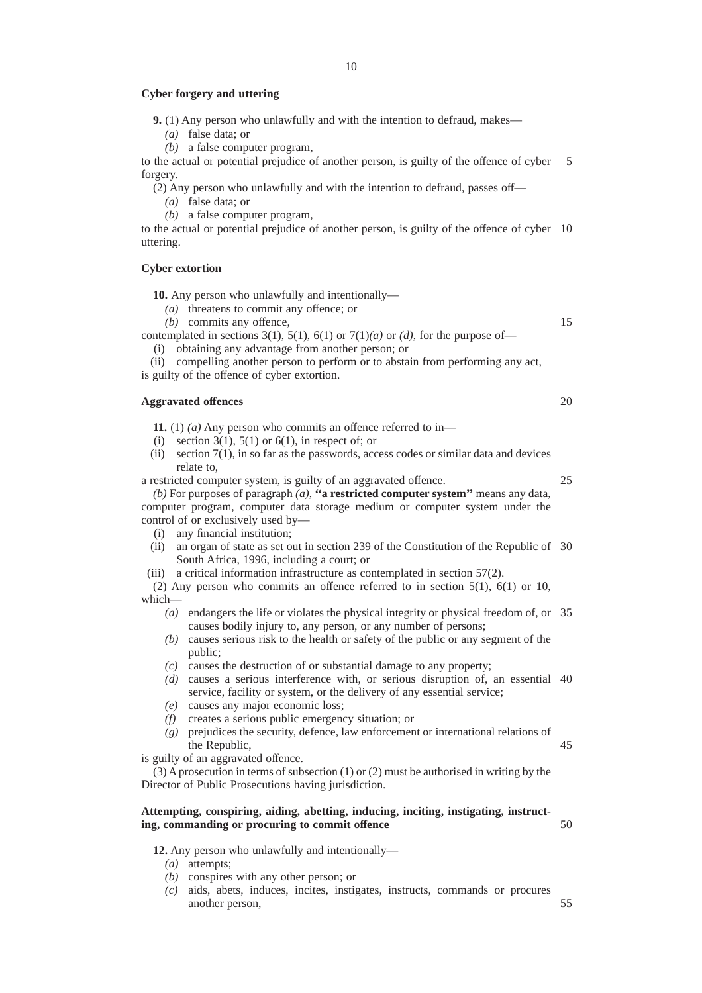## **Cyber forgery and uttering**

**9.** (1) Any person who unlawfully and with the intention to defraud, makes—

*(a)* false data; or

*(b)* a false computer program,

to the actual or potential prejudice of another person, is guilty of the offence of cyber forgery. 5

(2) Any person who unlawfully and with the intention to defraud, passes off—

*(a)* false data; or

*(b)* a false computer program,

to the actual or potential prejudice of another person, is guilty of the offence of cyber 10 uttering.

# **Cyber extortion**

**10.** Any person who unlawfully and intentionally—

*(a)* threatens to commit any offence; or

*(b)* commits any offence,

contemplated in sections 3(1), 5(1), 6(1) or 7(1)*(a)* or *(d)*, for the purpose of—

(i) obtaining any advantage from another person; or

(ii) compelling another person to perform or to abstain from performing any act, is guilty of the offence of cyber extortion.

# **Aggravated offences**

**11.** (1) *(a)* Any person who commits an offence referred to in—

- (i) section 3(1), 5(1) or  $6(1)$ , in respect of; or
- (ii) section  $7(1)$ , in so far as the passwords, access codes or similar data and devices relate to,

a restricted computer system, is guilty of an aggravated offence.

25

20

15

*(b)* For purposes of paragraph *(a)*, **''a restricted computer system''** means any data, computer program, computer data storage medium or computer system under the control of or exclusively used by—

- (i) any financial institution;
- (ii) an organ of state as set out in section 239 of the Constitution of the Republic of 30 South Africa, 1996, including a court; or
- (iii) a critical information infrastructure as contemplated in section 57(2).

(2) Any person who commits an offence referred to in section 5(1), 6(1) or 10, which—

- *(a)* endangers the life or violates the physical integrity or physical freedom of, or 35 causes bodily injury to, any person, or any number of persons;
- *(b)* causes serious risk to the health or safety of the public or any segment of the public;
- *(c)* causes the destruction of or substantial damage to any property;
- *(d)* causes a serious interference with, or serious disruption of, an essential 40 service, facility or system, or the delivery of any essential service;
- *(e)* causes any major economic loss;
- *(f)* creates a serious public emergency situation; or
- *(g)* prejudices the security, defence, law enforcement or international relations of the Republic, 45

is guilty of an aggravated offence.

(3) A prosecution in terms of subsection (1) or (2) must be authorised in writing by the Director of Public Prosecutions having jurisdiction.

#### **Attempting, conspiring, aiding, abetting, inducing, inciting, instigating, instructing, commanding or procuring to commit offence** 50

**12.** Any person who unlawfully and intentionally—

- *(a)* attempts;
- *(b)* conspires with any other person; or
- *(c)* aids, abets, induces, incites, instigates, instructs, commands or procures another person, 55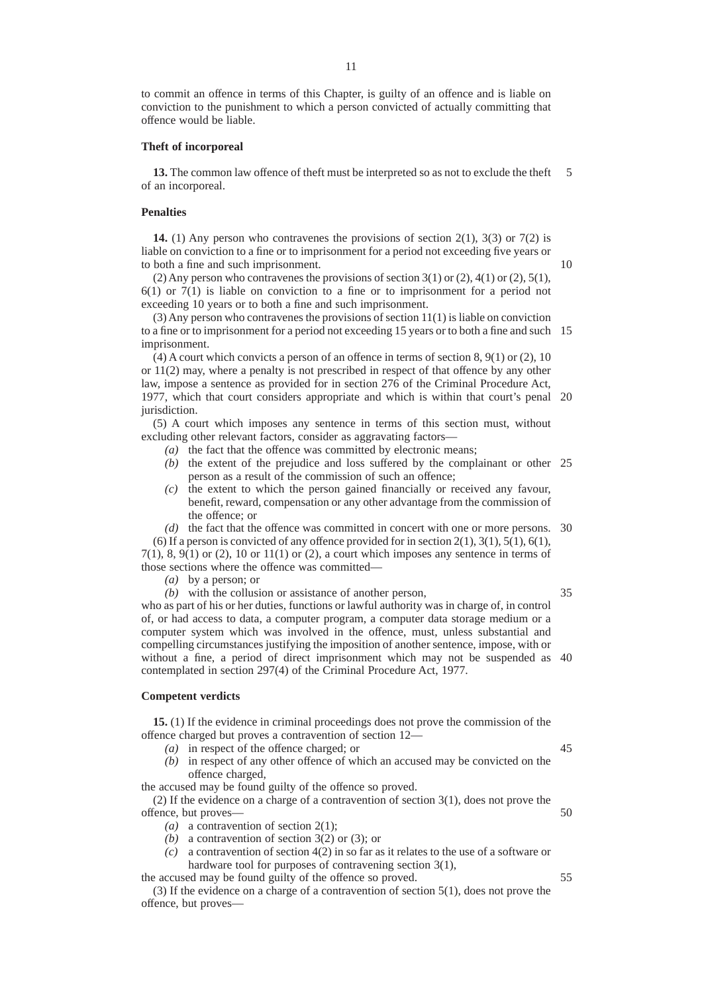to commit an offence in terms of this Chapter, is guilty of an offence and is liable on conviction to the punishment to which a person convicted of actually committing that offence would be liable.

## **Theft of incorporeal**

**13.** The common law offence of theft must be interpreted so as not to exclude the theft of an incorporeal. 5

# **Penalties**

**14.** (1) Any person who contravenes the provisions of section 2(1), 3(3) or 7(2) is liable on conviction to a fine or to imprisonment for a period not exceeding five years or to both a fine and such imprisonment.

(2) Any person who contravenes the provisions of section  $3(1)$  or  $(2)$ ,  $4(1)$  or  $(2)$ ,  $5(1)$ ,  $6(1)$  or  $7(1)$  is liable on conviction to a fine or to imprisonment for a period not exceeding 10 years or to both a fine and such imprisonment.

(3) Any person who contravenes the provisions of section 11(1) is liable on conviction to a fine or to imprisonment for a period not exceeding 15 years or to both a fine and such 15 imprisonment.

 $(4)$  A court which convicts a person of an offence in terms of section 8,  $9(1)$  or  $(2)$ , 10 or 11(2) may, where a penalty is not prescribed in respect of that offence by any other law, impose a sentence as provided for in section 276 of the Criminal Procedure Act, 1977, which that court considers appropriate and which is within that court's penal 20 jurisdiction.

(5) A court which imposes any sentence in terms of this section must, without excluding other relevant factors, consider as aggravating factors—

- *(a)* the fact that the offence was committed by electronic means;
- *(b)* the extent of the prejudice and loss suffered by the complainant or other 25 person as a result of the commission of such an offence;
- *(c)* the extent to which the person gained financially or received any favour, benefit, reward, compensation or any other advantage from the commission of the offence; or

*(d)* the fact that the offence was committed in concert with one or more persons. 30

(6) If a person is convicted of any offence provided for in section  $2(1)$ ,  $3(1)$ ,  $5(1)$ ,  $6(1)$ ,  $7(1)$ , 8,  $9(1)$  or  $(2)$ , 10 or  $11(1)$  or  $(2)$ , a court which imposes any sentence in terms of those sections where the offence was committed—

*(a)* by a person; or

*(b)* with the collusion or assistance of another person,

who as part of his or her duties, functions or lawful authority was in charge of, in control of, or had access to data, a computer program, a computer data storage medium or a computer system which was involved in the offence, must, unless substantial and compelling circumstances justifying the imposition of another sentence, impose, with or without a fine, a period of direct imprisonment which may not be suspended as 40 contemplated in section 297(4) of the Criminal Procedure Act, 1977. 35

# **Competent verdicts**

**15.** (1) If the evidence in criminal proceedings does not prove the commission of the offence charged but proves a contravention of section 12—

- *(a)* in respect of the offence charged; or
- *(b)* in respect of any other offence of which an accused may be convicted on the offence charged,

the accused may be found guilty of the offence so proved.

(2) If the evidence on a charge of a contravention of section  $3(1)$ , does not prove the offence, but proves—

- *(a)* a contravention of section 2(1);
- *(b)* a contravention of section 3(2) or (3); or
- *(c)* a contravention of section 4(2) in so far as it relates to the use of a software or hardware tool for purposes of contravening section 3(1),

the accused may be found guilty of the offence so proved.

(3) If the evidence on a charge of a contravention of section 5(1), does not prove the offence, but proves—

45

10

- 
- 50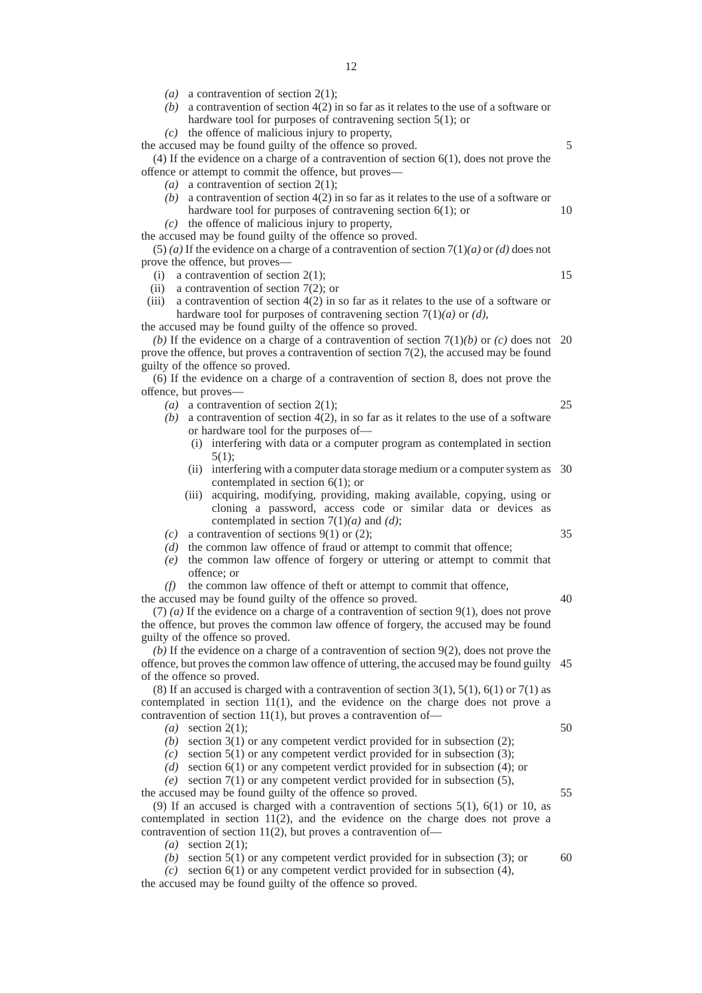|  |  | ( <i>a</i> ) a contravention of section $2(1)$ ; |  |  |  |  |
|--|--|--------------------------------------------------|--|--|--|--|
|--|--|--------------------------------------------------|--|--|--|--|

*(b)* a contravention of section 4(2) in so far as it relates to the use of a software or hardware tool for purposes of contravening section 5(1); or

*(c)* the offence of malicious injury to property,

the accused may be found guilty of the offence so proved. (4) If the evidence on a charge of a contravention of section 6(1), does not prove the

offence or attempt to commit the offence, but proves—

- *(a)* a contravention of section 2(1);
- *(b)* a contravention of section 4(2) in so far as it relates to the use of a software or hardware tool for purposes of contravening section 6(1); or
- *(c)* the offence of malicious injury to property,

the accused may be found guilty of the offence so proved.

(5) *(a)* If the evidence on a charge of a contravention of section  $7(1)(a)$  or *(d)* does not prove the offence, but proves—

- (i) a contravention of section  $2(1)$ ;
- (ii) a contravention of section 7(2); or
- (iii) a contravention of section  $4(2)$  in so far as it relates to the use of a software or hardware tool for purposes of contravening section 7(1)*(a)* or *(d)*,

the accused may be found guilty of the offence so proved.

*(b)* If the evidence on a charge of a contravention of section  $7(1)(b)$  or *(c)* does not 20 prove the offence, but proves a contravention of section 7(2), the accused may be found guilty of the offence so proved.

(6) If the evidence on a charge of a contravention of section 8, does not prove the offence, but proves—

- *(a)* a contravention of section 2(1);
- *(b)* a contravention of section 4(2), in so far as it relates to the use of a software or hardware tool for the purposes of—
	- (i) interfering with data or a computer program as contemplated in section 5(1);
	- (ii) interfering with a computer data storage medium or a computer system as 30 contemplated in section 6(1); or
	- (iii) acquiring, modifying, providing, making available, copying, using or cloning a password, access code or similar data or devices as contemplated in section 7(1)*(a)* and *(d)*;
- *(c)* a contravention of sections 9(1) or (2);
- *(d)* the common law offence of fraud or attempt to commit that offence;
- *(e)* the common law offence of forgery or uttering or attempt to commit that offence; or

*(f)* the common law offence of theft or attempt to commit that offence,

the accused may be found guilty of the offence so proved.

(7) *(a)* If the evidence on a charge of a contravention of section 9(1), does not prove the offence, but proves the common law offence of forgery, the accused may be found guilty of the offence so proved.

*(b)* If the evidence on a charge of a contravention of section 9(2), does not prove the offence, but proves the common law offence of uttering, the accused may be found guilty 45 of the offence so proved.

(8) If an accused is charged with a contravention of section 3(1), 5(1), 6(1) or 7(1) as contemplated in section 11(1), and the evidence on the charge does not prove a contravention of section 11(1), but proves a contravention of—

*(a)* section 2(1);

*(b)* section 3(1) or any competent verdict provided for in subsection (2);

*(c)* section 5(1) or any competent verdict provided for in subsection (3);

*(d)* section 6(1) or any competent verdict provided for in subsection (4); or

*(e)* section 7(1) or any competent verdict provided for in subsection (5), the accused may be found guilty of the offence so proved.

(9) If an accused is charged with a contravention of sections  $5(1)$ ,  $6(1)$  or 10, as contemplated in section  $11(2)$ , and the evidence on the charge does not prove a contravention of section 11(2), but proves a contravention of—

*(a)* section 2(1);

*(b)* section 5(1) or any competent verdict provided for in subsection (3); or 60

*(c)* section 6(1) or any competent verdict provided for in subsection (4),

the accused may be found guilty of the offence so proved.

35

40

50

55

25

5

10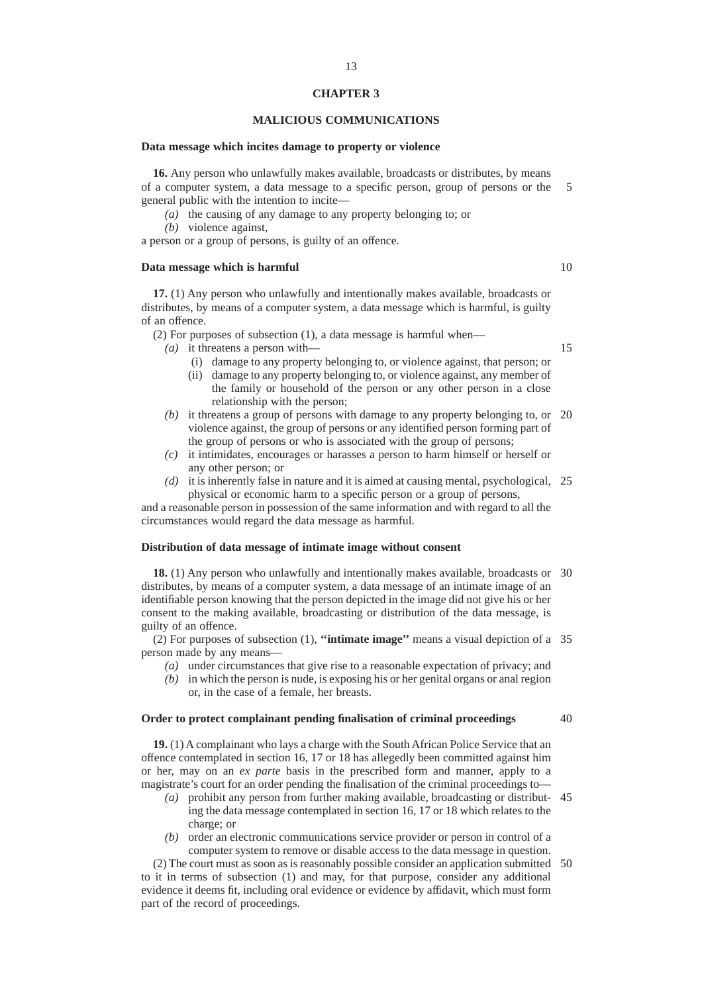# **MALICIOUS COMMUNICATIONS**

#### **Data message which incites damage to property or violence**

**16.** Any person who unlawfully makes available, broadcasts or distributes, by means of a computer system, a data message to a specific person, group of persons or the general public with the intention to incite— 5

*(a)* the causing of any damage to any property belonging to; or

*(b)* violence against,

a person or a group of persons, is guilty of an offence.

## **Data message which is harmful**

**17.** (1) Any person who unlawfully and intentionally makes available, broadcasts or distributes, by means of a computer system, a data message which is harmful, is guilty of an offence.

(2) For purposes of subsection (1), a data message is harmful when—

- *(a)* it threatens a person with—
	- (i) damage to any property belonging to, or violence against, that person; or
	- (ii) damage to any property belonging to, or violence against, any member of the family or household of the person or any other person in a close relationship with the person;
- *(b)* it threatens a group of persons with damage to any property belonging to, or 20 violence against, the group of persons or any identified person forming part of the group of persons or who is associated with the group of persons;
- *(c)* it intimidates, encourages or harasses a person to harm himself or herself or any other person; or
- *(d)* it is inherently false in nature and it is aimed at causing mental, psychological, 25 physical or economic harm to a specific person or a group of persons,

and a reasonable person in possession of the same information and with regard to all the circumstances would regard the data message as harmful.

# **Distribution of data message of intimate image without consent**

**18.** (1) Any person who unlawfully and intentionally makes available, broadcasts or 30 distributes, by means of a computer system, a data message of an intimate image of an identifiable person knowing that the person depicted in the image did not give his or her consent to the making available, broadcasting or distribution of the data message, is guilty of an offence.

(2) For purposes of subsection (1), **''intimate image''** means a visual depiction of a 35 person made by any means—

- *(a)* under circumstances that give rise to a reasonable expectation of privacy; and
- *(b)* in which the person is nude, is exposing his or her genital organs or anal region or, in the case of a female, her breasts.

# **Order to protect complainant pending finalisation of criminal proceedings**

40

**19.** (1) A complainant who lays a charge with the South African Police Service that an offence contemplated in section 16, 17 or 18 has allegedly been committed against him or her, may on an *ex parte* basis in the prescribed form and manner, apply to a magistrate's court for an order pending the finalisation of the criminal proceedings to—

- *(a)* prohibit any person from further making available, broadcasting or distribut-45 ing the data message contemplated in section 16, 17 or 18 which relates to the charge; or
- *(b)* order an electronic communications service provider or person in control of a computer system to remove or disable access to the data message in question.

(2) The court must as soon as is reasonably possible consider an application submitted 50to it in terms of subsection (1) and may, for that purpose, consider any additional evidence it deems fit, including oral evidence or evidence by affidavit, which must form part of the record of proceedings.

15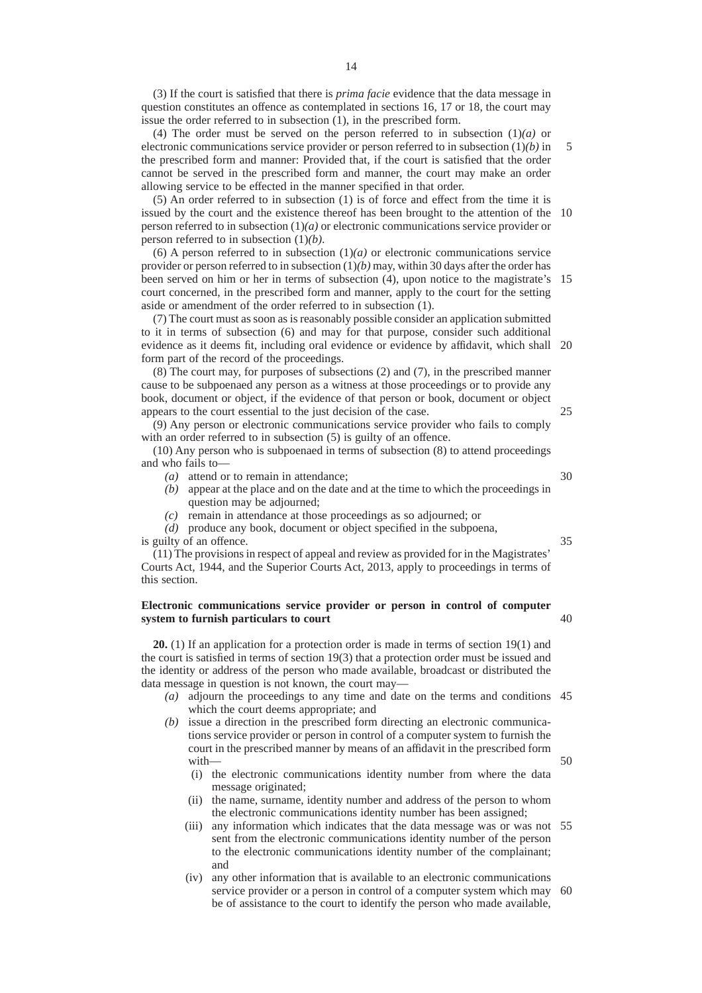(3) If the court is satisfied that there is *prima facie* evidence that the data message in question constitutes an offence as contemplated in sections 16, 17 or 18, the court may issue the order referred to in subsection (1), in the prescribed form.

(4) The order must be served on the person referred to in subsection (1)*(a)* or electronic communications service provider or person referred to in subsection (1)*(b)* in the prescribed form and manner: Provided that, if the court is satisfied that the order cannot be served in the prescribed form and manner, the court may make an order allowing service to be effected in the manner specified in that order. 5

(5) An order referred to in subsection (1) is of force and effect from the time it is issued by the court and the existence thereof has been brought to the attention of the 10 person referred to in subsection (1)*(a)* or electronic communications service provider or person referred to in subsection (1)*(b)*.

(6) A person referred to in subsection (1)*(a)* or electronic communications service provider or person referred to in subsection (1)*(b)* may, within 30 days after the order has been served on him or her in terms of subsection (4), upon notice to the magistrate's 15 court concerned, in the prescribed form and manner, apply to the court for the setting aside or amendment of the order referred to in subsection (1).

(7) The court must as soon as is reasonably possible consider an application submitted to it in terms of subsection (6) and may for that purpose, consider such additional evidence as it deems fit, including oral evidence or evidence by affidavit, which shall 20 form part of the record of the proceedings.

(8) The court may, for purposes of subsections (2) and (7), in the prescribed manner cause to be subpoenaed any person as a witness at those proceedings or to provide any book, document or object, if the evidence of that person or book, document or object appears to the court essential to the just decision of the case. 25

(9) Any person or electronic communications service provider who fails to comply with an order referred to in subsection  $(5)$  is guilty of an offence.

(10) Any person who is subpoenaed in terms of subsection (8) to attend proceedings and who fails to—

- *(a)* attend or to remain in attendance;
- *(b)* appear at the place and on the date and at the time to which the proceedings in question may be adjourned;
- *(c)* remain in attendance at those proceedings as so adjourned; or
- *(d)* produce any book, document or object specified in the subpoena, is guilty of an offence.

(11) The provisions in respect of appeal and review as provided for in the Magistrates' Courts Act, 1944, and the Superior Courts Act, 2013, apply to proceedings in terms of this section.

# **Electronic communications service provider or person in control of computer system to furnish particulars to court**

**20.** (1) If an application for a protection order is made in terms of section 19(1) and the court is satisfied in terms of section 19(3) that a protection order must be issued and the identity or address of the person who made available, broadcast or distributed the data message in question is not known, the court may—

- *(a)* adjourn the proceedings to any time and date on the terms and conditions 45 which the court deems appropriate; and
- *(b)* issue a direction in the prescribed form directing an electronic communications service provider or person in control of a computer system to furnish the court in the prescribed manner by means of an affidavit in the prescribed form with—
	- (i) the electronic communications identity number from where the data message originated;
	- (ii) the name, surname, identity number and address of the person to whom the electronic communications identity number has been assigned;
	- (iii) any information which indicates that the data message was or was not 55 sent from the electronic communications identity number of the person to the electronic communications identity number of the complainant; and
	- (iv) any other information that is available to an electronic communications service provider or a person in control of a computer system which may 60be of assistance to the court to identify the person who made available,

30

35

40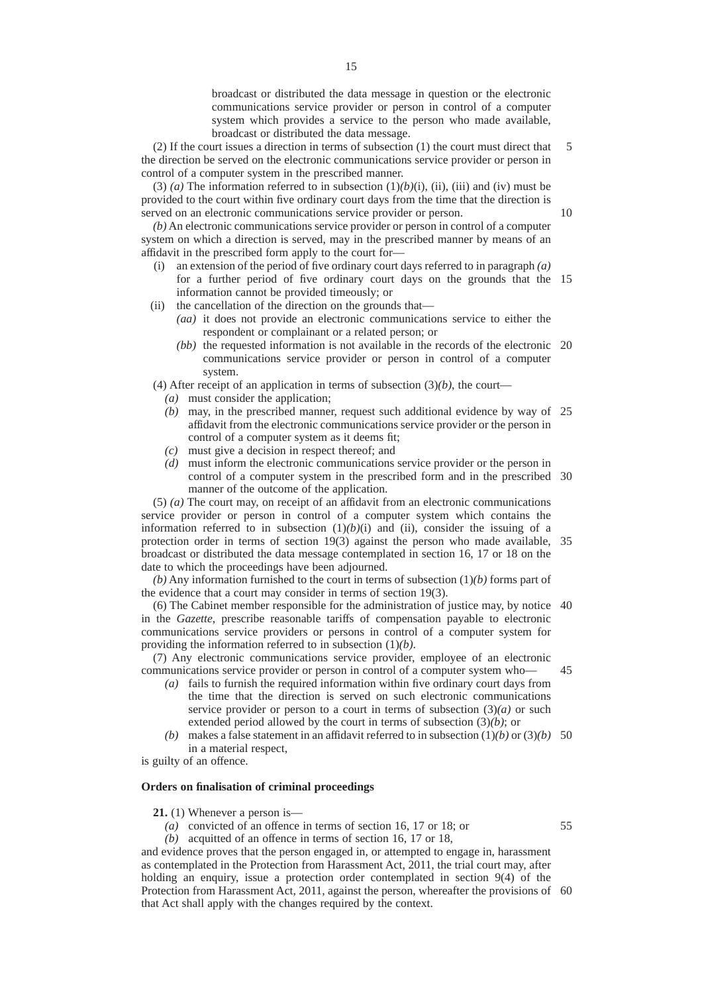broadcast or distributed the data message in question or the electronic communications service provider or person in control of a computer system which provides a service to the person who made available, broadcast or distributed the data message.

(2) If the court issues a direction in terms of subsection (1) the court must direct that the direction be served on the electronic communications service provider or person in control of a computer system in the prescribed manner. 5

(3)  $(a)$  The information referred to in subsection  $(1)(b)(i)$ ,  $(ii)$ ,  $(iii)$  and  $(iv)$  must be provided to the court within five ordinary court days from the time that the direction is served on an electronic communications service provider or person.

*(b)* An electronic communications service provider or person in control of a computer system on which a direction is served, may in the prescribed manner by means of an affidavit in the prescribed form apply to the court for—

- (i) an extension of the period of five ordinary court days referred to in paragraph *(a)* for a further period of five ordinary court days on the grounds that the 15 information cannot be provided timeously; or
- (ii) the cancellation of the direction on the grounds that—
	- *(aa)* it does not provide an electronic communications service to either the respondent or complainant or a related person; or
		- *(bb)* the requested information is not available in the records of the electronic 20 communications service provider or person in control of a computer system.

(4) After receipt of an application in terms of subsection  $(3)(b)$ , the court—

- *(a)* must consider the application;
- *(b)* may, in the prescribed manner, request such additional evidence by way of 25 affidavit from the electronic communications service provider or the person in control of a computer system as it deems fit;
- *(c)* must give a decision in respect thereof; and
- *(d)* must inform the electronic communications service provider or the person in control of a computer system in the prescribed form and in the prescribed 30 manner of the outcome of the application.

(5) *(a)* The court may, on receipt of an affidavit from an electronic communications service provider or person in control of a computer system which contains the information referred to in subsection  $(1)(b)(i)$  and  $(ii)$ , consider the issuing of a protection order in terms of section 19(3) against the person who made available, broadcast or distributed the data message contemplated in section 16, 17 or 18 on the date to which the proceedings have been adjourned. 35

*(b)* Any information furnished to the court in terms of subsection (1)*(b)* forms part of the evidence that a court may consider in terms of section 19(3).

(6) The Cabinet member responsible for the administration of justice may, by notice 40 in the *Gazette*, prescribe reasonable tariffs of compensation payable to electronic communications service providers or persons in control of a computer system for providing the information referred to in subsection (1)*(b)*.

(7) Any electronic communications service provider, employee of an electronic communications service provider or person in control of a computer system who—

- *(a)* fails to furnish the required information within five ordinary court days from the time that the direction is served on such electronic communications service provider or person to a court in terms of subsection  $(3)(a)$  or such extended period allowed by the court in terms of subsection (3)*(b)*; or
- *(b)* makes a false statement in an affidavit referred to in subsection  $(1)(b)$  or  $(3)(b)$  50 in a material respect,

is guilty of an offence.

# **Orders on finalisation of criminal proceedings**

**21.** (1) Whenever a person is—

55

45

10

*(a)* convicted of an offence in terms of section 16, 17 or 18; or *(b)* acquitted of an offence in terms of section 16, 17 or 18,

and evidence proves that the person engaged in, or attempted to engage in, harassment as contemplated in the Protection from Harassment Act, 2011, the trial court may, after holding an enquiry, issue a protection order contemplated in section 9(4) of the Protection from Harassment Act, 2011, against the person, whereafter the provisions of 60that Act shall apply with the changes required by the context.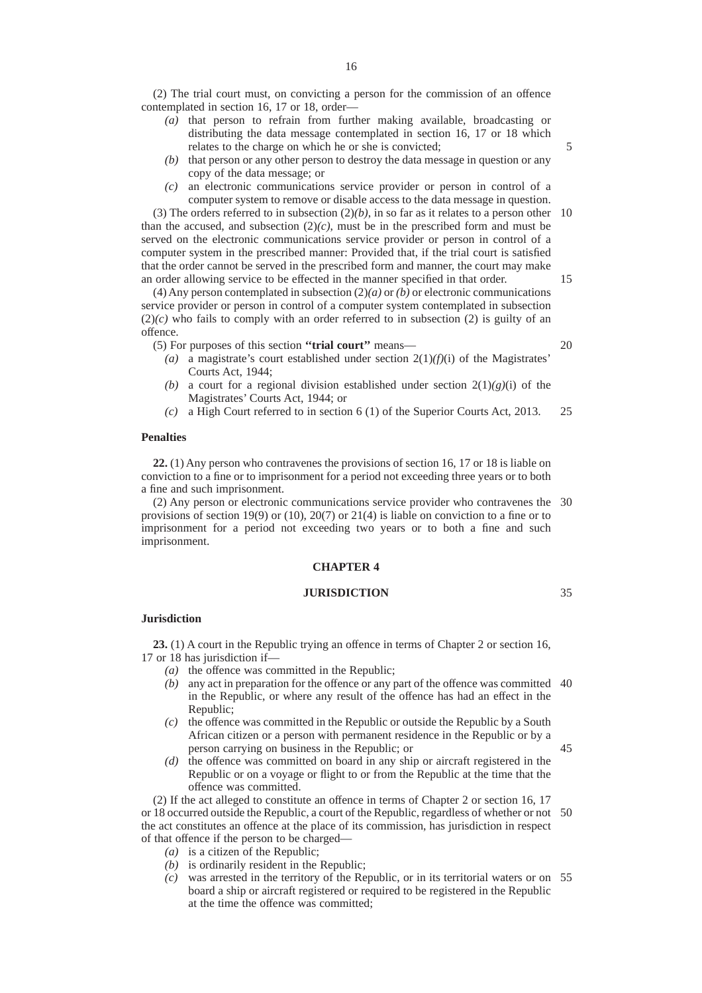(2) The trial court must, on convicting a person for the commission of an offence contemplated in section 16, 17 or 18, order—

- *(a)* that person to refrain from further making available, broadcasting or distributing the data message contemplated in section 16, 17 or 18 which relates to the charge on which he or she is convicted;
- *(b)* that person or any other person to destroy the data message in question or any copy of the data message; or
- *(c)* an electronic communications service provider or person in control of a computer system to remove or disable access to the data message in question.

(3) The orders referred to in subsection  $(2)(b)$ , in so far as it relates to a person other 10 than the accused, and subsection  $(2)(c)$ , must be in the prescribed form and must be served on the electronic communications service provider or person in control of a computer system in the prescribed manner: Provided that, if the trial court is satisfied that the order cannot be served in the prescribed form and manner, the court may make an order allowing service to be effected in the manner specified in that order. 15

(4) Any person contemplated in subsection  $(2)(a)$  or  $(b)$  or electronic communications service provider or person in control of a computer system contemplated in subsection  $(2)(c)$  who fails to comply with an order referred to in subsection (2) is guilty of an offence.

(5) For purposes of this section **''trial court''** means—

- (a) a magistrate's court established under section  $2(1)(f)(i)$  of the Magistrates' Courts Act, 1944;
- *(b)* a court for a regional division established under section  $2(1)(g)(i)$  of the Magistrates' Courts Act, 1944; or
- *(c)* a High Court referred to in section 6 (1) of the Superior Courts Act, 2013. 25

# **Penalties**

**22.** (1) Any person who contravenes the provisions of section 16, 17 or 18 is liable on conviction to a fine or to imprisonment for a period not exceeding three years or to both a fine and such imprisonment.

(2) Any person or electronic communications service provider who contravenes the 30 provisions of section 19(9) or (10), 20(7) or 21(4) is liable on conviction to a fine or to imprisonment for a period not exceeding two years or to both a fine and such imprisonment.

# **CHAPTER 4**

# **JURISDICTION**

35

45

#### **Jurisdiction**

**23.** (1) A court in the Republic trying an offence in terms of Chapter 2 or section 16, 17 or 18 has jurisdiction if—

- *(a)* the offence was committed in the Republic;
- *(b)* any act in preparation for the offence or any part of the offence was committed 40 in the Republic, or where any result of the offence has had an effect in the Republic;
- *(c)* the offence was committed in the Republic or outside the Republic by a South African citizen or a person with permanent residence in the Republic or by a person carrying on business in the Republic; or
- *(d)* the offence was committed on board in any ship or aircraft registered in the Republic or on a voyage or flight to or from the Republic at the time that the offence was committed.

(2) If the act alleged to constitute an offence in terms of Chapter 2 or section 16, 17 or 18 occurred outside the Republic, a court of the Republic, regardless of whether or not 50 the act constitutes an offence at the place of its commission, has jurisdiction in respect of that offence if the person to be charged—

- *(a)* is a citizen of the Republic;
- *(b)* is ordinarily resident in the Republic;
- *(c)* was arrested in the territory of the Republic, or in its territorial waters or on 55board a ship or aircraft registered or required to be registered in the Republic at the time the offence was committed;

5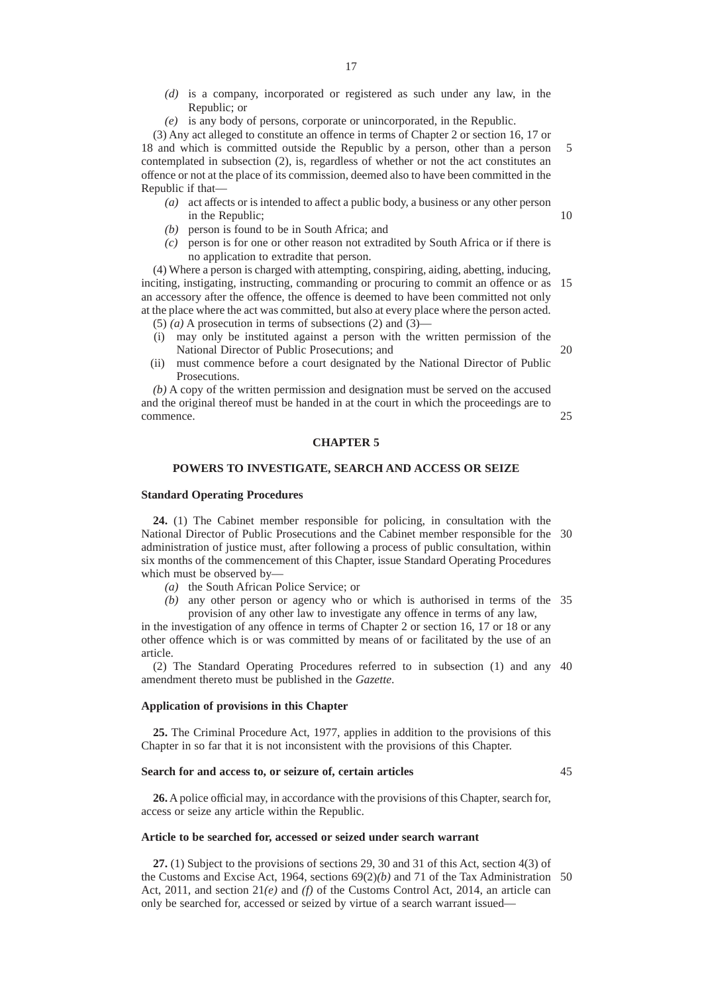- *(d)* is a company, incorporated or registered as such under any law, in the Republic; or
- *(e)* is any body of persons, corporate or unincorporated, in the Republic.

(3) Any act alleged to constitute an offence in terms of Chapter 2 or section 16, 17 or 18 and which is committed outside the Republic by a person, other than a person contemplated in subsection (2), is, regardless of whether or not the act constitutes an offence or not at the place of its commission, deemed also to have been committed in the Republic if that— 5

- *(a)* act affects or is intended to affect a public body, a business or any other person in the Republic;
- *(b)* person is found to be in South Africa; and
- *(c)* person is for one or other reason not extradited by South Africa or if there is no application to extradite that person.

(4) Where a person is charged with attempting, conspiring, aiding, abetting, inducing, inciting, instigating, instructing, commanding or procuring to commit an offence or as 15 an accessory after the offence, the offence is deemed to have been committed not only at the place where the act was committed, but also at every place where the person acted.

- $(5)$  *(a)* A prosecution in terms of subsections (2) and (3)—
- (i) may only be instituted against a person with the written permission of the National Director of Public Prosecutions; and 20
- (ii) must commence before a court designated by the National Director of Public Prosecutions.

*(b)* A copy of the written permission and designation must be served on the accused and the original thereof must be handed in at the court in which the proceedings are to commence.

## **CHAPTER 5**

#### **POWERS TO INVESTIGATE, SEARCH AND ACCESS OR SEIZE**

# **Standard Operating Procedures**

**24.** (1) The Cabinet member responsible for policing, in consultation with the National Director of Public Prosecutions and the Cabinet member responsible for the 30 administration of justice must, after following a process of public consultation, within six months of the commencement of this Chapter, issue Standard Operating Procedures which must be observed by—

- *(a)* the South African Police Service; or
- *(b)* any other person or agency who or which is authorised in terms of the 35 provision of any other law to investigate any offence in terms of any law,

in the investigation of any offence in terms of Chapter 2 or section 16, 17 or 18 or any other offence which is or was committed by means of or facilitated by the use of an article.

(2) The Standard Operating Procedures referred to in subsection (1) and any 40 amendment thereto must be published in the *Gazette*.

## **Application of provisions in this Chapter**

**25.** The Criminal Procedure Act, 1977, applies in addition to the provisions of this Chapter in so far that it is not inconsistent with the provisions of this Chapter.

# **Search for and access to, or seizure of, certain articles**

45

**26.** A police official may, in accordance with the provisions of this Chapter, search for, access or seize any article within the Republic.

#### **Article to be searched for, accessed or seized under search warrant**

**27.** (1) Subject to the provisions of sections 29, 30 and 31 of this Act, section 4(3) of the Customs and Excise Act, 1964, sections  $69(2)(b)$  and 71 of the Tax Administration 50 Act, 2011, and section 21*(e)* and *(f)* of the Customs Control Act, 2014, an article can only be searched for, accessed or seized by virtue of a search warrant issued—

10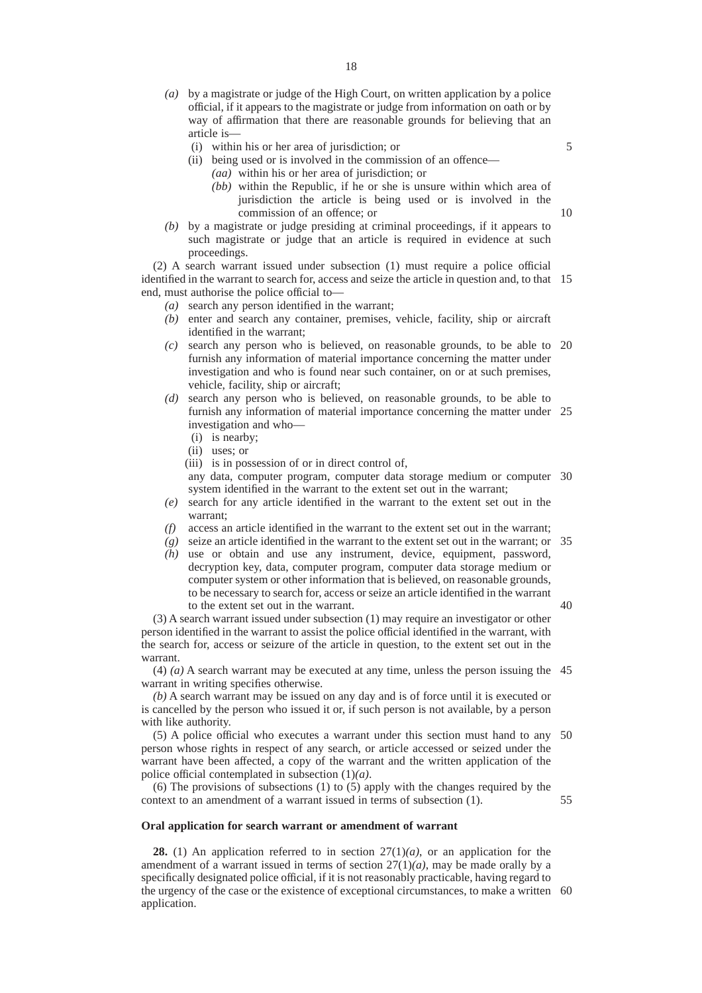- *(a)* by a magistrate or judge of the High Court, on written application by a police official, if it appears to the magistrate or judge from information on oath or by way of affirmation that there are reasonable grounds for believing that an article is—
	- (i) within his or her area of jurisdiction; or
	- (ii) being used or is involved in the commission of an offence—
		- *(aa)* within his or her area of jurisdiction; or
			- *(bb)* within the Republic, if he or she is unsure within which area of jurisdiction the article is being used or is involved in the commission of an offence; or
- *(b)* by a magistrate or judge presiding at criminal proceedings, if it appears to such magistrate or judge that an article is required in evidence at such proceedings.

(2) A search warrant issued under subsection (1) must require a police official identified in the warrant to search for, access and seize the article in question and, to that 15 end, must authorise the police official to—

- *(a)* search any person identified in the warrant;
- *(b)* enter and search any container, premises, vehicle, facility, ship or aircraft identified in the warrant;
- *(c)* search any person who is believed, on reasonable grounds, to be able to 20 furnish any information of material importance concerning the matter under investigation and who is found near such container, on or at such premises, vehicle, facility, ship or aircraft;
- *(d)* search any person who is believed, on reasonable grounds, to be able to furnish any information of material importance concerning the matter under 25 investigation and who—
	- (i) is nearby;
	- (ii) uses; or
	- (iii) is in possession of or in direct control of,
	- any data, computer program, computer data storage medium or computer 30 system identified in the warrant to the extent set out in the warrant;
- *(e)* search for any article identified in the warrant to the extent set out in the warrant;
- *(f)* access an article identified in the warrant to the extent set out in the warrant;
- *(g)* seize an article identified in the warrant to the extent set out in the warrant; or 35
- *(h)* use or obtain and use any instrument, device, equipment, password, decryption key, data, computer program, computer data storage medium or computer system or other information that is believed, on reasonable grounds, to be necessary to search for, access or seize an article identified in the warrant to the extent set out in the warrant.  $40$

(3) A search warrant issued under subsection (1) may require an investigator or other person identified in the warrant to assist the police official identified in the warrant, with the search for, access or seizure of the article in question, to the extent set out in the warrant.

(4) *(a)* A search warrant may be executed at any time, unless the person issuing the 45 warrant in writing specifies otherwise.

*(b)* A search warrant may be issued on any day and is of force until it is executed or is cancelled by the person who issued it or, if such person is not available, by a person with like authority.

(5) A police official who executes a warrant under this section must hand to any 50 person whose rights in respect of any search, or article accessed or seized under the warrant have been affected, a copy of the warrant and the written application of the police official contemplated in subsection (1)*(a)*.

(6) The provisions of subsections (1) to (5) apply with the changes required by the context to an amendment of a warrant issued in terms of subsection (1). 55

## **Oral application for search warrant or amendment of warrant**

**28.** (1) An application referred to in section 27(1)*(a)*, or an application for the amendment of a warrant issued in terms of section  $27(1)(a)$ , may be made orally by a specifically designated police official, if it is not reasonably practicable, having regard to the urgency of the case or the existence of exceptional circumstances, to make a written 60application.

5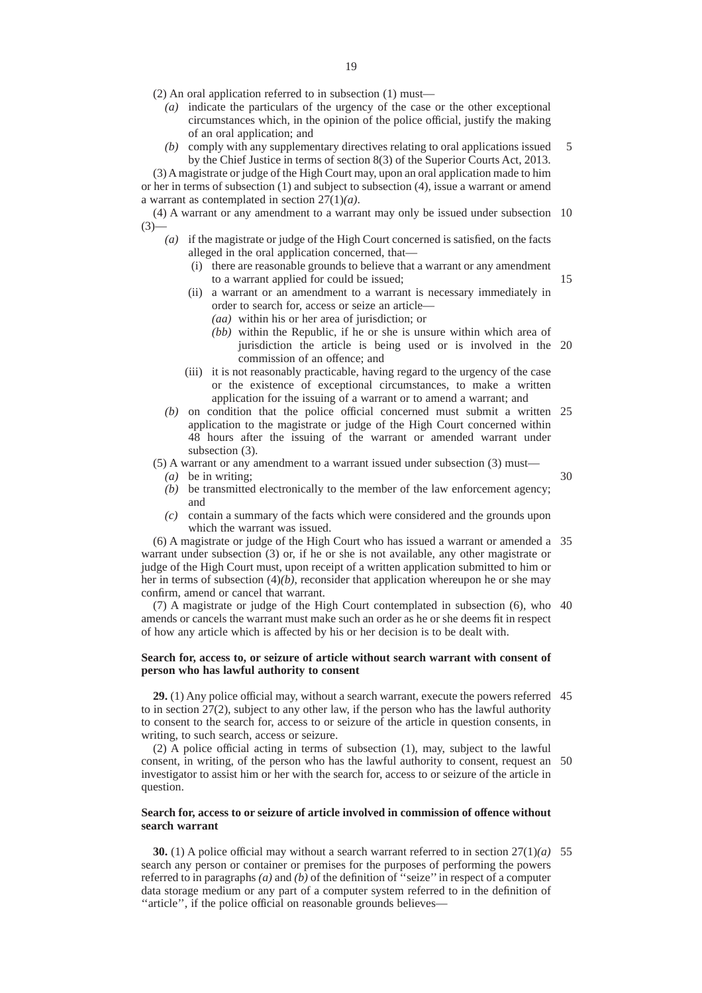(2) An oral application referred to in subsection (1) must—

- *(a)* indicate the particulars of the urgency of the case or the other exceptional circumstances which, in the opinion of the police official, justify the making of an oral application; and
- *(b)* comply with any supplementary directives relating to oral applications issued by the Chief Justice in terms of section 8(3) of the Superior Courts Act, 2013. 5

(3) A magistrate or judge of the High Court may, upon an oral application made to him or her in terms of subsection (1) and subject to subsection (4), issue a warrant or amend a warrant as contemplated in section 27(1)*(a)*.

(4) A warrant or any amendment to a warrant may only be issued under subsection 10  $(3)$ 

*(a)* if the magistrate or judge of the High Court concerned is satisfied, on the facts alleged in the oral application concerned, that—

- (i) there are reasonable grounds to believe that a warrant or any amendment to a warrant applied for could be issued;
- (ii) a warrant or an amendment to a warrant is necessary immediately in order to search for, access or seize an article—
	- *(aa)* within his or her area of jurisdiction; or
	- *(bb)* within the Republic, if he or she is unsure within which area of jurisdiction the article is being used or is involved in the 20 commission of an offence; and
- (iii) it is not reasonably practicable, having regard to the urgency of the case or the existence of exceptional circumstances, to make a written application for the issuing of a warrant or to amend a warrant; and
- *(b)* on condition that the police official concerned must submit a written 25 application to the magistrate or judge of the High Court concerned within 48 hours after the issuing of the warrant or amended warrant under subsection  $(3)$ .

(5) A warrant or any amendment to a warrant issued under subsection (3) must—

*(a)* be in writing;

30

15

- *(b)* be transmitted electronically to the member of the law enforcement agency; and
- *(c)* contain a summary of the facts which were considered and the grounds upon which the warrant was issued.

(6) A magistrate or judge of the High Court who has issued a warrant or amended a 35 warrant under subsection (3) or, if he or she is not available, any other magistrate or judge of the High Court must, upon receipt of a written application submitted to him or her in terms of subsection  $(4)(b)$ , reconsider that application whereupon he or she may confirm, amend or cancel that warrant.

(7) A magistrate or judge of the High Court contemplated in subsection (6), who 40 amends or cancels the warrant must make such an order as he or she deems fit in respect of how any article which is affected by his or her decision is to be dealt with.

## **Search for, access to, or seizure of article without search warrant with consent of person who has lawful authority to consent**

**29.** (1) Any police official may, without a search warrant, execute the powers referred 45 to in section 27(2), subject to any other law, if the person who has the lawful authority to consent to the search for, access to or seizure of the article in question consents, in writing, to such search, access or seizure.

(2) A police official acting in terms of subsection (1), may, subject to the lawful consent, in writing, of the person who has the lawful authority to consent, request an 50 investigator to assist him or her with the search for, access to or seizure of the article in question.

## **Search for, access to or seizure of article involved in commission of offence without search warrant**

**30.** (1) A police official may without a search warrant referred to in section 27(1)*(a)* 55search any person or container or premises for the purposes of performing the powers referred to in paragraphs *(a)* and *(b)* of the definition of ''seize'' in respect of a computer data storage medium or any part of a computer system referred to in the definition of ''article'', if the police official on reasonable grounds believes—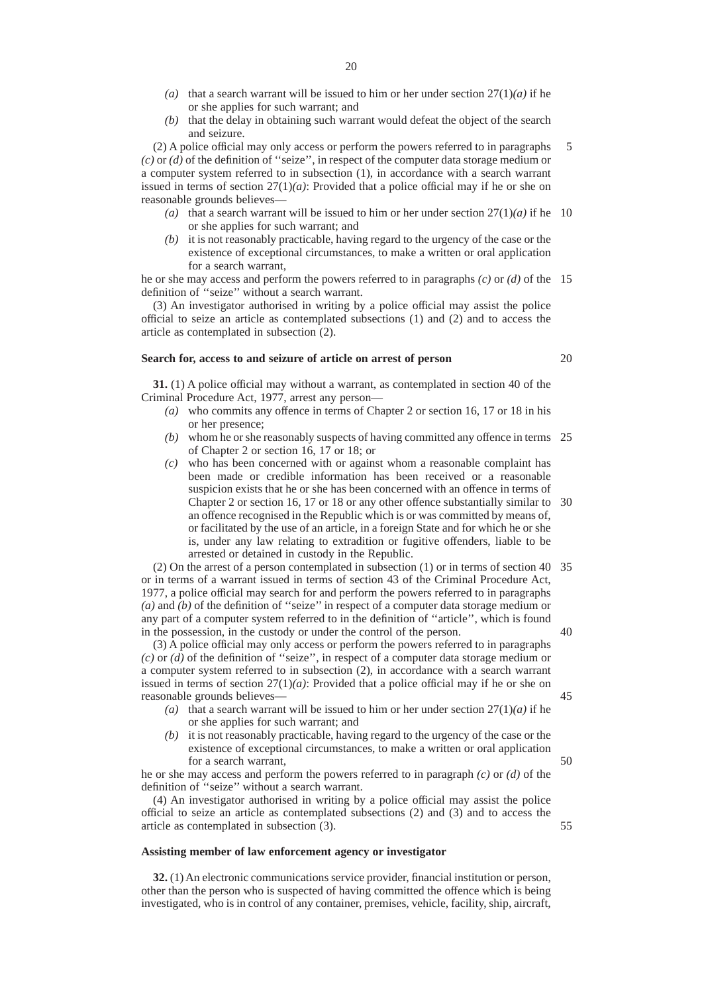- *(a)* that a search warrant will be issued to him or her under section  $27(1)(a)$  if he or she applies for such warrant; and
- *(b)* that the delay in obtaining such warrant would defeat the object of the search and seizure.

(2) A police official may only access or perform the powers referred to in paragraphs *(c)* or *(d)* of the definition of ''seize'', in respect of the computer data storage medium or a computer system referred to in subsection (1), in accordance with a search warrant issued in terms of section  $27(1)(a)$ : Provided that a police official may if he or she on reasonable grounds believes— 5

- (a) that a search warrant will be issued to him or her under section  $27(1)(a)$  if he 10 or she applies for such warrant; and
- *(b)* it is not reasonably practicable, having regard to the urgency of the case or the existence of exceptional circumstances, to make a written or oral application for a search warrant,

he or she may access and perform the powers referred to in paragraphs *(c)* or *(d)* of the 15 definition of ''seize'' without a search warrant.

(3) An investigator authorised in writing by a police official may assist the police official to seize an article as contemplated subsections (1) and (2) and to access the article as contemplated in subsection (2).

## **Search for, access to and seizure of article on arrest of person**

**31.** (1) A police official may without a warrant, as contemplated in section 40 of the Criminal Procedure Act, 1977, arrest any person—

- *(a)* who commits any offence in terms of Chapter 2 or section 16, 17 or 18 in his or her presence;
- *(b)* whom he or she reasonably suspects of having committed any offence in terms 25 of Chapter 2 or section 16, 17 or 18; or
- *(c)* who has been concerned with or against whom a reasonable complaint has been made or credible information has been received or a reasonable suspicion exists that he or she has been concerned with an offence in terms of Chapter 2 or section 16, 17 or 18 or any other offence substantially similar to an offence recognised in the Republic which is or was committed by means of, or facilitated by the use of an article, in a foreign State and for which he or she is, under any law relating to extradition or fugitive offenders, liable to be arrested or detained in custody in the Republic. 30

(2) On the arrest of a person contemplated in subsection (1) or in terms of section 40 35 or in terms of a warrant issued in terms of section 43 of the Criminal Procedure Act, 1977, a police official may search for and perform the powers referred to in paragraphs *(a)* and *(b)* of the definition of ''seize'' in respect of a computer data storage medium or any part of a computer system referred to in the definition of ''article'', which is found in the possession, in the custody or under the control of the person. 40

(3) A police official may only access or perform the powers referred to in paragraphs *(c)* or *(d)* of the definition of ''seize'', in respect of a computer data storage medium or a computer system referred to in subsection (2), in accordance with a search warrant issued in terms of section  $27(1)(a)$ : Provided that a police official may if he or she on reasonable grounds believes—

- *(a)* that a search warrant will be issued to him or her under section  $27(1)(a)$  if he or she applies for such warrant; and
- *(b)* it is not reasonably practicable, having regard to the urgency of the case or the existence of exceptional circumstances, to make a written or oral application for a search warrant,

he or she may access and perform the powers referred to in paragraph *(c)* or *(d)* of the definition of ''seize'' without a search warrant.

(4) An investigator authorised in writing by a police official may assist the police official to seize an article as contemplated subsections (2) and (3) and to access the article as contemplated in subsection (3).

## **Assisting member of law enforcement agency or investigator**

**32.** (1) An electronic communications service provider, financial institution or person, other than the person who is suspected of having committed the offence which is being investigated, who is in control of any container, premises, vehicle, facility, ship, aircraft,

20

45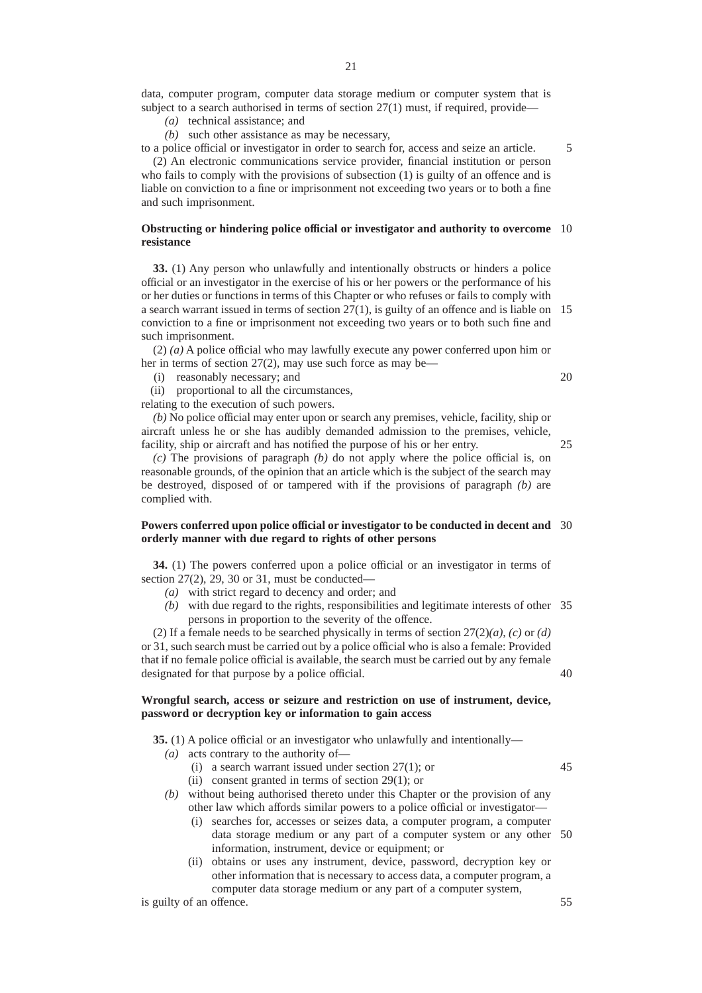data, computer program, computer data storage medium or computer system that is subject to a search authorised in terms of section 27(1) must, if required, provide—

*(a)* technical assistance; and

*(b)* such other assistance as may be necessary,

to a police official or investigator in order to search for, access and seize an article. (2) An electronic communications service provider, financial institution or person

who fails to comply with the provisions of subsection (1) is guilty of an offence and is liable on conviction to a fine or imprisonment not exceeding two years or to both a fine and such imprisonment.

# **Obstructing or hindering police official or investigator and authority to overcome** 10 **resistance**

**33.** (1) Any person who unlawfully and intentionally obstructs or hinders a police official or an investigator in the exercise of his or her powers or the performance of his or her duties or functions in terms of this Chapter or who refuses or fails to comply with a search warrant issued in terms of section 27(1)*,* is guilty of an offence and is liable on 15 conviction to a fine or imprisonment not exceeding two years or to both such fine and such imprisonment.

(2) *(a)* A police official who may lawfully execute any power conferred upon him or her in terms of section 27(2), may use such force as may be—

(i) reasonably necessary; and

(ii) proportional to all the circumstances,

relating to the execution of such powers.

*(b)* No police official may enter upon or search any premises, vehicle, facility, ship or aircraft unless he or she has audibly demanded admission to the premises, vehicle, facility, ship or aircraft and has notified the purpose of his or her entry.

*(c)* The provisions of paragraph *(b)* do not apply where the police official is, on reasonable grounds, of the opinion that an article which is the subject of the search may be destroyed, disposed of or tampered with if the provisions of paragraph *(b)* are complied with.

# **Powers conferred upon police official or investigator to be conducted in decent and** 30 **orderly manner with due regard to rights of other persons**

**34.** (1) The powers conferred upon a police official or an investigator in terms of section  $27(2)$ ,  $29$ ,  $30$  or  $31$ , must be conducted—

- *(a)* with strict regard to decency and order; and
- *(b)* with due regard to the rights, responsibilities and legitimate interests of other 35 persons in proportion to the severity of the offence.

(2) If a female needs to be searched physically in terms of section 27(2)*(a)*, *(c)* or *(d)* or 31, such search must be carried out by a police official who is also a female: Provided that if no female police official is available, the search must be carried out by any female designated for that purpose by a police official. 40

# **Wrongful search, access or seizure and restriction on use of instrument, device, password or decryption key or information to gain access**

**35.** (1) A police official or an investigator who unlawfully and intentionally—

- *(a)* acts contrary to the authority of—
	- (i) a search warrant issued under section 27(1); or
	- (ii) consent granted in terms of section 29(1); or
- *(b)* without being authorised thereto under this Chapter or the provision of any
	- other law which affords similar powers to a police official or investigator— (i) searches for, accesses or seizes data, a computer program, a computer data storage medium or any part of a computer system or any other 50 information, instrument, device or equipment; or
	- (ii) obtains or uses any instrument, device, password, decryption key or other information that is necessary to access data, a computer program, a computer data storage medium or any part of a computer system,

is guilty of an offence.

# 55

45

20

5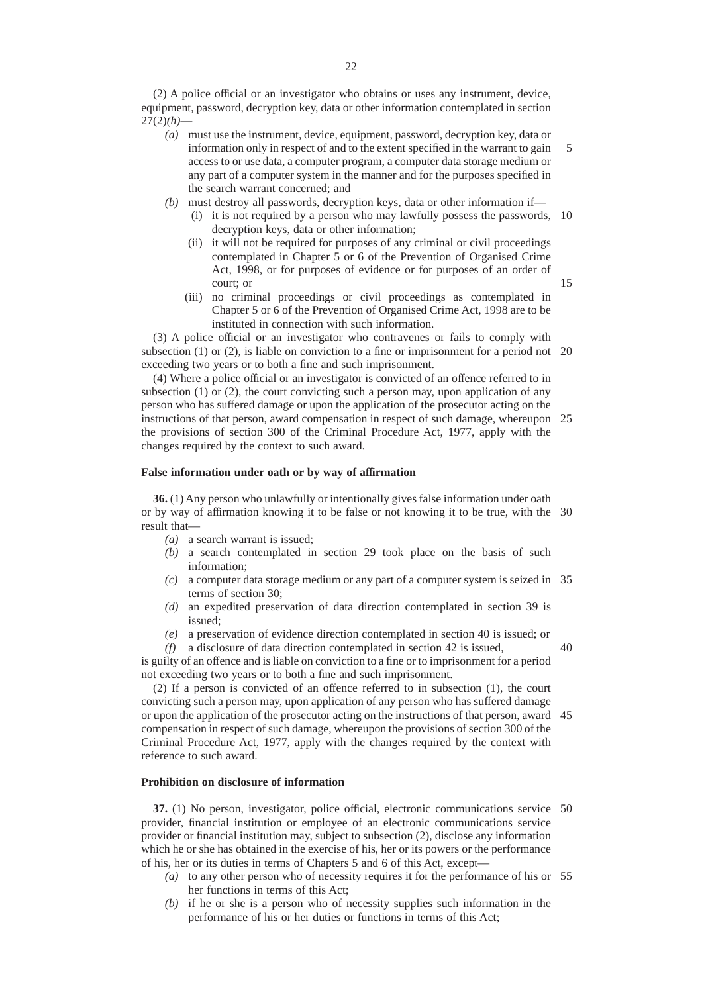(2) A police official or an investigator who obtains or uses any instrument, device, equipment, password, decryption key, data or other information contemplated in section  $27(2)(h)$ —

- *(a)* must use the instrument, device, equipment, password, decryption key, data or information only in respect of and to the extent specified in the warrant to gain access to or use data, a computer program, a computer data storage medium or any part of a computer system in the manner and for the purposes specified in the search warrant concerned; and 5
- *(b)* must destroy all passwords, decryption keys, data or other information if—
	- (i) it is not required by a person who may lawfully possess the passwords, 10 decryption keys, data or other information;
	- (ii) it will not be required for purposes of any criminal or civil proceedings contemplated in Chapter 5 or 6 of the Prevention of Organised Crime Act, 1998, or for purposes of evidence or for purposes of an order of court; or
	- (iii) no criminal proceedings or civil proceedings as contemplated in Chapter 5 or 6 of the Prevention of Organised Crime Act, 1998 are to be instituted in connection with such information.

15

(3) A police official or an investigator who contravenes or fails to comply with subsection (1) or (2), is liable on conviction to a fine or imprisonment for a period not 20 exceeding two years or to both a fine and such imprisonment.

(4) Where a police official or an investigator is convicted of an offence referred to in subsection  $(1)$  or  $(2)$ , the court convicting such a person may, upon application of any person who has suffered damage or upon the application of the prosecutor acting on the instructions of that person, award compensation in respect of such damage, whereupon 25 the provisions of section 300 of the Criminal Procedure Act, 1977, apply with the changes required by the context to such award.

# **False information under oath or by way of affirmation**

**36.** (1) Any person who unlawfully or intentionally gives false information under oath or by way of affirmation knowing it to be false or not knowing it to be true, with the 30 result that—

- *(a)* a search warrant is issued;
- *(b)* a search contemplated in section 29 took place on the basis of such information;
- *(c)* a computer data storage medium or any part of a computer system is seized in 35 terms of section 30;
- *(d)* an expedited preservation of data direction contemplated in section 39 is issued;
- *(e)* a preservation of evidence direction contemplated in section 40 is issued; or

*(f)* a disclosure of data direction contemplated in section 42 is issued, is guilty of an offence and is liable on conviction to a fine or to imprisonment for a period not exceeding two years or to both a fine and such imprisonment. 40

(2) If a person is convicted of an offence referred to in subsection (1), the court convicting such a person may, upon application of any person who has suffered damage or upon the application of the prosecutor acting on the instructions of that person, award 45 compensation in respect of such damage, whereupon the provisions of section 300 of the Criminal Procedure Act, 1977, apply with the changes required by the context with reference to such award.

# **Prohibition on disclosure of information**

**37.** (1) No person, investigator, police official, electronic communications service 50 provider, financial institution or employee of an electronic communications service provider or financial institution may, subject to subsection (2), disclose any information which he or she has obtained in the exercise of his, her or its powers or the performance of his, her or its duties in terms of Chapters 5 and 6 of this Act, except—

- *(a)* to any other person who of necessity requires it for the performance of his or 55her functions in terms of this Act;
- *(b)* if he or she is a person who of necessity supplies such information in the performance of his or her duties or functions in terms of this Act;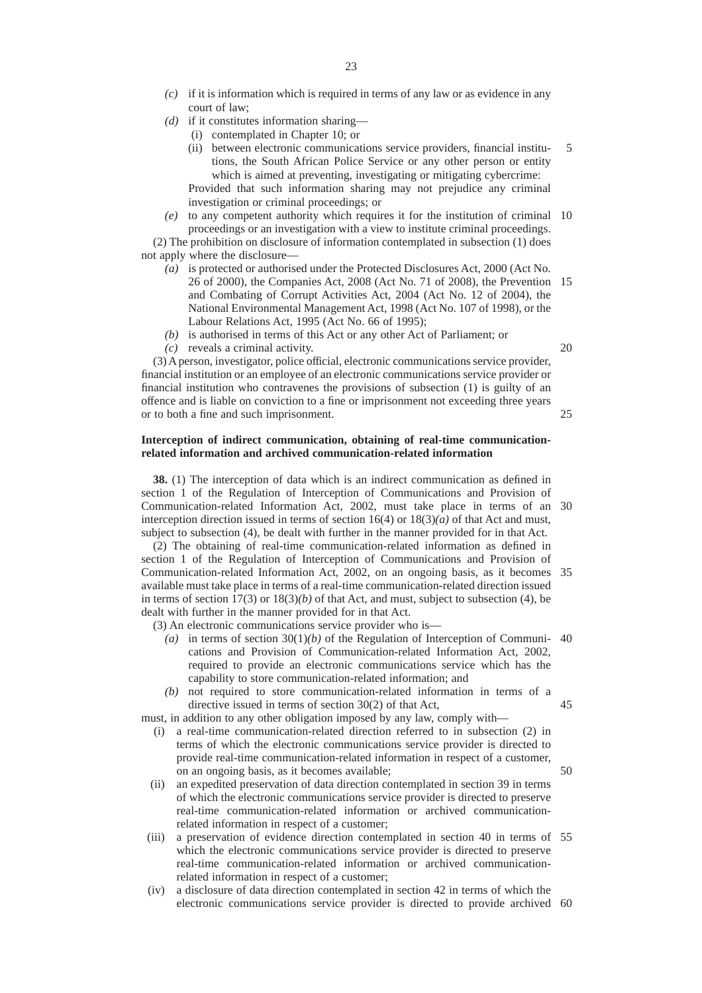- *(c)* if it is information which is required in terms of any law or as evidence in any court of law;
- *(d)* if it constitutes information sharing—
	- (i) contemplated in Chapter 10; or
	- (ii) between electronic communications service providers, financial institutions, the South African Police Service or any other person or entity which is aimed at preventing, investigating or mitigating cybercrime: Provided that such information sharing may not prejudice any criminal investigation or criminal proceedings; or 5
- *(e)* to any competent authority which requires it for the institution of criminal 10 proceedings or an investigation with a view to institute criminal proceedings. (2) The prohibition on disclosure of information contemplated in subsection (1) does
- not apply where the disclosure—
	- *(a)* is protected or authorised under the Protected Disclosures Act, 2000 (Act No. 26 of 2000), the Companies Act, 2008 (Act No. 71 of 2008), the Prevention 15 and Combating of Corrupt Activities Act, 2004 (Act No. 12 of 2004), the National Environmental Management Act, 1998 (Act No. 107 of 1998), or the Labour Relations Act, 1995 (Act No. 66 of 1995);
	- *(b)* is authorised in terms of this Act or any other Act of Parliament; or
	- *(c)* reveals a criminal activity.

20

(3) A person, investigator, police official, electronic communications service provider, financial institution or an employee of an electronic communications service provider or financial institution who contravenes the provisions of subsection (1) is guilty of an offence and is liable on conviction to a fine or imprisonment not exceeding three years or to both a fine and such imprisonment. 25

# **Interception of indirect communication, obtaining of real-time communicationrelated information and archived communication-related information**

**38.** (1) The interception of data which is an indirect communication as defined in section 1 of the Regulation of Interception of Communications and Provision of Communication-related Information Act, 2002, must take place in terms of an 30 interception direction issued in terms of section 16(4) or 18(3)*(a)* of that Act and must, subject to subsection (4), be dealt with further in the manner provided for in that Act.

(2) The obtaining of real-time communication-related information as defined in section 1 of the Regulation of Interception of Communications and Provision of Communication-related Information Act, 2002, on an ongoing basis, as it becomes 35 available must take place in terms of a real-time communication-related direction issued in terms of section 17(3) or 18(3)*(b)* of that Act, and must, subject to subsection (4), be dealt with further in the manner provided for in that Act.

(3) An electronic communications service provider who is—

- (a) in terms of section  $30(1)(b)$  of the Regulation of Interception of Communi- 40 cations and Provision of Communication-related Information Act, 2002, required to provide an electronic communications service which has the capability to store communication-related information; and
- *(b)* not required to store communication-related information in terms of a directive issued in terms of section 30(2) of that Act, 45

must, in addition to any other obligation imposed by any law, comply with—

- (i) a real-time communication-related direction referred to in subsection (2) in terms of which the electronic communications service provider is directed to provide real-time communication-related information in respect of a customer, on an ongoing basis, as it becomes available;
- (ii) an expedited preservation of data direction contemplated in section 39 in terms of which the electronic communications service provider is directed to preserve real-time communication-related information or archived communicationrelated information in respect of a customer;
- (iii) a preservation of evidence direction contemplated in section 40 in terms of 55 which the electronic communications service provider is directed to preserve real-time communication-related information or archived communicationrelated information in respect of a customer;
- (iv) a disclosure of data direction contemplated in section 42 in terms of which the electronic communications service provider is directed to provide archived 60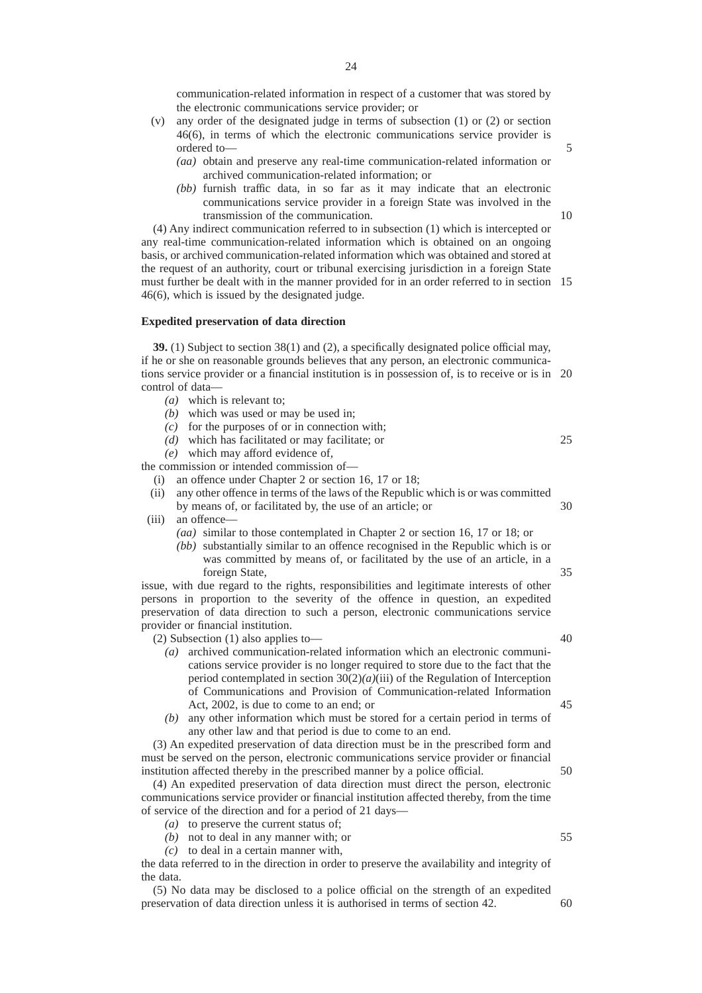communication-related information in respect of a customer that was stored by the electronic communications service provider; or

- (v) any order of the designated judge in terms of subsection (1) or (2) or section 46(6), in terms of which the electronic communications service provider is ordered to—
	- *(aa)* obtain and preserve any real-time communication-related information or archived communication-related information; or
	- *(bb)* furnish traffic data, in so far as it may indicate that an electronic communications service provider in a foreign State was involved in the transmission of the communication.

(4) Any indirect communication referred to in subsection (1) which is intercepted or any real-time communication-related information which is obtained on an ongoing basis, or archived communication-related information which was obtained and stored at the request of an authority, court or tribunal exercising jurisdiction in a foreign State must further be dealt with in the manner provided for in an order referred to in section 15 46(6), which is issued by the designated judge.

## **Expedited preservation of data direction**

**39.** (1) Subject to section 38(1) and (2), a specifically designated police official may, if he or she on reasonable grounds believes that any person, an electronic communications service provider or a financial institution is in possession of, is to receive or is in 20 control of data—

- *(a)* which is relevant to;
- *(b)* which was used or may be used in;
- *(c)* for the purposes of or in connection with;
- *(d)* which has facilitated or may facilitate; or
- *(e)* which may afford evidence of,

the commission or intended commission of—

- (i) an offence under Chapter 2 or section 16, 17 or 18;
- (ii) any other offence in terms of the laws of the Republic which is or was committed by means of, or facilitated by, the use of an article; or 30
- (iii) an offence—
	- *(aa)* similar to those contemplated in Chapter 2 or section 16, 17 or 18; or
	- *(bb)* substantially similar to an offence recognised in the Republic which is or was committed by means of, or facilitated by the use of an article, in a foreign State,

issue, with due regard to the rights, responsibilities and legitimate interests of other persons in proportion to the severity of the offence in question, an expedited preservation of data direction to such a person, electronic communications service provider or financial institution.

(2) Subsection (1) also applies to—

- *(a)* archived communication-related information which an electronic communications service provider is no longer required to store due to the fact that the period contemplated in section  $30(2)(a)(iii)$  of the Regulation of Interception of Communications and Provision of Communication-related Information Act, 2002, is due to come to an end; or
- *(b)* any other information which must be stored for a certain period in terms of any other law and that period is due to come to an end.

(3) An expedited preservation of data direction must be in the prescribed form and must be served on the person, electronic communications service provider or financial institution affected thereby in the prescribed manner by a police official.

- (4) An expedited preservation of data direction must direct the person, electronic communications service provider or financial institution affected thereby, from the time of service of the direction and for a period of 21 days—
	- *(a)* to preserve the current status of;
	- *(b)* not to deal in any manner with; or
	- *(c)* to deal in a certain manner with,

the data referred to in the direction in order to preserve the availability and integrity of the data.

(5) No data may be disclosed to a police official on the strength of an expedited preservation of data direction unless it is authorised in terms of section 42. 60

40

35

25

5

10

50

55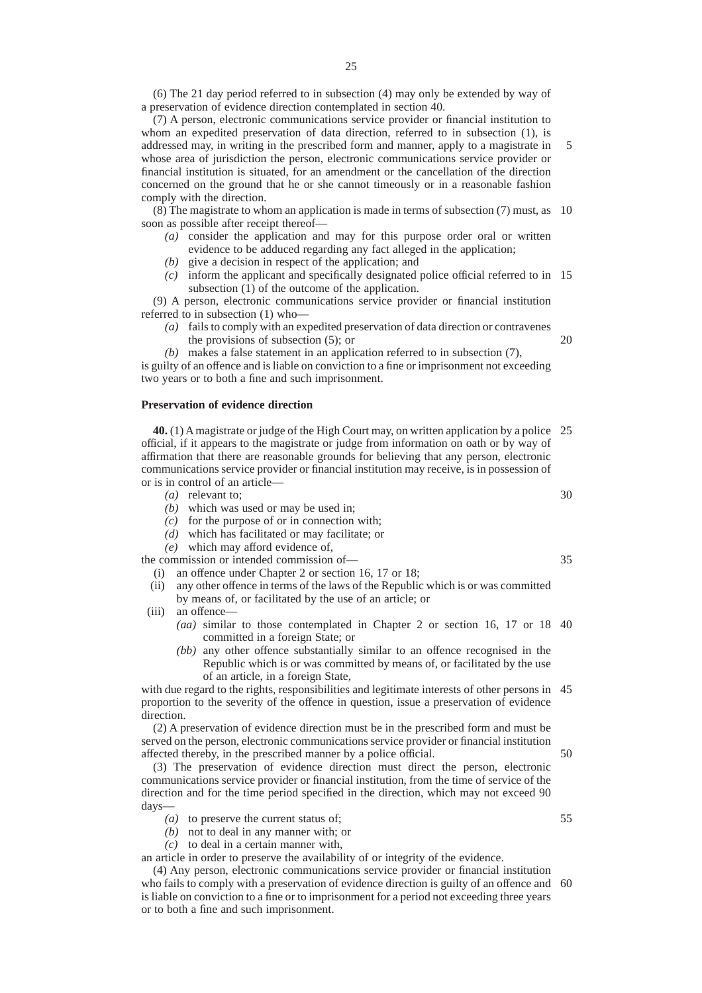(6) The 21 day period referred to in subsection (4) may only be extended by way of a preservation of evidence direction contemplated in section 40.

(7) A person, electronic communications service provider or financial institution to whom an expedited preservation of data direction, referred to in subsection (1), is addressed may, in writing in the prescribed form and manner, apply to a magistrate in whose area of jurisdiction the person, electronic communications service provider or financial institution is situated, for an amendment or the cancellation of the direction concerned on the ground that he or she cannot timeously or in a reasonable fashion comply with the direction. 5

(8) The magistrate to whom an application is made in terms of subsection (7) must, as 10 soon as possible after receipt thereof—

- *(a)* consider the application and may for this purpose order oral or written evidence to be adduced regarding any fact alleged in the application;
- *(b)* give a decision in respect of the application; and
- *(c)* inform the applicant and specifically designated police official referred to in 15 subsection  $(1)$  of the outcome of the application.

(9) A person, electronic communications service provider or financial institution referred to in subsection (1) who—

- *(a)* fails to comply with an expedited preservation of data direction or contravenes the provisions of subsection (5); or
- *(b)* makes a false statement in an application referred to in subsection (7),

is guilty of an offence and is liable on conviction to a fine or imprisonment not exceeding two years or to both a fine and such imprisonment.

## **Preservation of evidence direction**

**40.** (1) A magistrate or judge of the High Court may, on written application by a police 25 official, if it appears to the magistrate or judge from information on oath or by way of affirmation that there are reasonable grounds for believing that any person, electronic communications service provider or financial institution may receive, is in possession of or is in control of an article—

- *(a)* relevant to;
- *(b)* which was used or may be used in;
- *(c)* for the purpose of or in connection with;
- *(d)* which has facilitated or may facilitate; or
- *(e)* which may afford evidence of,

the commission or intended commission of—

- (i) an offence under Chapter 2 or section 16, 17 or 18;
- (ii) any other offence in terms of the laws of the Republic which is or was committed by means of, or facilitated by the use of an article; or
- (iii) an offence—
	- *(aa)* similar to those contemplated in Chapter 2 or section 16, 17 or 18 40 committed in a foreign State; or
	- *(bb)* any other offence substantially similar to an offence recognised in the Republic which is or was committed by means of, or facilitated by the use of an article, in a foreign State,

with due regard to the rights, responsibilities and legitimate interests of other persons in 45 proportion to the severity of the offence in question, issue a preservation of evidence direction.

(2) A preservation of evidence direction must be in the prescribed form and must be served on the person, electronic communications service provider or financial institution affected thereby, in the prescribed manner by a police official.

(3) The preservation of evidence direction must direct the person, electronic communications service provider or financial institution, from the time of service of the direction and for the time period specified in the direction, which may not exceed 90 days—

- *(a)* to preserve the current status of;
- *(b)* not to deal in any manner with; or
- *(c)* to deal in a certain manner with,

an article in order to preserve the availability of or integrity of the evidence.

(4) Any person, electronic communications service provider or financial institution who fails to comply with a preservation of evidence direction is guilty of an offence and 60is liable on conviction to a fine or to imprisonment for a period not exceeding three years or to both a fine and such imprisonment.

55

30

20

35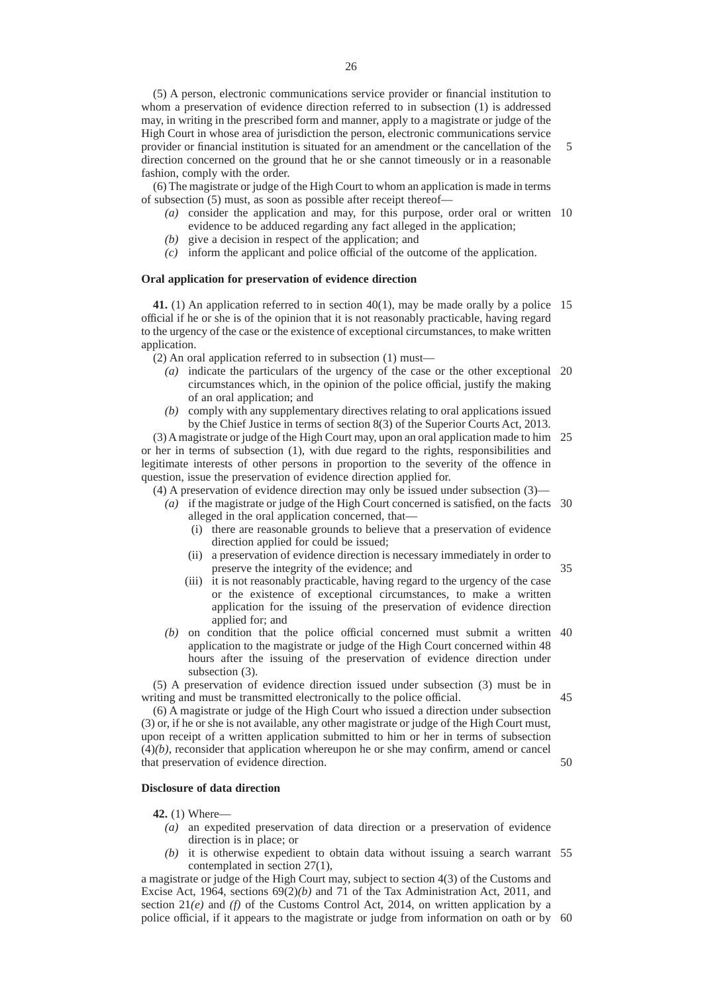(5) A person, electronic communications service provider or financial institution to whom a preservation of evidence direction referred to in subsection (1) is addressed may, in writing in the prescribed form and manner, apply to a magistrate or judge of the High Court in whose area of jurisdiction the person, electronic communications service provider or financial institution is situated for an amendment or the cancellation of the direction concerned on the ground that he or she cannot timeously or in a reasonable fashion, comply with the order.

(6) The magistrate or judge of the High Court to whom an application is made in terms of subsection (5) must, as soon as possible after receipt thereof—

- *(a)* consider the application and may, for this purpose, order oral or written 10 evidence to be adduced regarding any fact alleged in the application;
- *(b)* give a decision in respect of the application; and
- *(c)* inform the applicant and police official of the outcome of the application.

# **Oral application for preservation of evidence direction**

**41.** (1) An application referred to in section 40(1), may be made orally by a police 15 official if he or she is of the opinion that it is not reasonably practicable, having regard to the urgency of the case or the existence of exceptional circumstances, to make written application.

 $(2)$  An oral application referred to in subsection  $(1)$  must—

- *(a)* indicate the particulars of the urgency of the case or the other exceptional 20 circumstances which, in the opinion of the police official, justify the making of an oral application; and
- *(b)* comply with any supplementary directives relating to oral applications issued by the Chief Justice in terms of section 8(3) of the Superior Courts Act, 2013.

(3) A magistrate or judge of the High Court may, upon an oral application made to him 25 or her in terms of subsection (1), with due regard to the rights, responsibilities and legitimate interests of other persons in proportion to the severity of the offence in question, issue the preservation of evidence direction applied for.

(4) A preservation of evidence direction may only be issued under subsection (3)—

- *(a)* if the magistrate or judge of the High Court concerned is satisfied, on the facts 30 alleged in the oral application concerned, that—
	- (i) there are reasonable grounds to believe that a preservation of evidence direction applied for could be issued;
	- (ii) a preservation of evidence direction is necessary immediately in order to preserve the integrity of the evidence; and
	- (iii) it is not reasonably practicable, having regard to the urgency of the case or the existence of exceptional circumstances, to make a written application for the issuing of the preservation of evidence direction applied for; and
- *(b)* on condition that the police official concerned must submit a written 40 application to the magistrate or judge of the High Court concerned within 48 hours after the issuing of the preservation of evidence direction under subsection (3).

(5) A preservation of evidence direction issued under subsection (3) must be in writing and must be transmitted electronically to the police official. 45

(6) A magistrate or judge of the High Court who issued a direction under subsection (3) or, if he or she is not available, any other magistrate or judge of the High Court must, upon receipt of a written application submitted to him or her in terms of subsection  $(4)(b)$ , reconsider that application whereupon he or she may confirm, amend or cancel that preservation of evidence direction.

# **Disclosure of data direction**

**42.** (1) Where—

- *(a)* an expedited preservation of data direction or a preservation of evidence direction is in place; or
- *(b)* it is otherwise expedient to obtain data without issuing a search warrant 55 contemplated in section 27(1),

a magistrate or judge of the High Court may, subject to section 4(3) of the Customs and Excise Act, 1964, sections 69(2)*(b)* and 71 of the Tax Administration Act, 2011, and section  $21(e)$  and *(f)* of the Customs Control Act, 2014, on written application by a police official, if it appears to the magistrate or judge from information on oath or by 60

50

35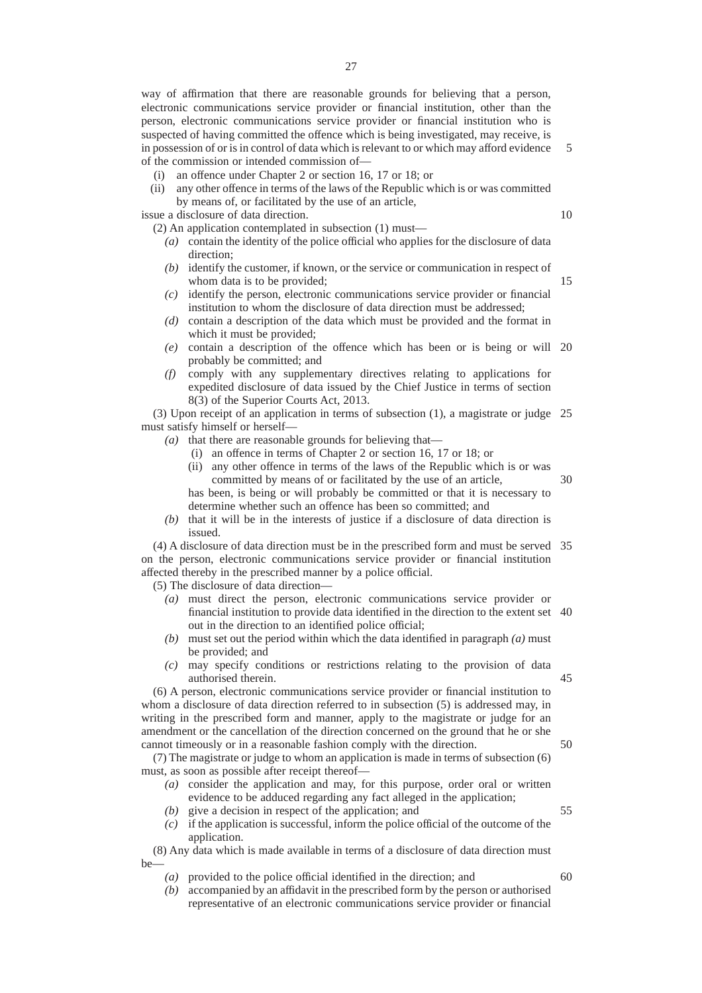way of affirmation that there are reasonable grounds for believing that a person, electronic communications service provider or financial institution, other than the person, electronic communications service provider or financial institution who is suspected of having committed the offence which is being investigated, may receive, is in possession of or is in control of data which is relevant to or which may afford evidence of the commission or intended commission of—

- (i) an offence under Chapter 2 or section 16, 17 or 18; or
- (ii) any other offence in terms of the laws of the Republic which is or was committed by means of, or facilitated by the use of an article,

issue a disclosure of data direction.

(2) An application contemplated in subsection (1) must—

- *(a)* contain the identity of the police official who applies for the disclosure of data direction;
- *(b)* identify the customer, if known, or the service or communication in respect of whom data is to be provided;
- *(c)* identify the person, electronic communications service provider or financial institution to whom the disclosure of data direction must be addressed;
- *(d)* contain a description of the data which must be provided and the format in which it must be provided:
- *(e)* contain a description of the offence which has been or is being or will 20 probably be committed; and
- *(f)* comply with any supplementary directives relating to applications for expedited disclosure of data issued by the Chief Justice in terms of section 8(3) of the Superior Courts Act, 2013.

(3) Upon receipt of an application in terms of subsection (1), a magistrate or judge 25 must satisfy himself or herself—

*(a)* that there are reasonable grounds for believing that—

- (i) an offence in terms of Chapter 2 or section 16, 17 or 18; or
- (ii) any other offence in terms of the laws of the Republic which is or was committed by means of or facilitated by the use of an article,
	- 30

has been, is being or will probably be committed or that it is necessary to determine whether such an offence has been so committed; and

*(b)* that it will be in the interests of justice if a disclosure of data direction is issued.

(4) A disclosure of data direction must be in the prescribed form and must be served 35 on the person, electronic communications service provider or financial institution affected thereby in the prescribed manner by a police official.

(5) The disclosure of data direction—

- *(a)* must direct the person, electronic communications service provider or financial institution to provide data identified in the direction to the extent set 40 out in the direction to an identified police official;
- *(b)* must set out the period within which the data identified in paragraph *(a)* must be provided; and
- *(c)* may specify conditions or restrictions relating to the provision of data authorised therein. 45

(6) A person, electronic communications service provider or financial institution to whom a disclosure of data direction referred to in subsection (5) is addressed may, in writing in the prescribed form and manner, apply to the magistrate or judge for an amendment or the cancellation of the direction concerned on the ground that he or she cannot timeously or in a reasonable fashion comply with the direction.

(7) The magistrate or judge to whom an application is made in terms of subsection (6) must, as soon as possible after receipt thereof—

- *(a)* consider the application and may, for this purpose, order oral or written evidence to be adduced regarding any fact alleged in the application;
- *(b)* give a decision in respect of the application; and
- *(c)* if the application is successful, inform the police official of the outcome of the application.

(8) Any data which is made available in terms of a disclosure of data direction must  $he$ 

- *(a)* provided to the police official identified in the direction; and
- *(b)* accompanied by an affidavit in the prescribed form by the person or authorised representative of an electronic communications service provider or financial

10

15

5

50

55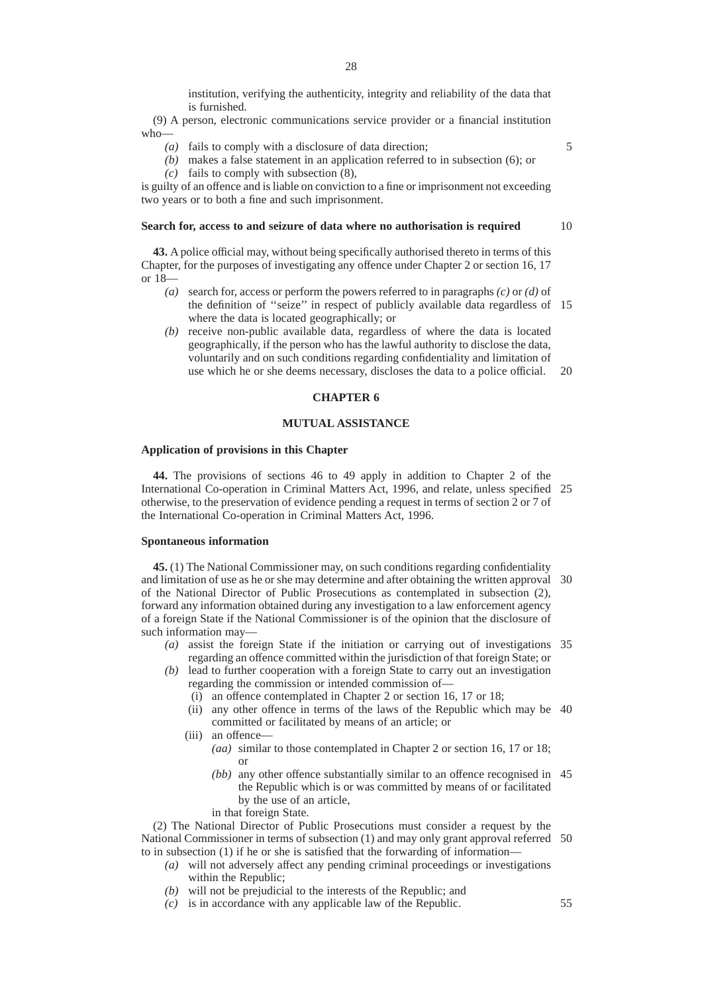institution, verifying the authenticity, integrity and reliability of the data that is furnished.

(9) A person, electronic communications service provider or a financial institution who—

- *(a)* fails to comply with a disclosure of data direction;
- *(b)* makes a false statement in an application referred to in subsection (6); or
- *(c)* fails to comply with subsection (8),

is guilty of an offence and is liable on conviction to a fine or imprisonment not exceeding two years or to both a fine and such imprisonment.

# **Search for, access to and seizure of data where no authorisation is required**

**43.** A police official may, without being specifically authorised thereto in terms of this Chapter, for the purposes of investigating any offence under Chapter 2 or section 16, 17 or 18—

- *(a)* search for, access or perform the powers referred to in paragraphs *(c)* or *(d)* of the definition of ''seize'' in respect of publicly available data regardless of 15 where the data is located geographically; or
- *(b)* receive non-public available data, regardless of where the data is located geographically, if the person who has the lawful authority to disclose the data, voluntarily and on such conditions regarding confidentiality and limitation of use which he or she deems necessary, discloses the data to a police official. 20

# **CHAPTER 6**

# **MUTUAL ASSISTANCE**

## **Application of provisions in this Chapter**

**44.** The provisions of sections 46 to 49 apply in addition to Chapter 2 of the International Co-operation in Criminal Matters Act, 1996, and relate, unless specified otherwise, to the preservation of evidence pending a request in terms of section 2 or 7 of the International Co-operation in Criminal Matters Act, 1996. 25

## **Spontaneous information**

**45.** (1) The National Commissioner may, on such conditions regarding confidentiality and limitation of use as he or she may determine and after obtaining the written approval 30 of the National Director of Public Prosecutions as contemplated in subsection (2), forward any information obtained during any investigation to a law enforcement agency of a foreign State if the National Commissioner is of the opinion that the disclosure of such information may—

- *(a)* assist the foreign State if the initiation or carrying out of investigations 35 regarding an offence committed within the jurisdiction of that foreign State; or
- *(b)* lead to further cooperation with a foreign State to carry out an investigation regarding the commission or intended commission of—
	- (i) an offence contemplated in Chapter 2 or section 16, 17 or 18;
	- (ii) any other offence in terms of the laws of the Republic which may be 40 committed or facilitated by means of an article; or
	- (iii) an offence—
		- *(aa)* similar to those contemplated in Chapter 2 or section 16, 17 or 18; or
		- *(bb)* any other offence substantially similar to an offence recognised in 45 the Republic which is or was committed by means of or facilitated by the use of an article,
		- in that foreign State.

(2) The National Director of Public Prosecutions must consider a request by the National Commissioner in terms of subsection (1) and may only grant approval referred 50 to in subsection (1) if he or she is satisfied that the forwarding of information—

- *(a)* will not adversely affect any pending criminal proceedings or investigations within the Republic;
- *(b)* will not be prejudicial to the interests of the Republic; and
- *(c)* is in accordance with any applicable law of the Republic.

5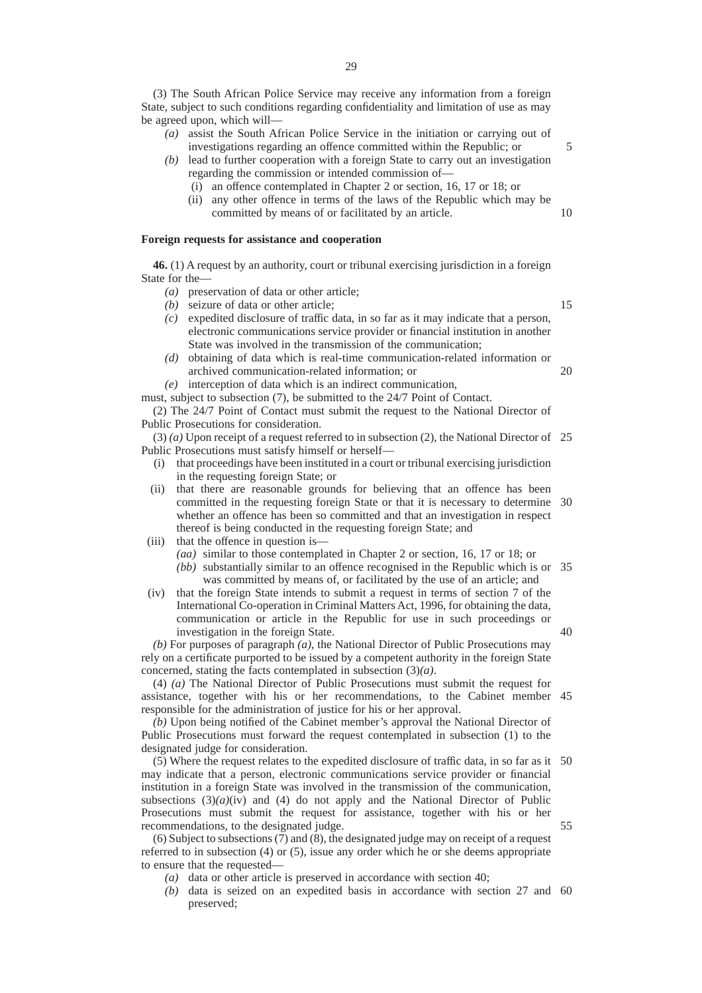(3) The South African Police Service may receive any information from a foreign State, subject to such conditions regarding confidentiality and limitation of use as may be agreed upon, which will—

- *(a)* assist the South African Police Service in the initiation or carrying out of investigations regarding an offence committed within the Republic; or
- *(b)* lead to further cooperation with a foreign State to carry out an investigation regarding the commission or intended commission of—
	- (i) an offence contemplated in Chapter 2 or section, 16, 17 or 18; or
	- (ii) any other offence in terms of the laws of the Republic which may be committed by means of or facilitated by an article.

## **Foreign requests for assistance and cooperation**

**46.** (1) A request by an authority, court or tribunal exercising jurisdiction in a foreign State for the—

- *(a)* preservation of data or other article;
- *(b)* seizure of data or other article;
- *(c)* expedited disclosure of traffic data, in so far as it may indicate that a person, electronic communications service provider or financial institution in another State was involved in the transmission of the communication;
- *(d)* obtaining of data which is real-time communication-related information or archived communication-related information; or 20
- *(e)* interception of data which is an indirect communication,

must, subject to subsection (7), be submitted to the 24/7 Point of Contact.

(2) The 24/7 Point of Contact must submit the request to the National Director of Public Prosecutions for consideration.

(3) *(a)* Upon receipt of a request referred to in subsection (2), the National Director of 25 Public Prosecutions must satisfy himself or herself—

- (i) that proceedings have been instituted in a court or tribunal exercising jurisdiction in the requesting foreign State; or
- (ii) that there are reasonable grounds for believing that an offence has been committed in the requesting foreign State or that it is necessary to determine whether an offence has been so committed and that an investigation in respect thereof is being conducted in the requesting foreign State; and 30
- (iii) that the offence in question is—
	- *(aa)* similar to those contemplated in Chapter 2 or section, 16, 17 or 18; or
	- *(bb)* substantially similar to an offence recognised in the Republic which is or 35 was committed by means of, or facilitated by the use of an article; and
- (iv) that the foreign State intends to submit a request in terms of section 7 of the International Co-operation in Criminal Matters Act, 1996, for obtaining the data, communication or article in the Republic for use in such proceedings or investigation in the foreign State.

*(b)* For purposes of paragraph *(a)*, the National Director of Public Prosecutions may rely on a certificate purported to be issued by a competent authority in the foreign State concerned, stating the facts contemplated in subsection (3)*(a)*.

(4) *(a)* The National Director of Public Prosecutions must submit the request for assistance, together with his or her recommendations, to the Cabinet member 45 responsible for the administration of justice for his or her approval.

*(b)* Upon being notified of the Cabinet member's approval the National Director of Public Prosecutions must forward the request contemplated in subsection (1) to the designated judge for consideration.

(5) Where the request relates to the expedited disclosure of traffic data, in so far as it 50 may indicate that a person, electronic communications service provider or financial institution in a foreign State was involved in the transmission of the communication, subsections  $(3)(a)(iv)$  and  $(4)$  do not apply and the National Director of Public Prosecutions must submit the request for assistance, together with his or her recommendations, to the designated judge. 55

(6) Subject to subsections (7) and (8), the designated judge may on receipt of a request referred to in subsection (4) or (5), issue any order which he or she deems appropriate to ensure that the requested—

- *(a)* data or other article is preserved in accordance with section 40;
- *(b)* data is seized on an expedited basis in accordance with section 27 and 60preserved;

15

10

5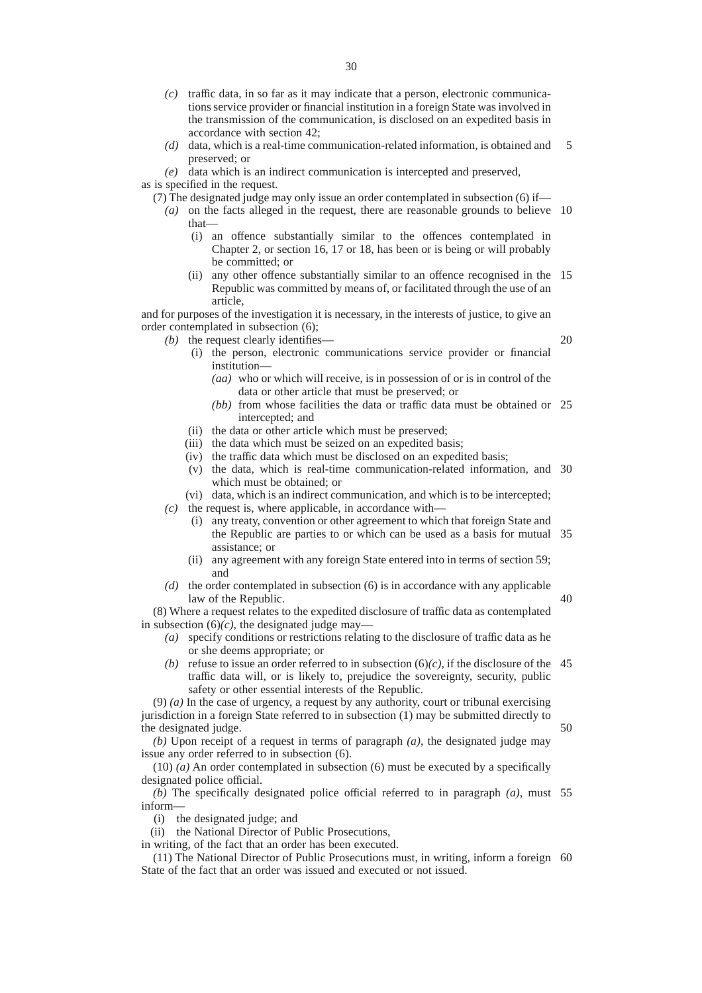- *(c)* traffic data, in so far as it may indicate that a person, electronic communications service provider or financial institution in a foreign State was involved in the transmission of the communication, is disclosed on an expedited basis in accordance with section 42;
- *(d)* data, which is a real-time communication-related information, is obtained and preserved; or 5
- *(e)* data which is an indirect communication is intercepted and preserved,

as is specified in the request.

- (7) The designated judge may only issue an order contemplated in subsection (6) if—
	- *(a)* on the facts alleged in the request, there are reasonable grounds to believe 10 that—
		- (i) an offence substantially similar to the offences contemplated in Chapter 2, or section 16, 17 or 18, has been or is being or will probably be committed; or
		- (ii) any other offence substantially similar to an offence recognised in the 15 Republic was committed by means of, or facilitated through the use of an article,

and for purposes of the investigation it is necessary, in the interests of justice, to give an order contemplated in subsection (6);

*(b)* the request clearly identifies—

20

50

- (i) the person, electronic communications service provider or financial institution—
	- *(aa)* who or which will receive, is in possession of or is in control of the data or other article that must be preserved; or
	- *(bb)* from whose facilities the data or traffic data must be obtained or 25 intercepted; and
- (ii) the data or other article which must be preserved;
- (iii) the data which must be seized on an expedited basis;
- (iv) the traffic data which must be disclosed on an expedited basis;
- (v) the data, which is real-time communication-related information, and 30 which must be obtained; or

(vi) data, which is an indirect communication, and which is to be intercepted;

- *(c)* the request is, where applicable, in accordance with—
	- (i) any treaty, convention or other agreement to which that foreign State and the Republic are parties to or which can be used as a basis for mutual 35 assistance; or
	- (ii) any agreement with any foreign State entered into in terms of section 59; and
- *(d)* the order contemplated in subsection (6) is in accordance with any applicable law of the Republic. 40

(8) Where a request relates to the expedited disclosure of traffic data as contemplated in subsection  $(6)(c)$ , the designated judge may—

- *(a)* specify conditions or restrictions relating to the disclosure of traffic data as he or she deems appropriate; or
- (b) refuse to issue an order referred to in subsection  $(6)(c)$ , if the disclosure of the 45 traffic data will, or is likely to, prejudice the sovereignty, security, public safety or other essential interests of the Republic.

(9) *(a)* In the case of urgency, a request by any authority, court or tribunal exercising jurisdiction in a foreign State referred to in subsection (1) may be submitted directly to the designated judge.

*(b)* Upon receipt of a request in terms of paragraph *(a)*, the designated judge may issue any order referred to in subsection (6).

(10) *(a)* An order contemplated in subsection (6) must be executed by a specifically designated police official.

*(b)* The specifically designated police official referred to in paragraph *(a)*, must 55 inform—

- (i) the designated judge; and
- (ii) the National Director of Public Prosecutions,

in writing, of the fact that an order has been executed.

(11) The National Director of Public Prosecutions must, in writing, inform a foreign 60State of the fact that an order was issued and executed or not issued.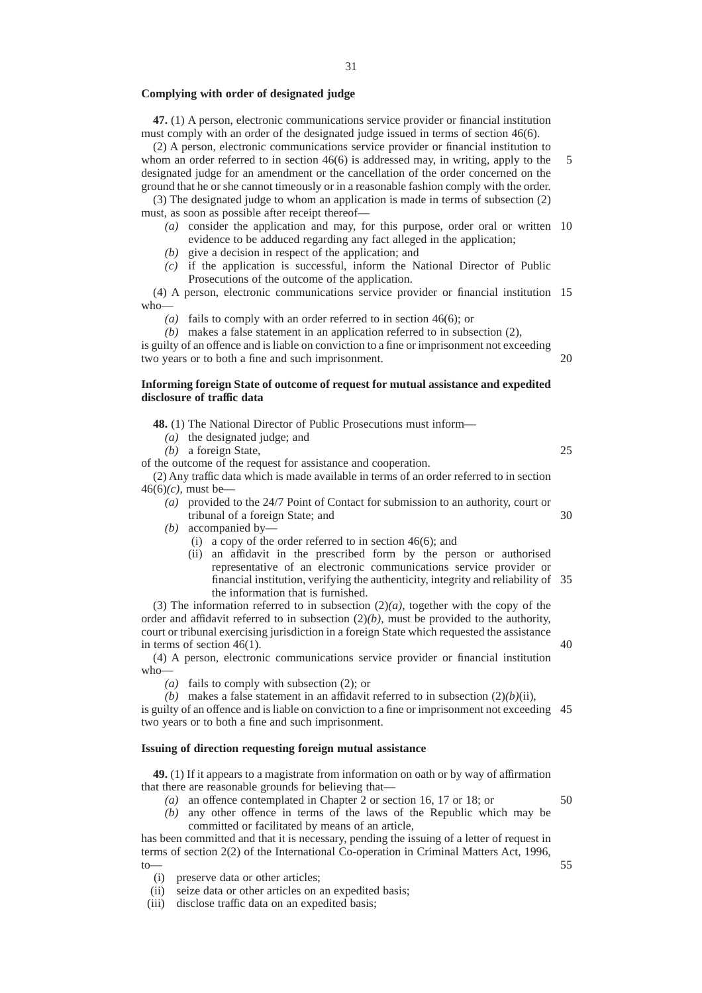#### **Complying with order of designated judge**

**47.** (1) A person, electronic communications service provider or financial institution must comply with an order of the designated judge issued in terms of section 46(6).

(2) A person, electronic communications service provider or financial institution to whom an order referred to in section 46(6) is addressed may, in writing, apply to the designated judge for an amendment or the cancellation of the order concerned on the ground that he or she cannot timeously or in a reasonable fashion comply with the order. 5

(3) The designated judge to whom an application is made in terms of subsection (2) must, as soon as possible after receipt thereof—

- *(a)* consider the application and may, for this purpose, order oral or written 10 evidence to be adduced regarding any fact alleged in the application;
- *(b)* give a decision in respect of the application; and
- *(c)* if the application is successful, inform the National Director of Public Prosecutions of the outcome of the application.

(4) A person, electronic communications service provider or financial institution 15 who—

*(a)* fails to comply with an order referred to in section 46(6); or

*(b)* makes a false statement in an application referred to in subsection (2), is guilty of an offence and is liable on conviction to a fine or imprisonment not exceeding two years or to both a fine and such imprisonment. 20

# **Informing foreign State of outcome of request for mutual assistance and expedited disclosure of traffic data**

**48.** (1) The National Director of Public Prosecutions must inform—

- *(a)* the designated judge; and
- *(b)* a foreign State,

of the outcome of the request for assistance and cooperation.

(2) Any traffic data which is made available in terms of an order referred to in section 46(6)*(c)*, must be—

- *(a)* provided to the 24/7 Point of Contact for submission to an authority, court or tribunal of a foreign State; and
- *(b)* accompanied by—
	- (i) a copy of the order referred to in section 46(6); and
	- (ii) an affidavit in the prescribed form by the person or authorised representative of an electronic communications service provider or financial institution, verifying the authenticity, integrity and reliability of 35 the information that is furnished.

25

30

40

50

55

(3) The information referred to in subsection  $(2)(a)$ , together with the copy of the order and affidavit referred to in subsection  $(2)(b)$ , must be provided to the authority, court or tribunal exercising jurisdiction in a foreign State which requested the assistance in terms of section 46(1).

(4) A person, electronic communications service provider or financial institution who—

*(a)* fails to comply with subsection (2); or

*(b)* makes a false statement in an affidavit referred to in subsection (2)*(b)*(ii),

is guilty of an offence and is liable on conviction to a fine or imprisonment not exceeding 45 two years or to both a fine and such imprisonment.

## **Issuing of direction requesting foreign mutual assistance**

**49.** (1) If it appears to a magistrate from information on oath or by way of affirmation that there are reasonable grounds for believing that—

- *(a)* an offence contemplated in Chapter 2 or section 16, 17 or 18; or
- *(b)* any other offence in terms of the laws of the Republic which may be committed or facilitated by means of an article,

has been committed and that it is necessary, pending the issuing of a letter of request in terms of section 2(2) of the International Co-operation in Criminal Matters Act, 1996,  $t_0$ 

- (i) preserve data or other articles;
- (ii) seize data or other articles on an expedited basis;
- (iii) disclose traffic data on an expedited basis;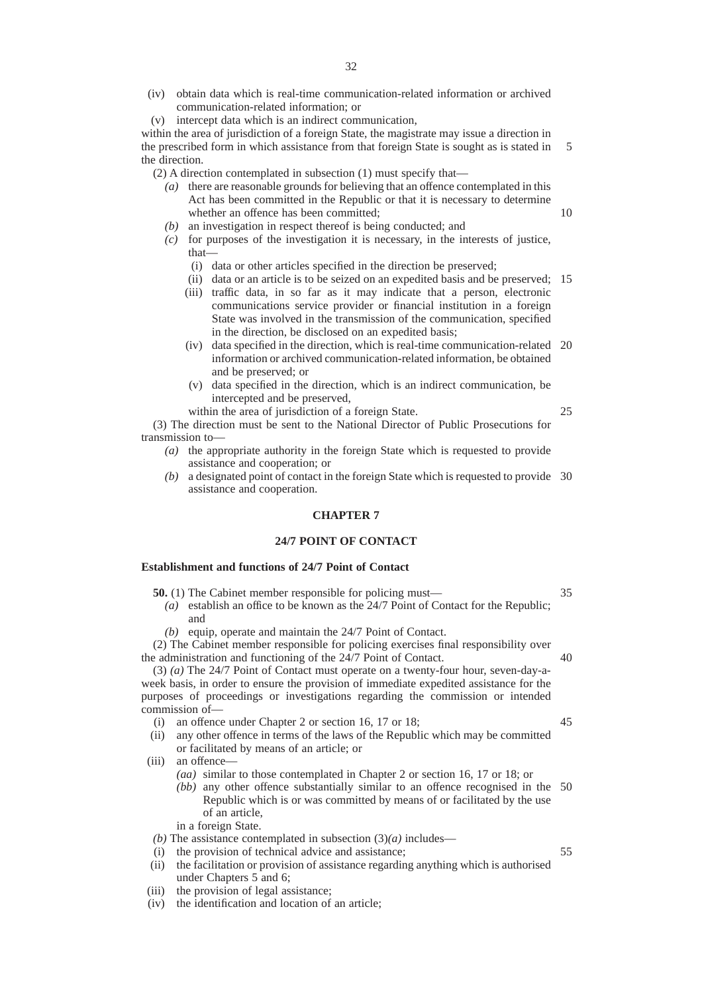communication-related information; or

(v) intercept data which is an indirect communication,

within the area of jurisdiction of a foreign State, the magistrate may issue a direction in the prescribed form in which assistance from that foreign State is sought as is stated in the direction. 5

(2) A direction contemplated in subsection (1) must specify that—

- *(a)* there are reasonable grounds for believing that an offence contemplated in this Act has been committed in the Republic or that it is necessary to determine whether an offence has been committed;
- *(b)* an investigation in respect thereof is being conducted; and
- *(c)* for purposes of the investigation it is necessary, in the interests of justice, that—
	- (i) data or other articles specified in the direction be preserved;
	- (ii) data or an article is to be seized on an expedited basis and be preserved; 15
	- (iii) traffic data, in so far as it may indicate that a person, electronic communications service provider or financial institution in a foreign State was involved in the transmission of the communication, specified in the direction, be disclosed on an expedited basis;
	- (iv) data specified in the direction, which is real-time communication-related 20 information or archived communication-related information, be obtained and be preserved; or
	- (v) data specified in the direction, which is an indirect communication, be intercepted and be preserved,

within the area of jurisdiction of a foreign State.

(3) The direction must be sent to the National Director of Public Prosecutions for transmission to—

- *(a)* the appropriate authority in the foreign State which is requested to provide assistance and cooperation; or
- *(b)* a designated point of contact in the foreign State which is requested to provide 30 assistance and cooperation.

## **CHAPTER 7**

# **24/7 POINT OF CONTACT**

# **Establishment and functions of 24/7 Point of Contact**

- **50.** (1) The Cabinet member responsible for policing must— 35
	- *(a)* establish an office to be known as the 24/7 Point of Contact for the Republic; and
	- *(b)* equip, operate and maintain the 24/7 Point of Contact.

(2) The Cabinet member responsible for policing exercises final responsibility over the administration and functioning of the 24/7 Point of Contact.

(3) *(a)* The 24/7 Point of Contact must operate on a twenty-four hour, seven-day-aweek basis, in order to ensure the provision of immediate expedited assistance for the purposes of proceedings or investigations regarding the commission or intended commission of—

- (i) an offence under Chapter 2 or section 16, 17 or 18;<br>(ii) any other offence in terms of the laws of the Republic
- any other offence in terms of the laws of the Republic which may be committed or facilitated by means of an article; or
- (iii) an offence—
	- *(aa)* similar to those contemplated in Chapter 2 or section 16, 17 or 18; or
		- *(bb)* any other offence substantially similar to an offence recognised in the 50 Republic which is or was committed by means of or facilitated by the use of an article,

in a foreign State.

- *(b)* The assistance contemplated in subsection  $(3)(a)$  includes—
- (i) the provision of technical advice and assistance;

(ii) the facilitation or provision of assistance regarding anything which is authorised under Chapters 5 and 6;

- (iii) the provision of legal assistance;
- (iv) the identification and location of an article;

45

40

10

25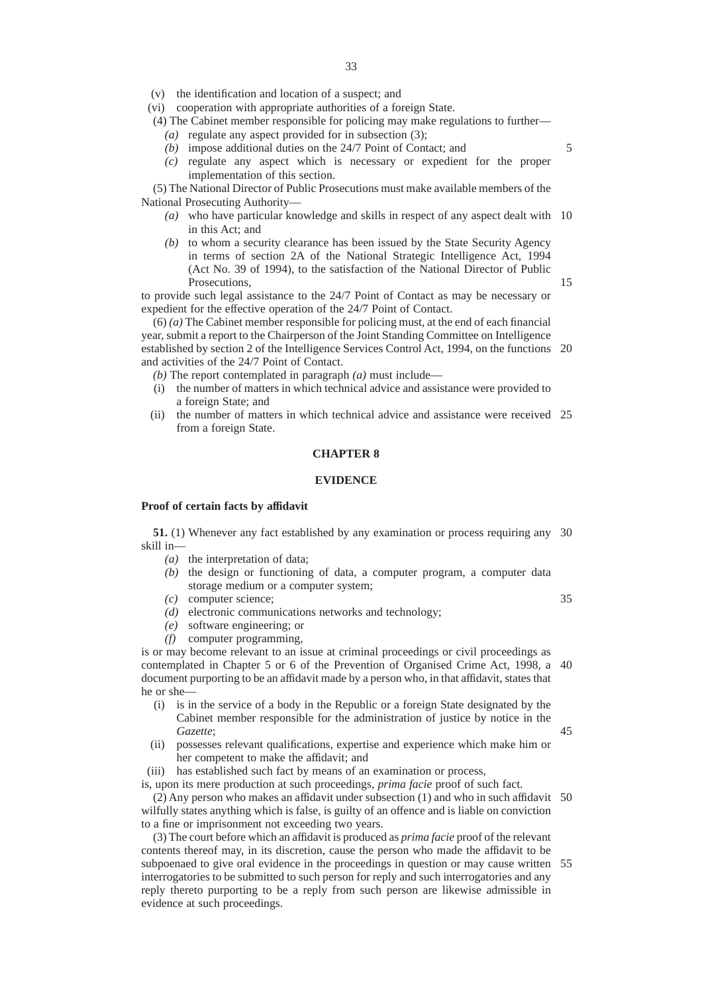- (vi) cooperation with appropriate authorities of a foreign State.
- (4) The Cabinet member responsible for policing may make regulations to further—
	- *(a)* regulate any aspect provided for in subsection (3);
	- *(b)* impose additional duties on the 24/7 Point of Contact; and
	- *(c)* regulate any aspect which is necessary or expedient for the proper implementation of this section.

(5) The National Director of Public Prosecutions must make available members of the National Prosecuting Authority—

*(a)* who have particular knowledge and skills in respect of any aspect dealt with 10 in this Act; and

5

15

35

45

*(b)* to whom a security clearance has been issued by the State Security Agency in terms of section 2A of the National Strategic Intelligence Act, 1994 (Act No. 39 of 1994), to the satisfaction of the National Director of Public Prosecutions,

to provide such legal assistance to the 24/7 Point of Contact as may be necessary or expedient for the effective operation of the 24/7 Point of Contact.

(6) *(a)* The Cabinet member responsible for policing must, at the end of each financial year, submit a report to the Chairperson of the Joint Standing Committee on Intelligence established by section 2 of the Intelligence Services Control Act, 1994, on the functions 20 and activities of the 24/7 Point of Contact.

- *(b)* The report contemplated in paragraph *(a)* must include—
- (i) the number of matters in which technical advice and assistance were provided to a foreign State; and
- (ii) the number of matters in which technical advice and assistance were received 25 from a foreign State.

#### **CHAPTER 8**

## **EVIDENCE**

## **Proof of certain facts by affidavit**

**51.** (1) Whenever any fact established by any examination or process requiring any 30 skill in—

- *(a)* the interpretation of data;
- *(b)* the design or functioning of data, a computer program, a computer data storage medium or a computer system;
- *(c)* computer science;
- *(d)* electronic communications networks and technology;
- *(e)* software engineering; or
- *(f)* computer programming,

is or may become relevant to an issue at criminal proceedings or civil proceedings as contemplated in Chapter 5 or 6 of the Prevention of Organised Crime Act, 1998, a 40 document purporting to be an affidavit made by a person who, in that affidavit, states that he or she—

- (i) is in the service of a body in the Republic or a foreign State designated by the Cabinet member responsible for the administration of justice by notice in the *Gazette*;
- (ii) possesses relevant qualifications, expertise and experience which make him or her competent to make the affidavit; and

(iii) has established such fact by means of an examination or process,

is, upon its mere production at such proceedings, *prima facie* proof of such fact.

(2) Any person who makes an affidavit under subsection (1) and who in such affidavit 50 wilfully states anything which is false, is guilty of an offence and is liable on conviction to a fine or imprisonment not exceeding two years.

(3) The court before which an affidavit is produced as *prima facie* proof of the relevant contents thereof may, in its discretion, cause the person who made the affidavit to be subpoenaed to give oral evidence in the proceedings in question or may cause written 55interrogatories to be submitted to such person for reply and such interrogatories and any reply thereto purporting to be a reply from such person are likewise admissible in evidence at such proceedings.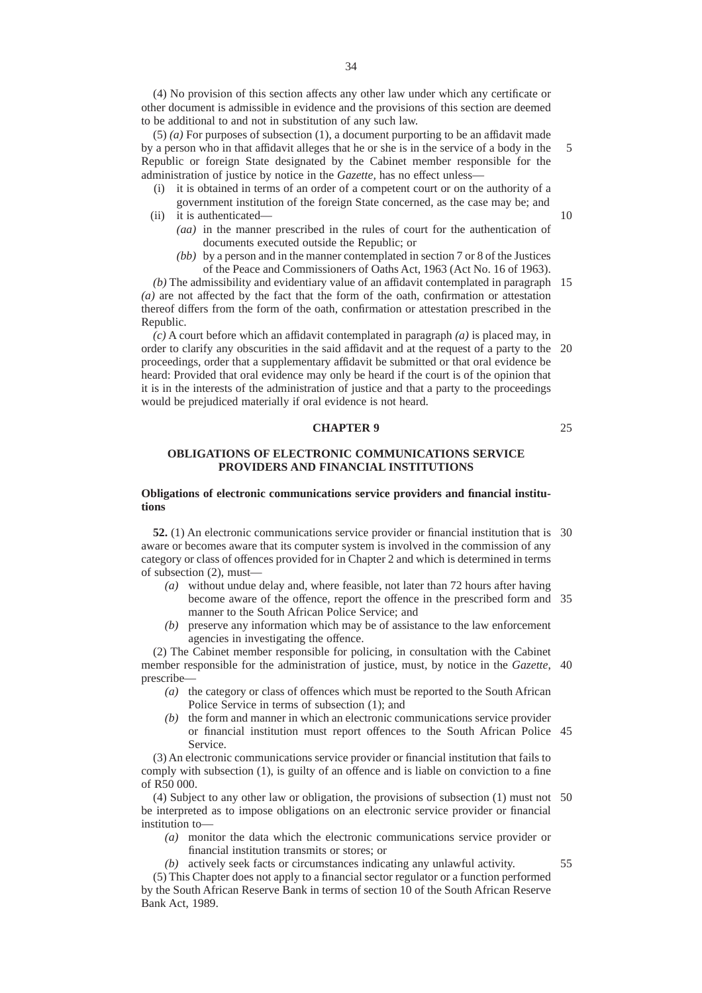(4) No provision of this section affects any other law under which any certificate or other document is admissible in evidence and the provisions of this section are deemed to be additional to and not in substitution of any such law.

 $(5)$  *(a)* For purposes of subsection (1), a document purporting to be an affidavit made by a person who in that affidavit alleges that he or she is in the service of a body in the Republic or foreign State designated by the Cabinet member responsible for the administration of justice by notice in the *Gazette,* has no effect unless— 5

- (i) it is obtained in terms of an order of a competent court or on the authority of a government institution of the foreign State concerned, as the case may be; and
- (ii) it is authenticated—
	- *(aa)* in the manner prescribed in the rules of court for the authentication of documents executed outside the Republic; or
	- *(bb)* by a person and in the manner contemplated in section 7 or 8 of the Justices of the Peace and Commissioners of Oaths Act, 1963 (Act No. 16 of 1963).

*(b)* The admissibility and evidentiary value of an affidavit contemplated in paragraph 15 *(a)* are not affected by the fact that the form of the oath, confirmation or attestation thereof differs from the form of the oath, confirmation or attestation prescribed in the Republic.

*(c)* A court before which an affidavit contemplated in paragraph *(a)* is placed may, in order to clarify any obscurities in the said affidavit and at the request of a party to the 20 proceedings, order that a supplementary affidavit be submitted or that oral evidence be heard: Provided that oral evidence may only be heard if the court is of the opinion that it is in the interests of the administration of justice and that a party to the proceedings would be prejudiced materially if oral evidence is not heard.

#### **CHAPTER 9**

25

55

# **OBLIGATIONS OF ELECTRONIC COMMUNICATIONS SERVICE PROVIDERS AND FINANCIAL INSTITUTIONS**

# **Obligations of electronic communications service providers and financial institutions**

**52.** (1) An electronic communications service provider or financial institution that is 30 aware or becomes aware that its computer system is involved in the commission of any category or class of offences provided for in Chapter 2 and which is determined in terms of subsection (2), must—

- *(a)* without undue delay and, where feasible, not later than 72 hours after having become aware of the offence, report the offence in the prescribed form and 35 manner to the South African Police Service; and
- *(b)* preserve any information which may be of assistance to the law enforcement agencies in investigating the offence.

(2) The Cabinet member responsible for policing, in consultation with the Cabinet member responsible for the administration of justice, must, by notice in the *Gazette*, 40 prescribe—

- *(a)* the category or class of offences which must be reported to the South African Police Service in terms of subsection (1); and
- *(b)* the form and manner in which an electronic communications service provider or financial institution must report offences to the South African Police 45 Service.

(3) An electronic communications service provider or financial institution that fails to comply with subsection (1), is guilty of an offence and is liable on conviction to a fine of R50 000.

(4) Subject to any other law or obligation, the provisions of subsection (1) must not 50 be interpreted as to impose obligations on an electronic service provider or financial institution to—

- *(a)* monitor the data which the electronic communications service provider or financial institution transmits or stores; or
- *(b)* actively seek facts or circumstances indicating any unlawful activity.

(5) This Chapter does not apply to a financial sector regulator or a function performed by the South African Reserve Bank in terms of section 10 of the South African Reserve Bank Act, 1989.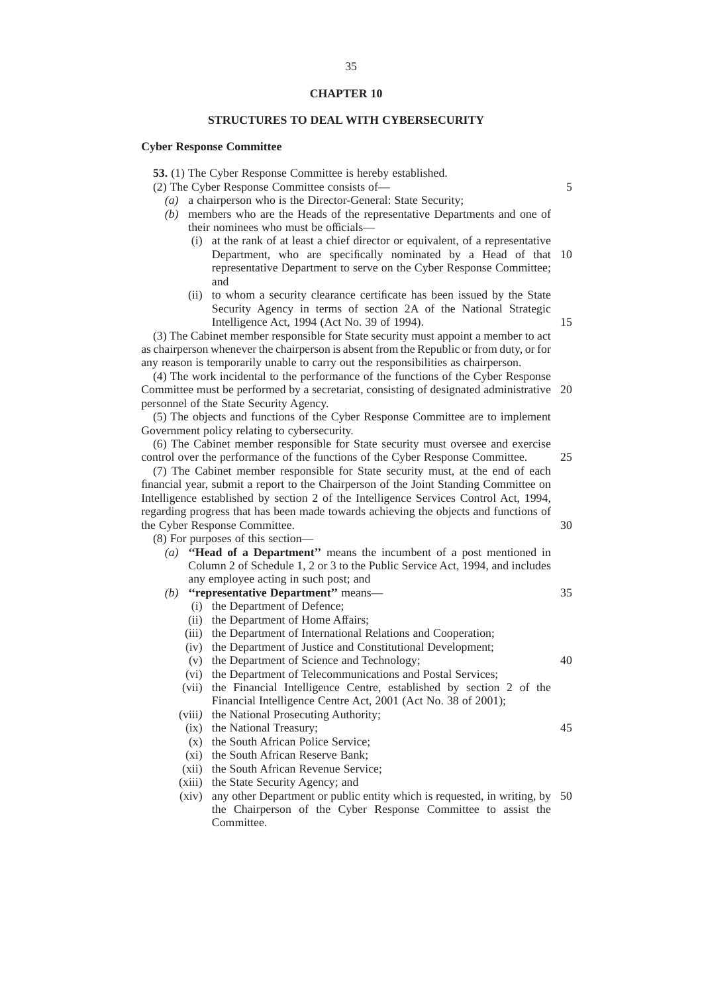# **STRUCTURES TO DEAL WITH CYBERSECURITY**

#### **Cyber Response Committee**

**53.** (1) The Cyber Response Committee is hereby established.

(2) The Cyber Response Committee consists of—

- *(a)* a chairperson who is the Director-General: State Security;
- *(b)* members who are the Heads of the representative Departments and one of their nominees who must be officials—
	- (i) at the rank of at least a chief director or equivalent, of a representative Department, who are specifically nominated by a Head of that 10 representative Department to serve on the Cyber Response Committee; and
	- (ii) to whom a security clearance certificate has been issued by the State Security Agency in terms of section 2A of the National Strategic Intelligence Act, 1994 (Act No. 39 of 1994).

(3) The Cabinet member responsible for State security must appoint a member to act as chairperson whenever the chairperson is absent from the Republic or from duty, or for any reason is temporarily unable to carry out the responsibilities as chairperson.

(4) The work incidental to the performance of the functions of the Cyber Response Committee must be performed by a secretariat, consisting of designated administrative 20 personnel of the State Security Agency.

(5) The objects and functions of the Cyber Response Committee are to implement Government policy relating to cybersecurity.

(6) The Cabinet member responsible for State security must oversee and exercise control over the performance of the functions of the Cyber Response Committee. 25

(7) The Cabinet member responsible for State security must, at the end of each financial year, submit a report to the Chairperson of the Joint Standing Committee on Intelligence established by section 2 of the Intelligence Services Control Act, 1994, regarding progress that has been made towards achieving the objects and functions of the Cyber Response Committee. 30

(8) For purposes of this section—

- *(a)* **''Head of a Department''** means the incumbent of a post mentioned in Column 2 of Schedule 1, 2 or 3 to the Public Service Act, 1994, and includes any employee acting in such post; and
- *(b)* **''representative Department''** means—
	- (i) the Department of Defence;
	- (ii) the Department of Home Affairs;
	- (iii) the Department of International Relations and Cooperation;
	- (iv) the Department of Justice and Constitutional Development;
	- (v) the Department of Science and Technology;
	- (vi) the Department of Telecommunications and Postal Services;
	- (vii) the Financial Intelligence Centre, established by section 2 of the Financial Intelligence Centre Act, 2001 (Act No. 38 of 2001);
	- (viii*)* the National Prosecuting Authority;
	- (ix) the National Treasury;
	- (x) the South African Police Service;
	- (xi) the South African Reserve Bank;
	- (xii) the South African Revenue Service;
	- (xiii) the State Security Agency; and
	- (xiv) any other Department or public entity which is requested, in writing, by 50the Chairperson of the Cyber Response Committee to assist the Committee.

5

15

- 
- 35

40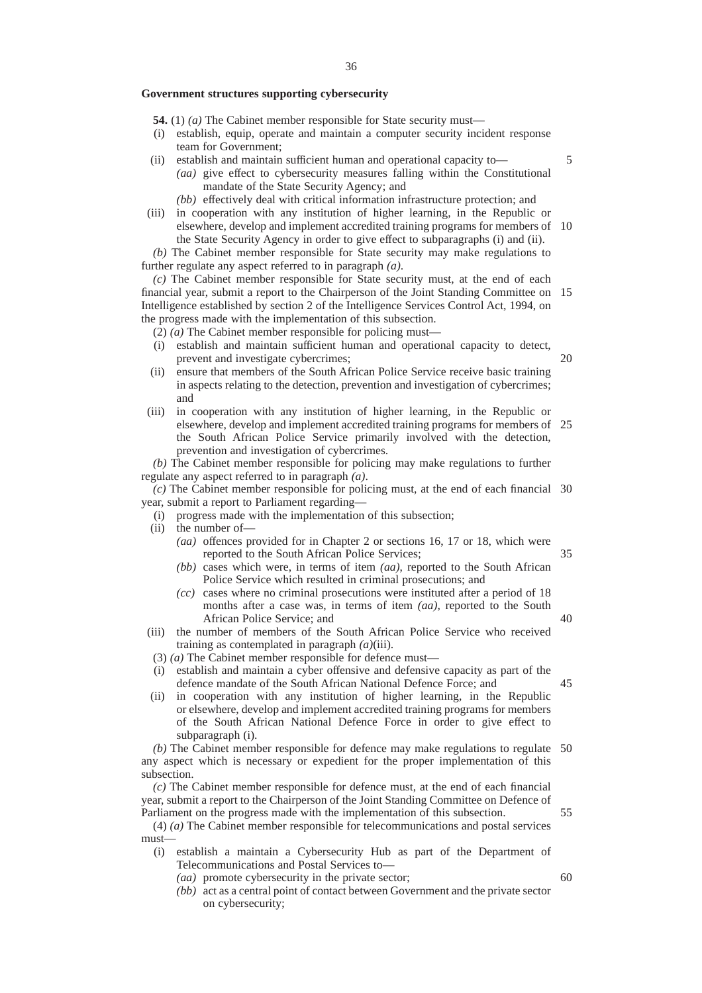#### **Government structures supporting cybersecurity**

- **54.** (1) *(a)* The Cabinet member responsible for State security must—
- (i) establish, equip, operate and maintain a computer security incident response team for Government;
- (ii) establish and maintain sufficient human and operational capacity to—
	- *(aa)* give effect to cybersecurity measures falling within the Constitutional mandate of the State Security Agency; and
		- *(bb)* effectively deal with critical information infrastructure protection; and
- (iii) in cooperation with any institution of higher learning, in the Republic or elsewhere, develop and implement accredited training programs for members of 10 the State Security Agency in order to give effect to subparagraphs (i) and (ii).

*(b)* The Cabinet member responsible for State security may make regulations to further regulate any aspect referred to in paragraph *(a)*.

*(c)* The Cabinet member responsible for State security must, at the end of each financial year, submit a report to the Chairperson of the Joint Standing Committee on 15 Intelligence established by section 2 of the Intelligence Services Control Act, 1994, on the progress made with the implementation of this subsection.

(2) *(a)* The Cabinet member responsible for policing must—

- (i) establish and maintain sufficient human and operational capacity to detect, prevent and investigate cybercrimes;
- (ii) ensure that members of the South African Police Service receive basic training in aspects relating to the detection, prevention and investigation of cybercrimes; and
- (iii) in cooperation with any institution of higher learning, in the Republic or elsewhere, develop and implement accredited training programs for members of 25 the South African Police Service primarily involved with the detection, prevention and investigation of cybercrimes.

*(b)* The Cabinet member responsible for policing may make regulations to further regulate any aspect referred to in paragraph *(a)*.

*(c)* The Cabinet member responsible for policing must, at the end of each financial 30 year, submit a report to Parliament regarding—

- (i) progress made with the implementation of this subsection;
- (ii) the number of—
	- *(aa)* offences provided for in Chapter 2 or sections 16, 17 or 18, which were reported to the South African Police Services; 35
	- *(bb)* cases which were, in terms of item *(aa)*, reported to the South African Police Service which resulted in criminal prosecutions; and
	- *(cc)* cases where no criminal prosecutions were instituted after a period of 18 months after a case was, in terms of item *(aa)*, reported to the South African Police Service; and
- (iii) the number of members of the South African Police Service who received training as contemplated in paragraph *(a)*(iii).
- (3) *(a)* The Cabinet member responsible for defence must—
- (i) establish and maintain a cyber offensive and defensive capacity as part of the defence mandate of the South African National Defence Force; and 45
- (ii) in cooperation with any institution of higher learning, in the Republic or elsewhere, develop and implement accredited training programs for members of the South African National Defence Force in order to give effect to subparagraph (i).

*(b)* The Cabinet member responsible for defence may make regulations to regulate any aspect which is necessary or expedient for the proper implementation of this subsection. 50

*(c)* The Cabinet member responsible for defence must, at the end of each financial year, submit a report to the Chairperson of the Joint Standing Committee on Defence of Parliament on the progress made with the implementation of this subsection.

(4) *(a)* The Cabinet member responsible for telecommunications and postal services must—

- (i) establish a maintain a Cybersecurity Hub as part of the Department of Telecommunications and Postal Services to—
	- *(aa)* promote cybersecurity in the private sector;
	- *(bb)* act as a central point of contact between Government and the private sector on cybersecurity;

60

55

40

5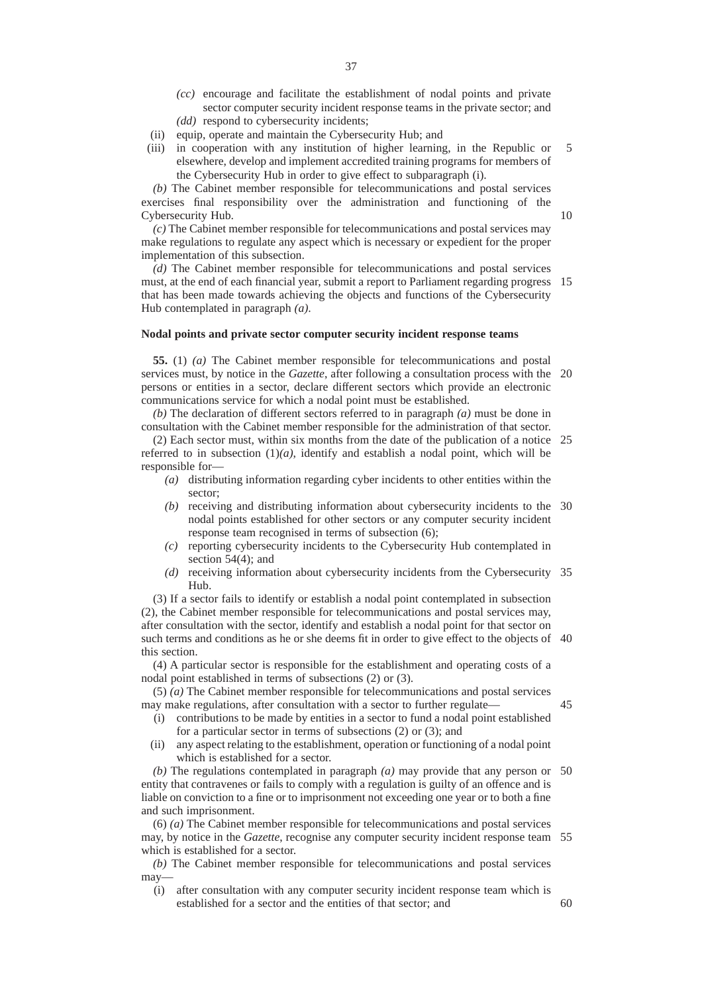- *(cc)* encourage and facilitate the establishment of nodal points and private sector computer security incident response teams in the private sector; and *(dd)* respond to cybersecurity incidents;
- (ii) equip, operate and maintain the Cybersecurity Hub; and
- (iii) in cooperation with any institution of higher learning, in the Republic or elsewhere, develop and implement accredited training programs for members of the Cybersecurity Hub in order to give effect to subparagraph (i). 5

*(b)* The Cabinet member responsible for telecommunications and postal services exercises final responsibility over the administration and functioning of the Cybersecurity Hub.

*(c)* The Cabinet member responsible for telecommunications and postal services may make regulations to regulate any aspect which is necessary or expedient for the proper implementation of this subsection.

*(d)* The Cabinet member responsible for telecommunications and postal services must, at the end of each financial year, submit a report to Parliament regarding progress 15 that has been made towards achieving the objects and functions of the Cybersecurity Hub contemplated in paragraph *(a)*.

### **Nodal points and private sector computer security incident response teams**

**55.** (1) *(a)* The Cabinet member responsible for telecommunications and postal services must, by notice in the *Gazette*, after following a consultation process with the 20 persons or entities in a sector, declare different sectors which provide an electronic communications service for which a nodal point must be established.

*(b)* The declaration of different sectors referred to in paragraph *(a)* must be done in consultation with the Cabinet member responsible for the administration of that sector.

(2) Each sector must, within six months from the date of the publication of a notice 25 referred to in subsection  $(1)(a)$ , identify and establish a nodal point, which will be responsible for—

- *(a)* distributing information regarding cyber incidents to other entities within the sector;
- *(b)* receiving and distributing information about cybersecurity incidents to the 30 nodal points established for other sectors or any computer security incident response team recognised in terms of subsection (6);
- *(c)* reporting cybersecurity incidents to the Cybersecurity Hub contemplated in section 54(4); and
- *(d)* receiving information about cybersecurity incidents from the Cybersecurity 35 Hub.

(3) If a sector fails to identify or establish a nodal point contemplated in subsection (2), the Cabinet member responsible for telecommunications and postal services may, after consultation with the sector, identify and establish a nodal point for that sector on such terms and conditions as he or she deems fit in order to give effect to the objects of 40 this section.

(4) A particular sector is responsible for the establishment and operating costs of a nodal point established in terms of subsections (2) or (3).

(5) *(a)* The Cabinet member responsible for telecommunications and postal services may make regulations, after consultation with a sector to further regulate—

- (i) contributions to be made by entities in a sector to fund a nodal point established for a particular sector in terms of subsections (2) or (3); and
- (ii) any aspect relating to the establishment, operation or functioning of a nodal point which is established for a sector.

*(b)* The regulations contemplated in paragraph *(a)* may provide that any person or 50 entity that contravenes or fails to comply with a regulation is guilty of an offence and is liable on conviction to a fine or to imprisonment not exceeding one year or to both a fine and such imprisonment.

(6) *(a)* The Cabinet member responsible for telecommunications and postal services may, by notice in the *Gazette*, recognise any computer security incident response team 55 which is established for a sector.

*(b)* The Cabinet member responsible for telecommunications and postal services may—

(i) after consultation with any computer security incident response team which is established for a sector and the entities of that sector; and

60

45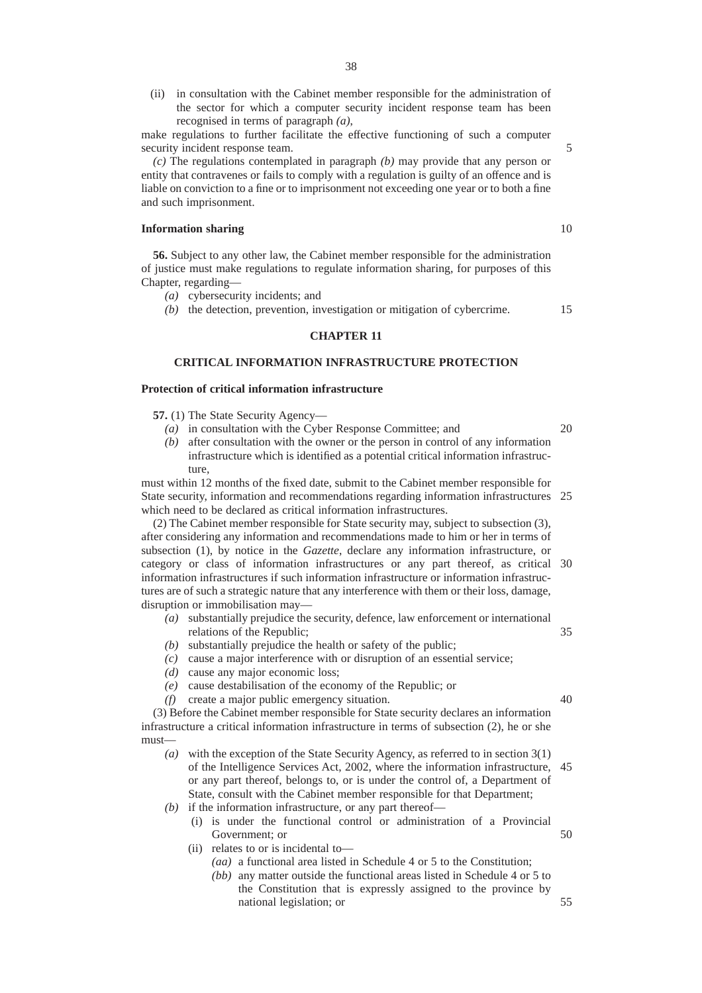(ii) in consultation with the Cabinet member responsible for the administration of the sector for which a computer security incident response team has been recognised in terms of paragraph *(a)*,

make regulations to further facilitate the effective functioning of such a computer security incident response team.

*(c)* The regulations contemplated in paragraph *(b)* may provide that any person or entity that contravenes or fails to comply with a regulation is guilty of an offence and is liable on conviction to a fine or to imprisonment not exceeding one year or to both a fine and such imprisonment.

## **Information sharing**

**56.** Subject to any other law, the Cabinet member responsible for the administration of justice must make regulations to regulate information sharing, for purposes of this Chapter, regarding—

*(a)* cybersecurity incidents; and

*(b)* the detection, prevention, investigation or mitigation of cybercrime.

# 15

## **CHAPTER 11**

## **CRITICAL INFORMATION INFRASTRUCTURE PROTECTION**

### **Protection of critical information infrastructure**

**57.** (1) The State Security Agency—

- *(a)* in consultation with the Cyber Response Committee; and
- 20
- *(b)* after consultation with the owner or the person in control of any information infrastructure which is identified as a potential critical information infrastructure,

must within 12 months of the fixed date, submit to the Cabinet member responsible for State security, information and recommendations regarding information infrastructures 25 which need to be declared as critical information infrastructures.

(2) The Cabinet member responsible for State security may, subject to subsection (3), after considering any information and recommendations made to him or her in terms of subsection (1), by notice in the *Gazette*, declare any information infrastructure, or category or class of information infrastructures or any part thereof, as critical 30 information infrastructures if such information infrastructure or information infrastructures are of such a strategic nature that any interference with them or their loss, damage, disruption or immobilisation may—

- *(a)* substantially prejudice the security, defence, law enforcement or international relations of the Republic;
- *(b)* substantially prejudice the health or safety of the public;
- *(c)* cause a major interference with or disruption of an essential service;
- *(d)* cause any major economic loss;
- *(e)* cause destabilisation of the economy of the Republic; or
- *(f)* create a major public emergency situation.

(3) Before the Cabinet member responsible for State security declares an information infrastructure a critical information infrastructure in terms of subsection (2), he or she must—

- *(a)* with the exception of the State Security Agency, as referred to in section 3(1) of the Intelligence Services Act, 2002, where the information infrastructure, or any part thereof, belongs to, or is under the control of, a Department of State, consult with the Cabinet member responsible for that Department; 45
- *(b)* if the information infrastructure, or any part thereof—
	- (i) is under the functional control or administration of a Provincial Government; or 50
	- (ii) relates to or is incidental to—
		- *(aa)* a functional area listed in Schedule 4 or 5 to the Constitution;
			- *(bb)* any matter outside the functional areas listed in Schedule 4 or 5 to the Constitution that is expressly assigned to the province by national legislation; or

10

5

40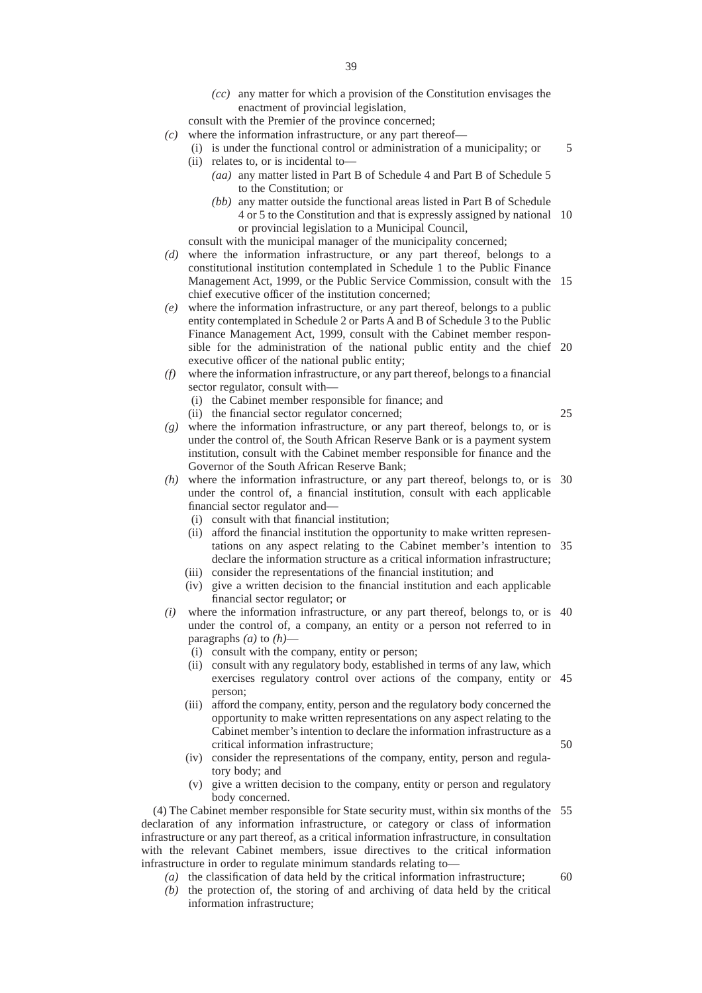*(cc)* any matter for which a provision of the Constitution envisages the enactment of provincial legislation,

consult with the Premier of the province concerned;

- *(c)* where the information infrastructure, or any part thereof—
	- (i) is under the functional control or administration of a municipality; or (ii) relates to, or is incidental to— 5
		- *(aa)* any matter listed in Part B of Schedule 4 and Part B of Schedule 5 to the Constitution; or
		- *(bb)* any matter outside the functional areas listed in Part B of Schedule 4 or 5 to the Constitution and that is expressly assigned by national 10 or provincial legislation to a Municipal Council,

consult with the municipal manager of the municipality concerned;

- *(d)* where the information infrastructure, or any part thereof, belongs to a constitutional institution contemplated in Schedule 1 to the Public Finance Management Act, 1999, or the Public Service Commission, consult with the 15 chief executive officer of the institution concerned;
- *(e)* where the information infrastructure, or any part thereof, belongs to a public entity contemplated in Schedule 2 or Parts A and B of Schedule 3 to the Public Finance Management Act, 1999, consult with the Cabinet member responsible for the administration of the national public entity and the chief 20 executive officer of the national public entity;
- *(f)* where the information infrastructure, or any part thereof, belongs to a financial sector regulator, consult with—
	- (i) the Cabinet member responsible for finance; and
	- (ii) the financial sector regulator concerned;

25

60

- *(g)* where the information infrastructure, or any part thereof, belongs to, or is under the control of, the South African Reserve Bank or is a payment system institution, consult with the Cabinet member responsible for finance and the Governor of the South African Reserve Bank;
- *(h)* where the information infrastructure, or any part thereof, belongs to, or is 30 under the control of, a financial institution, consult with each applicable financial sector regulator and—
	- (i) consult with that financial institution;
	- (ii) afford the financial institution the opportunity to make written representations on any aspect relating to the Cabinet member's intention to 35 declare the information structure as a critical information infrastructure; (iii) consider the representations of the financial institution; and
	- (iv) give a written decision to the financial institution and each applicable financial sector regulator; or
- *(i)* where the information infrastructure, or any part thereof, belongs to, or is 40 under the control of, a company, an entity or a person not referred to in paragraphs *(a)* to *(h)*—
	- (i) consult with the company, entity or person;
	- (ii) consult with any regulatory body, established in terms of any law, which exercises regulatory control over actions of the company, entity or 45 person;
	- (iii) afford the company, entity, person and the regulatory body concerned the opportunity to make written representations on any aspect relating to the Cabinet member's intention to declare the information infrastructure as a critical information infrastructure; 50
	- (iv) consider the representations of the company, entity, person and regulatory body; and
	- (v) give a written decision to the company, entity or person and regulatory body concerned.

(4) The Cabinet member responsible for State security must, within six months of the 55 declaration of any information infrastructure, or category or class of information infrastructure or any part thereof, as a critical information infrastructure, in consultation with the relevant Cabinet members, issue directives to the critical information infrastructure in order to regulate minimum standards relating to—

- *(a)* the classification of data held by the critical information infrastructure;
- *(b)* the protection of, the storing of and archiving of data held by the critical information infrastructure;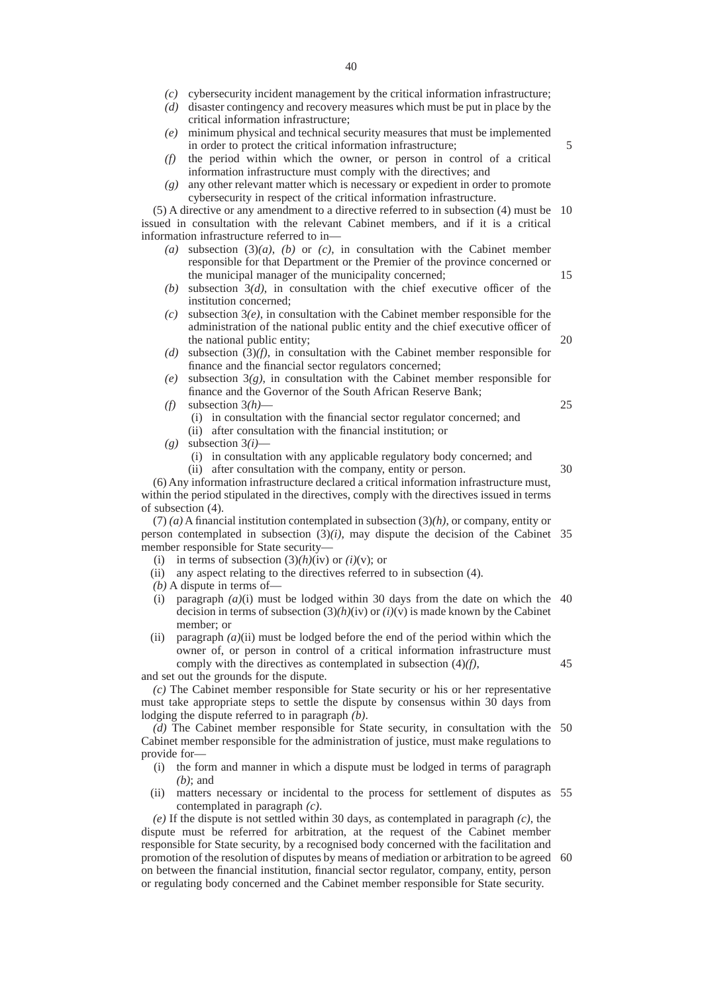- *(c)* cybersecurity incident management by the critical information infrastructure;
- *(d)* disaster contingency and recovery measures which must be put in place by the critical information infrastructure;
- *(e)* minimum physical and technical security measures that must be implemented in order to protect the critical information infrastructure;
- *(f)* the period within which the owner, or person in control of a critical information infrastructure must comply with the directives; and
- *(g)* any other relevant matter which is necessary or expedient in order to promote cybersecurity in respect of the critical information infrastructure.

(5) A directive or any amendment to a directive referred to in subsection (4) must be 10 issued in consultation with the relevant Cabinet members, and if it is a critical information infrastructure referred to in—

- *(a)* subsection (3)*(a)*, *(b)* or *(c)*, in consultation with the Cabinet member responsible for that Department or the Premier of the province concerned or the municipal manager of the municipality concerned;
- *(b)* subsection 3*(d)*, in consultation with the chief executive officer of the institution concerned;
- *(c)* subsection 3*(e)*, in consultation with the Cabinet member responsible for the administration of the national public entity and the chief executive officer of the national public entity;
- *(d)* subsection (3)*(f)*, in consultation with the Cabinet member responsible for finance and the financial sector regulators concerned;
- *(e)* subsection 3*(g)*, in consultation with the Cabinet member responsible for finance and the Governor of the South African Reserve Bank;
- *(f)* subsection 3*(h)*
	- (i) in consultation with the financial sector regulator concerned; and (ii) after consultation with the financial institution; or
- *(g)* subsection 3*(i)*
	- (i) in consultation with any applicable regulatory body concerned; and
	- (ii) after consultation with the company, entity or person.

(6) Any information infrastructure declared a critical information infrastructure must, within the period stipulated in the directives, comply with the directives issued in terms of subsection (4).

(7) *(a)* A financial institution contemplated in subsection (3)*(h)*, or company, entity or person contemplated in subsection  $(3)(i)$ , may dispute the decision of the Cabinet 35 member responsible for State security—

- (i) in terms of subsection  $(3)(h)(iv)$  or  $(i)(v)$ ; or
- (ii) any aspect relating to the directives referred to in subsection (4).
- *(b)* A dispute in terms of—
- (i) paragraph *(a)*(i) must be lodged within 30 days from the date on which the 40 decision in terms of subsection  $(3)(h)(iv)$  or  $(i)(v)$  is made known by the Cabinet member; or
- (ii) paragraph *(a)*(ii) must be lodged before the end of the period within which the owner of, or person in control of a critical information infrastructure must comply with the directives as contemplated in subsection (4)*(f)*, and set out the grounds for the dispute. 45

*(c)* The Cabinet member responsible for State security or his or her representative must take appropriate steps to settle the dispute by consensus within 30 days from lodging the dispute referred to in paragraph *(b)*.

*(d)* The Cabinet member responsible for State security, in consultation with the 50 Cabinet member responsible for the administration of justice, must make regulations to provide for—

- (i) the form and manner in which a dispute must be lodged in terms of paragraph *(b)*; and
- (ii) matters necessary or incidental to the process for settlement of disputes as 55 contemplated in paragraph *(c)*.

*(e)* If the dispute is not settled within 30 days, as contemplated in paragraph *(c)*, the dispute must be referred for arbitration, at the request of the Cabinet member responsible for State security, by a recognised body concerned with the facilitation and promotion of the resolution of disputes by means of mediation or arbitration to be agreed 60on between the financial institution, financial sector regulator, company, entity, person or regulating body concerned and the Cabinet member responsible for State security.

25

30

5

15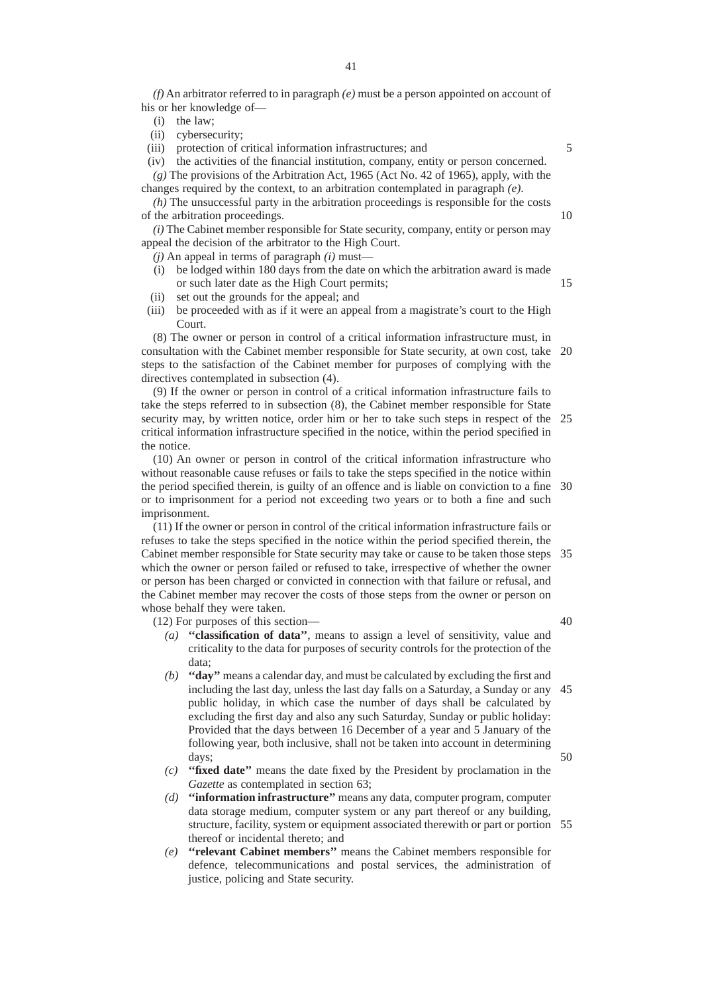*(f)* An arbitrator referred to in paragraph *(e)* must be a person appointed on account of his or her knowledge of—

(i) the law;

(ii) cybersecurity;

(iii) protection of critical information infrastructures; and

(iv) the activities of the financial institution, company, entity or person concerned.

*(g)* The provisions of the Arbitration Act, 1965 (Act No. 42 of 1965), apply, with the changes required by the context, to an arbitration contemplated in paragraph *(e)*.

*(h)* The unsuccessful party in the arbitration proceedings is responsible for the costs of the arbitration proceedings.

*(i)* The Cabinet member responsible for State security, company, entity or person may appeal the decision of the arbitrator to the High Court.

*(j)* An appeal in terms of paragraph *(i)* must—

- (i) be lodged within 180 days from the date on which the arbitration award is made or such later date as the High Court permits;
- (ii) set out the grounds for the appeal; and
- (iii) be proceeded with as if it were an appeal from a magistrate's court to the High Court.

(8) The owner or person in control of a critical information infrastructure must, in consultation with the Cabinet member responsible for State security, at own cost, take 20 steps to the satisfaction of the Cabinet member for purposes of complying with the directives contemplated in subsection (4).

(9) If the owner or person in control of a critical information infrastructure fails to take the steps referred to in subsection (8), the Cabinet member responsible for State security may, by written notice, order him or her to take such steps in respect of the 25 critical information infrastructure specified in the notice, within the period specified in the notice.

(10) An owner or person in control of the critical information infrastructure who without reasonable cause refuses or fails to take the steps specified in the notice within the period specified therein, is guilty of an offence and is liable on conviction to a fine 30 or to imprisonment for a period not exceeding two years or to both a fine and such imprisonment.

(11) If the owner or person in control of the critical information infrastructure fails or refuses to take the steps specified in the notice within the period specified therein, the Cabinet member responsible for State security may take or cause to be taken those steps which the owner or person failed or refused to take, irrespective of whether the owner or person has been charged or convicted in connection with that failure or refusal, and the Cabinet member may recover the costs of those steps from the owner or person on whose behalf they were taken. 35

(12) For purposes of this section—

- *(a)* **''classification of data''**, means to assign a level of sensitivity, value and criticality to the data for purposes of security controls for the protection of the data;
- *(b)* **''day''** means a calendar day, and must be calculated by excluding the first and including the last day, unless the last day falls on a Saturday, a Sunday or any public holiday, in which case the number of days shall be calculated by excluding the first day and also any such Saturday, Sunday or public holiday: Provided that the days between 16 December of a year and 5 January of the following year, both inclusive, shall not be taken into account in determining days; 45 50
- *(c)* **''fixed date''** means the date fixed by the President by proclamation in the *Gazette* as contemplated in section 63;
- *(d)* **''information infrastructure''** means any data, computer program, computer data storage medium, computer system or any part thereof or any building, structure, facility, system or equipment associated therewith or part or portion 55thereof or incidental thereto; and
- *(e)* **''relevant Cabinet members''** means the Cabinet members responsible for defence, telecommunications and postal services, the administration of justice, policing and State security.

41

10

15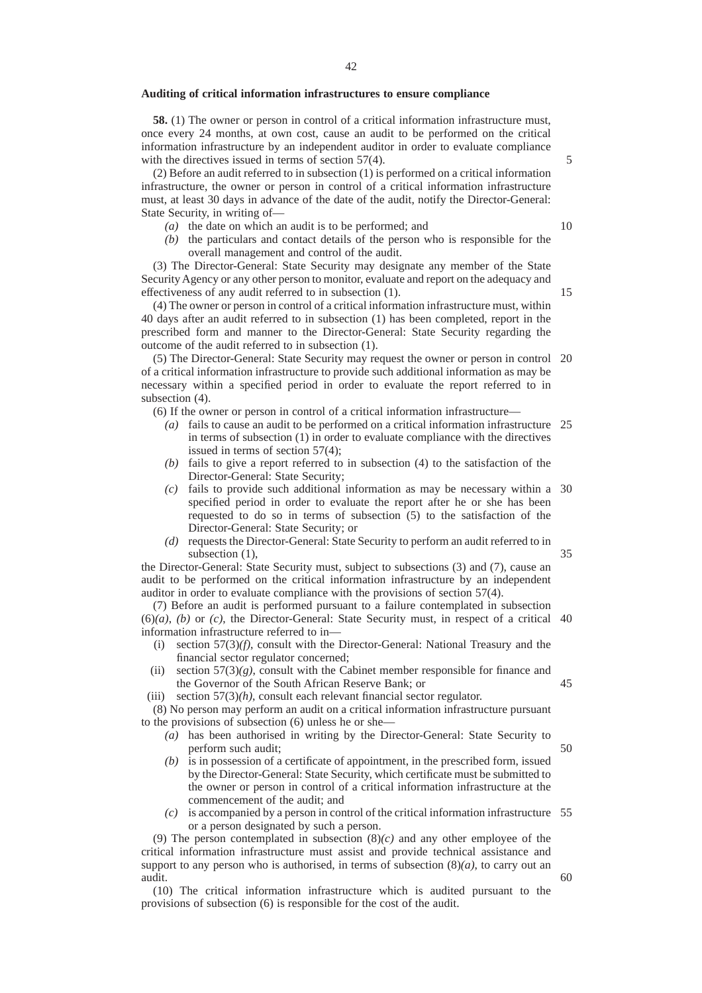#### **Auditing of critical information infrastructures to ensure compliance**

**58.** (1) The owner or person in control of a critical information infrastructure must, once every 24 months, at own cost, cause an audit to be performed on the critical information infrastructure by an independent auditor in order to evaluate compliance with the directives issued in terms of section 57(4).

(2) Before an audit referred to in subsection (1) is performed on a critical information infrastructure, the owner or person in control of a critical information infrastructure must, at least 30 days in advance of the date of the audit, notify the Director-General: State Security, in writing of—

- *(a)* the date on which an audit is to be performed; and
- *(b)* the particulars and contact details of the person who is responsible for the overall management and control of the audit.

(3) The Director-General: State Security may designate any member of the State Security Agency or any other person to monitor, evaluate and report on the adequacy and effectiveness of any audit referred to in subsection (1).

(4) The owner or person in control of a critical information infrastructure must, within 40 days after an audit referred to in subsection (1) has been completed, report in the prescribed form and manner to the Director-General: State Security regarding the outcome of the audit referred to in subsection (1).

(5) The Director-General: State Security may request the owner or person in control 20 of a critical information infrastructure to provide such additional information as may be necessary within a specified period in order to evaluate the report referred to in subsection (4).

(6) If the owner or person in control of a critical information infrastructure—

- *(a)* fails to cause an audit to be performed on a critical information infrastructure 25 in terms of subsection (1) in order to evaluate compliance with the directives issued in terms of section 57(4);
- *(b)* fails to give a report referred to in subsection (4) to the satisfaction of the Director-General: State Security;
- *(c)* fails to provide such additional information as may be necessary within a specified period in order to evaluate the report after he or she has been requested to do so in terms of subsection (5) to the satisfaction of the Director-General: State Security; or 30
- *(d)* requests the Director-General: State Security to perform an audit referred to in subsection  $(1)$ ,

the Director-General: State Security must, subject to subsections (3) and (7), cause an audit to be performed on the critical information infrastructure by an independent auditor in order to evaluate compliance with the provisions of section 57(4).

(7) Before an audit is performed pursuant to a failure contemplated in subsection  $(6)(a)$ ,  $(b)$  or  $(c)$ , the Director-General: State Security must, in respect of a critical 40 information infrastructure referred to in—

- (i) section  $57(3)(f)$ , consult with the Director-General: National Treasury and the financial sector regulator concerned;
- (ii) section  $57(3)(g)$ , consult with the Cabinet member responsible for finance and the Governor of the South African Reserve Bank; or
- (iii) section 57(3)*(h)*, consult each relevant financial sector regulator.

(8) No person may perform an audit on a critical information infrastructure pursuant to the provisions of subsection (6) unless he or she—

- *(a)* has been authorised in writing by the Director-General: State Security to perform such audit;
- is in possession of a certificate of appointment, in the prescribed form, issued by the Director-General: State Security, which certificate must be submitted to the owner or person in control of a critical information infrastructure at the commencement of the audit; and
- *(c)* is accompanied by a person in control of the critical information infrastructure 55 or a person designated by such a person.

(9) The person contemplated in subsection (8)*(c)* and any other employee of the critical information infrastructure must assist and provide technical assistance and support to any person who is authorised, in terms of subsection  $(8)(a)$ , to carry out an audit.

(10) The critical information infrastructure which is audited pursuant to the provisions of subsection (6) is responsible for the cost of the audit.

10

15

5

35

50

60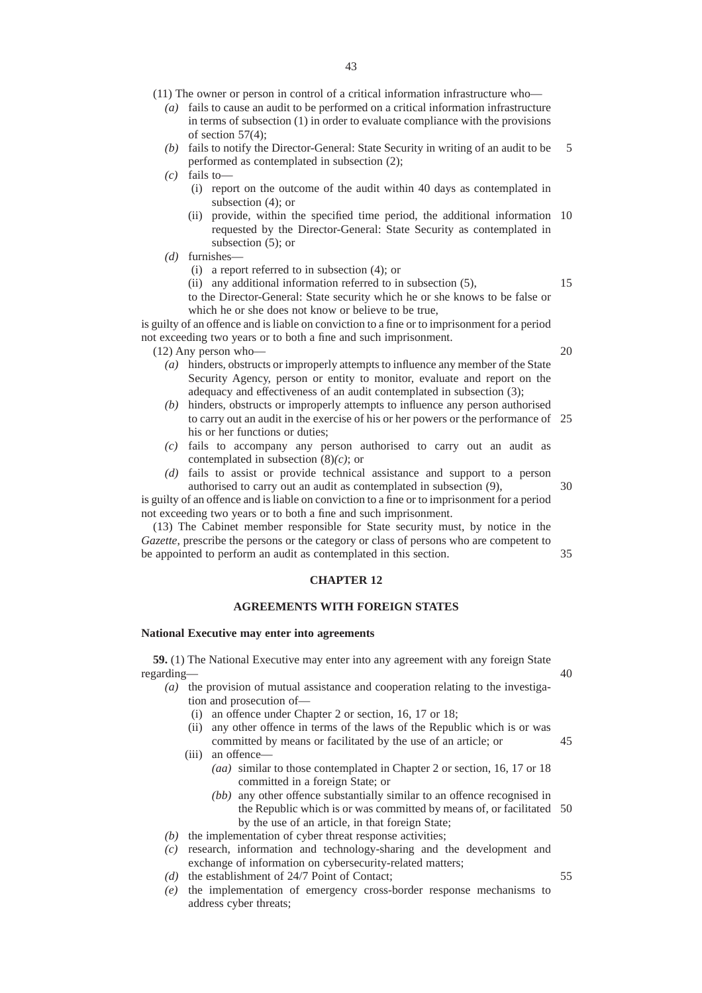(11) The owner or person in control of a critical information infrastructure who—

- *(a)* fails to cause an audit to be performed on a critical information infrastructure in terms of subsection (1) in order to evaluate compliance with the provisions of section  $57(4)$ ;
- *(b)* fails to notify the Director-General: State Security in writing of an audit to be performed as contemplated in subsection (2); 5
- *(c)* fails to—
	- (i) report on the outcome of the audit within 40 days as contemplated in subsection (4); or
	- (ii) provide, within the specified time period, the additional information 10 requested by the Director-General: State Security as contemplated in subsection (5); or
- *(d)* furnishes—
	- (i) a report referred to in subsection (4); or
	- (ii) any additional information referred to in subsection (5),
	- to the Director-General: State security which he or she knows to be false or which he or she does not know or believe to be true,

is guilty of an offence and is liable on conviction to a fine or to imprisonment for a period not exceeding two years or to both a fine and such imprisonment.

- (12) Any person who—
	- *(a)* hinders, obstructs or improperly attempts to influence any member of the State Security Agency, person or entity to monitor, evaluate and report on the adequacy and effectiveness of an audit contemplated in subsection (3);
	- *(b)* hinders, obstructs or improperly attempts to influence any person authorised to carry out an audit in the exercise of his or her powers or the performance of 25 his or her functions or duties;
	- *(c)* fails to accompany any person authorised to carry out an audit as contemplated in subsection (8)*(c)*; or
	- *(d)* fails to assist or provide technical assistance and support to a person authorised to carry out an audit as contemplated in subsection (9), 30

is guilty of an offence and is liable on conviction to a fine or to imprisonment for a period not exceeding two years or to both a fine and such imprisonment.

(13) The Cabinet member responsible for State security must, by notice in the *Gazette*, prescribe the persons or the category or class of persons who are competent to be appointed to perform an audit as contemplated in this section. 35

## **CHAPTER 12**

## **AGREEMENTS WITH FOREIGN STATES**

### **National Executive may enter into agreements**

**59.** (1) The National Executive may enter into any agreement with any foreign State regarding— 40

- *(a)* the provision of mutual assistance and cooperation relating to the investigation and prosecution of—
	- (i) an offence under Chapter 2 or section, 16, 17 or 18;
	- (ii) any other offence in terms of the laws of the Republic which is or was committed by means or facilitated by the use of an article; or 45
	- (iii) an offence—
		- *(aa)* similar to those contemplated in Chapter 2 or section, 16, 17 or 18 committed in a foreign State; or
		- *(bb)* any other offence substantially similar to an offence recognised in the Republic which is or was committed by means of, or facilitated 50 by the use of an article, in that foreign State;
- *(b)* the implementation of cyber threat response activities;
- *(c)* research, information and technology-sharing and the development and exchange of information on cybersecurity-related matters;
- *(d)* the establishment of 24/7 Point of Contact;
- *(e)* the implementation of emergency cross-border response mechanisms to address cyber threats;

20

15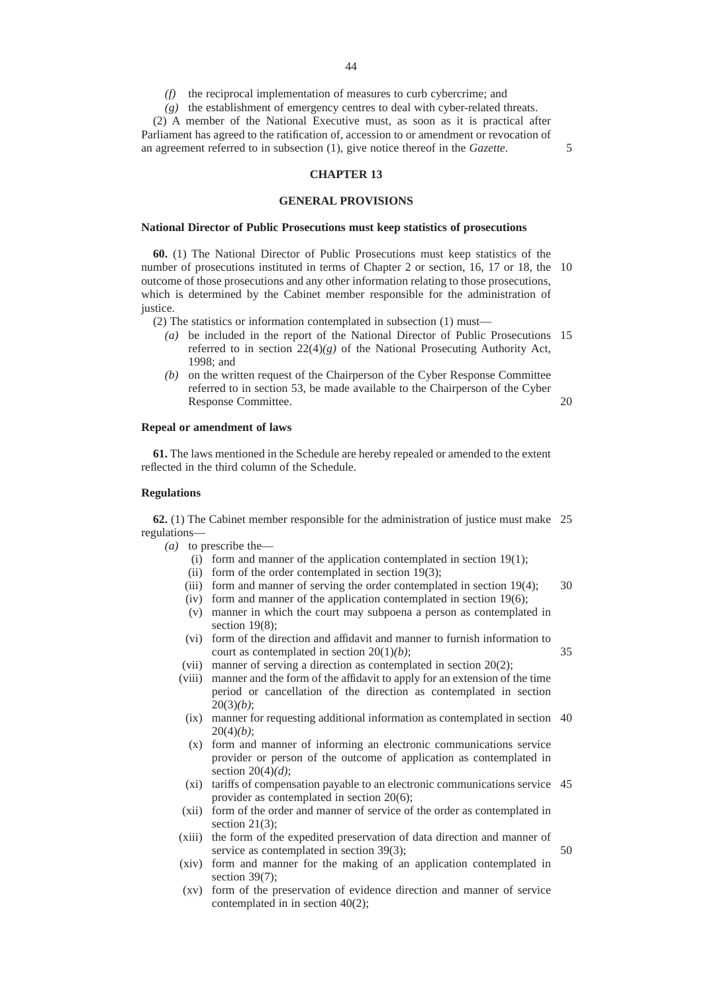*(f)* the reciprocal implementation of measures to curb cybercrime; and

*(g)* the establishment of emergency centres to deal with cyber-related threats.

(2) A member of the National Executive must, as soon as it is practical after Parliament has agreed to the ratification of, accession to or amendment or revocation of an agreement referred to in subsection (1), give notice thereof in the *Gazette*.

### **CHAPTER 13**

### **GENERAL PROVISIONS**

#### **National Director of Public Prosecutions must keep statistics of prosecutions**

**60.** (1) The National Director of Public Prosecutions must keep statistics of the number of prosecutions instituted in terms of Chapter 2 or section, 16, 17 or 18, the 10 outcome of those prosecutions and any other information relating to those prosecutions, which is determined by the Cabinet member responsible for the administration of justice.

(2) The statistics or information contemplated in subsection (1) must—

- *(a)* be included in the report of the National Director of Public Prosecutions 15 referred to in section  $22(4)(g)$  of the National Prosecuting Authority Act, 1998; and
- *(b)* on the written request of the Chairperson of the Cyber Response Committee referred to in section 53, be made available to the Chairperson of the Cyber Response Committee. 20

#### **Repeal or amendment of laws**

**61.** The laws mentioned in the Schedule are hereby repealed or amended to the extent reflected in the third column of the Schedule.

### **Regulations**

**62.** (1) The Cabinet member responsible for the administration of justice must make 25 regulations—

- *(a)* to prescribe the—
	- (i) form and manner of the application contemplated in section 19(1);
	- (ii) form of the order contemplated in section 19(3);
	- (iii) form and manner of serving the order contemplated in section 19(4); 30
	- (iv) form and manner of the application contemplated in section 19(6);
	- (v) manner in which the court may subpoena a person as contemplated in section 19(8):
	- (vi) form of the direction and affidavit and manner to furnish information to court as contemplated in section 20(1)*(b)*;
	- (vii) manner of serving a direction as contemplated in section 20(2);
	- (viii) manner and the form of the affidavit to apply for an extension of the time period or cancellation of the direction as contemplated in section 20(3)*(b)*;
		- (ix) manner for requesting additional information as contemplated in section 40 20(4)*(b)*;
		- (x) form and manner of informing an electronic communications service provider or person of the outcome of application as contemplated in section 20(4)*(d)*;
	- (xi) tariffs of compensation payable to an electronic communications service 45 provider as contemplated in section 20(6);
	- (xii) form of the order and manner of service of the order as contemplated in section 21(3):
	- (xiii) the form of the expedited preservation of data direction and manner of service as contemplated in section 39(3);
	- (xiv) form and manner for the making of an application contemplated in section 39(7);
	- (xv) form of the preservation of evidence direction and manner of service contemplated in in section 40(2);

5

35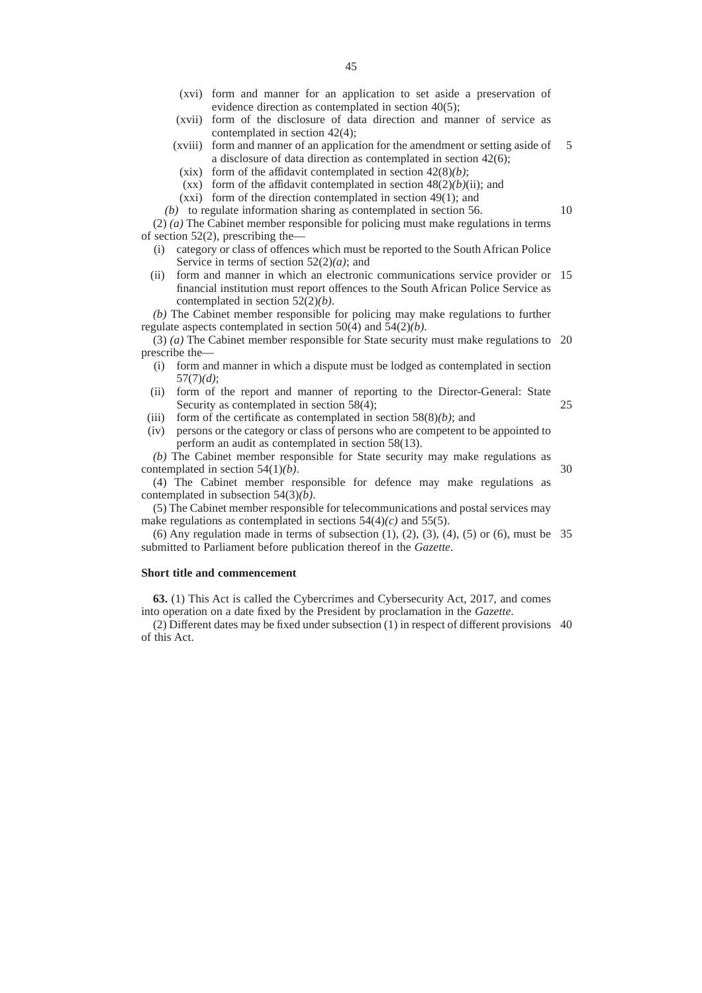- (xvi) form and manner for an application to set aside a preservation of evidence direction as contemplated in section 40(5);
- (xvii) form of the disclosure of data direction and manner of service as contemplated in section 42(4);
- (xviii) form and manner of an application for the amendment or setting aside of a disclosure of data direction as contemplated in section 42(6); 5
- (xix) form of the affidavit contemplated in section  $42(8)(b)$ ;
- (xx) form of the affidavit contemplated in section  $48(2)(b)(ii)$ ; and
- (xxi) form of the direction contemplated in section 49(1); and
- *(b)* to regulate information sharing as contemplated in section 56.

(2) *(a)* The Cabinet member responsible for policing must make regulations in terms of section 52(2), prescribing the—

- (i) category or class of offences which must be reported to the South African Police Service in terms of section 52(2)*(a)*; and
- (ii) form and manner in which an electronic communications service provider or 15 financial institution must report offences to the South African Police Service as contemplated in section 52(2)*(b)*.

*(b)* The Cabinet member responsible for policing may make regulations to further regulate aspects contemplated in section 50(4) and 54(2)*(b)*.

(3) *(a)* The Cabinet member responsible for State security must make regulations to 20 prescribe the—

- (i) form and manner in which a dispute must be lodged as contemplated in section 57(7)*(d)*;
- (ii) form of the report and manner of reporting to the Director-General: State Security as contemplated in section 58(4);
- (iii) form of the certificate as contemplated in section  $58(8)(b)$ ; and
- (iv) persons or the category or class of persons who are competent to be appointed to perform an audit as contemplated in section 58(13).

*(b)* The Cabinet member responsible for State security may make regulations as contemplated in section 54(1)*(b)*.

(4) The Cabinet member responsible for defence may make regulations as contemplated in subsection 54(3)*(b)*.

(5) The Cabinet member responsible for telecommunications and postal services may make regulations as contemplated in sections 54(4)*(c)* and 55(5).

 $(6)$  Any regulation made in terms of subsection  $(1)$ ,  $(2)$ ,  $(3)$ ,  $(4)$ ,  $(5)$  or  $(6)$ , must be 35 submitted to Parliament before publication thereof in the *Gazette*.

## **Short title and commencement**

**63.** (1) This Act is called the Cybercrimes and Cybersecurity Act, 2017, and comes into operation on a date fixed by the President by proclamation in the *Gazette*.

(2) Different dates may be fixed under subsection (1) in respect of different provisions 40of this Act.

30

25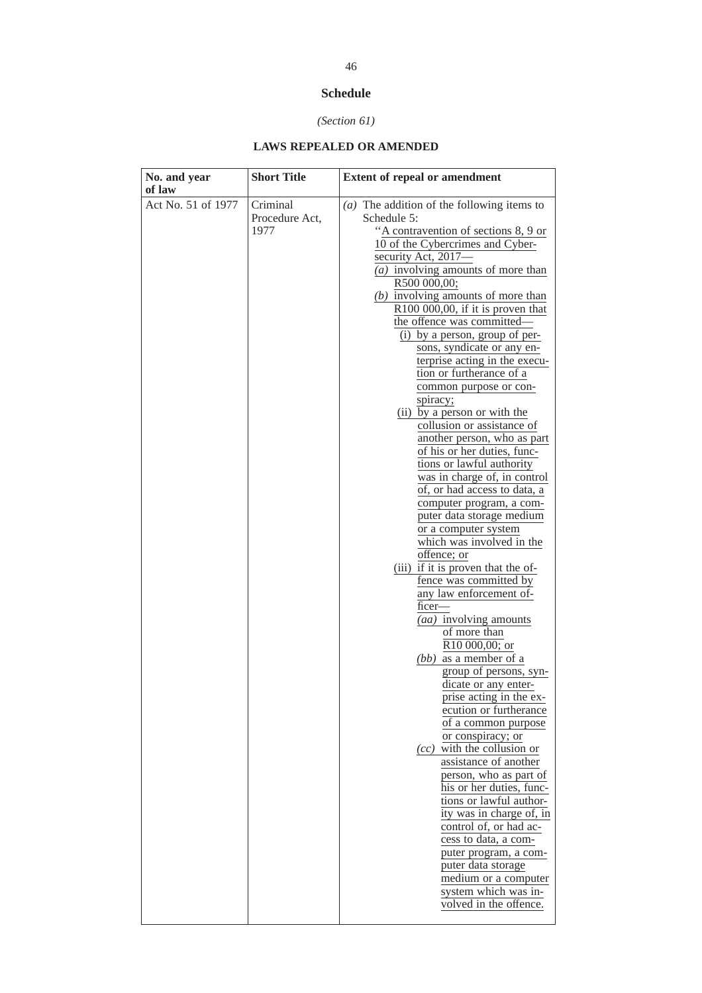## **Schedule**

# *(Section 61)*

## **LAWS REPEALED OR AMENDED**

| No. and year<br>of law | <b>Short Title</b>                 | <b>Extent of repeal or amendment</b>                                                                                                                                                                                                                                                                                                                                                                                                                                                                                                                                                                                                                                                                                                                                                                                                                                                                                                                                                                                                                                                                                                                                                                                                                                                                                                                                                                                                                                                                                                                        |
|------------------------|------------------------------------|-------------------------------------------------------------------------------------------------------------------------------------------------------------------------------------------------------------------------------------------------------------------------------------------------------------------------------------------------------------------------------------------------------------------------------------------------------------------------------------------------------------------------------------------------------------------------------------------------------------------------------------------------------------------------------------------------------------------------------------------------------------------------------------------------------------------------------------------------------------------------------------------------------------------------------------------------------------------------------------------------------------------------------------------------------------------------------------------------------------------------------------------------------------------------------------------------------------------------------------------------------------------------------------------------------------------------------------------------------------------------------------------------------------------------------------------------------------------------------------------------------------------------------------------------------------|
| Act No. 51 of 1977     | Criminal<br>Procedure Act,<br>1977 | $(a)$ The addition of the following items to<br>Schedule 5:<br>"A contravention of sections 8, 9 or<br>10 of the Cybercrimes and Cyber-<br>security Act, 2017-<br>$(a)$ involving amounts of more than<br>R500 000,00;<br>$(b)$ involving amounts of more than<br>R100 000,00, if it is proven that<br>the offence was committed-<br>(i) by a person, group of per-<br>sons, syndicate or any en-<br>terprise acting in the execu-<br>tion or furtherance of a<br>common purpose or con-<br>spiracy;<br>(ii) by a person or with the<br>collusion or assistance of<br>another person, who as part<br>of his or her duties, func-<br>tions or lawful authority<br>was in charge of, in control<br>of, or had access to data, a<br>computer program, a com-<br>puter data storage medium<br>or a computer system<br>which was involved in the<br>offence; or<br>(iii) if it is proven that the of-<br>fence was committed by<br>any law enforcement of-<br>ficer—<br>(aa) involving amounts<br>of more than<br>R10 000,00; or<br>$(bb)$ as a member of a<br>group of persons, syn-<br>dicate or any enter-<br>prise acting in the ex-<br>ecution or furtherance<br>of a common purpose<br>or conspiracy; or<br>with the collusion or<br>(cc)<br>assistance of another<br>person, who as part of<br>his or her duties, func-<br>tions or lawful author-<br>ity was in charge of, in<br>control of, or had ac-<br>cess to data, a com-<br>puter program, a com-<br>puter data storage<br>medium or a computer<br>system which was in-<br>volved in the offence. |
|                        |                                    |                                                                                                                                                                                                                                                                                                                                                                                                                                                                                                                                                                                                                                                                                                                                                                                                                                                                                                                                                                                                                                                                                                                                                                                                                                                                                                                                                                                                                                                                                                                                                             |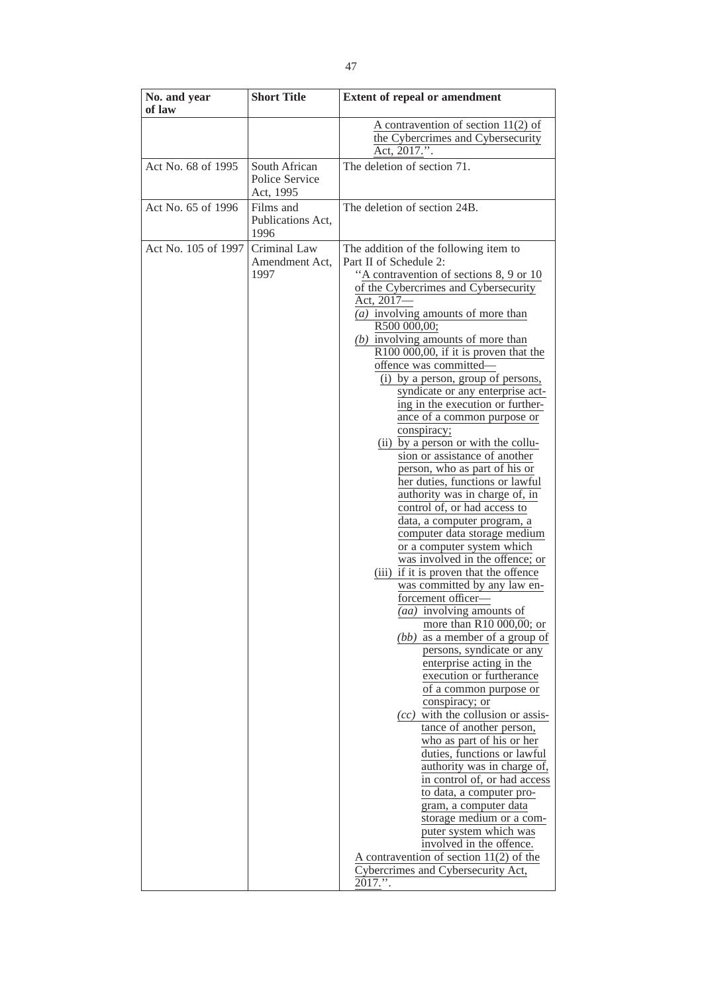| No. and year<br>of law | <b>Short Title</b>                           | <b>Extent of repeal or amendment</b>                                                                                                                                                                                                                                                                                                                                                                                                                                                                                                                                                                                                                                                                                                                                                                                                                                                                                                                                                                                                                                                                                                                                                                                                                                                                                                                                                                                                                                                                                                                                                                                                 |
|------------------------|----------------------------------------------|--------------------------------------------------------------------------------------------------------------------------------------------------------------------------------------------------------------------------------------------------------------------------------------------------------------------------------------------------------------------------------------------------------------------------------------------------------------------------------------------------------------------------------------------------------------------------------------------------------------------------------------------------------------------------------------------------------------------------------------------------------------------------------------------------------------------------------------------------------------------------------------------------------------------------------------------------------------------------------------------------------------------------------------------------------------------------------------------------------------------------------------------------------------------------------------------------------------------------------------------------------------------------------------------------------------------------------------------------------------------------------------------------------------------------------------------------------------------------------------------------------------------------------------------------------------------------------------------------------------------------------------|
|                        |                                              | A contravention of section 11(2) of<br>the Cybercrimes and Cybersecurity<br>Act, 2017.".                                                                                                                                                                                                                                                                                                                                                                                                                                                                                                                                                                                                                                                                                                                                                                                                                                                                                                                                                                                                                                                                                                                                                                                                                                                                                                                                                                                                                                                                                                                                             |
| Act No. 68 of 1995     | South African<br>Police Service<br>Act, 1995 | The deletion of section 71.                                                                                                                                                                                                                                                                                                                                                                                                                                                                                                                                                                                                                                                                                                                                                                                                                                                                                                                                                                                                                                                                                                                                                                                                                                                                                                                                                                                                                                                                                                                                                                                                          |
| Act No. 65 of 1996     | Films and<br>Publications Act,<br>1996       | The deletion of section 24B.                                                                                                                                                                                                                                                                                                                                                                                                                                                                                                                                                                                                                                                                                                                                                                                                                                                                                                                                                                                                                                                                                                                                                                                                                                                                                                                                                                                                                                                                                                                                                                                                         |
| Act No. 105 of 1997    | Criminal Law<br>Amendment Act,<br>1997       | The addition of the following item to<br>Part II of Schedule 2:<br>"A contravention of sections 8, 9 or 10<br>of the Cybercrimes and Cybersecurity<br>Act, 2017—<br>$(a)$ involving amounts of more than<br>R500 000,00;<br>$(b)$ involving amounts of more than<br>$\overline{R100}$ 000,00, if it is proven that the<br>offence was committed-<br>(i) by a person, group of persons,<br>syndicate or any enterprise act-<br>ing in the execution or further-<br>ance of a common purpose or<br>conspiracy;<br>(ii) by a person or with the collu-<br>sion or assistance of another<br>person, who as part of his or<br>her duties, functions or lawful<br>authority was in charge of, in<br>control of, or had access to<br>data, a computer program, a<br>computer data storage medium<br>or a computer system which<br>was involved in the offence; or<br>(iii) if it is proven that the offence<br>was committed by any law en-<br>forcement officer-<br>( <i>aa</i> ) involving amounts of<br>more than R10 000,00; or<br>$(bb)$ as a member of a group of<br>persons, syndicate or any<br>enterprise acting in the<br>execution or furtherance<br>of a common purpose or<br>conspiracy; or<br>$(cc)$ with the collusion or assis-<br>tance of another person,<br>who as part of his or her<br>duties, functions or lawful<br>authority was in charge of,<br>in control of, or had access<br>to data, a computer pro-<br>gram, a computer data<br>storage medium or a com-<br>puter system which was<br>involved in the offence.<br>A contravention of section $11(2)$ of the<br>Cybercrimes and Cybersecurity Act,<br>2017.". |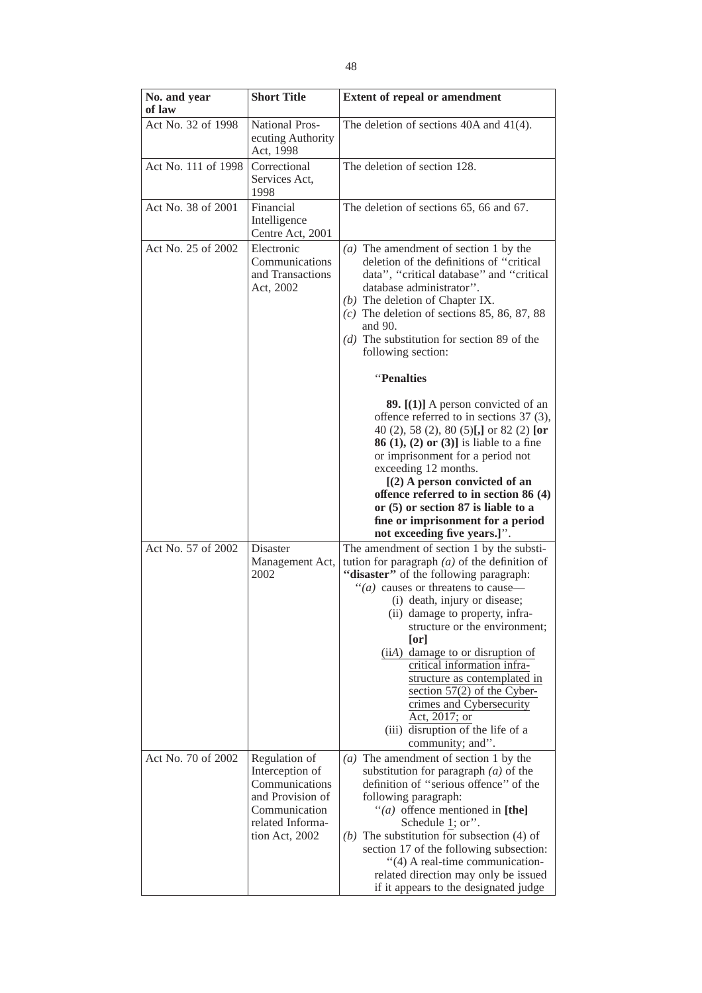| No. and year<br>of law | <b>Short Title</b>                                                                                                            | <b>Extent of repeal or amendment</b>                                                                                                                                                                                                                                                                                                                                                                                                                                                                                                                |
|------------------------|-------------------------------------------------------------------------------------------------------------------------------|-----------------------------------------------------------------------------------------------------------------------------------------------------------------------------------------------------------------------------------------------------------------------------------------------------------------------------------------------------------------------------------------------------------------------------------------------------------------------------------------------------------------------------------------------------|
| Act No. 32 of 1998     | National Pros-<br>ecuting Authority<br>Act, 1998                                                                              | The deletion of sections 40A and 41(4).                                                                                                                                                                                                                                                                                                                                                                                                                                                                                                             |
| Act No. 111 of 1998    | Correctional<br>Services Act,<br>1998                                                                                         | The deletion of section 128.                                                                                                                                                                                                                                                                                                                                                                                                                                                                                                                        |
| Act No. 38 of 2001     | Financial<br>Intelligence<br>Centre Act, 2001                                                                                 | The deletion of sections 65, 66 and 67.                                                                                                                                                                                                                                                                                                                                                                                                                                                                                                             |
| Act No. 25 of 2002     | Electronic<br>Communications<br>and Transactions<br>Act, 2002                                                                 | ( <i>a</i> ) The amendment of section 1 by the<br>deletion of the definitions of "critical<br>data", "critical database" and "critical<br>database administrator".<br>$(b)$ The deletion of Chapter IX.<br>$(c)$ The deletion of sections 85, 86, 87, 88<br>and 90.<br>$(d)$ The substitution for section 89 of the<br>following section:                                                                                                                                                                                                           |
|                        |                                                                                                                               | "Penalties                                                                                                                                                                                                                                                                                                                                                                                                                                                                                                                                          |
|                        |                                                                                                                               | <b>89.</b> $[(1)]$ A person convicted of an<br>offence referred to in sections 37 (3),<br>40 (2), 58 (2), 80 (5)[,] or 82 (2) [or<br><b>86</b> (1), (2) or (3)] is liable to a fine<br>or imprisonment for a period not<br>exceeding 12 months.<br>$(2)$ A person convicted of an<br>offence referred to in section $86(4)$<br>or $(5)$ or section 87 is liable to a<br>fine or imprisonment for a period<br>not exceeding five years.]".                                                                                                           |
| Act No. 57 of 2002     | Disaster<br>Management Act,<br>2002                                                                                           | The amendment of section 1 by the substi-<br>tution for paragraph $(a)$ of the definition of<br>"disaster" of the following paragraph:<br>"(a) causes or threatens to cause—<br>(i) death, injury or disease;<br>(ii) damage to property, infra-<br>structure or the environment;<br>$\lceil$ or $\rceil$<br>(iiA) damage to or disruption of<br>critical information infra-<br>structure as contemplated in<br>section $57(2)$ of the Cyber-<br>crimes and Cybersecurity<br>Act, 2017; or<br>(iii) disruption of the life of a<br>community; and". |
| Act No. 70 of 2002     | Regulation of<br>Interception of<br>Communications<br>and Provision of<br>Communication<br>related Informa-<br>tion Act, 2002 | (a) The amendment of section 1 by the<br>substitution for paragraph $(a)$ of the<br>definition of "serious offence" of the<br>following paragraph:<br>"( <i>a</i> ) offence mentioned in [the]<br>Schedule 1; or".<br>(b) The substitution for subsection $(4)$ of<br>section 17 of the following subsection:<br>"(4) A real-time communication-<br>related direction may only be issued<br>if it appears to the designated judge                                                                                                                   |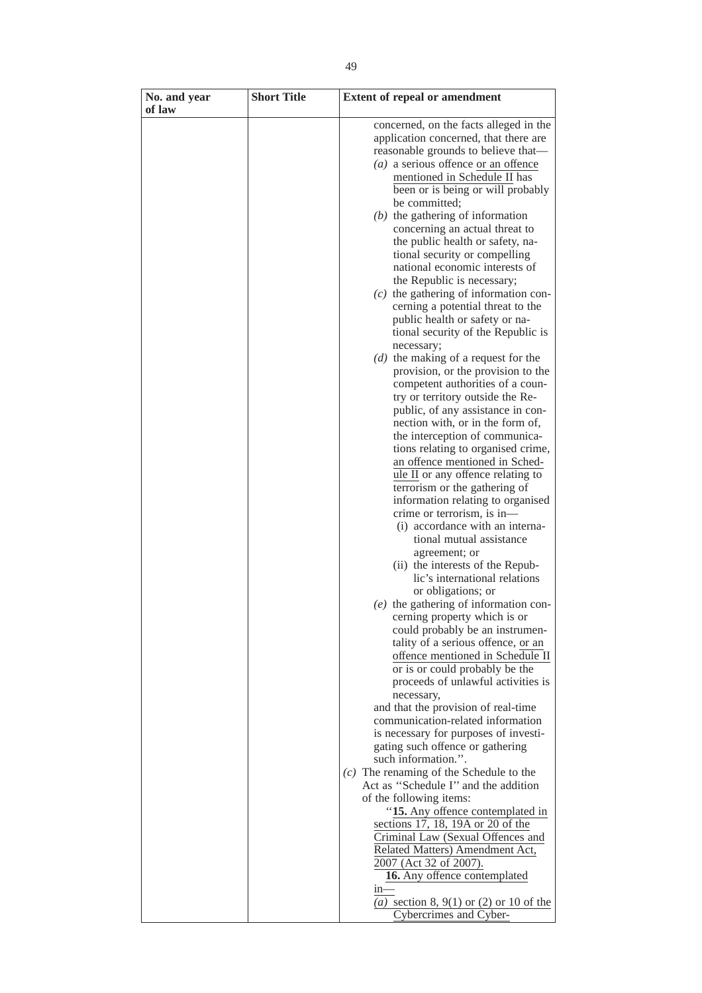| No. and year<br>of law | <b>Short Title</b> | <b>Extent of repeal or amendment</b>              |
|------------------------|--------------------|---------------------------------------------------|
|                        |                    | concerned, on the facts alleged in the            |
|                        |                    | application concerned, that there are             |
|                        |                    | reasonable grounds to believe that-               |
|                        |                    | $(a)$ a serious offence or an offence             |
|                        |                    | mentioned in Schedule II has                      |
|                        |                    | been or is being or will probably                 |
|                        |                    | be committed;                                     |
|                        |                    | $(b)$ the gathering of information                |
|                        |                    | concerning an actual threat to                    |
|                        |                    | the public health or safety, na-                  |
|                        |                    | tional security or compelling                     |
|                        |                    | national economic interests of                    |
|                        |                    | the Republic is necessary;                        |
|                        |                    | $(c)$ the gathering of information con-           |
|                        |                    | cerning a potential threat to the                 |
|                        |                    | public health or safety or na-                    |
|                        |                    | tional security of the Republic is                |
|                        |                    | necessary;                                        |
|                        |                    | $(d)$ the making of a request for the             |
|                        |                    | provision, or the provision to the                |
|                        |                    | competent authorities of a coun-                  |
|                        |                    | try or territory outside the Re-                  |
|                        |                    | public, of any assistance in con-                 |
|                        |                    | nection with, or in the form of,                  |
|                        |                    | the interception of communica-                    |
|                        |                    | tions relating to organised crime,                |
|                        |                    | an offence mentioned in Sched-                    |
|                        |                    | ule II or any offence relating to                 |
|                        |                    | terrorism or the gathering of                     |
|                        |                    | information relating to organised                 |
|                        |                    | crime or terrorism, is in-                        |
|                        |                    | (i) accordance with an interna-                   |
|                        |                    | tional mutual assistance                          |
|                        |                    | agreement; or                                     |
|                        |                    | (ii) the interests of the Repub-                  |
|                        |                    | lic's international relations                     |
|                        |                    | or obligations; or                                |
|                        |                    | $(e)$ the gathering of information con-           |
|                        |                    | cerning property which is or                      |
|                        |                    | could probably be an instrumen-                   |
|                        |                    | tality of a serious offence, or an                |
|                        |                    | offence mentioned in Schedule II                  |
|                        |                    | or is or could probably be the                    |
|                        |                    | proceeds of unlawful activities is                |
|                        |                    | necessary,<br>and that the provision of real-time |
|                        |                    | communication-related information                 |
|                        |                    | is necessary for purposes of investi-             |
|                        |                    | gating such offence or gathering                  |
|                        |                    | such information.".                               |
|                        |                    | $(c)$ The renaming of the Schedule to the         |
|                        |                    | Act as "Schedule I" and the addition              |
|                        |                    | of the following items:                           |
|                        |                    | "15. Any offence contemplated in                  |
|                        |                    | sections 17, 18, 19A or 20 of the                 |
|                        |                    | Criminal Law (Sexual Offences and                 |
|                        |                    | Related Matters) Amendment Act,                   |
|                        |                    | 2007 (Act 32 of 2007).                            |
|                        |                    | 16. Any offence contemplated                      |
|                        |                    | $in-$                                             |
|                        |                    | (a) section 8, 9(1) or (2) or 10 of the           |
|                        |                    | Cybercrimes and Cyber-                            |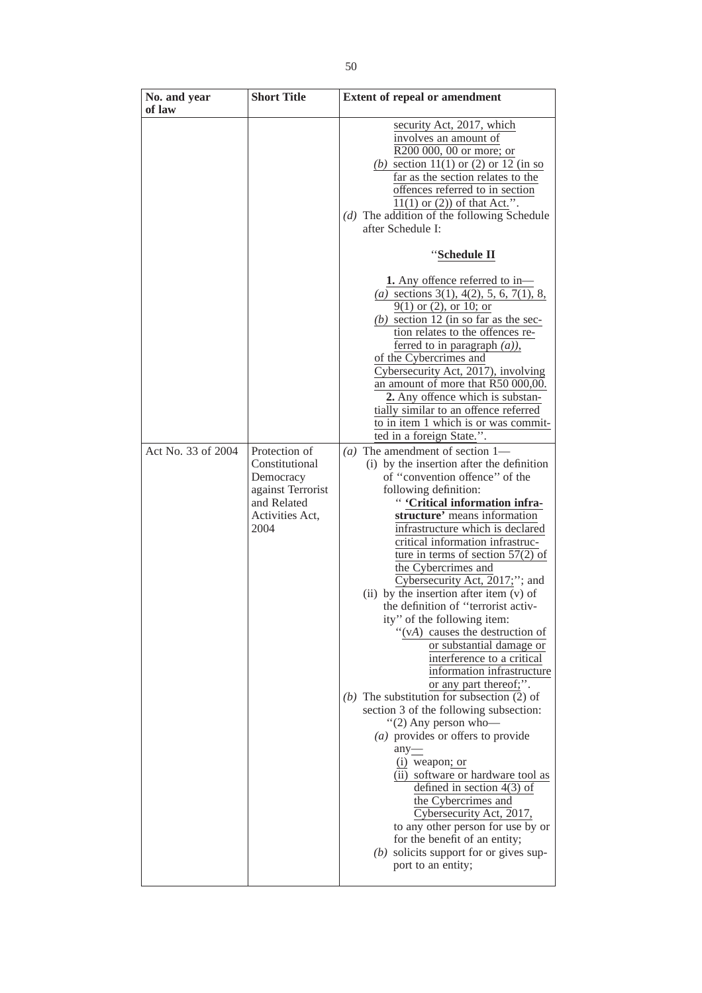| No. and year<br>of law | <b>Short Title</b>                                                                                          | <b>Extent of repeal or amendment</b>                                                                                                                                                                                                                                                                                                                                                                                                                                                                                                                                                                                                                                                                                                                                                                                                                                                                                                                                                                                                                                                                                     |
|------------------------|-------------------------------------------------------------------------------------------------------------|--------------------------------------------------------------------------------------------------------------------------------------------------------------------------------------------------------------------------------------------------------------------------------------------------------------------------------------------------------------------------------------------------------------------------------------------------------------------------------------------------------------------------------------------------------------------------------------------------------------------------------------------------------------------------------------------------------------------------------------------------------------------------------------------------------------------------------------------------------------------------------------------------------------------------------------------------------------------------------------------------------------------------------------------------------------------------------------------------------------------------|
|                        |                                                                                                             | security Act, 2017, which<br>involves an amount of<br>R200 000, 00 or more; or<br>(b) section 11(1) or (2) or 12 (in so<br>far as the section relates to the<br>offences referred to in section<br>$11(1)$ or $(2)$ ) of that Act.".<br>$(d)$ The addition of the following Schedule<br>after Schedule I:                                                                                                                                                                                                                                                                                                                                                                                                                                                                                                                                                                                                                                                                                                                                                                                                                |
|                        |                                                                                                             | "Schedule II                                                                                                                                                                                                                                                                                                                                                                                                                                                                                                                                                                                                                                                                                                                                                                                                                                                                                                                                                                                                                                                                                                             |
|                        |                                                                                                             | <b>1.</b> Any offence referred to in—<br>(a) sections $3(1)$ , $4(2)$ , 5, 6, 7(1), 8,<br>$9(1)$ or $(2)$ , or 10; or<br>(b) section 12 (in so far as the sec-<br>tion relates to the offences re-<br>ferred to in paragraph $(a)$ ),<br>of the Cybercrimes and<br>Cybersecurity Act, 2017), involving<br>an amount of more that R50 000,00.<br>2. Any offence which is substan-<br>tially similar to an offence referred<br>to in item 1 which is or was commit-<br>ted in a foreign State.".                                                                                                                                                                                                                                                                                                                                                                                                                                                                                                                                                                                                                           |
| Act No. 33 of 2004     | Protection of<br>Constitutional<br>Democracy<br>against Terrorist<br>and Related<br>Activities Act,<br>2004 | (a) The amendment of section $1-$<br>(i) by the insertion after the definition<br>of "convention offence" of the<br>following definition:<br>" 'Critical information infra-<br>structure' means information<br>infrastructure which is declared<br>critical information infrastruc-<br>ture in terms of section $57(2)$ of<br>the Cybercrimes and<br>Cybersecurity Act, 2017;"; and<br>(ii) by the insertion after item $(v)$ of<br>the definition of "terrorist activ-<br>ity" of the following item:<br>"(vA) causes the destruction of<br>or substantial damage or<br>interference to a critical<br>information infrastructure<br>or any part thereof;".<br>(b) The substitution for subsection $(2)$ of<br>section 3 of the following subsection:<br>$\cdot\cdot(2)$ Any person who-<br>(a) provides or offers to provide<br>any<br>$(i)$ weapon; or<br>(ii) software or hardware tool as<br>defined in section $4(3)$ of<br>the Cybercrimes and<br>Cybersecurity Act, 2017,<br>to any other person for use by or<br>for the benefit of an entity;<br>$(b)$ solicits support for or gives sup-<br>port to an entity; |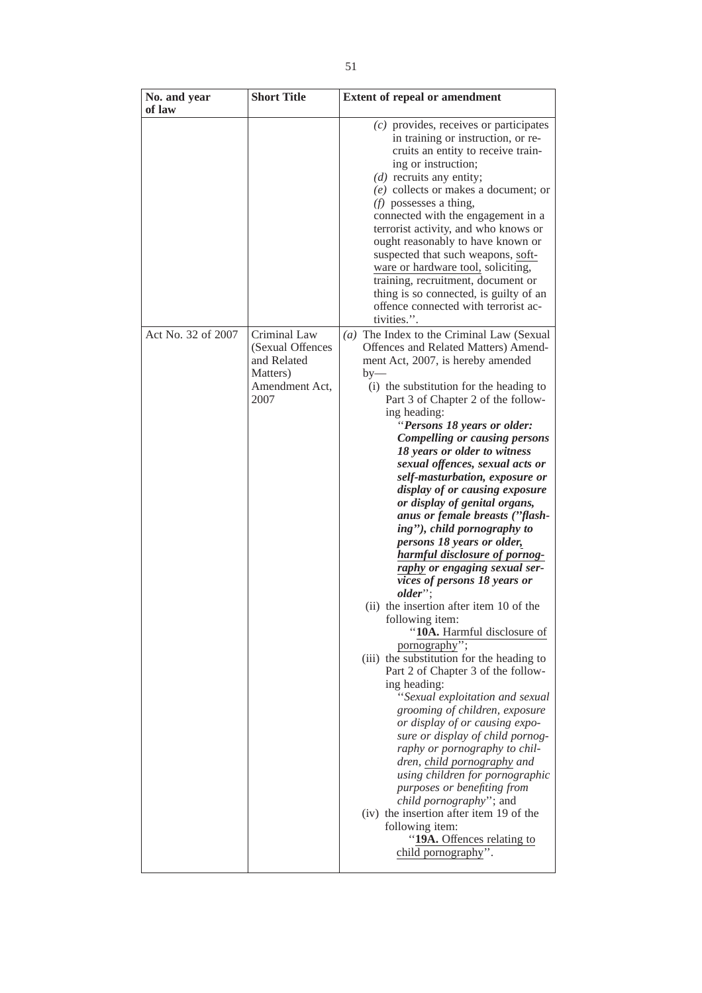| No. and year<br>of law | <b>Short Title</b>                                                                    | <b>Extent of repeal or amendment</b>                                                                                                                                                                                                                                                                                                                                                                                                                                                                                                                                                                                                                                                                                                                                                                                                                                                                                                                                                                                                                                                                                                                                                                                                                                                                                                     |
|------------------------|---------------------------------------------------------------------------------------|------------------------------------------------------------------------------------------------------------------------------------------------------------------------------------------------------------------------------------------------------------------------------------------------------------------------------------------------------------------------------------------------------------------------------------------------------------------------------------------------------------------------------------------------------------------------------------------------------------------------------------------------------------------------------------------------------------------------------------------------------------------------------------------------------------------------------------------------------------------------------------------------------------------------------------------------------------------------------------------------------------------------------------------------------------------------------------------------------------------------------------------------------------------------------------------------------------------------------------------------------------------------------------------------------------------------------------------|
|                        |                                                                                       | $(c)$ provides, receives or participates<br>in training or instruction, or re-<br>cruits an entity to receive train-<br>ing or instruction;<br>$(d)$ recruits any entity;<br>$(e)$ collects or makes a document; or<br>$(f)$ possesses a thing,<br>connected with the engagement in a<br>terrorist activity, and who knows or<br>ought reasonably to have known or<br>suspected that such weapons, soft-<br>ware or hardware tool, soliciting,<br>training, recruitment, document or<br>thing is so connected, is guilty of an<br>offence connected with terrorist ac-<br>tivities.".                                                                                                                                                                                                                                                                                                                                                                                                                                                                                                                                                                                                                                                                                                                                                    |
| Act No. 32 of 2007     | Criminal Law<br>(Sexual Offences<br>and Related<br>Matters)<br>Amendment Act,<br>2007 | $(a)$ The Index to the Criminal Law (Sexual<br>Offences and Related Matters) Amend-<br>ment Act, 2007, is hereby amended<br>$by-$<br>(i) the substitution for the heading to<br>Part 3 of Chapter 2 of the follow-<br>ing heading:<br>"Persons 18 years or older:<br><b>Compelling or causing persons</b><br>18 years or older to witness<br>sexual offences, sexual acts or<br>self-masturbation, exposure or<br>display of or causing exposure<br>or display of genital organs,<br>anus or female breasts ("flash-<br>ing"), child pornography to<br>persons 18 years or older,<br>harmful disclosure of pornog-<br>raphy or engaging sexual ser-<br>vices of persons 18 years or<br>older<br>(ii) the insertion after item 10 of the<br>following item:<br>"10A. Harmful disclosure of<br>pornography";<br>(iii) the substitution for the heading to<br>Part 2 of Chapter 3 of the follow-<br>ing heading:<br>"Sexual exploitation and sexual<br>grooming of children, exposure<br>or display of or causing expo-<br>sure or display of child pornog-<br>raphy or pornography to chil-<br>dren, child pornography and<br>using children for pornographic<br>purposes or benefiting from<br>child pornography"; and<br>(iv) the insertion after item 19 of the<br>following item:<br>"19A. Offences relating to<br>child pornography". |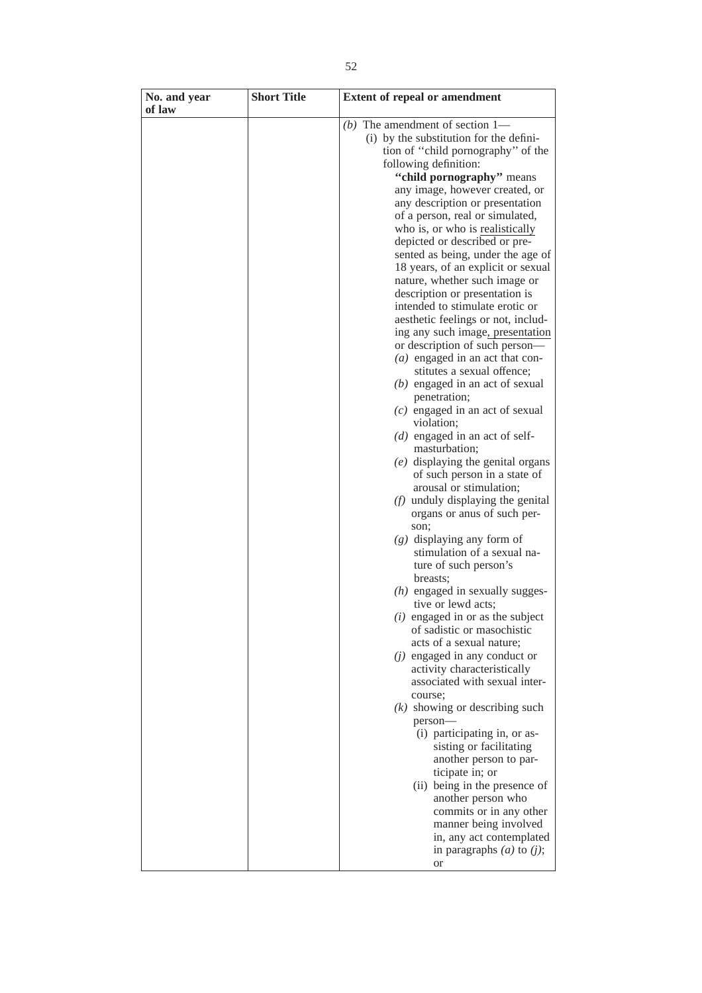| No. and year<br>of law | <b>Short Title</b> | <b>Extent of repeal or amendment</b>                                         |
|------------------------|--------------------|------------------------------------------------------------------------------|
|                        |                    | (b) The amendment of section $1-$<br>(i) by the substitution for the defini- |
|                        |                    | tion of "child pornography" of the                                           |
|                        |                    | following definition:                                                        |
|                        |                    | "child pornography" means                                                    |
|                        |                    | any image, however created, or                                               |
|                        |                    | any description or presentation                                              |
|                        |                    | of a person, real or simulated,                                              |
|                        |                    | who is, or who is realistically                                              |
|                        |                    | depicted or described or pre-                                                |
|                        |                    | sented as being, under the age of                                            |
|                        |                    | 18 years, of an explicit or sexual                                           |
|                        |                    | nature, whether such image or                                                |
|                        |                    | description or presentation is                                               |
|                        |                    | intended to stimulate erotic or                                              |
|                        |                    | aesthetic feelings or not, includ-                                           |
|                        |                    | ing any such image, presentation                                             |
|                        |                    | or description of such person-                                               |
|                        |                    | $(a)$ engaged in an act that con-<br>stitutes a sexual offence;              |
|                        |                    | $(b)$ engaged in an act of sexual                                            |
|                        |                    | penetration;                                                                 |
|                        |                    | $(c)$ engaged in an act of sexual                                            |
|                        |                    | violation;                                                                   |
|                        |                    | $(d)$ engaged in an act of self-                                             |
|                        |                    | masturbation;                                                                |
|                        |                    | $(e)$ displaying the genital organs                                          |
|                        |                    | of such person in a state of                                                 |
|                        |                    | arousal or stimulation;                                                      |
|                        |                    | $(f)$ unduly displaying the genital                                          |
|                        |                    | organs or anus of such per-                                                  |
|                        |                    | son;                                                                         |
|                        |                    | $(g)$ displaying any form of<br>stimulation of a sexual na-                  |
|                        |                    | ture of such person's                                                        |
|                        |                    | breasts;                                                                     |
|                        |                    | $(h)$ engaged in sexually sugges-                                            |
|                        |                    | tive or lewd acts;                                                           |
|                        |                    | $(i)$ engaged in or as the subject                                           |
|                        |                    | of sadistic or masochistic                                                   |
|                        |                    | acts of a sexual nature;                                                     |
|                        |                    | $(j)$ engaged in any conduct or                                              |
|                        |                    | activity characteristically                                                  |
|                        |                    | associated with sexual inter-                                                |
|                        |                    | course;                                                                      |
|                        |                    | $(k)$ showing or describing such<br>person-                                  |
|                        |                    | (i) participating in, or as-                                                 |
|                        |                    | sisting or facilitating                                                      |
|                        |                    | another person to par-                                                       |
|                        |                    | ticipate in; or                                                              |
|                        |                    | (ii) being in the presence of                                                |
|                        |                    | another person who                                                           |
|                        |                    | commits or in any other                                                      |
|                        |                    | manner being involved                                                        |
|                        |                    | in, any act contemplated                                                     |
|                        |                    | in paragraphs $(a)$ to $(j)$ ;                                               |
|                        |                    | <b>or</b>                                                                    |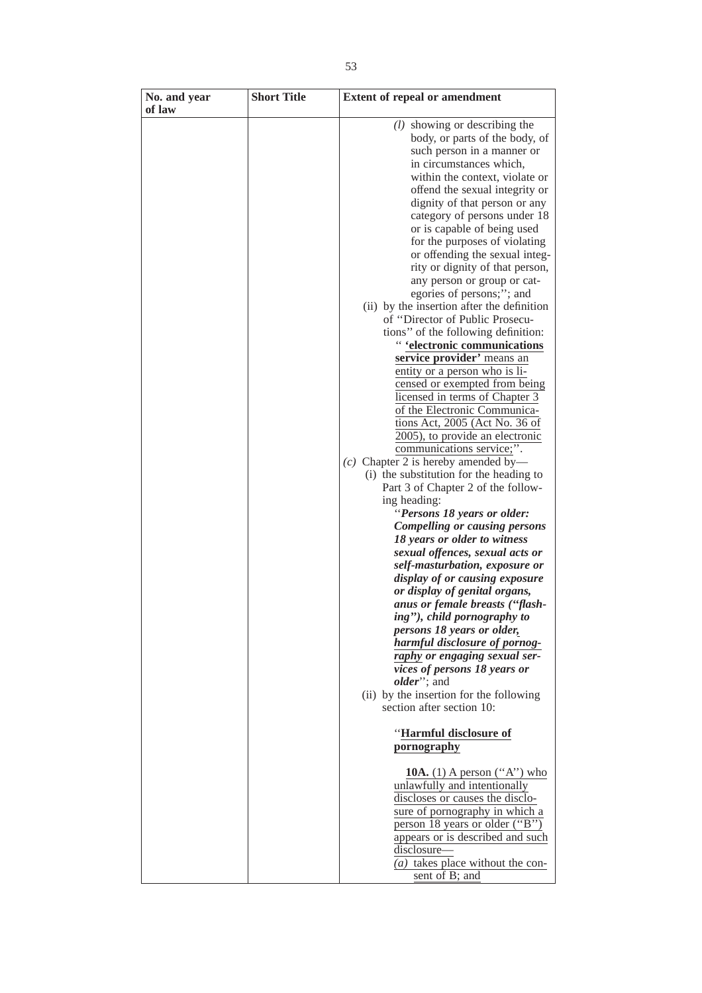| No. and year<br>of law | <b>Short Title</b> | <b>Extent of repeal or amendment</b>                                |
|------------------------|--------------------|---------------------------------------------------------------------|
|                        |                    | $(l)$ showing or describing the                                     |
|                        |                    | body, or parts of the body, of                                      |
|                        |                    | such person in a manner or                                          |
|                        |                    | in circumstances which,                                             |
|                        |                    | within the context, violate or                                      |
|                        |                    | offend the sexual integrity or                                      |
|                        |                    | dignity of that person or any                                       |
|                        |                    | category of persons under 18                                        |
|                        |                    | or is capable of being used                                         |
|                        |                    | for the purposes of violating                                       |
|                        |                    | or offending the sexual integ-                                      |
|                        |                    | rity or dignity of that person,                                     |
|                        |                    | any person or group or cat-                                         |
|                        |                    | egories of persons;"; and                                           |
|                        |                    | (ii) by the insertion after the definition                          |
|                        |                    | of "Director of Public Prosecu-                                     |
|                        |                    | tions" of the following definition:                                 |
|                        |                    | " 'electronic communications                                        |
|                        |                    | service provider' means an                                          |
|                        |                    | entity or a person who is li-                                       |
|                        |                    | censed or exempted from being                                       |
|                        |                    | licensed in terms of Chapter 3                                      |
|                        |                    | of the Electronic Communica-                                        |
|                        |                    | tions Act, 2005 (Act No. 36 of                                      |
|                        |                    | 2005), to provide an electronic                                     |
|                        |                    | communications service;".                                           |
|                        |                    | (c) Chapter 2 is hereby amended by—                                 |
|                        |                    | (i) the substitution for the heading to                             |
|                        |                    | Part 3 of Chapter 2 of the follow-                                  |
|                        |                    | ing heading:                                                        |
|                        |                    | "Persons 18 years or older:<br><b>Compelling or causing persons</b> |
|                        |                    | 18 years or older to witness                                        |
|                        |                    | sexual offences, sexual acts or                                     |
|                        |                    | self-masturbation, exposure or                                      |
|                        |                    | display of or causing exposure                                      |
|                        |                    | or display of genital organs,                                       |
|                        |                    | anus or female breasts ("flash-                                     |
|                        |                    | ing"), child pornography to                                         |
|                        |                    | persons 18 years or older,                                          |
|                        |                    | harmful disclosure of pornog-                                       |
|                        |                    | raphy or engaging sexual ser-                                       |
|                        |                    | vices of persons 18 years or                                        |
|                        |                    | older"; and                                                         |
|                        |                    | (ii) by the insertion for the following                             |
|                        |                    | section after section 10:                                           |
|                        |                    |                                                                     |
|                        |                    | "Harmful disclosure of<br>pornography                               |
|                        |                    |                                                                     |
|                        |                    | <b>10A.</b> (1) A person $("A")$ who                                |
|                        |                    | unlawfully and intentionally                                        |
|                        |                    | discloses or causes the disclo-                                     |
|                        |                    | sure of pornography in which a                                      |
|                        |                    | person 18 years or older ("B")                                      |
|                        |                    | appears or is described and such                                    |
|                        |                    | disclosure-                                                         |
|                        |                    | $(a)$ takes place without the con-                                  |
|                        |                    | sent of B; and                                                      |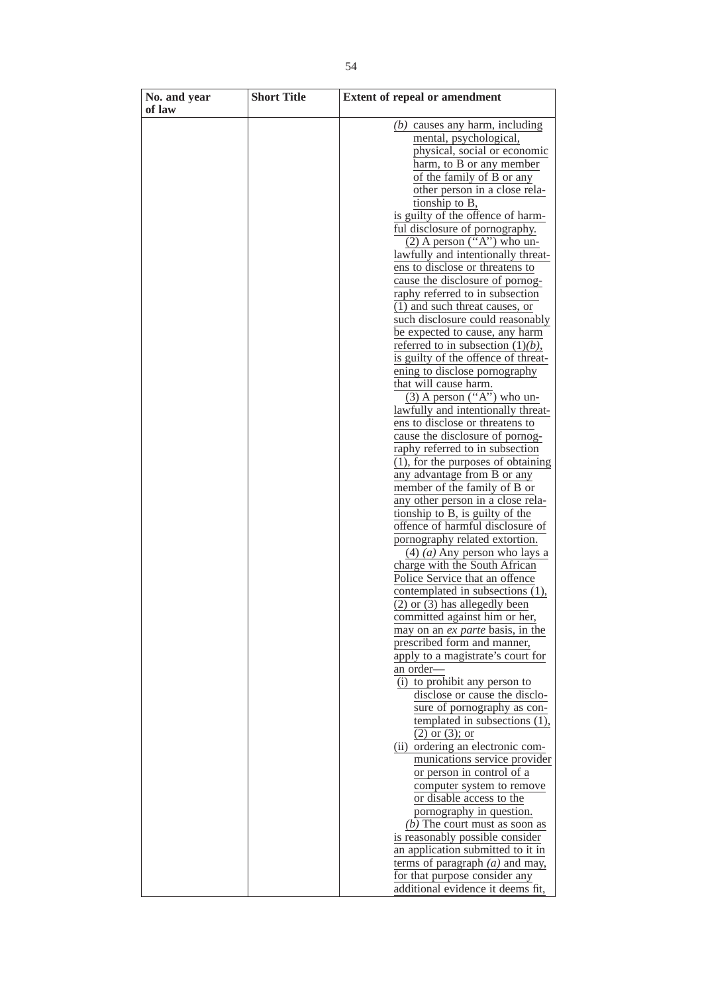| No. and year<br>of law | <b>Short Title</b> | <b>Extent of repeal or amendment</b>     |
|------------------------|--------------------|------------------------------------------|
|                        |                    | $(b)$ causes any harm, including         |
|                        |                    | mental, psychological,                   |
|                        |                    | physical, social or economic             |
|                        |                    | harm, to B or any member                 |
|                        |                    | of the family of B or any                |
|                        |                    | other person in a close rela-            |
|                        |                    | tionship to B,                           |
|                        |                    | is guilty of the offence of harm-        |
|                        |                    | ful disclosure of pornography.           |
|                        |                    | $(2)$ A person $($ "A" $)$ who un-       |
|                        |                    | lawfully and intentionally threat-       |
|                        |                    | ens to disclose or threatens to          |
|                        |                    | cause the disclosure of pornog-          |
|                        |                    | raphy referred to in subsection          |
|                        |                    | (1) and such threat causes, or           |
|                        |                    | such disclosure could reasonably         |
|                        |                    |                                          |
|                        |                    | be expected to cause, any harm           |
|                        |                    | referred to in subsection $(1)(b)$ ,     |
|                        |                    | is guilty of the offence of threat-      |
|                        |                    | ening to disclose pornography            |
|                        |                    | that will cause harm.                    |
|                        |                    | $(3)$ A person $($ "A" $)$ who un-       |
|                        |                    | lawfully and intentionally threat-       |
|                        |                    | ens to disclose or threatens to          |
|                        |                    | cause the disclosure of pornog-          |
|                        |                    | raphy referred to in subsection          |
|                        |                    | $(1)$ , for the purposes of obtaining    |
|                        |                    | any advantage from B or any              |
|                        |                    | member of the family of B or             |
|                        |                    | any other person in a close rela-        |
|                        |                    | tionship to B, is guilty of the          |
|                        |                    | offence of harmful disclosure of         |
|                        |                    | pornography related extortion.           |
|                        |                    | $(4)$ ( <i>a</i> ) Any person who lays a |
|                        |                    | charge with the South African            |
|                        |                    | Police Service that an offence           |
|                        |                    | contemplated in subsections (1),         |
|                        |                    | $(2)$ or $(3)$ has allegedly been        |
|                        |                    | committed against him or her,            |
|                        |                    | may on an <i>ex parte</i> basis, in the  |
|                        |                    | prescribed form and manner,              |
|                        |                    | apply to a magistrate's court for        |
|                        |                    | an order-                                |
|                        |                    | (i) to prohibit any person to            |
|                        |                    | disclose or cause the disclo-            |
|                        |                    | sure of pornography as con-              |
|                        |                    | templated in subsections (1),            |
|                        |                    | $(2)$ or $(3)$ ; or                      |
|                        |                    | (ii) ordering an electronic com-         |
|                        |                    | munications service provider             |
|                        |                    | or person in control of a                |
|                        |                    | computer system to remove                |
|                        |                    | or disable access to the                 |
|                        |                    | pornography in question.                 |
|                        |                    | $(b)$ The court must as soon as          |
|                        |                    | is reasonably possible consider          |
|                        |                    | an application submitted to it in        |
|                        |                    | terms of paragraph $(a)$ and may,        |
|                        |                    | for that purpose consider any            |
|                        |                    | additional evidence it deems fit,        |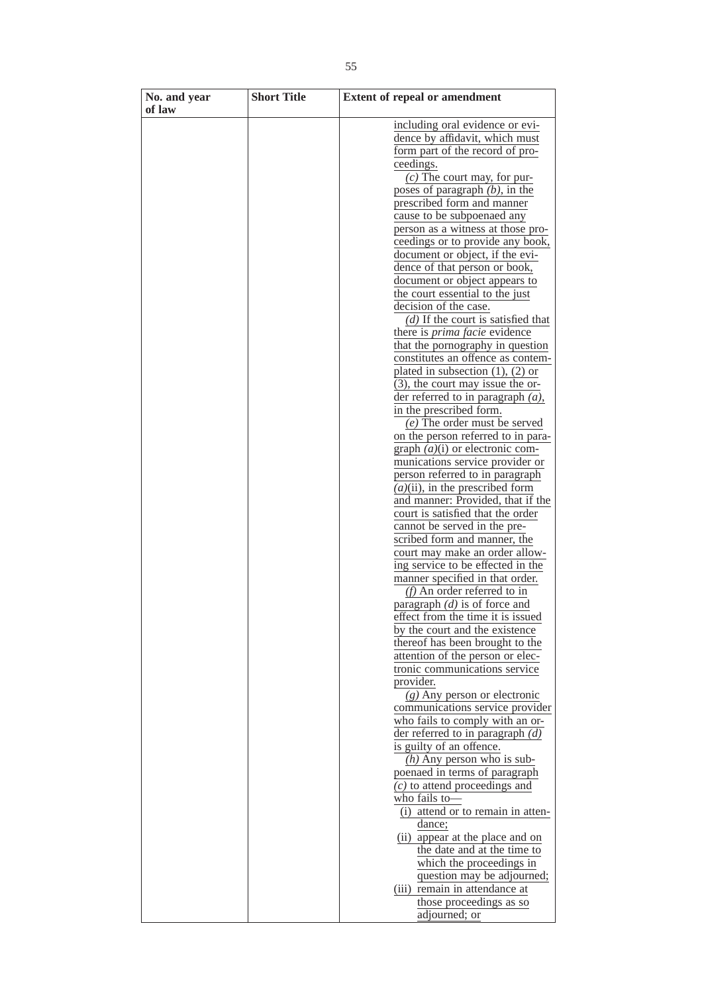| No. and year<br>of law | <b>Short Title</b> | <b>Extent of repeal or amendment</b>                             |
|------------------------|--------------------|------------------------------------------------------------------|
|                        |                    | including oral evidence or evi-                                  |
|                        |                    | dence by affidavit, which must                                   |
|                        |                    | form part of the record of pro-                                  |
|                        |                    | ceedings.                                                        |
|                        |                    | $(c)$ The court may, for pur-                                    |
|                        |                    | poses of paragraph $(b)$ , in the                                |
|                        |                    | prescribed form and manner                                       |
|                        |                    | cause to be subpoenaed any                                       |
|                        |                    | person as a witness at those pro-                                |
|                        |                    | ceedings or to provide any book,                                 |
|                        |                    | document or object, if the evi-                                  |
|                        |                    | dence of that person or book,                                    |
|                        |                    | document or object appears to                                    |
|                        |                    | the court essential to the just<br>decision of the case.         |
|                        |                    | $(d)$ If the court is satisfied that                             |
|                        |                    | there is <i>prima facie</i> evidence                             |
|                        |                    | that the pornography in question                                 |
|                        |                    | constitutes an offence as contem-                                |
|                        |                    | plated in subsection $(1)$ , $(2)$ or                            |
|                        |                    | $(3)$ , the court may issue the or-                              |
|                        |                    | der referred to in paragraph $(a)$ ,                             |
|                        |                    | in the prescribed form.                                          |
|                        |                    | $(e)$ The order must be served                                   |
|                        |                    | on the person referred to in para-                               |
|                        |                    | graph $(a)(i)$ or electronic com-                                |
|                        |                    | munications service provider or                                  |
|                        |                    | person referred to in paragraph                                  |
|                        |                    | $(a)(ii)$ , in the prescribed form                               |
|                        |                    | and manner: Provided, that if the                                |
|                        |                    | court is satisfied that the order                                |
|                        |                    | cannot be served in the pre-                                     |
|                        |                    | scribed form and manner, the                                     |
|                        |                    | court may make an order allow-                                   |
|                        |                    | ing service to be effected in the                                |
|                        |                    | manner specified in that order.<br>$(f)$ An order referred to in |
|                        |                    | paragraph $(d)$ is of force and                                  |
|                        |                    | effect from the time it is issued                                |
|                        |                    | by the court and the existence                                   |
|                        |                    | thereof has been brought to the                                  |
|                        |                    | attention of the person or elec-                                 |
|                        |                    | tronic communications service                                    |
|                        |                    | provider.                                                        |
|                        |                    | $(g)$ Any person or electronic                                   |
|                        |                    | communications service provider                                  |
|                        |                    | who fails to comply with an or-                                  |
|                        |                    | der referred to in paragraph $(d)$                               |
|                        |                    | is guilty of an offence.                                         |
|                        |                    | $(h)$ Any person who is sub-                                     |
|                        |                    | poenaed in terms of paragraph                                    |
|                        |                    | $(c)$ to attend proceedings and                                  |
|                        |                    | who fails to-                                                    |
|                        |                    | (i) attend or to remain in atten-                                |
|                        |                    | dance;                                                           |
|                        |                    | (ii) appear at the place and on<br>the date and at the time to   |
|                        |                    |                                                                  |
|                        |                    | which the proceedings in                                         |
|                        |                    | question may be adjourned;<br>(iii) remain in attendance at      |
|                        |                    | those proceedings as so                                          |
|                        |                    | adjourned; or                                                    |
|                        |                    |                                                                  |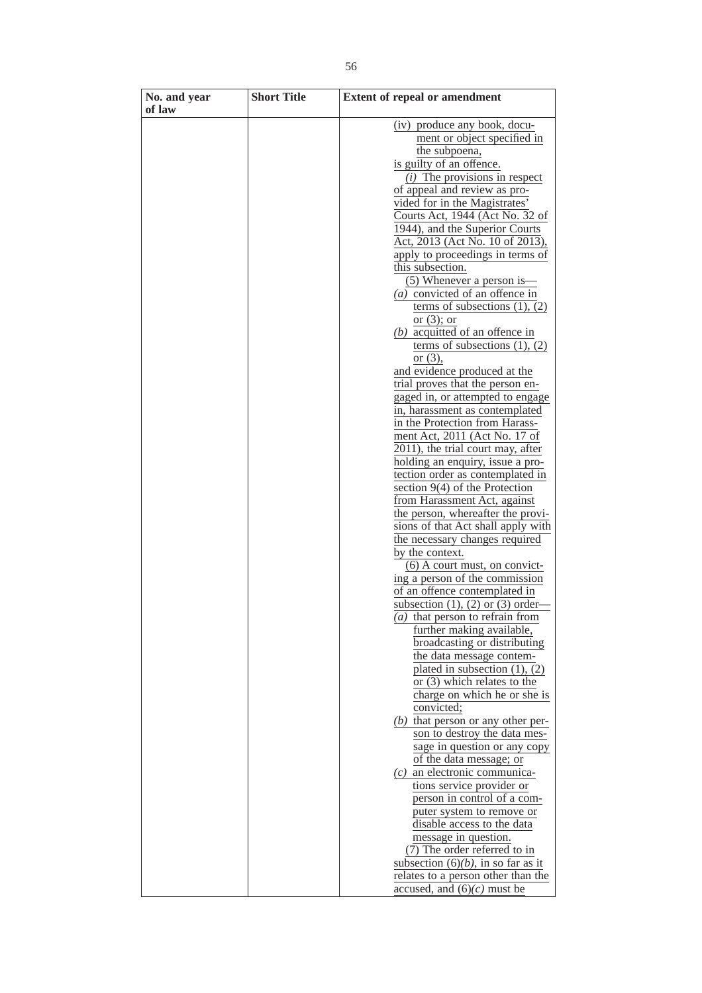| No. and year<br>of law | <b>Short Title</b> | <b>Extent of repeal or amendment</b>     |
|------------------------|--------------------|------------------------------------------|
|                        |                    | (iv) produce any book, docu-             |
|                        |                    | ment or object specified in              |
|                        |                    | the subpoena,                            |
|                        |                    | is guilty of an offence.                 |
|                        |                    | $(i)$ The provisions in respect          |
|                        |                    | of appeal and review as pro-             |
|                        |                    | vided for in the Magistrates'            |
|                        |                    | Courts Act, 1944 (Act No. 32 of          |
|                        |                    | 1944), and the Superior Courts           |
|                        |                    | Act, 2013 (Act No. 10 of 2013),          |
|                        |                    | apply to proceedings in terms of         |
|                        |                    | this subsection.                         |
|                        |                    |                                          |
|                        |                    | $\sqrt{(5)}$ Whenever a person is—       |
|                        |                    | $(a)$ convicted of an offence in         |
|                        |                    | terms of subsections $(1)$ , $(2)$       |
|                        |                    | or $(3)$ ; or                            |
|                        |                    | $(b)$ acquitted of an offence in         |
|                        |                    | terms of subsections $(1)$ , $(2)$       |
|                        |                    | or $(3)$ ,                               |
|                        |                    | and evidence produced at the             |
|                        |                    | trial proves that the person en-         |
|                        |                    | gaged in, or attempted to engage         |
|                        |                    | in, harassment as contemplated           |
|                        |                    | in the Protection from Harass-           |
|                        |                    | ment Act, 2011 (Act No. 17 of            |
|                        |                    | 2011), the trial court may, after        |
|                        |                    | holding an enquiry, issue a pro-         |
|                        |                    | tection order as contemplated in         |
|                        |                    | section $9(4)$ of the Protection         |
|                        |                    | from Harassment Act, against             |
|                        |                    | the person, whereafter the provi-        |
|                        |                    | sions of that Act shall apply with       |
|                        |                    | the necessary changes required           |
|                        |                    | by the context.                          |
|                        |                    | $(6)$ A court must, on convict-          |
|                        |                    | ing a person of the commission           |
|                        |                    | of an offence contemplated in            |
|                        |                    | subsection $(1)$ , $(2)$ or $(3)$ order- |
|                        |                    | $(a)$ that person to refrain from        |
|                        |                    | further making available,                |
|                        |                    | broadcasting or distributing             |
|                        |                    | the data message contem-                 |
|                        |                    | plated in subsection $(1)$ , $(2)$       |
|                        |                    | or $(3)$ which relates to the            |
|                        |                    | charge on which he or she is             |
|                        |                    | convicted;                               |
|                        |                    | $(b)$ that person or any other per-      |
|                        |                    | son to destroy the data mes-             |
|                        |                    | sage in question or any copy             |
|                        |                    | of the data message; or                  |
|                        |                    | $(c)$ an electronic communica-           |
|                        |                    | tions service provider or                |
|                        |                    | person in control of a com-              |
|                        |                    | puter system to remove or                |
|                        |                    | disable access to the data               |
|                        |                    | message in question.                     |
|                        |                    | (7) The order referred to in             |
|                        |                    | subsection $(6)(b)$ , in so far as it    |
|                        |                    | relates to a person other than the       |
|                        |                    | accused, and $(6)(c)$ must be            |
|                        |                    |                                          |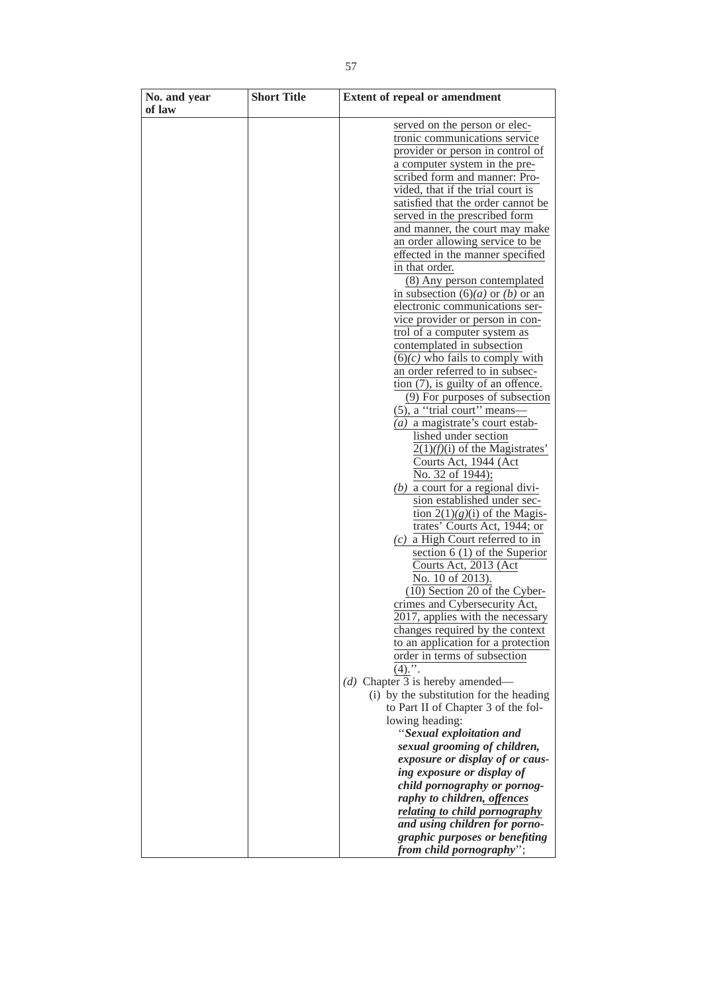| No. and year<br>of law | <b>Short Title</b> | <b>Extent of repeal or amendment</b>    |
|------------------------|--------------------|-----------------------------------------|
|                        |                    | served on the person or elec-           |
|                        |                    | tronic communications service           |
|                        |                    | provider or person in control of        |
|                        |                    | a computer system in the pre-           |
|                        |                    | scribed form and manner: Pro-           |
|                        |                    | vided, that if the trial court is       |
|                        |                    | satisfied that the order cannot be      |
|                        |                    | served in the prescribed form           |
|                        |                    | and manner, the court may make          |
|                        |                    | an order allowing service to be         |
|                        |                    | effected in the manner specified        |
|                        |                    | in that order.                          |
|                        |                    | (8) Any person contemplated             |
|                        |                    | in subsection $(6)(a)$ or $(b)$ or an   |
|                        |                    | electronic communications ser-          |
|                        |                    | vice provider or person in con-         |
|                        |                    | trol of a computer system as            |
|                        |                    | contemplated in subsection              |
|                        |                    | $(6)(c)$ who fails to comply with       |
|                        |                    | an order referred to in subsec-         |
|                        |                    | tion (7), is guilty of an offence.      |
|                        |                    | (9) For purposes of subsection          |
|                        |                    | (5), a "trial court" means-             |
|                        |                    | (a) a magistrate's court estab-         |
|                        |                    | lished under section                    |
|                        |                    | $2(1)(f)(i)$ of the Magistrates'        |
|                        |                    | Courts Act, 1944 (Act                   |
|                        |                    | No. 32 of 1944);                        |
|                        |                    | $(b)$ a court for a regional divi-      |
|                        |                    | sion established under sec-             |
|                        |                    | tion $2(1)(g)(i)$ of the Magis-         |
|                        |                    | trates' Courts Act, 1944; or            |
|                        |                    | $(c)$ a High Court referred to in       |
|                        |                    | section $6(1)$ of the Superior          |
|                        |                    | Courts Act, 2013 (Act                   |
|                        |                    | No. 10 of 2013).                        |
|                        |                    | (10) Section 20 of the Cyber-           |
|                        |                    | crimes and Cybersecurity Act,           |
|                        |                    | 2017, applies with the necessary        |
|                        |                    | changes required by the context         |
|                        |                    | to an application for a protection      |
|                        |                    | order in terms of subsection            |
|                        |                    | (4)."                                   |
|                        |                    | ( $d$ ) Chapter 3 is hereby amended—    |
|                        |                    | (i) by the substitution for the heading |
|                        |                    | to Part II of Chapter 3 of the fol-     |
|                        |                    | lowing heading:                         |
|                        |                    | "Sexual exploitation and                |
|                        |                    | sexual grooming of children,            |
|                        |                    | exposure or display of or caus-         |
|                        |                    | ing exposure or display of              |
|                        |                    | child pornography or pornog-            |
|                        |                    | raphy to children, offences             |
|                        |                    | relating to child pornography           |
|                        |                    | and using children for porno-           |
|                        |                    | graphic purposes or benefiting          |
|                        |                    | from child pornography";                |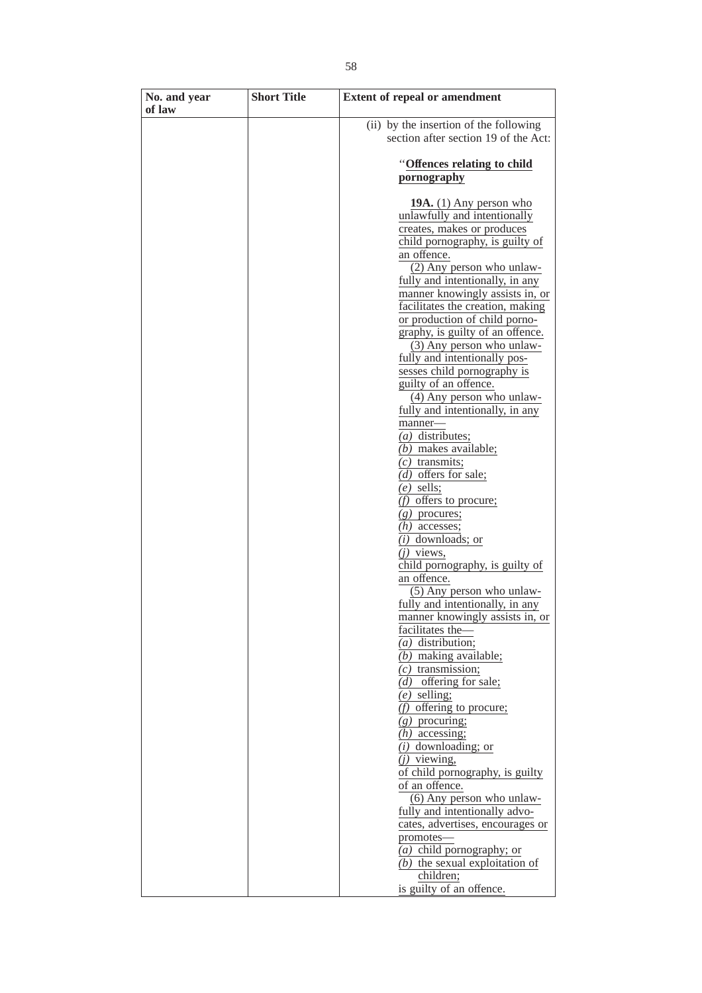| No. and year<br>of law | <b>Short Title</b> | <b>Extent of repeal or amendment</b>                               |
|------------------------|--------------------|--------------------------------------------------------------------|
|                        |                    | (ii) by the insertion of the following                             |
|                        |                    | section after section 19 of the Act:                               |
|                        |                    |                                                                    |
|                        |                    | "Offences relating to child                                        |
|                        |                    | pornography                                                        |
|                        |                    |                                                                    |
|                        |                    | 19A. (1) Any person who                                            |
|                        |                    | unlawfully and intentionally<br>creates, makes or produces         |
|                        |                    | child pornography, is guilty of                                    |
|                        |                    | an offence.                                                        |
|                        |                    | (2) Any person who unlaw-                                          |
|                        |                    | fully and intentionally, in any                                    |
|                        |                    | manner knowingly assists in, or                                    |
|                        |                    | facilitates the creation, making                                   |
|                        |                    | or production of child porno-<br>graphy, is guilty of an offence.  |
|                        |                    | (3) Any person who unlaw-                                          |
|                        |                    | fully and intentionally pos-                                       |
|                        |                    | sesses child pornography is                                        |
|                        |                    | guilty of an offence.                                              |
|                        |                    | (4) Any person who unlaw-                                          |
|                        |                    | fully and intentionally, in any<br>manner-                         |
|                        |                    | (a) distributes;                                                   |
|                        |                    | $(b)$ makes available;                                             |
|                        |                    | $(c)$ transmits;                                                   |
|                        |                    | $(d)$ offers for sale;                                             |
|                        |                    | $(e)$ sells;                                                       |
|                        |                    | $(f)$ offers to procure;                                           |
|                        |                    | $(g)$ procures;<br>$(h)$ accesses;                                 |
|                        |                    | $(i)$ downloads; or                                                |
|                        |                    | $(j)$ views,                                                       |
|                        |                    | child pornography, is guilty of                                    |
|                        |                    | an offence.                                                        |
|                        |                    | (5) Any person who unlaw-                                          |
|                        |                    | fully and intentionally, in any<br>manner knowingly assists in, or |
|                        |                    | facilitates the-                                                   |
|                        |                    | (a) distribution;                                                  |
|                        |                    | $(b)$ making available;                                            |
|                        |                    | $(c)$ transmission;                                                |
|                        |                    | (d) offering for sale;                                             |
|                        |                    | $(e)$ selling;<br>$(f)$ offering to procure;                       |
|                        |                    | $(g)$ procuring;                                                   |
|                        |                    | $(h)$ accessing;                                                   |
|                        |                    | $\overline{(i)}$ downloading; or                                   |
|                        |                    | $(i)$ viewing,                                                     |
|                        |                    | of child pornography, is guilty                                    |
|                        |                    | of an offence.                                                     |
|                        |                    | (6) Any person who unlaw-<br>fully and intentionally advo-         |
|                        |                    | cates, advertises, encourages or                                   |
|                        |                    | promotes-                                                          |
|                        |                    | $(a)$ child pornography; or                                        |
|                        |                    | $(b)$ the sexual exploitation of                                   |
|                        |                    | children;                                                          |
|                        |                    | is guilty of an offence.                                           |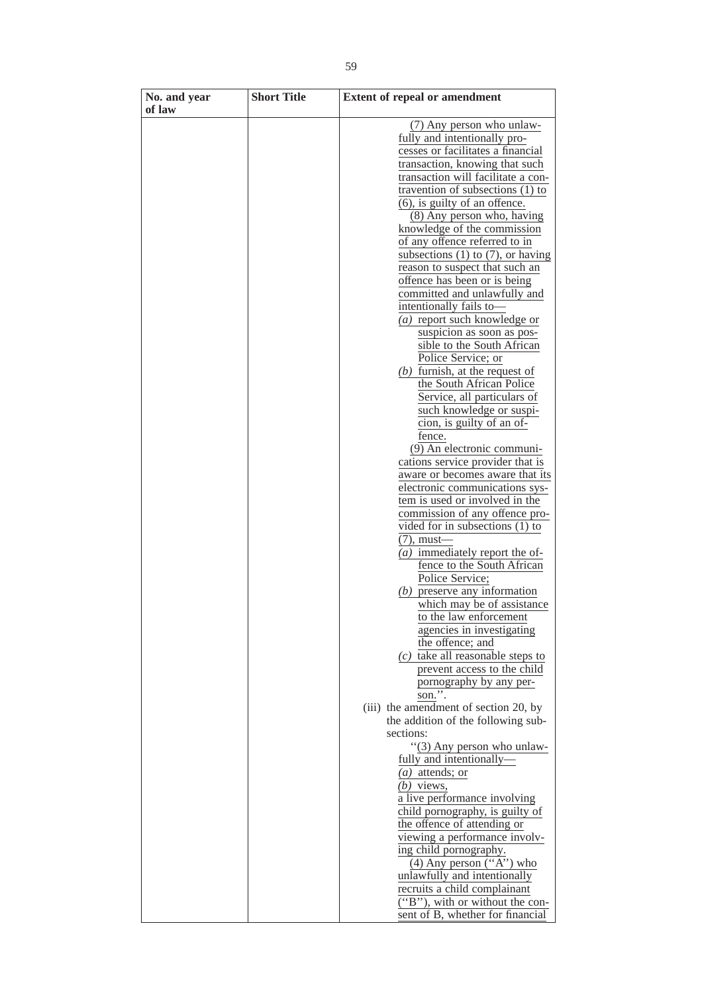| No. and year<br>of law | <b>Short Title</b> | <b>Extent of repeal or amendment</b>                                    |
|------------------------|--------------------|-------------------------------------------------------------------------|
|                        |                    | (7) Any person who unlaw-                                               |
|                        |                    | fully and intentionally pro-                                            |
|                        |                    | cesses or facilitates a financial                                       |
|                        |                    | transaction, knowing that such                                          |
|                        |                    | transaction will facilitate a con-                                      |
|                        |                    | travention of subsections (1) to                                        |
|                        |                    | $(6)$ , is guilty of an offence.                                        |
|                        |                    | (8) Any person who, having                                              |
|                        |                    | knowledge of the commission                                             |
|                        |                    | of any offence referred to in<br>subsections $(1)$ to $(7)$ , or having |
|                        |                    | reason to suspect that such an                                          |
|                        |                    | offence has been or is being                                            |
|                        |                    | committed and unlawfully and                                            |
|                        |                    | intentionally fails to-                                                 |
|                        |                    | (a) report such knowledge or                                            |
|                        |                    | suspicion as soon as pos-                                               |
|                        |                    | sible to the South African                                              |
|                        |                    | Police Service; or                                                      |
|                        |                    | $(b)$ furnish, at the request of                                        |
|                        |                    | the South African Police                                                |
|                        |                    | Service, all particulars of                                             |
|                        |                    | such knowledge or suspi-                                                |
|                        |                    | cion, is guilty of an of-                                               |
|                        |                    | fence.                                                                  |
|                        |                    | (9) An electronic communi-                                              |
|                        |                    | cations service provider that is                                        |
|                        |                    | aware or becomes aware that its                                         |
|                        |                    | electronic communications sys-                                          |
|                        |                    | tem is used or involved in the                                          |
|                        |                    | commission of any offence pro-<br>vided for in subsections (1) to       |
|                        |                    | $(7)$ , must—                                                           |
|                        |                    | (a) immediately report the of-                                          |
|                        |                    | fence to the South African                                              |
|                        |                    | Police Service;                                                         |
|                        |                    | $(b)$ preserve any information                                          |
|                        |                    | which may be of assistance                                              |
|                        |                    | to the law enforcement                                                  |
|                        |                    | agencies in investigating                                               |
|                        |                    | the offence; and                                                        |
|                        |                    | $(c)$ take all reasonable steps to                                      |
|                        |                    | prevent access to the child                                             |
|                        |                    | pornography by any per-                                                 |
|                        |                    | son.".                                                                  |
|                        |                    | (iii) the amendment of section 20, by                                   |
|                        |                    | the addition of the following sub-                                      |
|                        |                    | sections:                                                               |
|                        |                    | "(3) Any person who unlaw-<br>fully and intentionally-                  |
|                        |                    | $(a)$ attends; or                                                       |
|                        |                    | $(b)$ views,                                                            |
|                        |                    | a live performance involving                                            |
|                        |                    | child pornography, is guilty of                                         |
|                        |                    | the offence of attending or                                             |
|                        |                    | viewing a performance involv-                                           |
|                        |                    | ing child pornography.                                                  |
|                        |                    | $(4)$ Any person $(``A")$ who                                           |
|                        |                    | unlawfully and intentionally                                            |
|                        |                    | recruits a child complainant                                            |
|                        |                    | ("B"), with or without the con-                                         |
|                        |                    | sent of B, whether for financial                                        |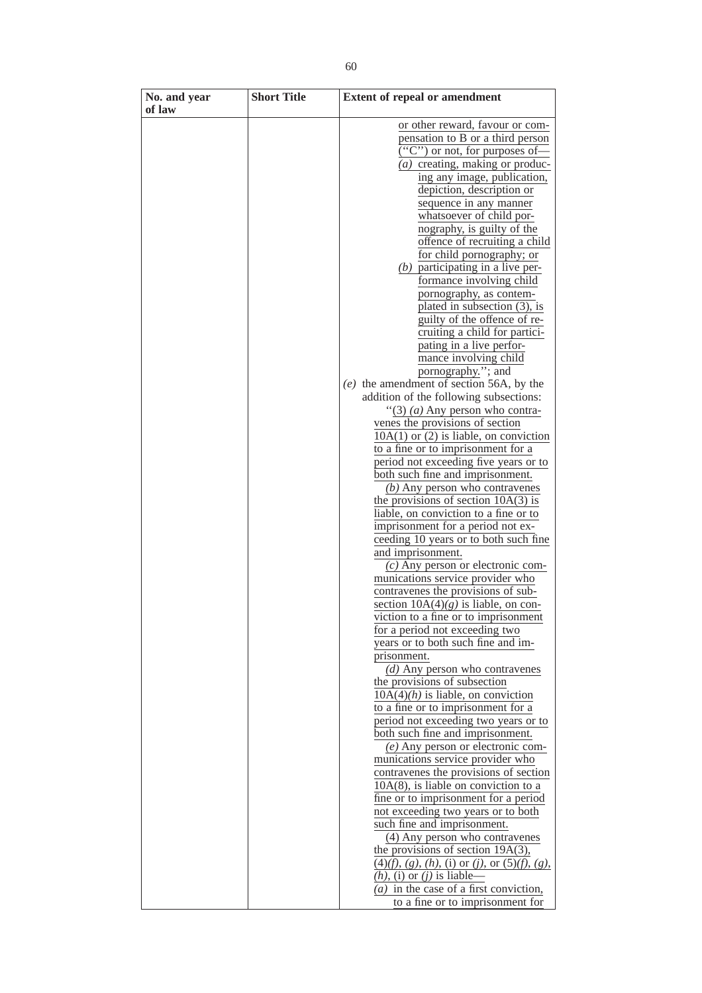| No. and year<br>of law | <b>Short Title</b> | <b>Extent of repeal or amendment</b>                                           |
|------------------------|--------------------|--------------------------------------------------------------------------------|
|                        |                    | or other reward, favour or com-                                                |
|                        |                    | pensation to B or a third person                                               |
|                        |                    | "C") or not, for purposes of-                                                  |
|                        |                    | $(a)$ creating, making or produc-                                              |
|                        |                    | ing any image, publication,                                                    |
|                        |                    | depiction, description or                                                      |
|                        |                    | sequence in any manner                                                         |
|                        |                    | whatsoever of child por-                                                       |
|                        |                    | nography, is guilty of the                                                     |
|                        |                    | offence of recruiting a child                                                  |
|                        |                    | for child pornography; or                                                      |
|                        |                    | $(b)$ participating in a live per-                                             |
|                        |                    | formance involving child                                                       |
|                        |                    | pornography, as contem-                                                        |
|                        |                    | plated in subsection (3), is                                                   |
|                        |                    | guilty of the offence of re-                                                   |
|                        |                    | cruiting a child for partici-                                                  |
|                        |                    | pating in a live perfor-                                                       |
|                        |                    | mance involving child<br>pornography."; and                                    |
|                        |                    | $(e)$ the amendment of section 56A, by the                                     |
|                        |                    | addition of the following subsections:                                         |
|                        |                    | "(3) $(a)$ Any person who contra-                                              |
|                        |                    | venes the provisions of section                                                |
|                        |                    | $10A(1)$ or $(2)$ is liable, on conviction                                     |
|                        |                    | to a fine or to imprisonment for a                                             |
|                        |                    | period not exceeding five years or to                                          |
|                        |                    | both such fine and imprisonment.                                               |
|                        |                    | $(b)$ Any person who contravenes                                               |
|                        |                    | the provisions of section $10A(3)$ is                                          |
|                        |                    | liable, on conviction to a fine or to                                          |
|                        |                    | imprisonment for a period not ex-                                              |
|                        |                    | ceeding 10 years or to both such fine                                          |
|                        |                    | and imprisonment.                                                              |
|                        |                    | $(c)$ Any person or electronic com-                                            |
|                        |                    | munications service provider who                                               |
|                        |                    | contravenes the provisions of sub-                                             |
|                        |                    | section $10A(4)(g)$ is liable, on con-<br>viction to a fine or to imprisonment |
|                        |                    | for a period not exceeding two                                                 |
|                        |                    | years or to both such fine and im-                                             |
|                        |                    | prisonment.                                                                    |
|                        |                    | $(d)$ Any person who contravenes                                               |
|                        |                    | the provisions of subsection                                                   |
|                        |                    | $10A(4)(h)$ is liable, on conviction                                           |
|                        |                    | to a fine or to imprisonment for a                                             |
|                        |                    | period not exceeding two years or to                                           |
|                        |                    | both such fine and imprisonment.                                               |
|                        |                    | $(e)$ Any person or electronic com-                                            |
|                        |                    | munications service provider who                                               |
|                        |                    | contravenes the provisions of section                                          |
|                        |                    | $10A(8)$ , is liable on conviction to a                                        |
|                        |                    | fine or to imprisonment for a period                                           |
|                        |                    | not exceeding two years or to both                                             |
|                        |                    | such fine and imprisonment.                                                    |
|                        |                    | (4) Any person who contravenes                                                 |
|                        |                    | the provisions of section $19A(3)$ ,                                           |
|                        |                    | $(4)(f)$ , $(g)$ , $(h)$ , $(i)$ or $(j)$ , or $(5)(f)$ , $(g)$ ,              |
|                        |                    | $(h)$ , (i) or $(j)$ is liable—                                                |
|                        |                    | (a) in the case of a first conviction,                                         |
|                        |                    | to a fine or to imprisonment for                                               |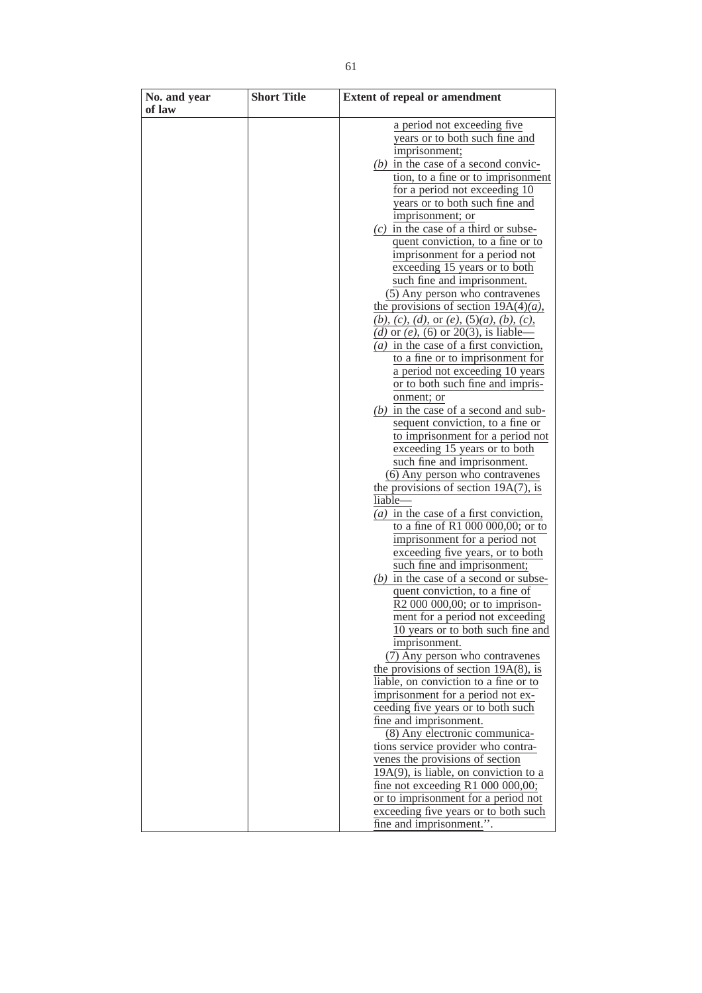| No. and year<br>of law | <b>Short Title</b> | <b>Extent of repeal or amendment</b>                   |
|------------------------|--------------------|--------------------------------------------------------|
|                        |                    | a period not exceeding five                            |
|                        |                    | years or to both such fine and                         |
|                        |                    | imprisonment;                                          |
|                        |                    | $(b)$ in the case of a second convic-                  |
|                        |                    | tion, to a fine or to imprisonment                     |
|                        |                    | for a period not exceeding 10                          |
|                        |                    | years or to both such fine and                         |
|                        |                    | imprisonment; or                                       |
|                        |                    | $(c)$ in the case of a third or subse-                 |
|                        |                    | quent conviction, to a fine or to                      |
|                        |                    | imprisonment for a period not                          |
|                        |                    | exceeding 15 years or to both                          |
|                        |                    | such fine and imprisonment.                            |
|                        |                    | (5) Any person who contravenes                         |
|                        |                    | the provisions of section $19A(4)(a)$ ,                |
|                        |                    | $(b), (c), (d),$ or $(e), (5)(a), (b), (c),$           |
|                        |                    | ( <i>d</i> ) or ( <i>e</i> ), (6) or 20(3), is liable— |
|                        |                    | (a) in the case of a first conviction,                 |
|                        |                    | to a fine or to imprisonment for                       |
|                        |                    | a period not exceeding 10 years                        |
|                        |                    | or to both such fine and impris-                       |
|                        |                    | onment; or                                             |
|                        |                    | $(b)$ in the case of a second and sub-                 |
|                        |                    | sequent conviction, to a fine or                       |
|                        |                    | to imprisonment for a period not                       |
|                        |                    | exceeding 15 years or to both                          |
|                        |                    | such fine and imprisonment.                            |
|                        |                    | (6) Any person who contravenes                         |
|                        |                    | the provisions of section $19A(7)$ , is                |
|                        |                    | liable-                                                |
|                        |                    | $(a)$ in the case of a first conviction,               |
|                        |                    | to a fine of R1 000 000,00; or to                      |
|                        |                    | imprisonment for a period not                          |
|                        |                    | exceeding five years, or to both                       |
|                        |                    | such fine and imprisonment;                            |
|                        |                    | $(b)$ in the case of a second or subse-                |
|                        |                    | quent conviction, to a fine of                         |
|                        |                    | R2 000 000,00; or to imprison-                         |
|                        |                    | ment for a period not exceeding                        |
|                        |                    | 10 years or to both such fine and                      |
|                        |                    | imprisonment.                                          |
|                        |                    | (7) Any person who contravenes                         |
|                        |                    | the provisions of section $19A(8)$ , is                |
|                        |                    | liable, on conviction to a fine or to                  |
|                        |                    | imprisonment for a period not ex-                      |
|                        |                    | ceeding five years or to both such                     |
|                        |                    | fine and imprisonment.                                 |
|                        |                    | (8) Any electronic communica-                          |
|                        |                    | tions service provider who contra-                     |
|                        |                    | venes the provisions of section                        |
|                        |                    | 19A(9), is liable, on conviction to a                  |
|                        |                    | fine not exceeding $R1$ 000 000,00;                    |
|                        |                    | or to imprisonment for a period not                    |
|                        |                    | exceeding five years or to both such                   |
|                        |                    | fine and imprisonment.".                               |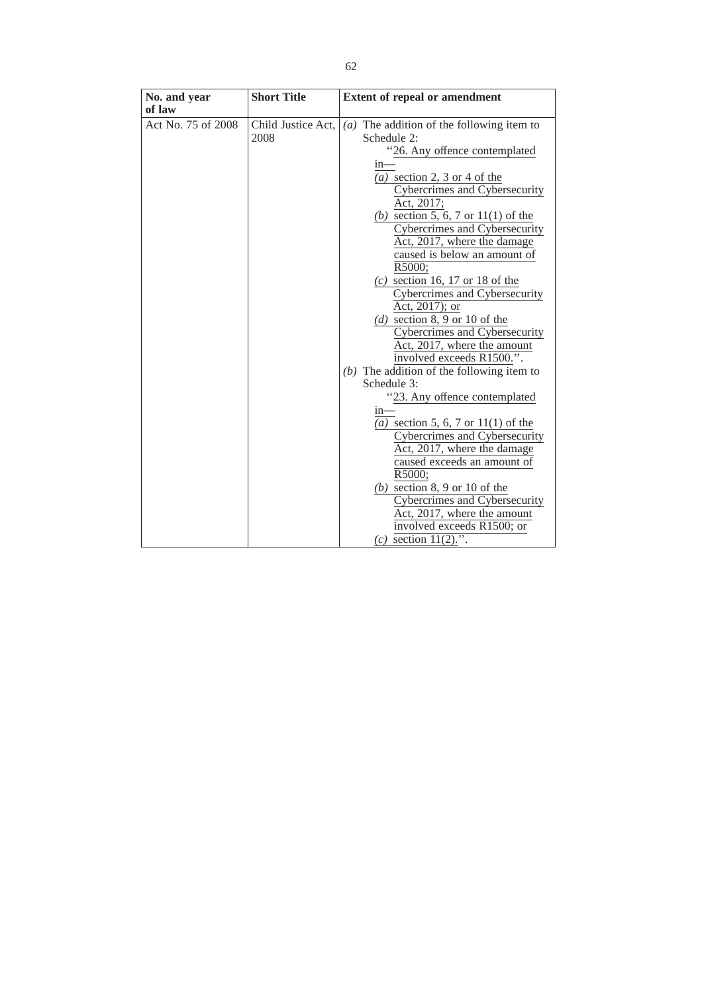| No. and year<br>of law | <b>Short Title</b>         | <b>Extent of repeal or amendment</b>                                                                                                                                                                                                                                                                                                                                                                                                                                                                                                                                                                                                                                                                                                                                                                                                                                                                                                                                                                     |
|------------------------|----------------------------|----------------------------------------------------------------------------------------------------------------------------------------------------------------------------------------------------------------------------------------------------------------------------------------------------------------------------------------------------------------------------------------------------------------------------------------------------------------------------------------------------------------------------------------------------------------------------------------------------------------------------------------------------------------------------------------------------------------------------------------------------------------------------------------------------------------------------------------------------------------------------------------------------------------------------------------------------------------------------------------------------------|
| Act No. 75 of 2008     | Child Justice Act,<br>2008 | (a) The addition of the following item to<br>Schedule 2:<br>"26. Any offence contemplated<br>$1n-$<br>$\overline{(a)}$ section 2, 3 or 4 of the<br>Cybercrimes and Cybersecurity<br>Act, 2017;<br>(b) section 5, 6, 7 or 11(1) of the<br>Cybercrimes and Cybersecurity<br>Act, 2017, where the damage<br>caused is below an amount of<br>R5000;<br>$(c)$ section 16, 17 or 18 of the<br>Cybercrimes and Cybersecurity<br>Act, 2017); or<br>(d) section $\overline{8}$ , 9 or 10 of the<br>Cybercrimes and Cybersecurity<br>Act, 2017, where the amount<br>involved exceeds R1500.".<br>$(b)$ The addition of the following item to<br>Schedule 3:<br>"23. Any offence contemplated<br>$in-$<br>(a) section 5, 6, 7 or 11(1) of the<br>Cybercrimes and Cybersecurity<br>Act, 2017, where the damage<br>caused exceeds an amount of<br>R5000;<br>(b) section $8, 9$ or $10$ of the<br>Cybercrimes and Cybersecurity<br>Act, 2017, where the amount<br>involved exceeds R1500; or<br>$(c)$ section 11(2).". |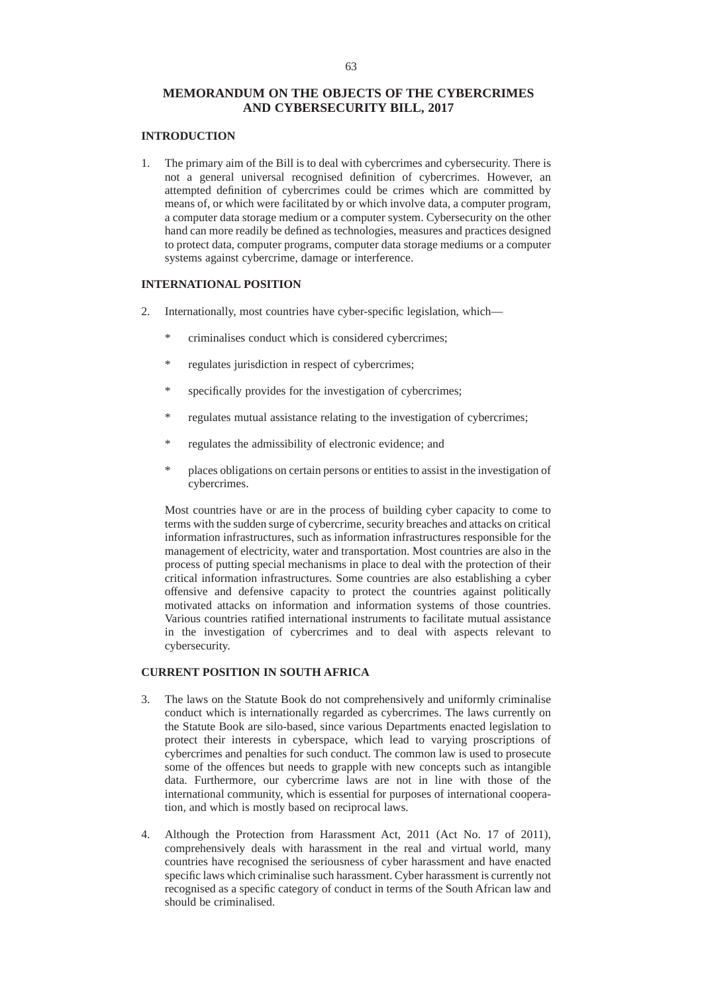## **MEMORANDUM ON THE OBJECTS OF THE CYBERCRIMES AND CYBERSECURITY BILL, 2017**

## **INTRODUCTION**

1. The primary aim of the Bill is to deal with cybercrimes and cybersecurity. There is not a general universal recognised definition of cybercrimes. However, an attempted definition of cybercrimes could be crimes which are committed by means of, or which were facilitated by or which involve data, a computer program, a computer data storage medium or a computer system. Cybersecurity on the other hand can more readily be defined as technologies, measures and practices designed to protect data, computer programs, computer data storage mediums or a computer systems against cybercrime, damage or interference.

## **INTERNATIONAL POSITION**

- 2. Internationally, most countries have cyber-specific legislation, which
	- criminalises conduct which is considered cybercrimes;
	- \* regulates jurisdiction in respect of cybercrimes;
	- \* specifically provides for the investigation of cybercrimes;
	- \* regulates mutual assistance relating to the investigation of cybercrimes;
	- \* regulates the admissibility of electronic evidence; and
	- \* places obligations on certain persons or entities to assist in the investigation of cybercrimes.

Most countries have or are in the process of building cyber capacity to come to terms with the sudden surge of cybercrime, security breaches and attacks on critical information infrastructures, such as information infrastructures responsible for the management of electricity, water and transportation. Most countries are also in the process of putting special mechanisms in place to deal with the protection of their critical information infrastructures. Some countries are also establishing a cyber offensive and defensive capacity to protect the countries against politically motivated attacks on information and information systems of those countries. Various countries ratified international instruments to facilitate mutual assistance in the investigation of cybercrimes and to deal with aspects relevant to cybersecurity.

### **CURRENT POSITION IN SOUTH AFRICA**

- 3. The laws on the Statute Book do not comprehensively and uniformly criminalise conduct which is internationally regarded as cybercrimes. The laws currently on the Statute Book are silo-based, since various Departments enacted legislation to protect their interests in cyberspace, which lead to varying proscriptions of cybercrimes and penalties for such conduct. The common law is used to prosecute some of the offences but needs to grapple with new concepts such as intangible data. Furthermore, our cybercrime laws are not in line with those of the international community, which is essential for purposes of international cooperation, and which is mostly based on reciprocal laws.
- 4. Although the Protection from Harassment Act, 2011 (Act No. 17 of 2011), comprehensively deals with harassment in the real and virtual world, many countries have recognised the seriousness of cyber harassment and have enacted specific laws which criminalise such harassment. Cyber harassment is currently not recognised as a specific category of conduct in terms of the South African law and should be criminalised.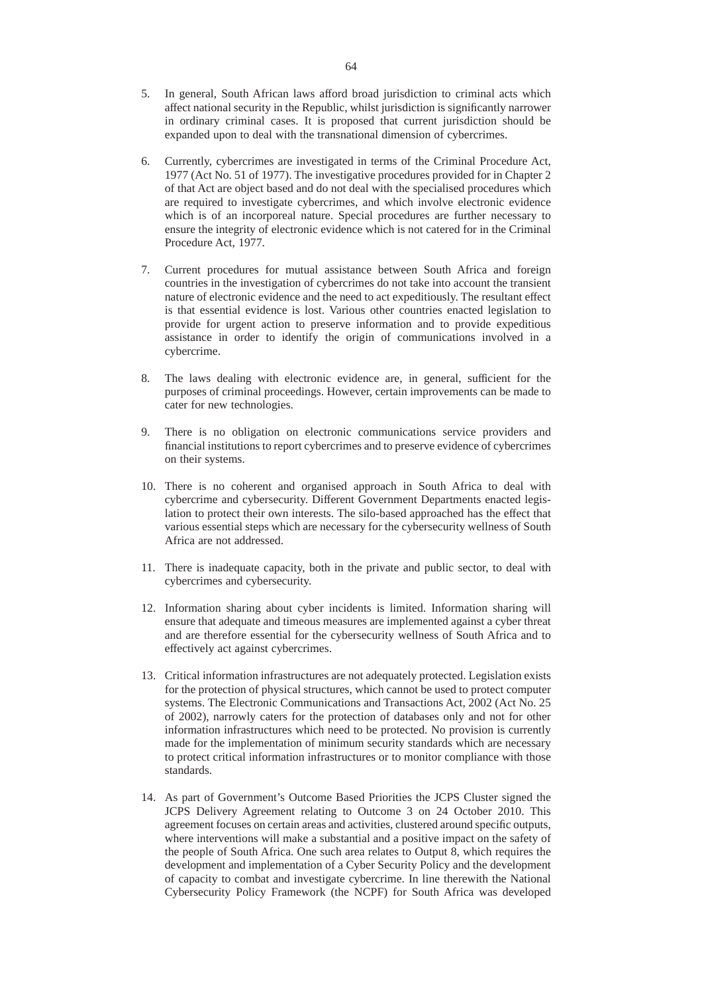- 5. In general, South African laws afford broad jurisdiction to criminal acts which affect national security in the Republic, whilst jurisdiction is significantly narrower in ordinary criminal cases. It is proposed that current jurisdiction should be expanded upon to deal with the transnational dimension of cybercrimes.
- 6. Currently, cybercrimes are investigated in terms of the Criminal Procedure Act, 1977 (Act No. 51 of 1977). The investigative procedures provided for in Chapter 2 of that Act are object based and do not deal with the specialised procedures which are required to investigate cybercrimes, and which involve electronic evidence which is of an incorporeal nature. Special procedures are further necessary to ensure the integrity of electronic evidence which is not catered for in the Criminal Procedure Act, 1977.
- 7. Current procedures for mutual assistance between South Africa and foreign countries in the investigation of cybercrimes do not take into account the transient nature of electronic evidence and the need to act expeditiously. The resultant effect is that essential evidence is lost. Various other countries enacted legislation to provide for urgent action to preserve information and to provide expeditious assistance in order to identify the origin of communications involved in a cybercrime.
- 8. The laws dealing with electronic evidence are, in general, sufficient for the purposes of criminal proceedings. However, certain improvements can be made to cater for new technologies.
- 9. There is no obligation on electronic communications service providers and financial institutions to report cybercrimes and to preserve evidence of cybercrimes on their systems.
- 10. There is no coherent and organised approach in South Africa to deal with cybercrime and cybersecurity. Different Government Departments enacted legislation to protect their own interests. The silo-based approached has the effect that various essential steps which are necessary for the cybersecurity wellness of South Africa are not addressed.
- 11. There is inadequate capacity, both in the private and public sector, to deal with cybercrimes and cybersecurity.
- 12. Information sharing about cyber incidents is limited. Information sharing will ensure that adequate and timeous measures are implemented against a cyber threat and are therefore essential for the cybersecurity wellness of South Africa and to effectively act against cybercrimes.
- 13. Critical information infrastructures are not adequately protected. Legislation exists for the protection of physical structures, which cannot be used to protect computer systems. The Electronic Communications and Transactions Act, 2002 (Act No. 25 of 2002), narrowly caters for the protection of databases only and not for other information infrastructures which need to be protected. No provision is currently made for the implementation of minimum security standards which are necessary to protect critical information infrastructures or to monitor compliance with those standards.
- 14. As part of Government's Outcome Based Priorities the JCPS Cluster signed the JCPS Delivery Agreement relating to Outcome 3 on 24 October 2010. This agreement focuses on certain areas and activities, clustered around specific outputs, where interventions will make a substantial and a positive impact on the safety of the people of South Africa. One such area relates to Output 8, which requires the development and implementation of a Cyber Security Policy and the development of capacity to combat and investigate cybercrime. In line therewith the National Cybersecurity Policy Framework (the NCPF) for South Africa was developed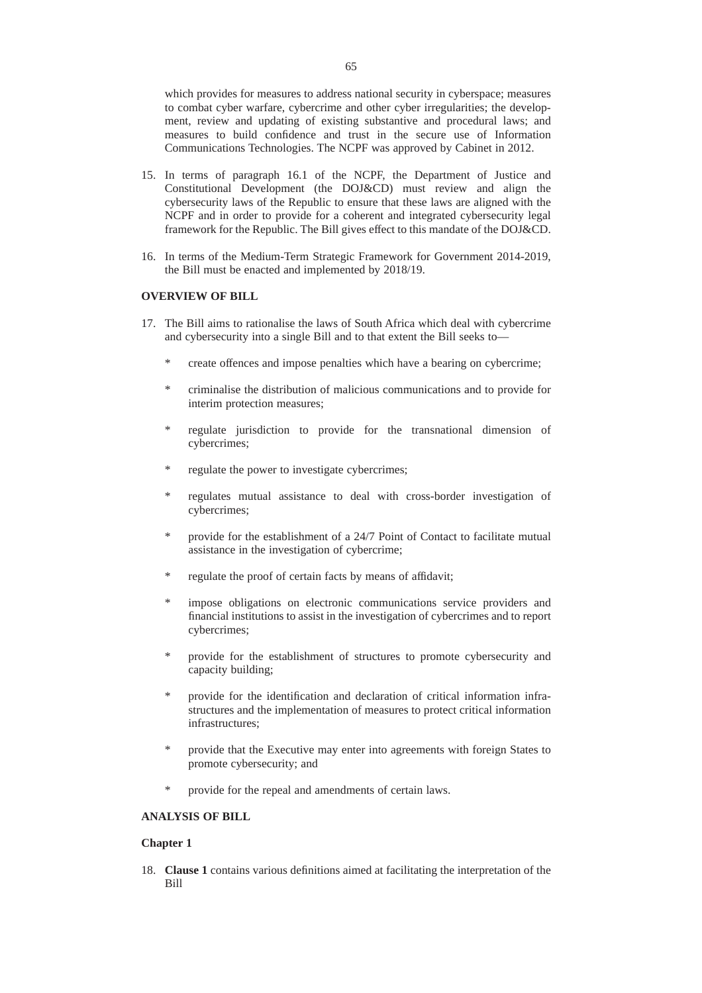which provides for measures to address national security in cyberspace; measures to combat cyber warfare, cybercrime and other cyber irregularities; the development, review and updating of existing substantive and procedural laws; and measures to build confidence and trust in the secure use of Information Communications Technologies. The NCPF was approved by Cabinet in 2012.

- 15. In terms of paragraph 16.1 of the NCPF, the Department of Justice and Constitutional Development (the DOJ&CD) must review and align the cybersecurity laws of the Republic to ensure that these laws are aligned with the NCPF and in order to provide for a coherent and integrated cybersecurity legal framework for the Republic. The Bill gives effect to this mandate of the DOJ&CD.
- 16. In terms of the Medium-Term Strategic Framework for Government 2014-2019, the Bill must be enacted and implemented by 2018/19.

## **OVERVIEW OF BILL**

- 17. The Bill aims to rationalise the laws of South Africa which deal with cybercrime and cybersecurity into a single Bill and to that extent the Bill seeks to
	- create offences and impose penalties which have a bearing on cybercrime;
	- \* criminalise the distribution of malicious communications and to provide for interim protection measures;
	- regulate jurisdiction to provide for the transnational dimension of cybercrimes;
	- regulate the power to investigate cybercrimes;
	- regulates mutual assistance to deal with cross-border investigation of cybercrimes;
	- provide for the establishment of a 24/7 Point of Contact to facilitate mutual assistance in the investigation of cybercrime;
	- regulate the proof of certain facts by means of affidavit;
	- impose obligations on electronic communications service providers and financial institutions to assist in the investigation of cybercrimes and to report cybercrimes;
	- provide for the establishment of structures to promote cybersecurity and capacity building;
	- provide for the identification and declaration of critical information infrastructures and the implementation of measures to protect critical information infrastructures;
	- provide that the Executive may enter into agreements with foreign States to promote cybersecurity; and
	- provide for the repeal and amendments of certain laws.

## **ANALYSIS OF BILL**

### **Chapter 1**

18. **Clause 1** contains various definitions aimed at facilitating the interpretation of the Bill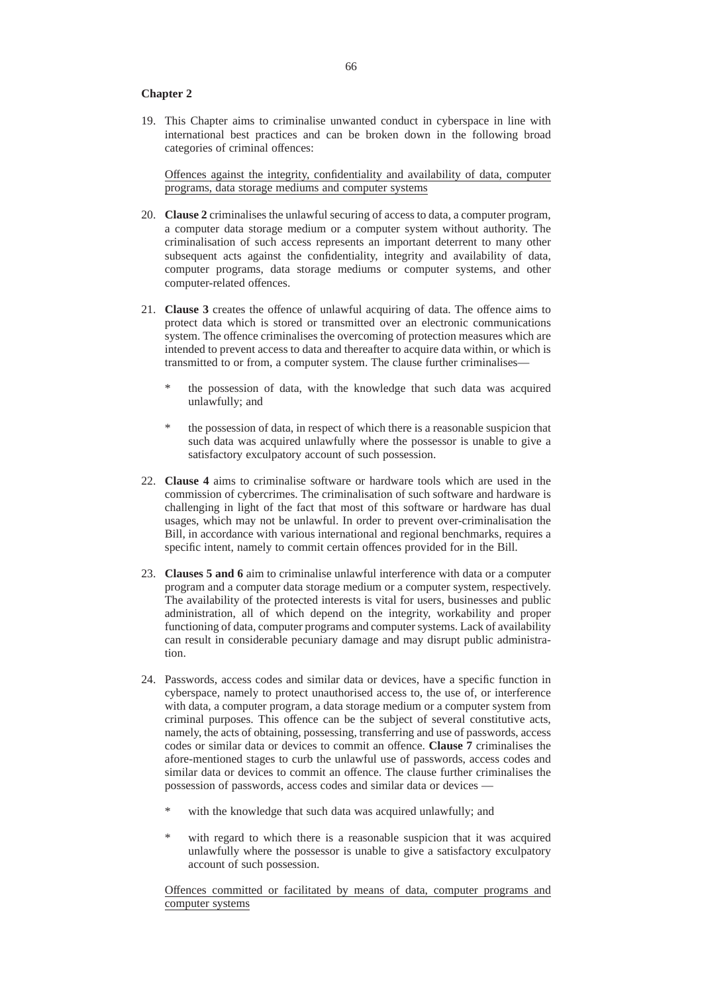### **Chapter 2**

19. This Chapter aims to criminalise unwanted conduct in cyberspace in line with international best practices and can be broken down in the following broad categories of criminal offences:

Offences against the integrity, confidentiality and availability of data, computer programs, data storage mediums and computer systems

- 20. **Clause 2** criminalises the unlawful securing of access to data, a computer program, a computer data storage medium or a computer system without authority. The criminalisation of such access represents an important deterrent to many other subsequent acts against the confidentiality, integrity and availability of data, computer programs, data storage mediums or computer systems, and other computer-related offences.
- 21. **Clause 3** creates the offence of unlawful acquiring of data. The offence aims to protect data which is stored or transmitted over an electronic communications system. The offence criminalises the overcoming of protection measures which are intended to prevent access to data and thereafter to acquire data within, or which is transmitted to or from, a computer system. The clause further criminalises
	- the possession of data, with the knowledge that such data was acquired unlawfully; and
	- the possession of data, in respect of which there is a reasonable suspicion that such data was acquired unlawfully where the possessor is unable to give a satisfactory exculpatory account of such possession.
- 22. **Clause 4** aims to criminalise software or hardware tools which are used in the commission of cybercrimes. The criminalisation of such software and hardware is challenging in light of the fact that most of this software or hardware has dual usages, which may not be unlawful. In order to prevent over-criminalisation the Bill, in accordance with various international and regional benchmarks, requires a specific intent, namely to commit certain offences provided for in the Bill.
- 23. **Clauses 5 and 6** aim to criminalise unlawful interference with data or a computer program and a computer data storage medium or a computer system, respectively. The availability of the protected interests is vital for users, businesses and public administration, all of which depend on the integrity, workability and proper functioning of data, computer programs and computer systems. Lack of availability can result in considerable pecuniary damage and may disrupt public administration.
- 24. Passwords, access codes and similar data or devices, have a specific function in cyberspace, namely to protect unauthorised access to, the use of, or interference with data, a computer program, a data storage medium or a computer system from criminal purposes. This offence can be the subject of several constitutive acts, namely, the acts of obtaining, possessing, transferring and use of passwords, access codes or similar data or devices to commit an offence. **Clause 7** criminalises the afore-mentioned stages to curb the unlawful use of passwords, access codes and similar data or devices to commit an offence. The clause further criminalises the possession of passwords, access codes and similar data or devices
	- with the knowledge that such data was acquired unlawfully; and
	- with regard to which there is a reasonable suspicion that it was acquired unlawfully where the possessor is unable to give a satisfactory exculpatory account of such possession.

Offences committed or facilitated by means of data, computer programs and computer systems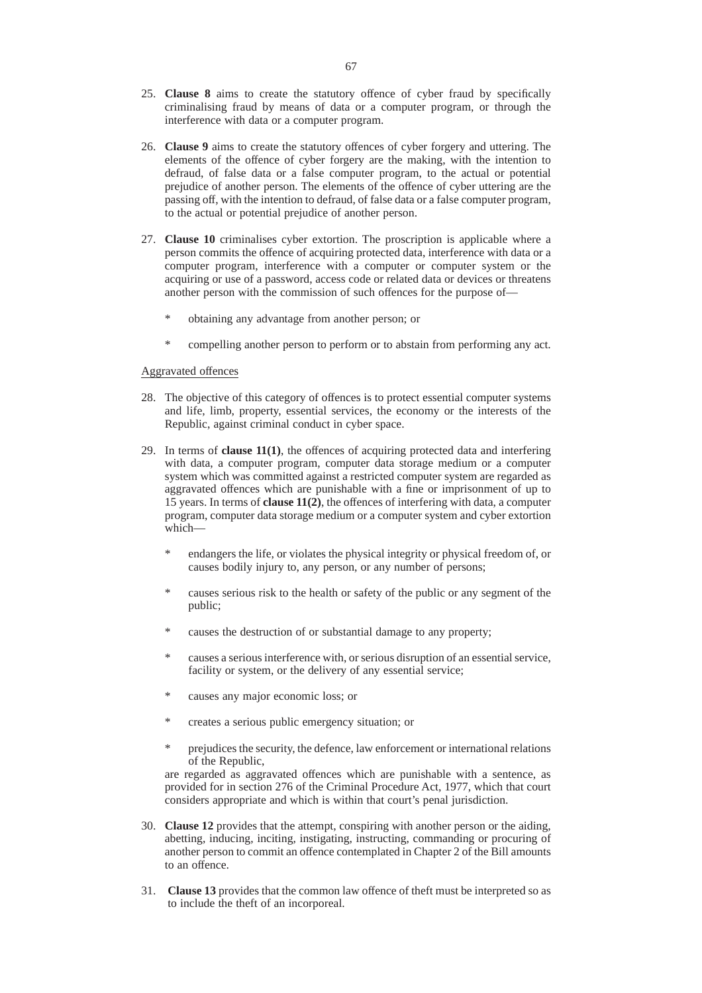- 25. **Clause 8** aims to create the statutory offence of cyber fraud by specifically criminalising fraud by means of data or a computer program, or through the interference with data or a computer program.
- 26. **Clause 9** aims to create the statutory offences of cyber forgery and uttering. The elements of the offence of cyber forgery are the making, with the intention to defraud, of false data or a false computer program, to the actual or potential prejudice of another person. The elements of the offence of cyber uttering are the passing off, with the intention to defraud, of false data or a false computer program, to the actual or potential prejudice of another person.
- 27. **Clause 10** criminalises cyber extortion. The proscription is applicable where a person commits the offence of acquiring protected data, interference with data or a computer program, interference with a computer or computer system or the acquiring or use of a password, access code or related data or devices or threatens another person with the commission of such offences for the purpose of
	- obtaining any advantage from another person; or
	- \* compelling another person to perform or to abstain from performing any act.

### Aggravated offences

- 28. The objective of this category of offences is to protect essential computer systems and life, limb, property, essential services, the economy or the interests of the Republic, against criminal conduct in cyber space.
- 29. In terms of **clause 11(1)**, the offences of acquiring protected data and interfering with data, a computer program, computer data storage medium or a computer system which was committed against a restricted computer system are regarded as aggravated offences which are punishable with a fine or imprisonment of up to 15 years. In terms of **clause 11(2)**, the offences of interfering with data, a computer program, computer data storage medium or a computer system and cyber extortion which—
	- \* endangers the life, or violates the physical integrity or physical freedom of, or causes bodily injury to, any person, or any number of persons;
	- causes serious risk to the health or safety of the public or any segment of the public;
	- causes the destruction of or substantial damage to any property;
	- \* causes a serious interference with, or serious disruption of an essential service, facility or system, or the delivery of any essential service;
	- causes any major economic loss; or
	- creates a serious public emergency situation; or
	- \* prejudices the security, the defence, law enforcement or international relations of the Republic,

are regarded as aggravated offences which are punishable with a sentence, as provided for in section 276 of the Criminal Procedure Act, 1977, which that court considers appropriate and which is within that court's penal jurisdiction.

- 30. **Clause 12** provides that the attempt, conspiring with another person or the aiding, abetting, inducing, inciting, instigating, instructing, commanding or procuring of another person to commit an offence contemplated in Chapter 2 of the Bill amounts to an offence.
- 31. **Clause 13** provides that the common law offence of theft must be interpreted so as to include the theft of an incorporeal.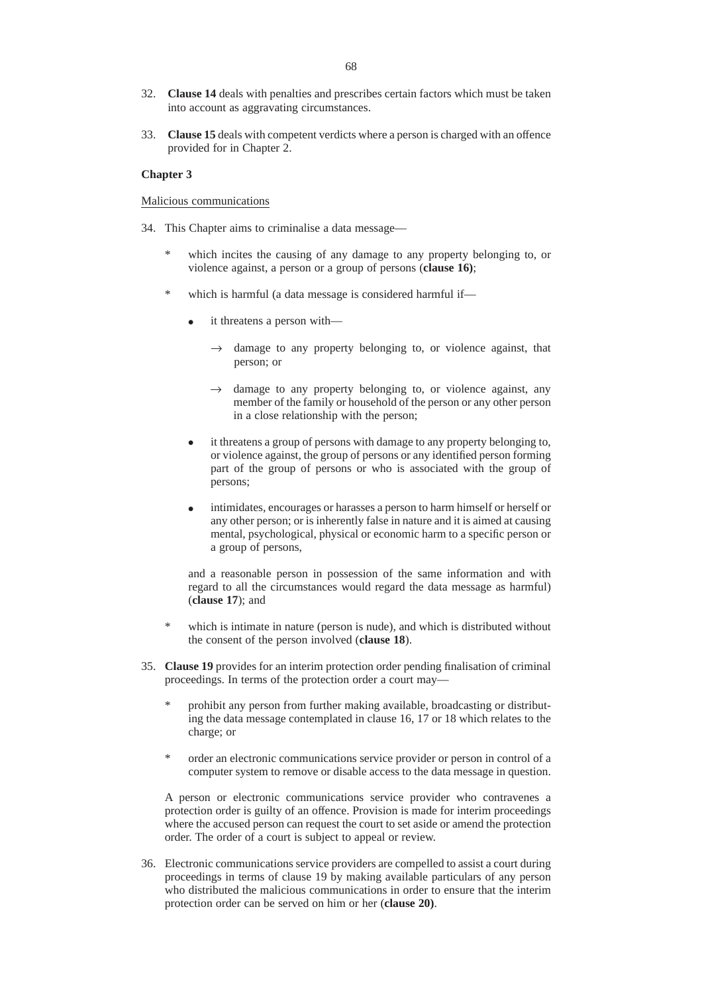- 32. **Clause 14** deals with penalties and prescribes certain factors which must be taken into account as aggravating circumstances.
- 33. **Clause 15** deals with competent verdicts where a person is charged with an offence provided for in Chapter 2.

## **Chapter 3**

Malicious communications

- 34. This Chapter aims to criminalise a data message
	- which incites the causing of any damage to any property belonging to, or violence against, a person or a group of persons (**clause 16)**;
	- \* which is harmful (a data message is considered harmful if
		- it threatens a person with—
			- $\rightarrow$  damage to any property belonging to, or violence against, that person; or
			- $\rightarrow$  damage to any property belonging to, or violence against, any member of the family or household of the person or any other person in a close relationship with the person;
		- it threatens a group of persons with damage to any property belonging to, or violence against, the group of persons or any identified person forming part of the group of persons or who is associated with the group of persons;
		- intimidates, encourages or harasses a person to harm himself or herself or any other person; or is inherently false in nature and it is aimed at causing mental, psychological, physical or economic harm to a specific person or a group of persons,

and a reasonable person in possession of the same information and with regard to all the circumstances would regard the data message as harmful) (**clause 17**); and

- which is intimate in nature (person is nude), and which is distributed without the consent of the person involved (**clause 18**).
- 35. **Clause 19** provides for an interim protection order pending finalisation of criminal proceedings. In terms of the protection order a court may—
	- \* prohibit any person from further making available, broadcasting or distributing the data message contemplated in clause 16, 17 or 18 which relates to the charge; or
	- \* order an electronic communications service provider or person in control of a computer system to remove or disable access to the data message in question.

A person or electronic communications service provider who contravenes a protection order is guilty of an offence. Provision is made for interim proceedings where the accused person can request the court to set aside or amend the protection order. The order of a court is subject to appeal or review.

36. Electronic communications service providers are compelled to assist a court during proceedings in terms of clause 19 by making available particulars of any person who distributed the malicious communications in order to ensure that the interim protection order can be served on him or her (**clause 20)**.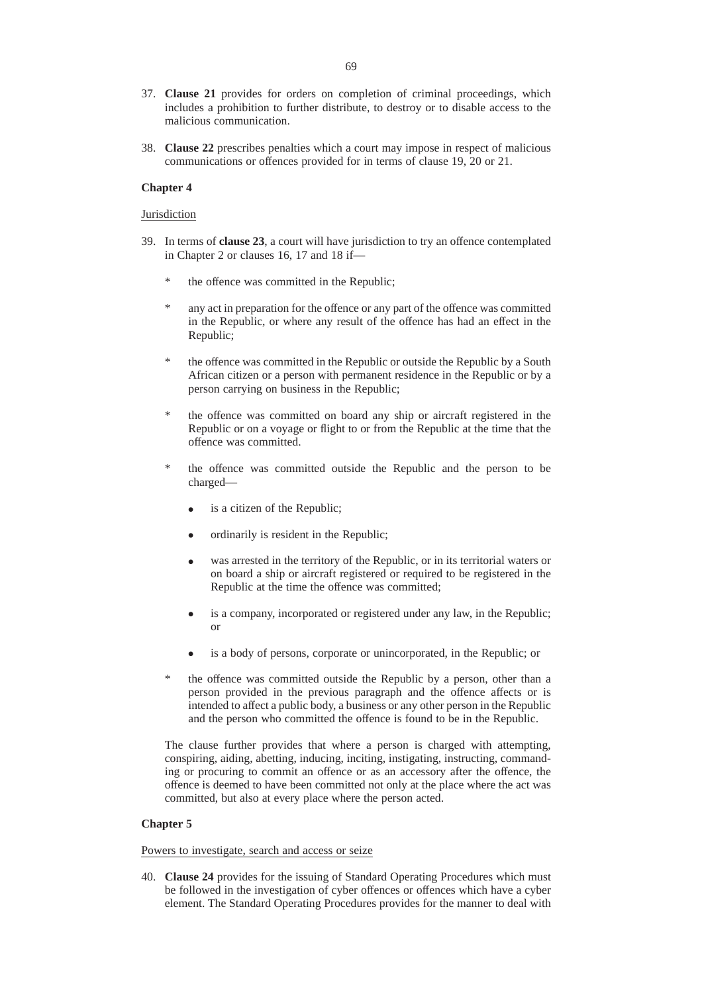- 37. **Clause 21** provides for orders on completion of criminal proceedings, which includes a prohibition to further distribute, to destroy or to disable access to the malicious communication.
- 38. **Clause 22** prescribes penalties which a court may impose in respect of malicious communications or offences provided for in terms of clause 19, 20 or 21.

## **Chapter 4**

### **Jurisdiction**

- 39. In terms of **clause 23**, a court will have jurisdiction to try an offence contemplated in Chapter 2 or clauses 16, 17 and 18 if
	- the offence was committed in the Republic;
	- \* any act in preparation for the offence or any part of the offence was committed in the Republic, or where any result of the offence has had an effect in the Republic;
	- the offence was committed in the Republic or outside the Republic by a South African citizen or a person with permanent residence in the Republic or by a person carrying on business in the Republic;
	- the offence was committed on board any ship or aircraft registered in the Republic or on a voyage or flight to or from the Republic at the time that the offence was committed.
	- the offence was committed outside the Republic and the person to be charged
		- is a citizen of the Republic;
		- ordinarily is resident in the Republic;
		- was arrested in the territory of the Republic, or in its territorial waters or on board a ship or aircraft registered or required to be registered in the Republic at the time the offence was committed;
		- is a company, incorporated or registered under any law, in the Republic; or
		- is a body of persons, corporate or unincorporated, in the Republic; or
	- the offence was committed outside the Republic by a person, other than a person provided in the previous paragraph and the offence affects or is intended to affect a public body, a business or any other person in the Republic and the person who committed the offence is found to be in the Republic.

The clause further provides that where a person is charged with attempting, conspiring, aiding, abetting, inducing, inciting, instigating, instructing, commanding or procuring to commit an offence or as an accessory after the offence, the offence is deemed to have been committed not only at the place where the act was committed, but also at every place where the person acted.

### **Chapter 5**

### Powers to investigate, search and access or seize

40. **Clause 24** provides for the issuing of Standard Operating Procedures which must be followed in the investigation of cyber offences or offences which have a cyber element. The Standard Operating Procedures provides for the manner to deal with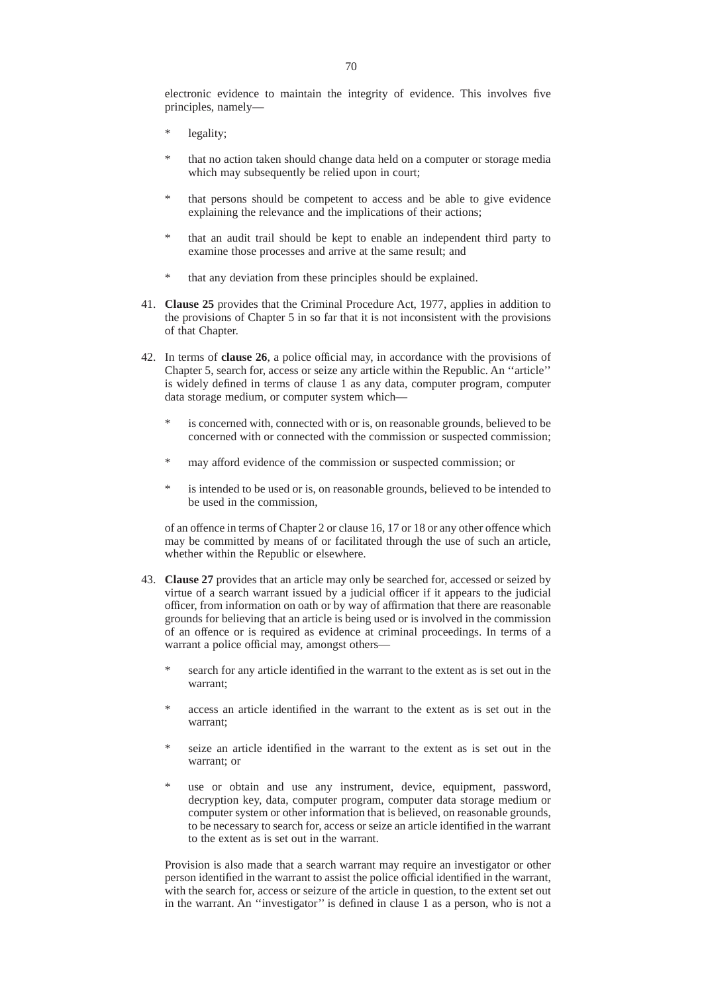electronic evidence to maintain the integrity of evidence. This involves five principles, namely—

- legality;
- that no action taken should change data held on a computer or storage media which may subsequently be relied upon in court;
- that persons should be competent to access and be able to give evidence explaining the relevance and the implications of their actions;
- that an audit trail should be kept to enable an independent third party to examine those processes and arrive at the same result; and
- that any deviation from these principles should be explained.
- 41. **Clause 25** provides that the Criminal Procedure Act, 1977, applies in addition to the provisions of Chapter 5 in so far that it is not inconsistent with the provisions of that Chapter.
- 42. In terms of **clause 26**, a police official may, in accordance with the provisions of Chapter 5, search for, access or seize any article within the Republic. An ''article'' is widely defined in terms of clause 1 as any data, computer program, computer data storage medium, or computer system which
	- is concerned with, connected with or is, on reasonable grounds, believed to be concerned with or connected with the commission or suspected commission;
	- may afford evidence of the commission or suspected commission; or
	- is intended to be used or is, on reasonable grounds, believed to be intended to be used in the commission,

of an offence in terms of Chapter 2 or clause 16, 17 or 18 or any other offence which may be committed by means of or facilitated through the use of such an article, whether within the Republic or elsewhere.

- 43. **Clause 27** provides that an article may only be searched for, accessed or seized by virtue of a search warrant issued by a judicial officer if it appears to the judicial officer, from information on oath or by way of affirmation that there are reasonable grounds for believing that an article is being used or is involved in the commission of an offence or is required as evidence at criminal proceedings. In terms of a warrant a police official may, amongst others
	- search for any article identified in the warrant to the extent as is set out in the warrant;
	- access an article identified in the warrant to the extent as is set out in the warrant;
	- seize an article identified in the warrant to the extent as is set out in the warrant; or
	- use or obtain and use any instrument, device, equipment, password, decryption key, data, computer program, computer data storage medium or computer system or other information that is believed, on reasonable grounds, to be necessary to search for, access or seize an article identified in the warrant to the extent as is set out in the warrant.

Provision is also made that a search warrant may require an investigator or other person identified in the warrant to assist the police official identified in the warrant, with the search for, access or seizure of the article in question, to the extent set out in the warrant. An ''investigator'' is defined in clause 1 as a person, who is not a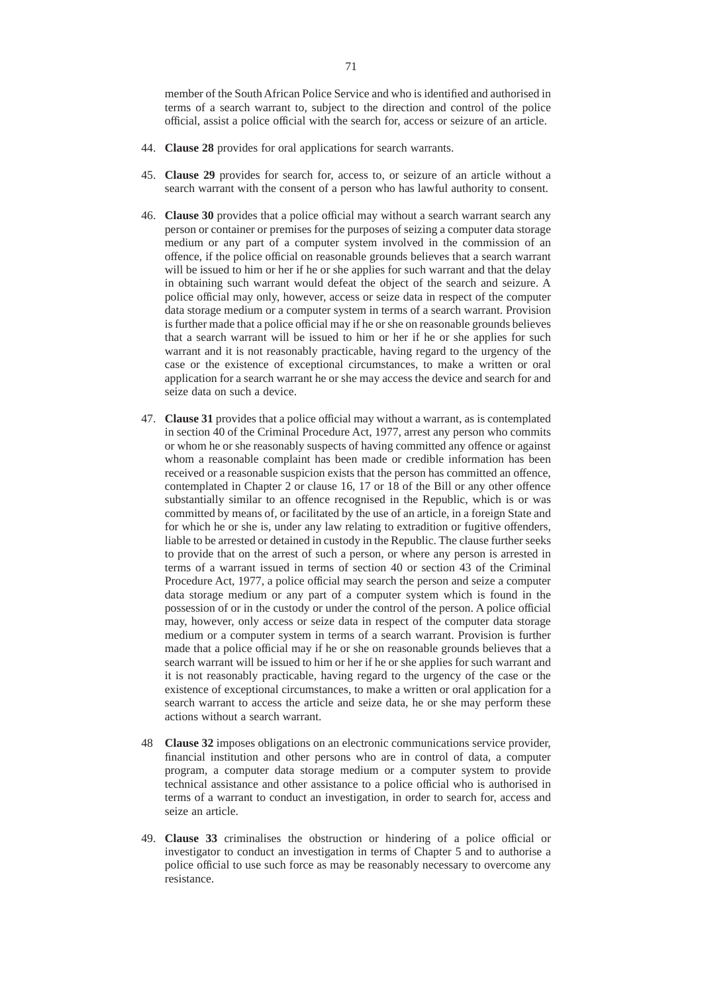member of the South African Police Service and who is identified and authorised in terms of a search warrant to, subject to the direction and control of the police official, assist a police official with the search for, access or seizure of an article.

- 44. **Clause 28** provides for oral applications for search warrants.
- 45. **Clause 29** provides for search for, access to, or seizure of an article without a search warrant with the consent of a person who has lawful authority to consent.
- 46. **Clause 30** provides that a police official may without a search warrant search any person or container or premises for the purposes of seizing a computer data storage medium or any part of a computer system involved in the commission of an offence, if the police official on reasonable grounds believes that a search warrant will be issued to him or her if he or she applies for such warrant and that the delay in obtaining such warrant would defeat the object of the search and seizure. A police official may only, however, access or seize data in respect of the computer data storage medium or a computer system in terms of a search warrant. Provision is further made that a police official may if he or she on reasonable grounds believes that a search warrant will be issued to him or her if he or she applies for such warrant and it is not reasonably practicable, having regard to the urgency of the case or the existence of exceptional circumstances, to make a written or oral application for a search warrant he or she may access the device and search for and seize data on such a device.
- 47. **Clause 31** provides that a police official may without a warrant, as is contemplated in section 40 of the Criminal Procedure Act, 1977, arrest any person who commits or whom he or she reasonably suspects of having committed any offence or against whom a reasonable complaint has been made or credible information has been received or a reasonable suspicion exists that the person has committed an offence, contemplated in Chapter 2 or clause 16, 17 or 18 of the Bill or any other offence substantially similar to an offence recognised in the Republic, which is or was committed by means of, or facilitated by the use of an article, in a foreign State and for which he or she is, under any law relating to extradition or fugitive offenders, liable to be arrested or detained in custody in the Republic. The clause further seeks to provide that on the arrest of such a person, or where any person is arrested in terms of a warrant issued in terms of section 40 or section 43 of the Criminal Procedure Act, 1977, a police official may search the person and seize a computer data storage medium or any part of a computer system which is found in the possession of or in the custody or under the control of the person. A police official may, however, only access or seize data in respect of the computer data storage medium or a computer system in terms of a search warrant. Provision is further made that a police official may if he or she on reasonable grounds believes that a search warrant will be issued to him or her if he or she applies for such warrant and it is not reasonably practicable, having regard to the urgency of the case or the existence of exceptional circumstances, to make a written or oral application for a search warrant to access the article and seize data, he or she may perform these actions without a search warrant.
- 48 **Clause 32** imposes obligations on an electronic communications service provider, financial institution and other persons who are in control of data, a computer program, a computer data storage medium or a computer system to provide technical assistance and other assistance to a police official who is authorised in terms of a warrant to conduct an investigation, in order to search for, access and seize an article.
- 49. **Clause 33** criminalises the obstruction or hindering of a police official or investigator to conduct an investigation in terms of Chapter 5 and to authorise a police official to use such force as may be reasonably necessary to overcome any resistance.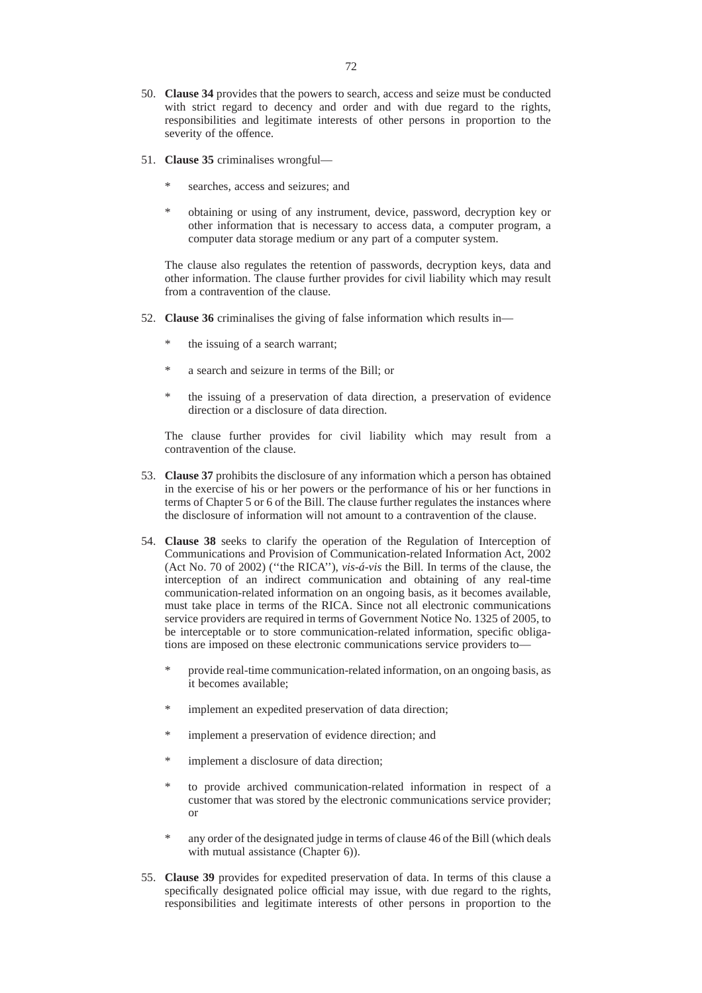- 50. **Clause 34** provides that the powers to search, access and seize must be conducted with strict regard to decency and order and with due regard to the rights, responsibilities and legitimate interests of other persons in proportion to the severity of the offence.
- 51. **Clause 35** criminalises wrongful
	- searches, access and seizures; and
	- \* obtaining or using of any instrument, device, password, decryption key or other information that is necessary to access data, a computer program, a computer data storage medium or any part of a computer system.

The clause also regulates the retention of passwords, decryption keys, data and other information. The clause further provides for civil liability which may result from a contravention of the clause.

- 52. **Clause 36** criminalises the giving of false information which results in
	- the issuing of a search warrant;
	- \* a search and seizure in terms of the Bill; or
	- \* the issuing of a preservation of data direction, a preservation of evidence direction or a disclosure of data direction.

The clause further provides for civil liability which may result from a contravention of the clause.

- 53. **Clause 37** prohibits the disclosure of any information which a person has obtained in the exercise of his or her powers or the performance of his or her functions in terms of Chapter 5 or 6 of the Bill. The clause further regulates the instances where the disclosure of information will not amount to a contravention of the clause.
- 54. **Clause 38** seeks to clarify the operation of the Regulation of Interception of Communications and Provision of Communication-related Information Act, 2002 (Act No. 70 of 2002) (''the RICA''), *vis-á-vis* the Bill. In terms of the clause, the interception of an indirect communication and obtaining of any real-time communication-related information on an ongoing basis, as it becomes available, must take place in terms of the RICA. Since not all electronic communications service providers are required in terms of Government Notice No. 1325 of 2005, to be interceptable or to store communication-related information, specific obligations are imposed on these electronic communications service providers to
	- provide real-time communication-related information, on an ongoing basis, as it becomes available;
	- implement an expedited preservation of data direction;
	- implement a preservation of evidence direction; and
	- implement a disclosure of data direction;
	- to provide archived communication-related information in respect of a customer that was stored by the electronic communications service provider; or
	- any order of the designated judge in terms of clause 46 of the Bill (which deals with mutual assistance (Chapter 6)).
- 55. **Clause 39** provides for expedited preservation of data. In terms of this clause a specifically designated police official may issue, with due regard to the rights, responsibilities and legitimate interests of other persons in proportion to the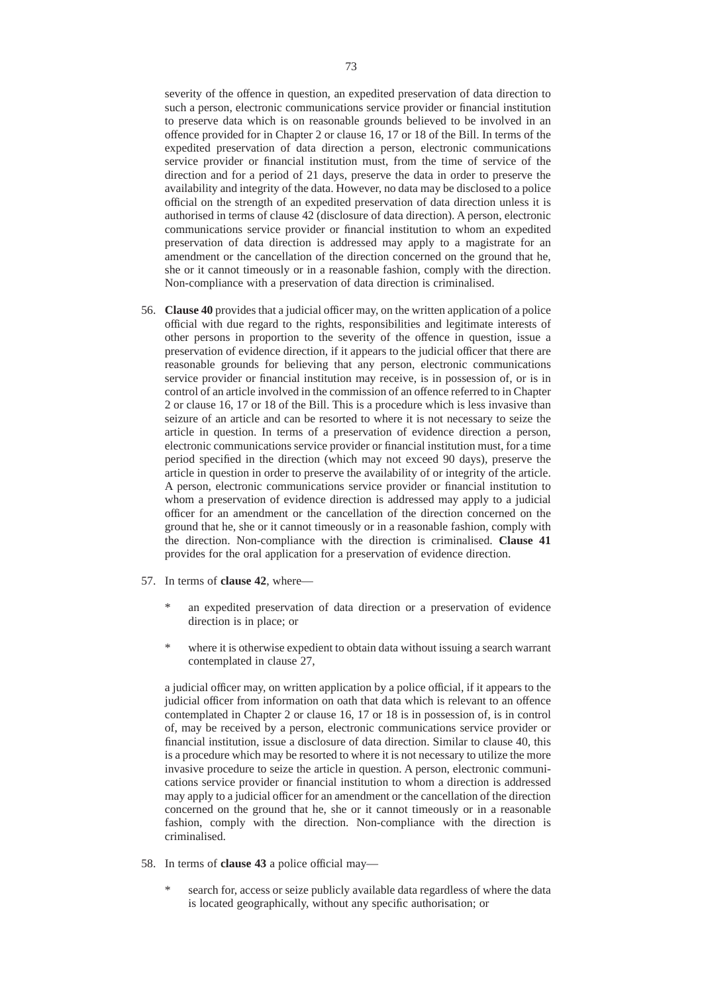severity of the offence in question, an expedited preservation of data direction to such a person, electronic communications service provider or financial institution to preserve data which is on reasonable grounds believed to be involved in an offence provided for in Chapter 2 or clause 16, 17 or 18 of the Bill. In terms of the expedited preservation of data direction a person, electronic communications service provider or financial institution must, from the time of service of the direction and for a period of 21 days, preserve the data in order to preserve the availability and integrity of the data. However, no data may be disclosed to a police official on the strength of an expedited preservation of data direction unless it is authorised in terms of clause 42 (disclosure of data direction). A person, electronic communications service provider or financial institution to whom an expedited preservation of data direction is addressed may apply to a magistrate for an amendment or the cancellation of the direction concerned on the ground that he, she or it cannot timeously or in a reasonable fashion, comply with the direction. Non-compliance with a preservation of data direction is criminalised.

- 56. **Clause 40** provides that a judicial officer may, on the written application of a police official with due regard to the rights, responsibilities and legitimate interests of other persons in proportion to the severity of the offence in question, issue a preservation of evidence direction, if it appears to the judicial officer that there are reasonable grounds for believing that any person, electronic communications service provider or financial institution may receive, is in possession of, or is in control of an article involved in the commission of an offence referred to in Chapter 2 or clause 16, 17 or 18 of the Bill. This is a procedure which is less invasive than seizure of an article and can be resorted to where it is not necessary to seize the article in question. In terms of a preservation of evidence direction a person, electronic communications service provider or financial institution must, for a time period specified in the direction (which may not exceed 90 days), preserve the article in question in order to preserve the availability of or integrity of the article. A person, electronic communications service provider or financial institution to whom a preservation of evidence direction is addressed may apply to a judicial officer for an amendment or the cancellation of the direction concerned on the ground that he, she or it cannot timeously or in a reasonable fashion, comply with the direction. Non-compliance with the direction is criminalised. **Clause 41** provides for the oral application for a preservation of evidence direction.
- 57. In terms of **clause 42**, where
	- an expedited preservation of data direction or a preservation of evidence direction is in place; or
	- where it is otherwise expedient to obtain data without issuing a search warrant contemplated in clause 27,

a judicial officer may, on written application by a police official, if it appears to the judicial officer from information on oath that data which is relevant to an offence contemplated in Chapter 2 or clause 16, 17 or 18 is in possession of, is in control of, may be received by a person, electronic communications service provider or financial institution, issue a disclosure of data direction. Similar to clause 40, this is a procedure which may be resorted to where it is not necessary to utilize the more invasive procedure to seize the article in question. A person, electronic communications service provider or financial institution to whom a direction is addressed may apply to a judicial officer for an amendment or the cancellation of the direction concerned on the ground that he, she or it cannot timeously or in a reasonable fashion, comply with the direction. Non-compliance with the direction is criminalised.

- 58. In terms of **clause 43** a police official may
	- search for, access or seize publicly available data regardless of where the data is located geographically, without any specific authorisation; or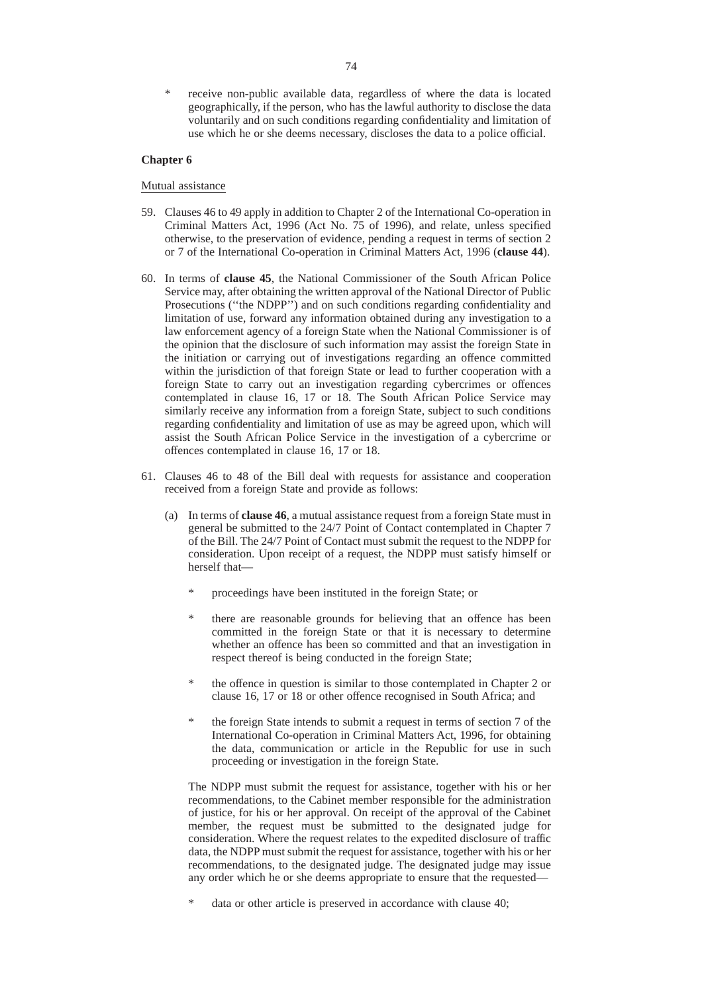receive non-public available data, regardless of where the data is located geographically, if the person, who has the lawful authority to disclose the data voluntarily and on such conditions regarding confidentiality and limitation of use which he or she deems necessary, discloses the data to a police official.

#### **Chapter 6**

## Mutual assistance

- 59. Clauses 46 to 49 apply in addition to Chapter 2 of the International Co-operation in Criminal Matters Act, 1996 (Act No. 75 of 1996), and relate, unless specified otherwise, to the preservation of evidence, pending a request in terms of section 2 or 7 of the International Co-operation in Criminal Matters Act, 1996 (**clause 44**).
- 60. In terms of **clause 45**, the National Commissioner of the South African Police Service may, after obtaining the written approval of the National Director of Public Prosecutions ("the NDPP") and on such conditions regarding confidentiality and limitation of use, forward any information obtained during any investigation to a law enforcement agency of a foreign State when the National Commissioner is of the opinion that the disclosure of such information may assist the foreign State in the initiation or carrying out of investigations regarding an offence committed within the jurisdiction of that foreign State or lead to further cooperation with a foreign State to carry out an investigation regarding cybercrimes or offences contemplated in clause 16, 17 or 18. The South African Police Service may similarly receive any information from a foreign State, subject to such conditions regarding confidentiality and limitation of use as may be agreed upon, which will assist the South African Police Service in the investigation of a cybercrime or offences contemplated in clause 16, 17 or 18.
- 61. Clauses 46 to 48 of the Bill deal with requests for assistance and cooperation received from a foreign State and provide as follows:
	- (a) In terms of **clause 46**, a mutual assistance request from a foreign State must in general be submitted to the 24/7 Point of Contact contemplated in Chapter 7 of the Bill. The 24/7 Point of Contact must submit the request to the NDPP for consideration. Upon receipt of a request, the NDPP must satisfy himself or herself that—
		- \* proceedings have been instituted in the foreign State; or
		- there are reasonable grounds for believing that an offence has been committed in the foreign State or that it is necessary to determine whether an offence has been so committed and that an investigation in respect thereof is being conducted in the foreign State;
		- the offence in question is similar to those contemplated in Chapter 2 or clause 16, 17 or 18 or other offence recognised in South Africa; and
		- the foreign State intends to submit a request in terms of section 7 of the International Co-operation in Criminal Matters Act, 1996, for obtaining the data, communication or article in the Republic for use in such proceeding or investigation in the foreign State.

The NDPP must submit the request for assistance, together with his or her recommendations, to the Cabinet member responsible for the administration of justice, for his or her approval. On receipt of the approval of the Cabinet member, the request must be submitted to the designated judge for consideration. Where the request relates to the expedited disclosure of traffic data, the NDPP must submit the request for assistance, together with his or her recommendations, to the designated judge. The designated judge may issue any order which he or she deems appropriate to ensure that the requested—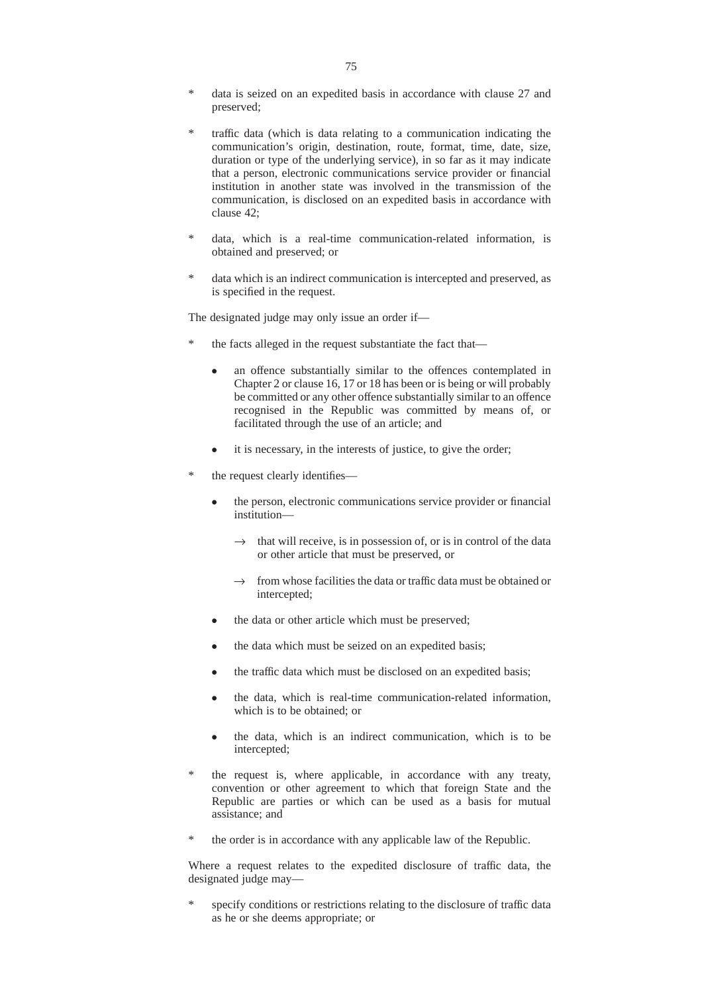- data is seized on an expedited basis in accordance with clause 27 and preserved;
- traffic data (which is data relating to a communication indicating the communication's origin, destination, route, format, time, date, size, duration or type of the underlying service), in so far as it may indicate that a person, electronic communications service provider or financial institution in another state was involved in the transmission of the communication, is disclosed on an expedited basis in accordance with clause 42;
- data, which is a real-time communication-related information, is obtained and preserved; or
- data which is an indirect communication is intercepted and preserved, as is specified in the request.

The designated judge may only issue an order if—

- the facts alleged in the request substantiate the fact that
	- an offence substantially similar to the offences contemplated in Chapter 2 or clause 16, 17 or 18 has been or is being or will probably be committed or any other offence substantially similar to an offence recognised in the Republic was committed by means of, or facilitated through the use of an article; and
	- it is necessary, in the interests of justice, to give the order;
- the request clearly identifies
	- the person, electronic communications service provider or financial institution
		- that will receive, is in possession of, or is in control of the data or other article that must be preserved, or
		- $\rightarrow$  from whose facilities the data or traffic data must be obtained or intercepted;
	- the data or other article which must be preserved:
	- the data which must be seized on an expedited basis;
	- the traffic data which must be disclosed on an expedited basis;
	- the data, which is real-time communication-related information, which is to be obtained; or
	- the data, which is an indirect communication, which is to be intercepted;
- the request is, where applicable, in accordance with any treaty, convention or other agreement to which that foreign State and the Republic are parties or which can be used as a basis for mutual assistance; and
- the order is in accordance with any applicable law of the Republic.

Where a request relates to the expedited disclosure of traffic data, the designated judge may—

specify conditions or restrictions relating to the disclosure of traffic data as he or she deems appropriate; or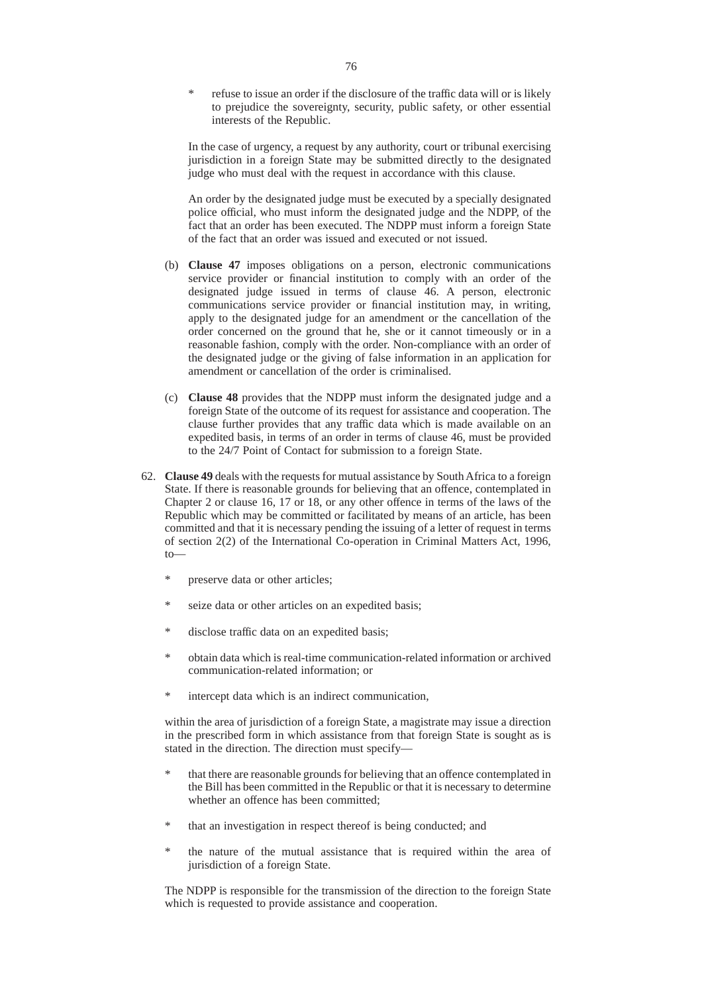refuse to issue an order if the disclosure of the traffic data will or is likely to prejudice the sovereignty, security, public safety, or other essential interests of the Republic.

In the case of urgency, a request by any authority, court or tribunal exercising jurisdiction in a foreign State may be submitted directly to the designated judge who must deal with the request in accordance with this clause.

An order by the designated judge must be executed by a specially designated police official, who must inform the designated judge and the NDPP, of the fact that an order has been executed. The NDPP must inform a foreign State of the fact that an order was issued and executed or not issued.

- (b) **Clause 47** imposes obligations on a person, electronic communications service provider or financial institution to comply with an order of the designated judge issued in terms of clause 46. A person, electronic communications service provider or financial institution may, in writing, apply to the designated judge for an amendment or the cancellation of the order concerned on the ground that he, she or it cannot timeously or in a reasonable fashion, comply with the order. Non-compliance with an order of the designated judge or the giving of false information in an application for amendment or cancellation of the order is criminalised.
- (c) **Clause 48** provides that the NDPP must inform the designated judge and a foreign State of the outcome of its request for assistance and cooperation. The clause further provides that any traffic data which is made available on an expedited basis, in terms of an order in terms of clause 46, must be provided to the 24/7 Point of Contact for submission to a foreign State.
- 62. **Clause 49** deals with the requests for mutual assistance by South Africa to a foreign State. If there is reasonable grounds for believing that an offence, contemplated in Chapter 2 or clause 16, 17 or 18, or any other offence in terms of the laws of the Republic which may be committed or facilitated by means of an article, has been committed and that it is necessary pending the issuing of a letter of request in terms of section 2(2) of the International Co-operation in Criminal Matters Act, 1996,  $t_0$ 
	- \* preserve data or other articles;
	- seize data or other articles on an expedited basis;
	- \* disclose traffic data on an expedited basis;
	- \* obtain data which is real-time communication-related information or archived communication-related information; or
	- intercept data which is an indirect communication,

within the area of jurisdiction of a foreign State, a magistrate may issue a direction in the prescribed form in which assistance from that foreign State is sought as is stated in the direction. The direction must specify—

- that there are reasonable grounds for believing that an offence contemplated in the Bill has been committed in the Republic or that it is necessary to determine whether an offence has been committed;
- that an investigation in respect thereof is being conducted; and
- the nature of the mutual assistance that is required within the area of jurisdiction of a foreign State.

The NDPP is responsible for the transmission of the direction to the foreign State which is requested to provide assistance and cooperation.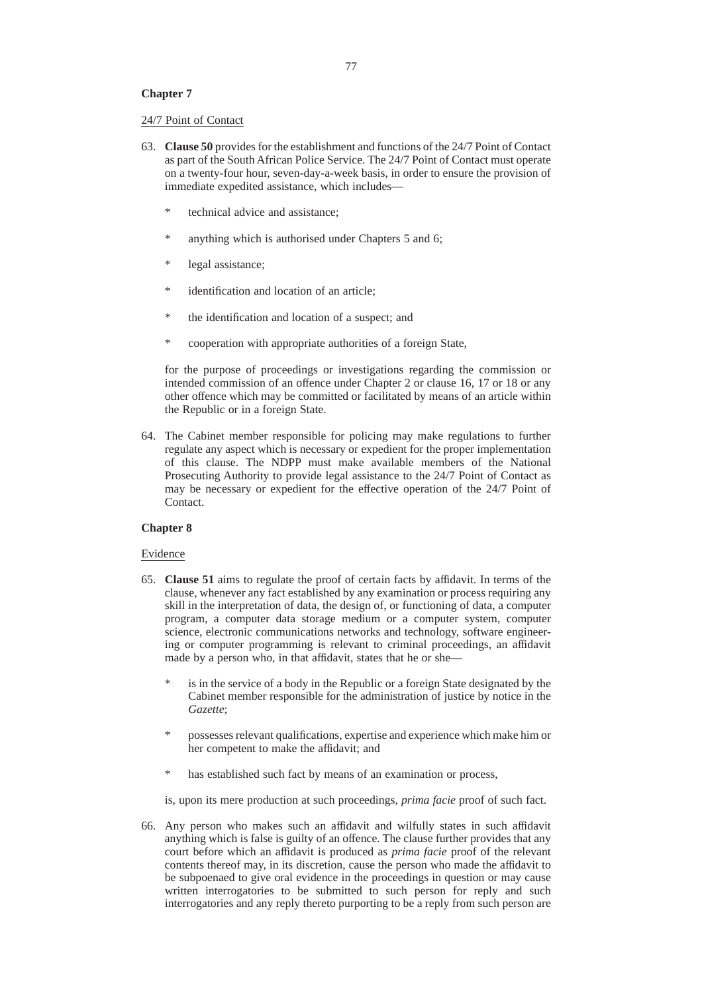#### **Chapter 7**

#### 24/7 Point of Contact

- 63. **Clause 50** provides for the establishment and functions of the 24/7 Point of Contact as part of the South African Police Service. The 24/7 Point of Contact must operate on a twenty-four hour, seven-day-a-week basis, in order to ensure the provision of immediate expedited assistance, which includes
	- technical advice and assistance;
	- \* anything which is authorised under Chapters 5 and 6;
	- \* legal assistance;
	- \* identification and location of an article;
	- \* the identification and location of a suspect; and
	- \* cooperation with appropriate authorities of a foreign State,

for the purpose of proceedings or investigations regarding the commission or intended commission of an offence under Chapter 2 or clause 16, 17 or 18 or any other offence which may be committed or facilitated by means of an article within the Republic or in a foreign State.

64. The Cabinet member responsible for policing may make regulations to further regulate any aspect which is necessary or expedient for the proper implementation of this clause. The NDPP must make available members of the National Prosecuting Authority to provide legal assistance to the 24/7 Point of Contact as may be necessary or expedient for the effective operation of the 24/7 Point of Contact.

### **Chapter 8**

### Evidence

- 65. **Clause 51** aims to regulate the proof of certain facts by affidavit. In terms of the clause, whenever any fact established by any examination or process requiring any skill in the interpretation of data, the design of, or functioning of data, a computer program, a computer data storage medium or a computer system, computer science, electronic communications networks and technology, software engineering or computer programming is relevant to criminal proceedings, an affidavit made by a person who, in that affidavit, states that he or she
	- is in the service of a body in the Republic or a foreign State designated by the Cabinet member responsible for the administration of justice by notice in the *Gazette*;
	- \* possesses relevant qualifications, expertise and experience which make him or her competent to make the affidavit; and
	- has established such fact by means of an examination or process,

is, upon its mere production at such proceedings, *prima facie* proof of such fact.

66. Any person who makes such an affidavit and wilfully states in such affidavit anything which is false is guilty of an offence. The clause further provides that any court before which an affidavit is produced as *prima facie* proof of the relevant contents thereof may, in its discretion, cause the person who made the affidavit to be subpoenaed to give oral evidence in the proceedings in question or may cause written interrogatories to be submitted to such person for reply and such interrogatories and any reply thereto purporting to be a reply from such person are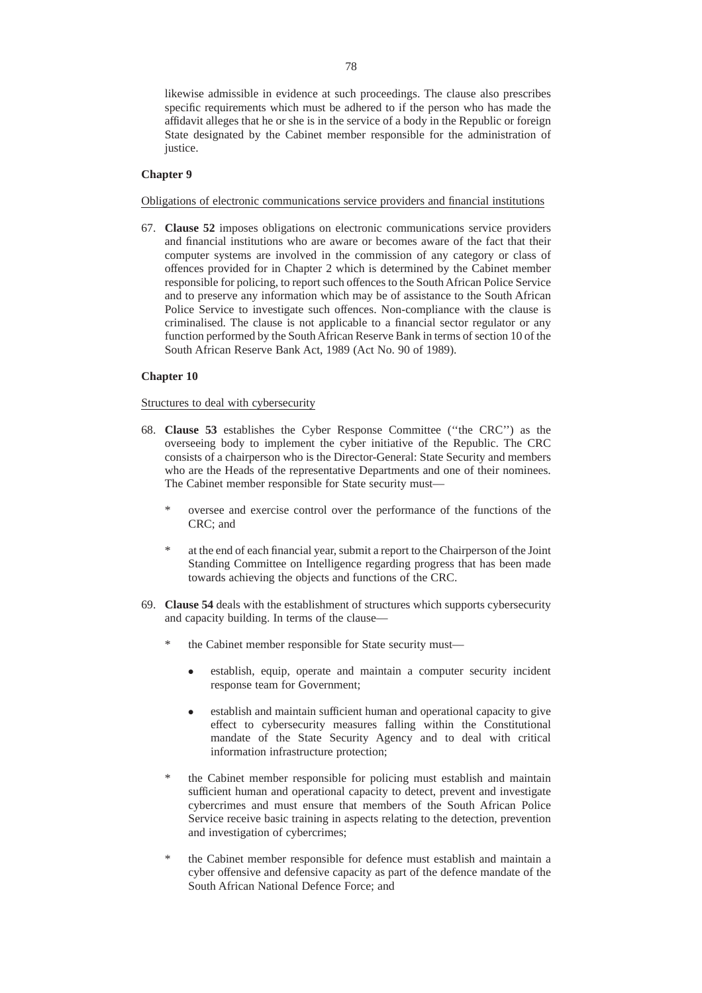likewise admissible in evidence at such proceedings. The clause also prescribes specific requirements which must be adhered to if the person who has made the affidavit alleges that he or she is in the service of a body in the Republic or foreign State designated by the Cabinet member responsible for the administration of justice.

### **Chapter 9**

### Obligations of electronic communications service providers and financial institutions

67. **Clause 52** imposes obligations on electronic communications service providers and financial institutions who are aware or becomes aware of the fact that their computer systems are involved in the commission of any category or class of offences provided for in Chapter 2 which is determined by the Cabinet member responsible for policing, to report such offences to the South African Police Service and to preserve any information which may be of assistance to the South African Police Service to investigate such offences. Non-compliance with the clause is criminalised. The clause is not applicable to a financial sector regulator or any function performed by the South African Reserve Bank in terms of section 10 of the South African Reserve Bank Act, 1989 (Act No. 90 of 1989).

### **Chapter 10**

#### Structures to deal with cybersecurity

- 68. **Clause 53** establishes the Cyber Response Committee (''the CRC'') as the overseeing body to implement the cyber initiative of the Republic. The CRC consists of a chairperson who is the Director-General: State Security and members who are the Heads of the representative Departments and one of their nominees. The Cabinet member responsible for State security must
	- oversee and exercise control over the performance of the functions of the CRC; and
	- at the end of each financial year, submit a report to the Chairperson of the Joint Standing Committee on Intelligence regarding progress that has been made towards achieving the objects and functions of the CRC.
- 69. **Clause 54** deals with the establishment of structures which supports cybersecurity and capacity building. In terms of the clause
	- the Cabinet member responsible for State security must
		- establish, equip, operate and maintain a computer security incident response team for Government;
		- establish and maintain sufficient human and operational capacity to give effect to cybersecurity measures falling within the Constitutional mandate of the State Security Agency and to deal with critical information infrastructure protection;
	- the Cabinet member responsible for policing must establish and maintain sufficient human and operational capacity to detect, prevent and investigate cybercrimes and must ensure that members of the South African Police Service receive basic training in aspects relating to the detection, prevention and investigation of cybercrimes;
	- the Cabinet member responsible for defence must establish and maintain a cyber offensive and defensive capacity as part of the defence mandate of the South African National Defence Force; and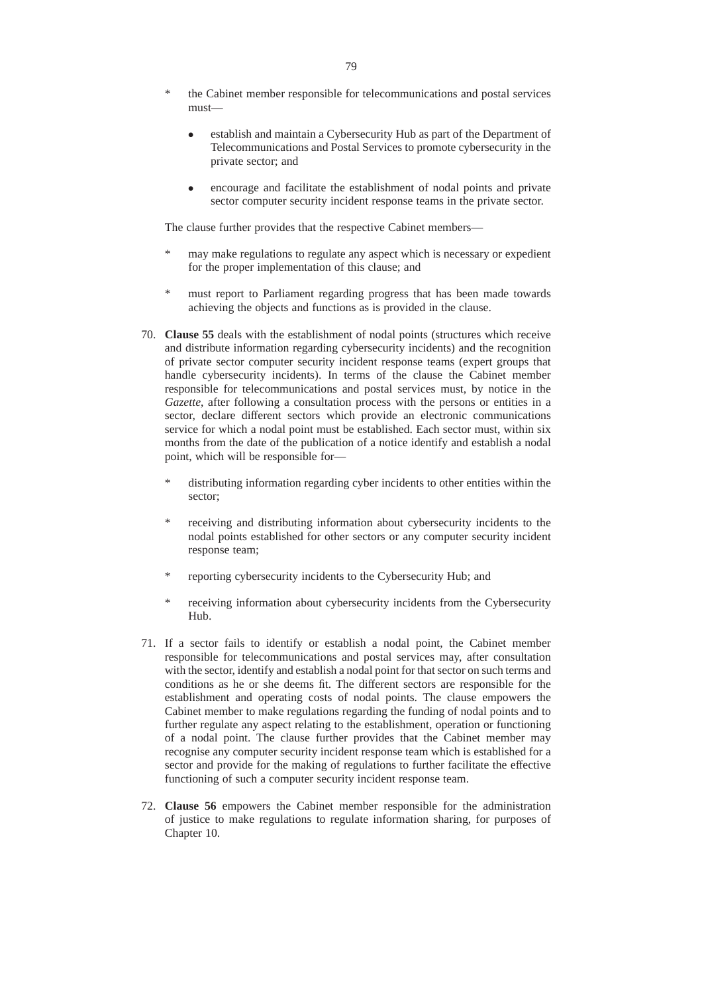- the Cabinet member responsible for telecommunications and postal services must
	- establish and maintain a Cybersecurity Hub as part of the Department of Telecommunications and Postal Services to promote cybersecurity in the private sector; and
	- encourage and facilitate the establishment of nodal points and private sector computer security incident response teams in the private sector.

The clause further provides that the respective Cabinet members—

- may make regulations to regulate any aspect which is necessary or expedient for the proper implementation of this clause; and
- \* must report to Parliament regarding progress that has been made towards achieving the objects and functions as is provided in the clause.
- 70. **Clause 55** deals with the establishment of nodal points (structures which receive and distribute information regarding cybersecurity incidents) and the recognition of private sector computer security incident response teams (expert groups that handle cybersecurity incidents). In terms of the clause the Cabinet member responsible for telecommunications and postal services must, by notice in the *Gazette*, after following a consultation process with the persons or entities in a sector, declare different sectors which provide an electronic communications service for which a nodal point must be established. Each sector must, within six months from the date of the publication of a notice identify and establish a nodal point, which will be responsible for
	- distributing information regarding cyber incidents to other entities within the sector;
	- receiving and distributing information about cybersecurity incidents to the nodal points established for other sectors or any computer security incident response team;
	- reporting cybersecurity incidents to the Cybersecurity Hub; and
	- receiving information about cybersecurity incidents from the Cybersecurity Hub.
- 71. If a sector fails to identify or establish a nodal point, the Cabinet member responsible for telecommunications and postal services may, after consultation with the sector, identify and establish a nodal point for that sector on such terms and conditions as he or she deems fit. The different sectors are responsible for the establishment and operating costs of nodal points. The clause empowers the Cabinet member to make regulations regarding the funding of nodal points and to further regulate any aspect relating to the establishment, operation or functioning of a nodal point. The clause further provides that the Cabinet member may recognise any computer security incident response team which is established for a sector and provide for the making of regulations to further facilitate the effective functioning of such a computer security incident response team.
- 72. **Clause 56** empowers the Cabinet member responsible for the administration of justice to make regulations to regulate information sharing, for purposes of Chapter 10.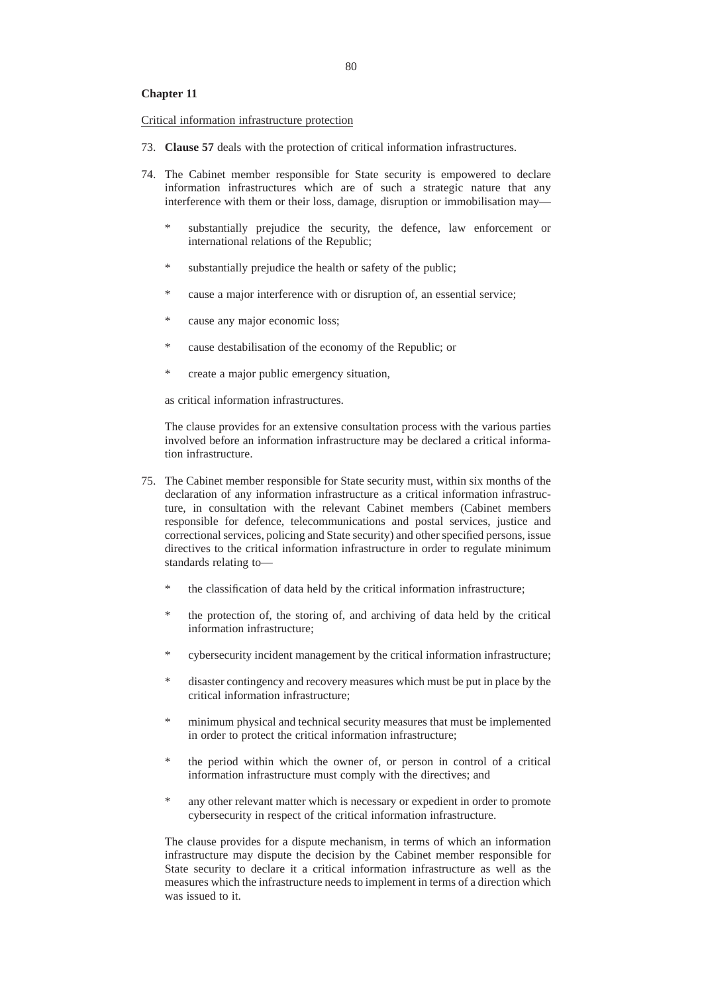#### **Chapter 11**

Critical information infrastructure protection

- 73. **Clause 57** deals with the protection of critical information infrastructures.
- 74. The Cabinet member responsible for State security is empowered to declare information infrastructures which are of such a strategic nature that any interference with them or their loss, damage, disruption or immobilisation may
	- substantially prejudice the security, the defence, law enforcement or international relations of the Republic;
	- \* substantially prejudice the health or safety of the public;
	- \* cause a major interference with or disruption of, an essential service;
	- \* cause any major economic loss;
	- \* cause destabilisation of the economy of the Republic; or
	- \* create a major public emergency situation,

as critical information infrastructures.

The clause provides for an extensive consultation process with the various parties involved before an information infrastructure may be declared a critical information infrastructure.

- 75. The Cabinet member responsible for State security must, within six months of the declaration of any information infrastructure as a critical information infrastructure, in consultation with the relevant Cabinet members (Cabinet members responsible for defence, telecommunications and postal services, justice and correctional services, policing and State security) and other specified persons, issue directives to the critical information infrastructure in order to regulate minimum standards relating to
	- the classification of data held by the critical information infrastructure;
	- the protection of, the storing of, and archiving of data held by the critical information infrastructure;
	- \* cybersecurity incident management by the critical information infrastructure;
	- disaster contingency and recovery measures which must be put in place by the critical information infrastructure;
	- minimum physical and technical security measures that must be implemented in order to protect the critical information infrastructure;
	- the period within which the owner of, or person in control of a critical information infrastructure must comply with the directives; and
	- any other relevant matter which is necessary or expedient in order to promote cybersecurity in respect of the critical information infrastructure.

The clause provides for a dispute mechanism, in terms of which an information infrastructure may dispute the decision by the Cabinet member responsible for State security to declare it a critical information infrastructure as well as the measures which the infrastructure needs to implement in terms of a direction which was issued to it.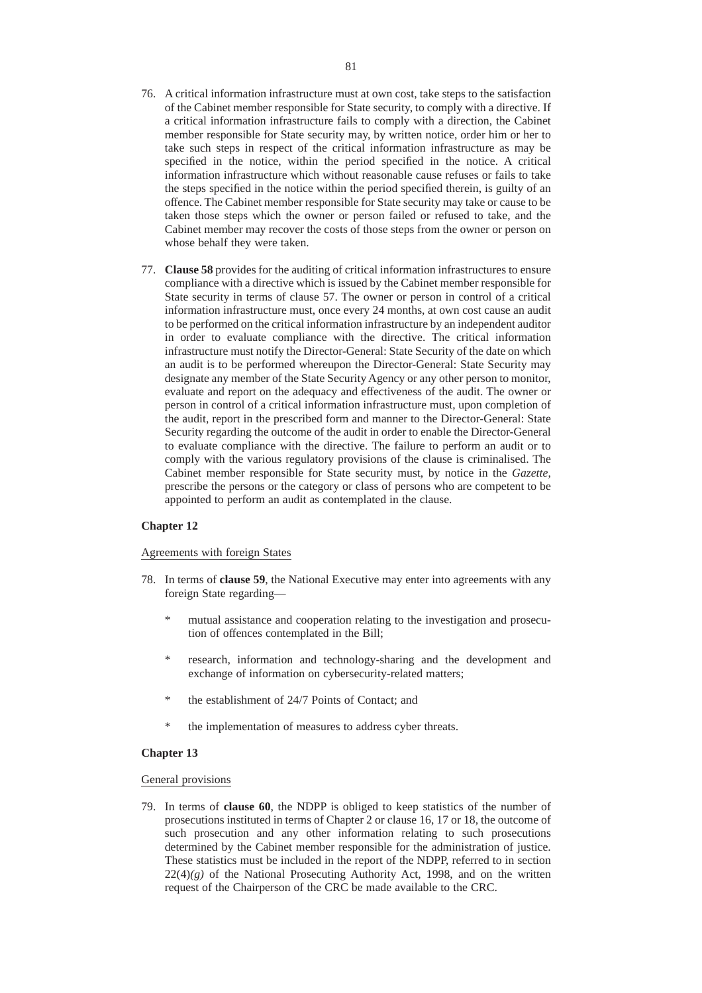- 76. A critical information infrastructure must at own cost, take steps to the satisfaction of the Cabinet member responsible for State security, to comply with a directive. If a critical information infrastructure fails to comply with a direction, the Cabinet member responsible for State security may, by written notice, order him or her to take such steps in respect of the critical information infrastructure as may be specified in the notice, within the period specified in the notice. A critical information infrastructure which without reasonable cause refuses or fails to take the steps specified in the notice within the period specified therein, is guilty of an offence. The Cabinet member responsible for State security may take or cause to be taken those steps which the owner or person failed or refused to take, and the Cabinet member may recover the costs of those steps from the owner or person on whose behalf they were taken.
- 77. **Clause 58** provides for the auditing of critical information infrastructures to ensure compliance with a directive which is issued by the Cabinet member responsible for State security in terms of clause 57. The owner or person in control of a critical information infrastructure must, once every 24 months, at own cost cause an audit to be performed on the critical information infrastructure by an independent auditor in order to evaluate compliance with the directive. The critical information infrastructure must notify the Director-General: State Security of the date on which an audit is to be performed whereupon the Director-General: State Security may designate any member of the State Security Agency or any other person to monitor, evaluate and report on the adequacy and effectiveness of the audit. The owner or person in control of a critical information infrastructure must, upon completion of the audit, report in the prescribed form and manner to the Director-General: State Security regarding the outcome of the audit in order to enable the Director-General to evaluate compliance with the directive. The failure to perform an audit or to comply with the various regulatory provisions of the clause is criminalised. The Cabinet member responsible for State security must, by notice in the *Gazette*, prescribe the persons or the category or class of persons who are competent to be appointed to perform an audit as contemplated in the clause.

## **Chapter 12**

### Agreements with foreign States

- 78. In terms of **clause 59**, the National Executive may enter into agreements with any foreign State regarding
	- mutual assistance and cooperation relating to the investigation and prosecution of offences contemplated in the Bill;
	- research, information and technology-sharing and the development and exchange of information on cybersecurity-related matters;
	- the establishment of 24/7 Points of Contact; and
	- the implementation of measures to address cyber threats.

### **Chapter 13**

## General provisions

79. In terms of **clause 60**, the NDPP is obliged to keep statistics of the number of prosecutions instituted in terms of Chapter 2 or clause 16, 17 or 18, the outcome of such prosecution and any other information relating to such prosecutions determined by the Cabinet member responsible for the administration of justice. These statistics must be included in the report of the NDPP, referred to in section  $22(4)(g)$  of the National Prosecuting Authority Act, 1998, and on the written request of the Chairperson of the CRC be made available to the CRC.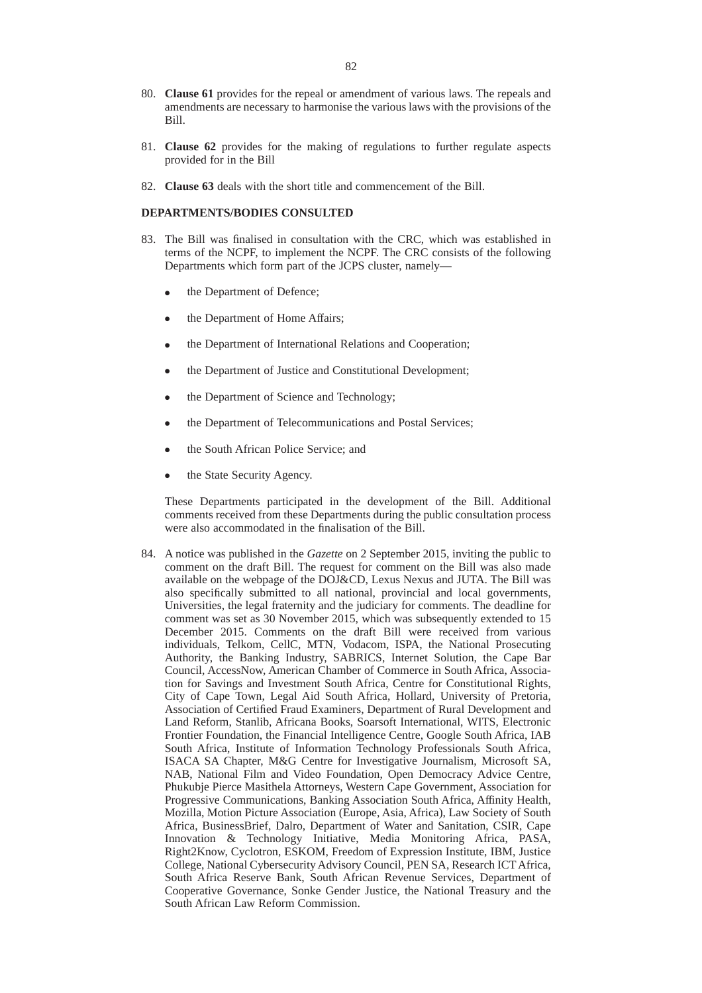- 80. **Clause 61** provides for the repeal or amendment of various laws. The repeals and amendments are necessary to harmonise the various laws with the provisions of the Bill.
- 81. **Clause 62** provides for the making of regulations to further regulate aspects provided for in the Bill
- 82. **Clause 63** deals with the short title and commencement of the Bill.

### **DEPARTMENTS/BODIES CONSULTED**

- 83. The Bill was finalised in consultation with the CRC, which was established in terms of the NCPF, to implement the NCPF. The CRC consists of the following Departments which form part of the JCPS cluster, namely
	- the Department of Defence;
	- the Department of Home Affairs;
	- the Department of International Relations and Cooperation;
	- the Department of Justice and Constitutional Development:
	- the Department of Science and Technology;
	- the Department of Telecommunications and Postal Services;
	- the South African Police Service; and
	- the State Security Agency.

These Departments participated in the development of the Bill. Additional comments received from these Departments during the public consultation process were also accommodated in the finalisation of the Bill.

84. A notice was published in the *Gazette* on 2 September 2015, inviting the public to comment on the draft Bill. The request for comment on the Bill was also made available on the webpage of the DOJ&CD, Lexus Nexus and JUTA. The Bill was also specifically submitted to all national, provincial and local governments, Universities, the legal fraternity and the judiciary for comments. The deadline for comment was set as 30 November 2015, which was subsequently extended to 15 December 2015. Comments on the draft Bill were received from various individuals, Telkom, CellC, MTN, Vodacom, ISPA, the National Prosecuting Authority, the Banking Industry, SABRICS, Internet Solution, the Cape Bar Council, AccessNow, American Chamber of Commerce in South Africa, Association for Savings and Investment South Africa, Centre for Constitutional Rights, City of Cape Town, Legal Aid South Africa, Hollard, University of Pretoria, Association of Certified Fraud Examiners, Department of Rural Development and Land Reform, Stanlib, Africana Books, Soarsoft International, WITS, Electronic Frontier Foundation, the Financial Intelligence Centre, Google South Africa, IAB South Africa, Institute of Information Technology Professionals South Africa, ISACA SA Chapter, M&G Centre for Investigative Journalism, Microsoft SA, NAB, National Film and Video Foundation, Open Democracy Advice Centre, Phukubje Pierce Masithela Attorneys, Western Cape Government, Association for Progressive Communications, Banking Association South Africa, Affinity Health, Mozilla, Motion Picture Association (Europe, Asia, Africa), Law Society of South Africa, BusinessBrief, Dalro, Department of Water and Sanitation, CSIR, Cape Innovation & Technology Initiative, Media Monitoring Africa, PASA, Right2Know, Cyclotron, ESKOM, Freedom of Expression Institute, IBM, Justice College, National Cybersecurity Advisory Council, PEN SA, Research ICT Africa, South Africa Reserve Bank, South African Revenue Services, Department of Cooperative Governance, Sonke Gender Justice, the National Treasury and the South African Law Reform Commission.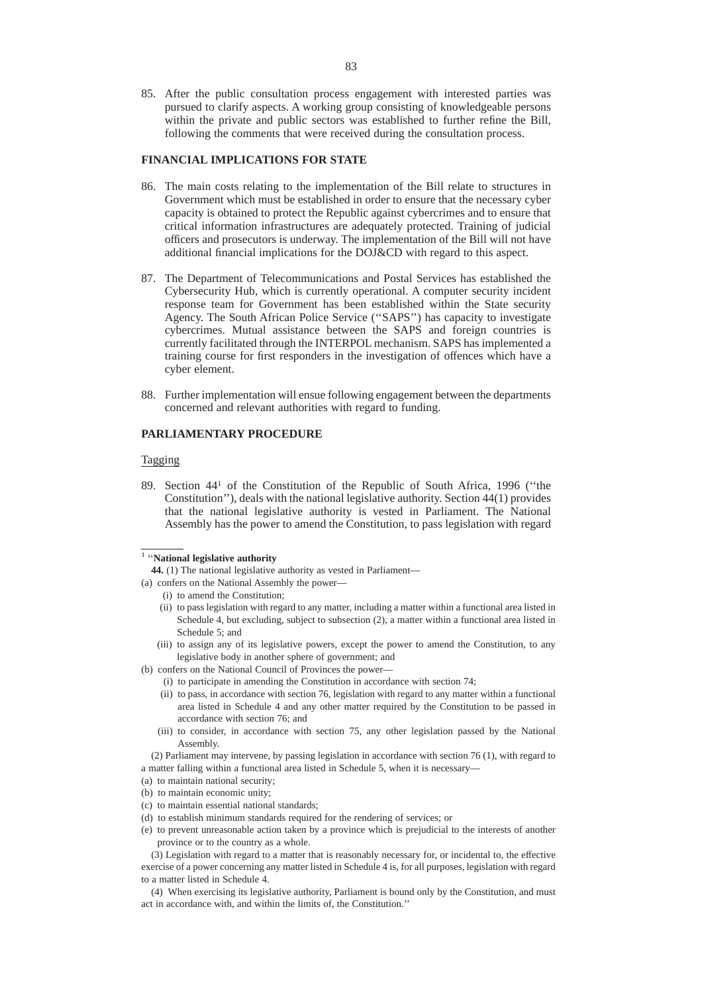85. After the public consultation process engagement with interested parties was pursued to clarify aspects. A working group consisting of knowledgeable persons within the private and public sectors was established to further refine the Bill, following the comments that were received during the consultation process.

### **FINANCIAL IMPLICATIONS FOR STATE**

- 86. The main costs relating to the implementation of the Bill relate to structures in Government which must be established in order to ensure that the necessary cyber capacity is obtained to protect the Republic against cybercrimes and to ensure that critical information infrastructures are adequately protected. Training of judicial officers and prosecutors is underway. The implementation of the Bill will not have additional financial implications for the DOJ&CD with regard to this aspect.
- 87. The Department of Telecommunications and Postal Services has established the Cybersecurity Hub, which is currently operational. A computer security incident response team for Government has been established within the State security Agency. The South African Police Service (''SAPS'') has capacity to investigate cybercrimes. Mutual assistance between the SAPS and foreign countries is currently facilitated through the INTERPOL mechanism. SAPS has implemented a training course for first responders in the investigation of offences which have a cyber element.
- 88. Further implementation will ensue following engagement between the departments concerned and relevant authorities with regard to funding.

## **PARLIAMENTARY PROCEDURE**

### Tagging

89. Section 441 of the Constitution of the Republic of South Africa, 1996 (''the Constitution''), deals with the national legislative authority. Section 44(1) provides that the national legislative authority is vested in Parliament. The National Assembly has the power to amend the Constitution, to pass legislation with regard

<sup>1</sup> ''**National legislative authority**

**44.** (1) The national legislative authority as vested in Parliament—

- (a) confers on the National Assembly the power—
	- (i) to amend the Constitution;
	- (ii) to pass legislation with regard to any matter, including a matter within a functional area listed in Schedule 4, but excluding, subject to subsection (2), a matter within a functional area listed in Schedule 5; and
	- (iii) to assign any of its legislative powers, except the power to amend the Constitution, to any legislative body in another sphere of government; and
- (b) confers on the National Council of Provinces the power—
	- (i) to participate in amending the Constitution in accordance with section 74;
	- (ii) to pass, in accordance with section 76, legislation with regard to any matter within a functional area listed in Schedule 4 and any other matter required by the Constitution to be passed in accordance with section 76; and
	- (iii) to consider, in accordance with section 75, any other legislation passed by the National Assembly.

(2) Parliament may intervene, by passing legislation in accordance with section 76 (1), with regard to a matter falling within a functional area listed in Schedule 5, when it is necessary—

- (a) to maintain national security;
- (b) to maintain economic unity;
- (c) to maintain essential national standards;
- (d) to establish minimum standards required for the rendering of services; or
- (e) to prevent unreasonable action taken by a province which is prejudicial to the interests of another province or to the country as a whole.

(3) Legislation with regard to a matter that is reasonably necessary for, or incidental to, the effective exercise of a power concerning any matter listed in Schedule 4 is, for all purposes, legislation with regard to a matter listed in Schedule 4.

(4) When exercising its legislative authority, Parliament is bound only by the Constitution, and must act in accordance with, and within the limits of, the Constitution.''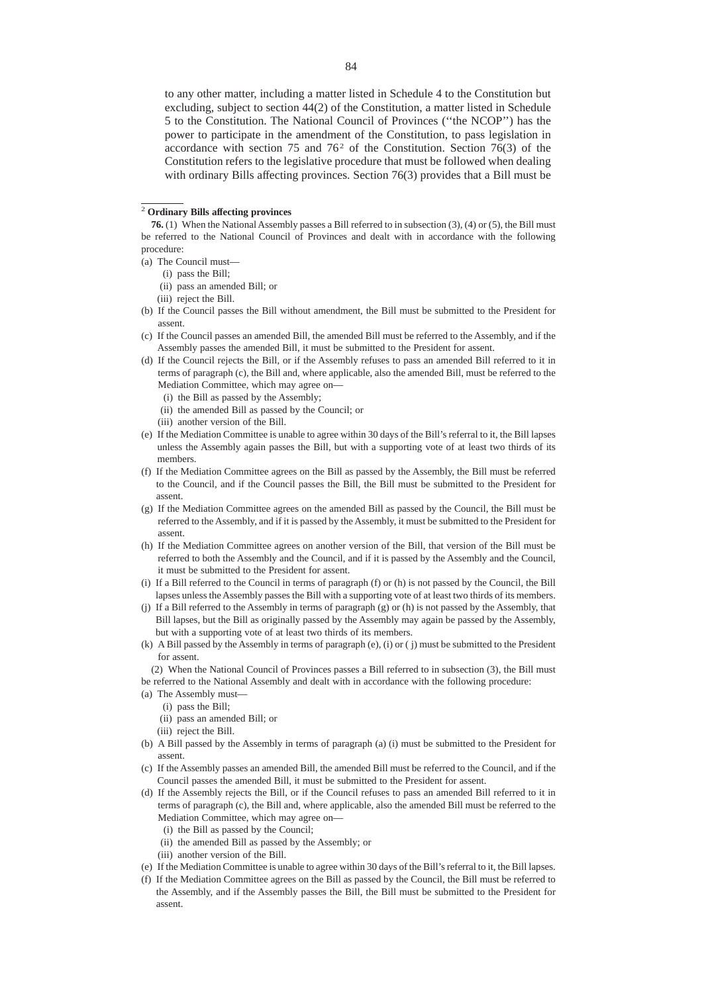to any other matter, including a matter listed in Schedule 4 to the Constitution but excluding, subject to section 44(2) of the Constitution, a matter listed in Schedule 5 to the Constitution. The National Council of Provinces (''the NCOP'') has the power to participate in the amendment of the Constitution, to pass legislation in accordance with section 75 and 762 of the Constitution. Section 76(3) of the Constitution refers to the legislative procedure that must be followed when dealing with ordinary Bills affecting provinces. Section 76(3) provides that a Bill must be

# <sup>2</sup> **Ordinary Bills affecting provinces**

**76.** (1) When the National Assembly passes a Bill referred to in subsection (3), (4) or (5), the Bill must be referred to the National Council of Provinces and dealt with in accordance with the following procedure:

- (a) The Council must—
	- (i) pass the Bill;
	- (ii) pass an amended Bill; or
	- (iii) reject the Bill.
- (b) If the Council passes the Bill without amendment, the Bill must be submitted to the President for assent.
- (c) If the Council passes an amended Bill, the amended Bill must be referred to the Assembly, and if the Assembly passes the amended Bill, it must be submitted to the President for assent.
- (d) If the Council rejects the Bill, or if the Assembly refuses to pass an amended Bill referred to it in terms of paragraph (c), the Bill and, where applicable, also the amended Bill, must be referred to the Mediation Committee, which may agree on—
	- (i) the Bill as passed by the Assembly;
	- (ii) the amended Bill as passed by the Council; or
	- (iii) another version of the Bill.
- (e) If the Mediation Committee is unable to agree within 30 days of the Bill's referral to it, the Bill lapses unless the Assembly again passes the Bill, but with a supporting vote of at least two thirds of its members.
- (f) If the Mediation Committee agrees on the Bill as passed by the Assembly, the Bill must be referred to the Council, and if the Council passes the Bill, the Bill must be submitted to the President for assent.
- (g) If the Mediation Committee agrees on the amended Bill as passed by the Council, the Bill must be referred to the Assembly, and if it is passed by the Assembly, it must be submitted to the President for assent.
- (h) If the Mediation Committee agrees on another version of the Bill, that version of the Bill must be referred to both the Assembly and the Council, and if it is passed by the Assembly and the Council, it must be submitted to the President for assent.
- (i) If a Bill referred to the Council in terms of paragraph (f) or (h) is not passed by the Council, the Bill lapses unless the Assembly passes the Bill with a supporting vote of at least two thirds of its members.
- (j) If a Bill referred to the Assembly in terms of paragraph (g) or (h) is not passed by the Assembly, that Bill lapses, but the Bill as originally passed by the Assembly may again be passed by the Assembly, but with a supporting vote of at least two thirds of its members.
- (k) A Bill passed by the Assembly in terms of paragraph (e), (i) or ( j) must be submitted to the President for assent.
- (2) When the National Council of Provinces passes a Bill referred to in subsection (3), the Bill must be referred to the National Assembly and dealt with in accordance with the following procedure:
- (a) The Assembly must—
	- (i) pass the Bill;
	- (ii) pass an amended Bill; or
	- (iii) reject the Bill.
- (b) A Bill passed by the Assembly in terms of paragraph (a) (i) must be submitted to the President for assent.
- (c) If the Assembly passes an amended Bill, the amended Bill must be referred to the Council, and if the Council passes the amended Bill, it must be submitted to the President for assent.
- (d) If the Assembly rejects the Bill, or if the Council refuses to pass an amended Bill referred to it in terms of paragraph (c), the Bill and, where applicable, also the amended Bill must be referred to the Mediation Committee, which may agree on—
	- (i) the Bill as passed by the Council;
	- (ii) the amended Bill as passed by the Assembly; or
	- (iii) another version of the Bill.
- (e) If the Mediation Committee is unable to agree within 30 days of the Bill's referral to it, the Bill lapses.
- (f) If the Mediation Committee agrees on the Bill as passed by the Council, the Bill must be referred to the Assembly, and if the Assembly passes the Bill, the Bill must be submitted to the President for assent.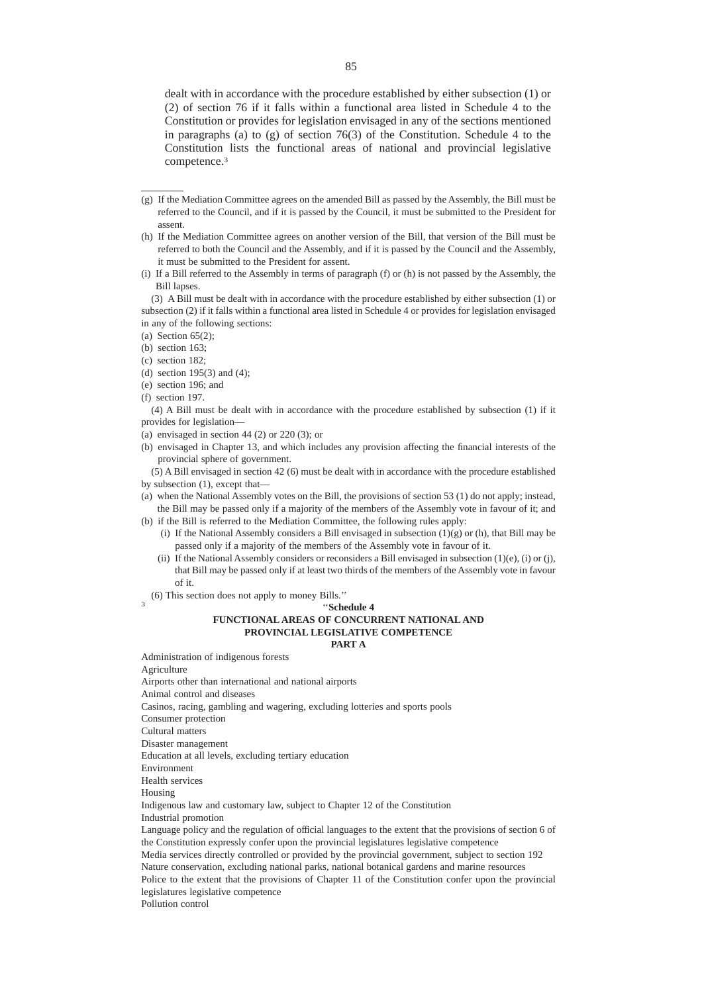dealt with in accordance with the procedure established by either subsection (1) or (2) of section 76 if it falls within a functional area listed in Schedule 4 to the Constitution or provides for legislation envisaged in any of the sections mentioned in paragraphs (a) to (g) of section 76(3) of the Constitution. Schedule 4 to the Constitution lists the functional areas of national and provincial legislative competence.3

- (g) If the Mediation Committee agrees on the amended Bill as passed by the Assembly, the Bill must be referred to the Council, and if it is passed by the Council, it must be submitted to the President for assent.
- (h) If the Mediation Committee agrees on another version of the Bill, that version of the Bill must be referred to both the Council and the Assembly, and if it is passed by the Council and the Assembly, it must be submitted to the President for assent.
- (i) If a Bill referred to the Assembly in terms of paragraph (f) or (h) is not passed by the Assembly, the Bill lapses.

(3) A Bill must be dealt with in accordance with the procedure established by either subsection (1) or subsection (2) if it falls within a functional area listed in Schedule 4 or provides for legislation envisaged in any of the following sections:

- (a) Section  $65(2)$ ;
- (b) section 163;
- (c) section 182;
- (d) section 195(3) and (4);
- (e) section 196; and
- (f) section 197.

(4) A Bill must be dealt with in accordance with the procedure established by subsection (1) if it provides for legislation—

- (a) envisaged in section  $44(2)$  or  $220(3)$ ; or
- (b) envisaged in Chapter 13, and which includes any provision affecting the financial interests of the provincial sphere of government.

(5) A Bill envisaged in section 42 (6) must be dealt with in accordance with the procedure established by subsection (1), except that—

(a) when the National Assembly votes on the Bill, the provisions of section 53 (1) do not apply; instead, the Bill may be passed only if a majority of the members of the Assembly vote in favour of it; and

(b) if the Bill is referred to the Mediation Committee, the following rules apply:

- (i) If the National Assembly considers a Bill envisaged in subsection  $(1)(g)$  or (h), that Bill may be passed only if a majority of the members of the Assembly vote in favour of it.
- (ii) If the National Assembly considers or reconsiders a Bill envisaged in subsection  $(1)(e)$ , (i) or (j), that Bill may be passed only if at least two thirds of the members of the Assembly vote in favour of it.
- (6) This section does not apply to money Bills.''

### <sup>3</sup> ''**Schedule 4**

#### **FUNCTIONAL AREAS OF CONCURRENT NATIONAL AND PROVINCIAL LEGISLATIVE COMPETENCE PART A**

Administration of indigenous forests

**Agriculture** 

Airports other than international and national airports

Animal control and diseases

Casinos, racing, gambling and wagering, excluding lotteries and sports pools

Consumer protection

Cultural matters

Disaster management

Education at all levels, excluding tertiary education

Environment

Health services

Housing

Indigenous law and customary law, subject to Chapter 12 of the Constitution

Industrial promotion

Language policy and the regulation of official languages to the extent that the provisions of section 6 of the Constitution expressly confer upon the provincial legislatures legislative competence

Media services directly controlled or provided by the provincial government, subject to section 192 Nature conservation, excluding national parks, national botanical gardens and marine resources

Police to the extent that the provisions of Chapter 11 of the Constitution confer upon the provincial legislatures legislative competence

Pollution control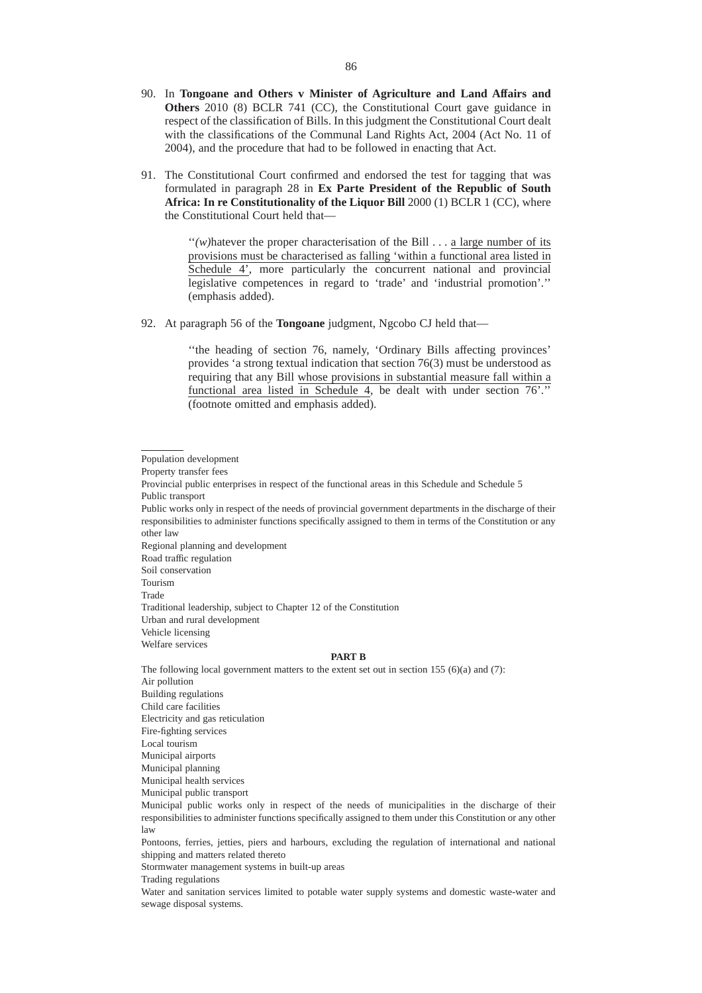- 90. In **Tongoane and Others v Minister of Agriculture and Land Affairs and Others** 2010 (8) BCLR 741 (CC), the Constitutional Court gave guidance in respect of the classification of Bills. In this judgment the Constitutional Court dealt with the classifications of the Communal Land Rights Act, 2004 (Act No. 11 of 2004), and the procedure that had to be followed in enacting that Act.
- 91. The Constitutional Court confirmed and endorsed the test for tagging that was formulated in paragraph 28 in **Ex Parte President of the Republic of South Africa: In re Constitutionality of the Liquor Bill** 2000 (1) BCLR 1 (CC), where the Constitutional Court held that—

''*(w)*hatever the proper characterisation of the Bill . . . a large number of its provisions must be characterised as falling 'within a functional area listed in Schedule 4', more particularly the concurrent national and provincial legislative competences in regard to 'trade' and 'industrial promotion'.'' (emphasis added).

92. At paragraph 56 of the **Tongoane** judgment, Ngcobo CJ held that—

''the heading of section 76, namely, 'Ordinary Bills affecting provinces' provides 'a strong textual indication that section 76(3) must be understood as requiring that any Bill whose provisions in substantial measure fall within a functional area listed in Schedule 4, be dealt with under section 76'.'' (footnote omitted and emphasis added).

Regional planning and development Road traffic regulation Soil conservation Tourism Trade

Traditional leadership, subject to Chapter 12 of the Constitution Urban and rural development

Vehicle licensing Welfare services

### **PART B**

The following local government matters to the extent set out in section 155 (6)(a) and (7): Air pollution Building regulations Child care facilities Electricity and gas reticulation Fire-fighting services Local tourism Municipal airports Municipal planning Municipal health services Municipal public transport Municipal public works only in respect of the needs of municipalities in the discharge of their responsibilities to administer functions specifically assigned to them under this Constitution or any other law Pontoons, ferries, jetties, piers and harbours, excluding the regulation of international and national shipping and matters related thereto Stormwater management systems in built-up areas Trading regulations

Water and sanitation services limited to potable water supply systems and domestic waste-water and sewage disposal systems.

Population development

Property transfer fees

Provincial public enterprises in respect of the functional areas in this Schedule and Schedule 5 Public transport

Public works only in respect of the needs of provincial government departments in the discharge of their responsibilities to administer functions specifically assigned to them in terms of the Constitution or any other law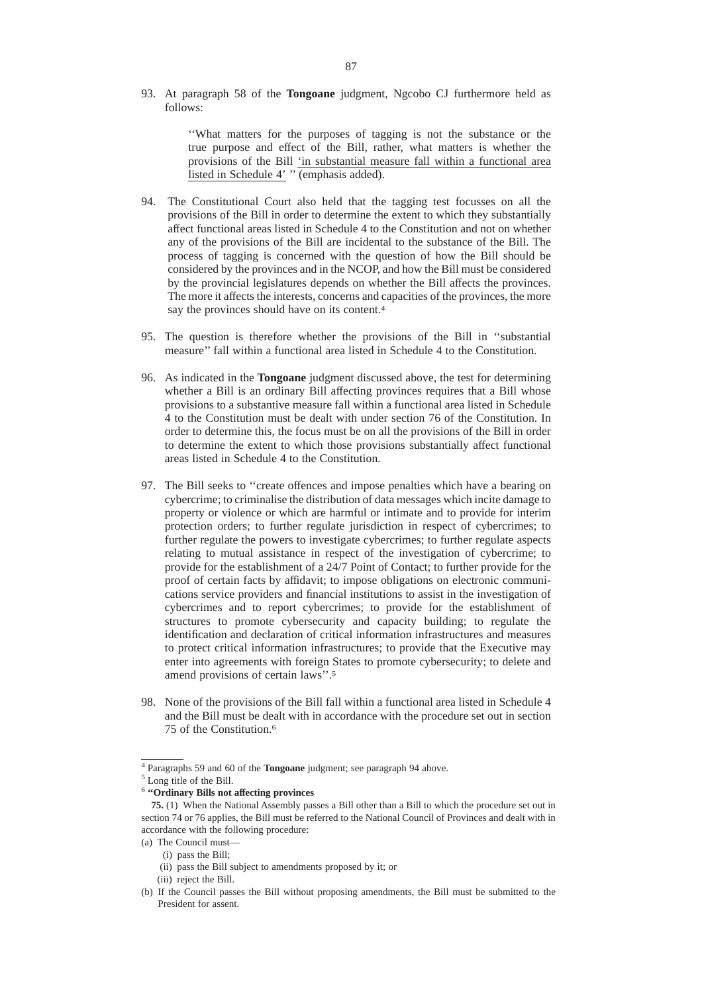93. At paragraph 58 of the **Tongoane** judgment, Ngcobo CJ furthermore held as follows:

> ''What matters for the purposes of tagging is not the substance or the true purpose and effect of the Bill, rather, what matters is whether the provisions of the Bill 'in substantial measure fall within a functional area listed in Schedule 4' '' (emphasis added).

- 94. The Constitutional Court also held that the tagging test focusses on all the provisions of the Bill in order to determine the extent to which they substantially affect functional areas listed in Schedule 4 to the Constitution and not on whether any of the provisions of the Bill are incidental to the substance of the Bill. The process of tagging is concerned with the question of how the Bill should be considered by the provinces and in the NCOP, and how the Bill must be considered by the provincial legislatures depends on whether the Bill affects the provinces. The more it affects the interests, concerns and capacities of the provinces, the more say the provinces should have on its content.<sup>4</sup>
- 95. The question is therefore whether the provisions of the Bill in ''substantial measure'' fall within a functional area listed in Schedule 4 to the Constitution.
- 96. As indicated in the **Tongoane** judgment discussed above, the test for determining whether a Bill is an ordinary Bill affecting provinces requires that a Bill whose provisions to a substantive measure fall within a functional area listed in Schedule 4 to the Constitution must be dealt with under section 76 of the Constitution. In order to determine this, the focus must be on all the provisions of the Bill in order to determine the extent to which those provisions substantially affect functional areas listed in Schedule 4 to the Constitution.
- 97. The Bill seeks to ''create offences and impose penalties which have a bearing on cybercrime; to criminalise the distribution of data messages which incite damage to property or violence or which are harmful or intimate and to provide for interim protection orders; to further regulate jurisdiction in respect of cybercrimes; to further regulate the powers to investigate cybercrimes; to further regulate aspects relating to mutual assistance in respect of the investigation of cybercrime; to provide for the establishment of a 24/7 Point of Contact; to further provide for the proof of certain facts by affidavit; to impose obligations on electronic communications service providers and financial institutions to assist in the investigation of cybercrimes and to report cybercrimes; to provide for the establishment of structures to promote cybersecurity and capacity building; to regulate the identification and declaration of critical information infrastructures and measures to protect critical information infrastructures; to provide that the Executive may enter into agreements with foreign States to promote cybersecurity; to delete and amend provisions of certain laws''.5
- 98. None of the provisions of the Bill fall within a functional area listed in Schedule 4 and the Bill must be dealt with in accordance with the procedure set out in section 75 of the Constitution.6

<sup>4</sup> Paragraphs 59 and 60 of the **Tongoane** judgment; see paragraph 94 above.

 $<sup>5</sup>$  Long title of the Bill.</sup>

<sup>6</sup> **''Ordinary Bills not affecting provinces**

**<sup>75.</sup>** (1) When the National Assembly passes a Bill other than a Bill to which the procedure set out in section 74 or 76 applies, the Bill must be referred to the National Council of Provinces and dealt with in accordance with the following procedure:

<sup>(</sup>a) The Council must—

<sup>(</sup>i) pass the Bill;

<sup>(</sup>ii) pass the Bill subject to amendments proposed by it; or

<sup>(</sup>iii) reject the Bill.

<sup>(</sup>b) If the Council passes the Bill without proposing amendments, the Bill must be submitted to the President for assent.